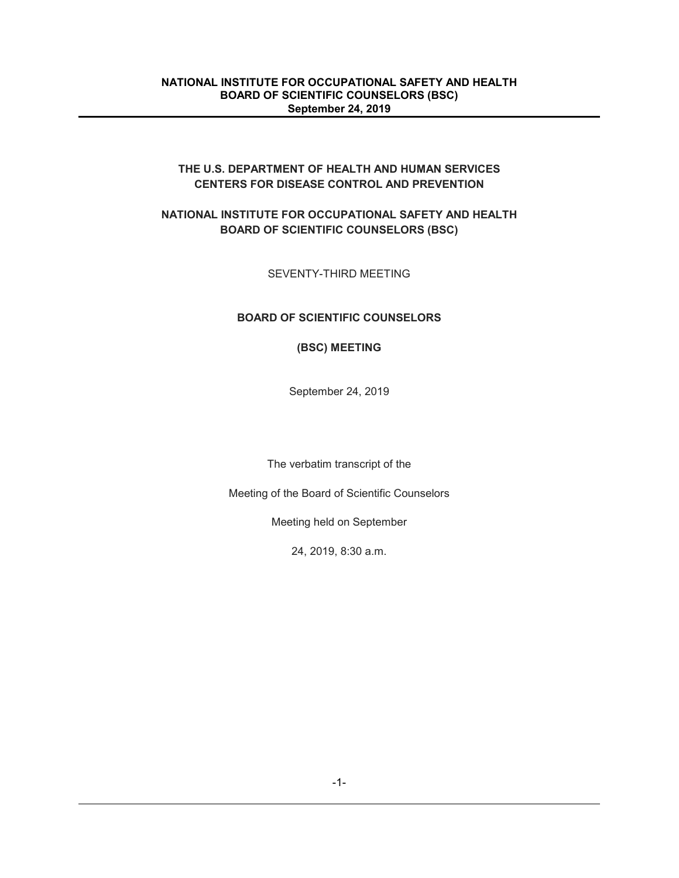## **THE U.S. DEPARTMENT OF HEALTH AND HUMAN SERVICES CENTERS FOR DISEASE CONTROL AND PREVENTION**

# **NATIONAL INSTITUTE FOR OCCUPATIONAL SAFETY AND HEALTH BOARD OF SCIENTIFIC COUNSELORS (BSC)**

## SEVENTY-THIRD MEETING

# **BOARD OF SCIENTIFIC COUNSELORS**

#### **(BSC) MEETING**

September 24, 2019

The verbatim transcript of the

Meeting of the Board of Scientific Counselors

Meeting held on September

24, 2019, 8:30 a.m.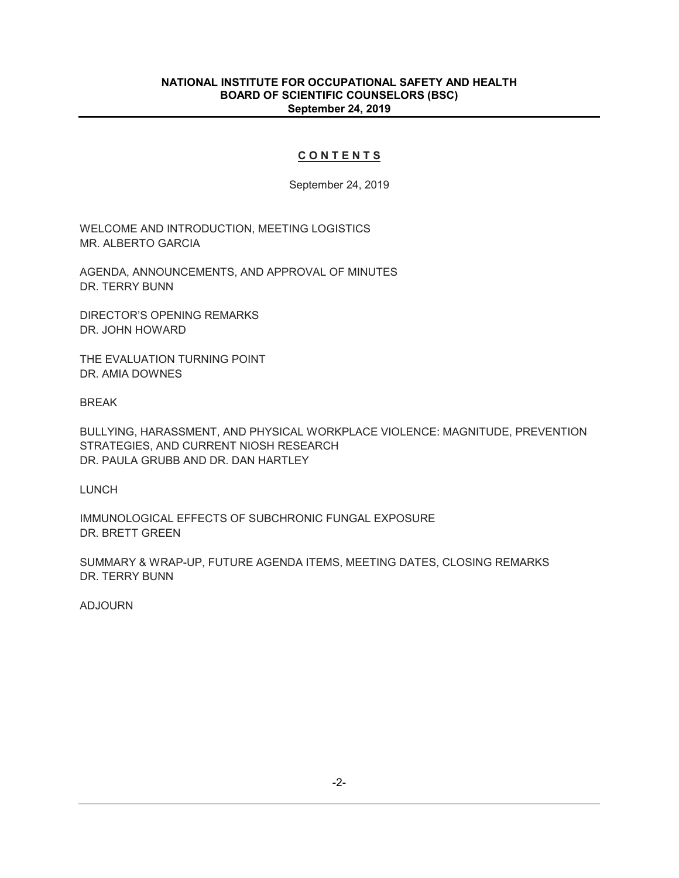#### **C O N T E N T S**

September 24, 2019

WELCOME AND INTRODUCTION, MEETING LOGISTICS MR. ALBERTO GARCIA

AGENDA, ANNOUNCEMENTS, AND APPROVAL OF MINUTES DR. TERRY BUNN

DIRECTOR'S OPENING REMARKS DR. JOHN HOWARD

THE EVALUATION TURNING POINT DR. AMIA DOWNES

BREAK

BULLYING, HARASSMENT, AND PHYSICAL WORKPLACE VIOLENCE: MAGNITUDE, PREVENTION STRATEGIES, AND CURRENT NIOSH RESEARCH DR. PAULA GRUBB AND DR. DAN HARTLEY

LUNCH

IMMUNOLOGICAL EFFECTS OF SUBCHRONIC FUNGAL EXPOSURE DR. BRETT GREEN

SUMMARY & WRAP-UP, FUTURE AGENDA ITEMS, MEETING DATES, CLOSING REMARKS DR. TERRY BUNN

ADJOURN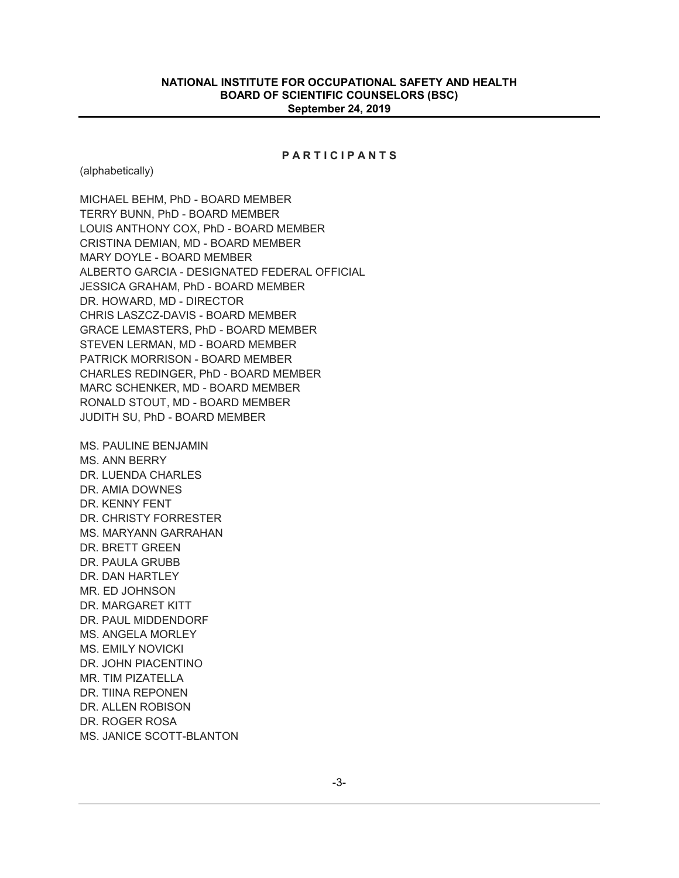#### **P A R T I C I P A N T S**

(alphabetically)

MICHAEL BEHM, PhD - BOARD MEMBER TERRY BUNN, PhD - BOARD MEMBER LOUIS ANTHONY COX, PhD - BOARD MEMBER CRISTINA DEMIAN, MD - BOARD MEMBER MARY DOYLE - BOARD MEMBER ALBERTO GARCIA - DESIGNATED FEDERAL OFFICIAL JESSICA GRAHAM, PhD - BOARD MEMBER DR. HOWARD, MD - DIRECTOR CHRIS LASZCZ-DAVIS - BOARD MEMBER GRACE LEMASTERS, PhD - BOARD MEMBER STEVEN LERMAN, MD - BOARD MEMBER PATRICK MORRISON - BOARD MEMBER CHARLES REDINGER, PhD - BOARD MEMBER MARC SCHENKER, MD - BOARD MEMBER RONALD STOUT, MD - BOARD MEMBER JUDITH SU, PhD - BOARD MEMBER MS. PAULINE BENJAMIN MS. ANN BERRY DR. LUENDA CHARLES DR. AMIA DOWNES DR. KENNY FENT DR. CHRISTY FORRESTER MS. MARYANN GARRAHAN DR. BRETT GREEN

DR. PAULA GRUBB DR. DAN HARTLEY MR. ED JOHNSON DR. MARGARET KITT DR. PAUL MIDDENDORF MS. ANGELA MORLEY MS. EMILY NOVICKI DR. JOHN PIACENTINO MR. TIM PIZATELLA

DR. ALLEN ROBISON DR. ROGER ROSA MS. JANICE SCOTT-BLANTON

DR. TIINA REPONEN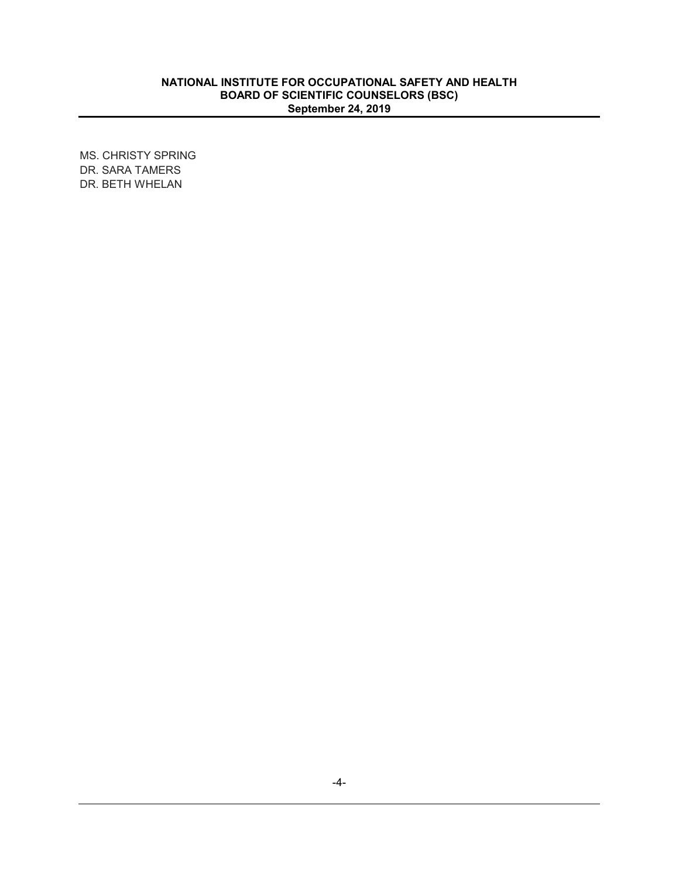MS. CHRISTY SPRING DR. SARA TAMERS DR. BETH WHELAN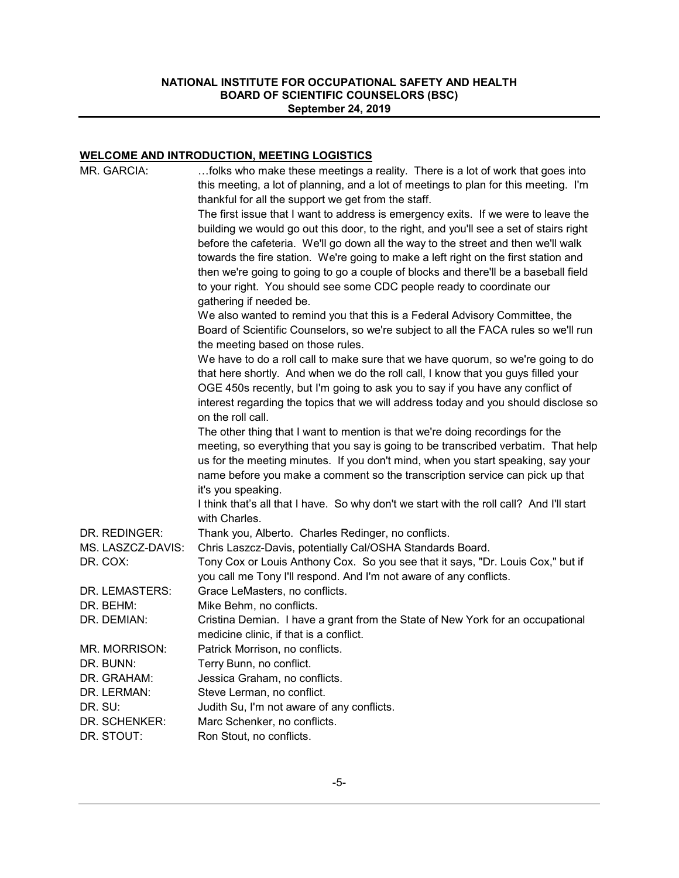# **WELCOME AND INTRODUCTION, MEETING LOGISTICS**

| MR. GARCIA:          | folks who make these meetings a reality. There is a lot of work that goes into<br>this meeting, a lot of planning, and a lot of meetings to plan for this meeting. I'm                                  |
|----------------------|---------------------------------------------------------------------------------------------------------------------------------------------------------------------------------------------------------|
|                      | thankful for all the support we get from the staff.                                                                                                                                                     |
|                      | The first issue that I want to address is emergency exits. If we were to leave the<br>building we would go out this door, to the right, and you'll see a set of stairs right                            |
|                      | before the cafeteria. We'll go down all the way to the street and then we'll walk                                                                                                                       |
|                      | towards the fire station. We're going to make a left right on the first station and                                                                                                                     |
|                      | then we're going to going to go a couple of blocks and there'll be a baseball field                                                                                                                     |
|                      | to your right. You should see some CDC people ready to coordinate our                                                                                                                                   |
|                      | gathering if needed be.                                                                                                                                                                                 |
|                      | We also wanted to remind you that this is a Federal Advisory Committee, the<br>Board of Scientific Counselors, so we're subject to all the FACA rules so we'll run<br>the meeting based on those rules. |
|                      | We have to do a roll call to make sure that we have quorum, so we're going to do                                                                                                                        |
|                      | that here shortly. And when we do the roll call, I know that you guys filled your                                                                                                                       |
|                      | OGE 450s recently, but I'm going to ask you to say if you have any conflict of                                                                                                                          |
|                      | interest regarding the topics that we will address today and you should disclose so<br>on the roll call.                                                                                                |
|                      | The other thing that I want to mention is that we're doing recordings for the                                                                                                                           |
|                      | meeting, so everything that you say is going to be transcribed verbatim. That help                                                                                                                      |
|                      | us for the meeting minutes. If you don't mind, when you start speaking, say your                                                                                                                        |
|                      | name before you make a comment so the transcription service can pick up that                                                                                                                            |
|                      | it's you speaking.                                                                                                                                                                                      |
|                      | I think that's all that I have. So why don't we start with the roll call? And I'll start<br>with Charles.                                                                                               |
| DR. REDINGER:        | Thank you, Alberto. Charles Redinger, no conflicts.                                                                                                                                                     |
| MS. LASZCZ-DAVIS:    | Chris Laszcz-Davis, potentially Cal/OSHA Standards Board.                                                                                                                                               |
| DR. COX:             | Tony Cox or Louis Anthony Cox. So you see that it says, "Dr. Louis Cox," but if                                                                                                                         |
|                      | you call me Tony I'll respond. And I'm not aware of any conflicts.                                                                                                                                      |
| DR. LEMASTERS:       | Grace LeMasters, no conflicts.                                                                                                                                                                          |
| DR. BEHM:            | Mike Behm, no conflicts.                                                                                                                                                                                |
| DR. DEMIAN:          | Cristina Demian. I have a grant from the State of New York for an occupational                                                                                                                          |
|                      | medicine clinic, if that is a conflict.                                                                                                                                                                 |
| <b>MR. MORRISON:</b> | Patrick Morrison, no conflicts.                                                                                                                                                                         |
| DR. BUNN:            | Terry Bunn, no conflict.                                                                                                                                                                                |
| DR. GRAHAM:          | Jessica Graham, no conflicts.                                                                                                                                                                           |
| DR. LERMAN:          | Steve Lerman, no conflict.                                                                                                                                                                              |
| DR. SU:              | Judith Su, I'm not aware of any conflicts.                                                                                                                                                              |
| DR. SCHENKER:        | Marc Schenker, no conflicts.                                                                                                                                                                            |
| DR. STOUT:           | Ron Stout, no conflicts.                                                                                                                                                                                |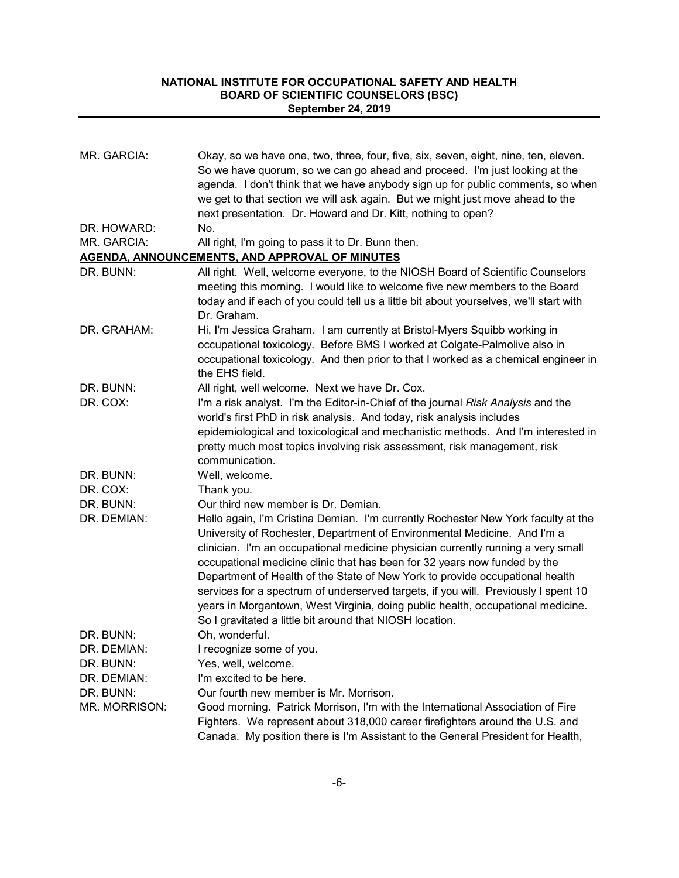| MR. GARCIA:   | Okay, so we have one, two, three, four, five, six, seven, eight, nine, ten, eleven.<br>So we have quorum, so we can go ahead and proceed. I'm just looking at the<br>agenda. I don't think that we have anybody sign up for public comments, so when<br>we get to that section we will ask again. But we might just move ahead to the<br>next presentation. Dr. Howard and Dr. Kitt, nothing to open?                                                                                                                                                                                                                                               |
|---------------|-----------------------------------------------------------------------------------------------------------------------------------------------------------------------------------------------------------------------------------------------------------------------------------------------------------------------------------------------------------------------------------------------------------------------------------------------------------------------------------------------------------------------------------------------------------------------------------------------------------------------------------------------------|
| DR. HOWARD:   | No.                                                                                                                                                                                                                                                                                                                                                                                                                                                                                                                                                                                                                                                 |
| MR. GARCIA:   | All right, I'm going to pass it to Dr. Bunn then.                                                                                                                                                                                                                                                                                                                                                                                                                                                                                                                                                                                                   |
|               | AGENDA, ANNOUNCEMENTS, AND APPROVAL OF MINUTES                                                                                                                                                                                                                                                                                                                                                                                                                                                                                                                                                                                                      |
| DR. BUNN:     | All right. Well, welcome everyone, to the NIOSH Board of Scientific Counselors<br>meeting this morning. I would like to welcome five new members to the Board<br>today and if each of you could tell us a little bit about yourselves, we'll start with<br>Dr. Graham.                                                                                                                                                                                                                                                                                                                                                                              |
| DR. GRAHAM:   | Hi, I'm Jessica Graham. I am currently at Bristol-Myers Squibb working in<br>occupational toxicology. Before BMS I worked at Colgate-Palmolive also in<br>occupational toxicology. And then prior to that I worked as a chemical engineer in<br>the EHS field.                                                                                                                                                                                                                                                                                                                                                                                      |
| DR. BUNN:     | All right, well welcome. Next we have Dr. Cox.                                                                                                                                                                                                                                                                                                                                                                                                                                                                                                                                                                                                      |
| DR. COX:      | I'm a risk analyst. I'm the Editor-in-Chief of the journal Risk Analysis and the<br>world's first PhD in risk analysis. And today, risk analysis includes<br>epidemiological and toxicological and mechanistic methods. And I'm interested in<br>pretty much most topics involving risk assessment, risk management, risk<br>communication.                                                                                                                                                                                                                                                                                                         |
| DR. BUNN:     | Well, welcome.                                                                                                                                                                                                                                                                                                                                                                                                                                                                                                                                                                                                                                      |
| DR. COX:      | Thank you.                                                                                                                                                                                                                                                                                                                                                                                                                                                                                                                                                                                                                                          |
| DR. BUNN:     | Our third new member is Dr. Demian.                                                                                                                                                                                                                                                                                                                                                                                                                                                                                                                                                                                                                 |
| DR. DEMIAN:   | Hello again, I'm Cristina Demian. I'm currently Rochester New York faculty at the<br>University of Rochester, Department of Environmental Medicine. And I'm a<br>clinician. I'm an occupational medicine physician currently running a very small<br>occupational medicine clinic that has been for 32 years now funded by the<br>Department of Health of the State of New York to provide occupational health<br>services for a spectrum of underserved targets, if you will. Previously I spent 10<br>years in Morgantown, West Virginia, doing public health, occupational medicine.<br>So I gravitated a little bit around that NIOSH location. |
| DR. BUNN:     | Oh, wonderful.                                                                                                                                                                                                                                                                                                                                                                                                                                                                                                                                                                                                                                      |
| DR. DEMIAN:   | I recognize some of you.                                                                                                                                                                                                                                                                                                                                                                                                                                                                                                                                                                                                                            |
| DR. BUNN:     | Yes, well, welcome.                                                                                                                                                                                                                                                                                                                                                                                                                                                                                                                                                                                                                                 |
| DR. DEMIAN:   | I'm excited to be here.                                                                                                                                                                                                                                                                                                                                                                                                                                                                                                                                                                                                                             |
| DR. BUNN:     | Our fourth new member is Mr. Morrison.                                                                                                                                                                                                                                                                                                                                                                                                                                                                                                                                                                                                              |
| MR. MORRISON: | Good morning. Patrick Morrison, I'm with the International Association of Fire<br>Fighters. We represent about 318,000 career firefighters around the U.S. and<br>Canada. My position there is I'm Assistant to the General President for Health,                                                                                                                                                                                                                                                                                                                                                                                                   |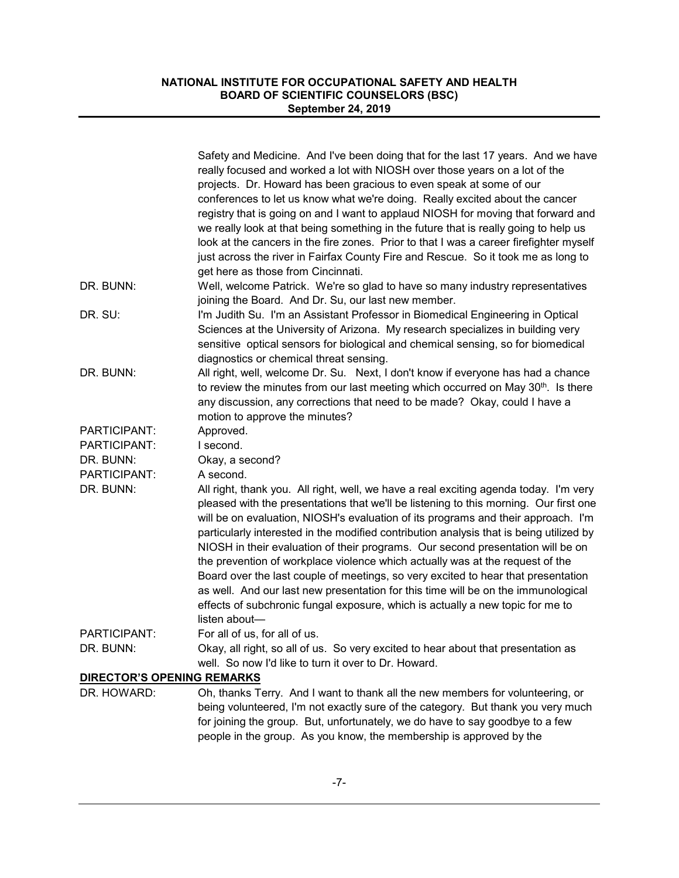|                                   | Safety and Medicine. And I've been doing that for the last 17 years. And we have<br>really focused and worked a lot with NIOSH over those years on a lot of the    |
|-----------------------------------|--------------------------------------------------------------------------------------------------------------------------------------------------------------------|
|                                   | projects. Dr. Howard has been gracious to even speak at some of our                                                                                                |
|                                   | conferences to let us know what we're doing. Really excited about the cancer<br>registry that is going on and I want to applaud NIOSH for moving that forward and  |
|                                   | we really look at that being something in the future that is really going to help us                                                                               |
|                                   | look at the cancers in the fire zones. Prior to that I was a career firefighter myself                                                                             |
|                                   | just across the river in Fairfax County Fire and Rescue. So it took me as long to                                                                                  |
|                                   | get here as those from Cincinnati.                                                                                                                                 |
| DR. BUNN:                         | Well, welcome Patrick. We're so glad to have so many industry representatives                                                                                      |
|                                   | joining the Board. And Dr. Su, our last new member.                                                                                                                |
| DR. SU:                           | I'm Judith Su. I'm an Assistant Professor in Biomedical Engineering in Optical                                                                                     |
|                                   | Sciences at the University of Arizona. My research specializes in building very                                                                                    |
|                                   | sensitive optical sensors for biological and chemical sensing, so for biomedical                                                                                   |
|                                   | diagnostics or chemical threat sensing.                                                                                                                            |
| DR. BUNN:                         | All right, well, welcome Dr. Su. Next, I don't know if everyone has had a chance                                                                                   |
|                                   | to review the minutes from our last meeting which occurred on May 30 <sup>th</sup> . Is there                                                                      |
|                                   | any discussion, any corrections that need to be made? Okay, could I have a                                                                                         |
|                                   | motion to approve the minutes?                                                                                                                                     |
| PARTICIPANT:                      | Approved.                                                                                                                                                          |
| PARTICIPANT:                      | I second.                                                                                                                                                          |
| DR. BUNN:                         | Okay, a second?                                                                                                                                                    |
| PARTICIPANT:                      | A second.                                                                                                                                                          |
| DR. BUNN:                         | All right, thank you. All right, well, we have a real exciting agenda today. I'm very                                                                              |
|                                   | pleased with the presentations that we'll be listening to this morning. Our first one                                                                              |
|                                   | will be on evaluation, NIOSH's evaluation of its programs and their approach. I'm                                                                                  |
|                                   | particularly interested in the modified contribution analysis that is being utilized by                                                                            |
|                                   | NIOSH in their evaluation of their programs. Our second presentation will be on                                                                                    |
|                                   | the prevention of workplace violence which actually was at the request of the                                                                                      |
|                                   | Board over the last couple of meetings, so very excited to hear that presentation                                                                                  |
|                                   | as well. And our last new presentation for this time will be on the immunological                                                                                  |
|                                   | effects of subchronic fungal exposure, which is actually a new topic for me to                                                                                     |
|                                   | listen about-                                                                                                                                                      |
| PARTICIPANT:                      | For all of us, for all of us.                                                                                                                                      |
| DR. BUNN:                         | Okay, all right, so all of us. So very excited to hear about that presentation as                                                                                  |
|                                   | well. So now I'd like to turn it over to Dr. Howard.                                                                                                               |
| <b>DIRECTOR'S OPENING REMARKS</b> |                                                                                                                                                                    |
| DR. HOWARD:                       | Oh, thanks Terry. And I want to thank all the new members for volunteering, or<br>being volunteered, I'm not exactly sure of the category. But thank you very much |
|                                   | for joining the group. But, unfortunately, we do have to say goodbye to a few                                                                                      |
|                                   | people in the group. As you know, the membership is approved by the                                                                                                |
|                                   |                                                                                                                                                                    |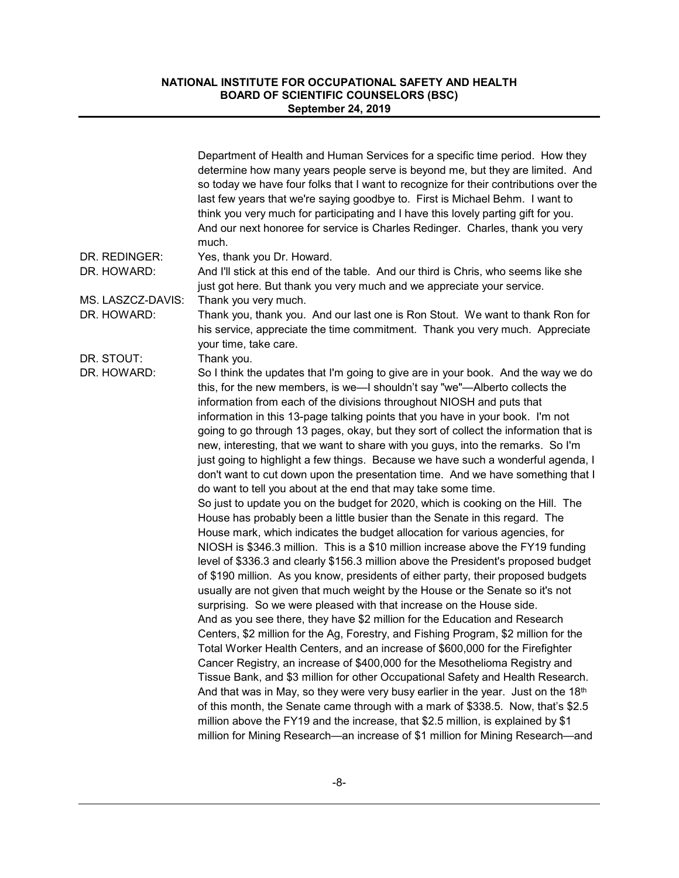|                   | Department of Health and Human Services for a specific time period. How they<br>determine how many years people serve is beyond me, but they are limited. And<br>so today we have four folks that I want to recognize for their contributions over the<br>last few years that we're saying goodbye to. First is Michael Behm. I want to<br>think you very much for participating and I have this lovely parting gift for you.<br>And our next honoree for service is Charles Redinger. Charles, thank you very<br>much. |
|-------------------|-------------------------------------------------------------------------------------------------------------------------------------------------------------------------------------------------------------------------------------------------------------------------------------------------------------------------------------------------------------------------------------------------------------------------------------------------------------------------------------------------------------------------|
| DR. REDINGER:     | Yes, thank you Dr. Howard.                                                                                                                                                                                                                                                                                                                                                                                                                                                                                              |
| DR. HOWARD:       | And I'll stick at this end of the table. And our third is Chris, who seems like she<br>just got here. But thank you very much and we appreciate your service.                                                                                                                                                                                                                                                                                                                                                           |
| MS. LASZCZ-DAVIS: | Thank you very much.                                                                                                                                                                                                                                                                                                                                                                                                                                                                                                    |
| DR. HOWARD:       | Thank you, thank you. And our last one is Ron Stout. We want to thank Ron for<br>his service, appreciate the time commitment. Thank you very much. Appreciate<br>your time, take care.                                                                                                                                                                                                                                                                                                                                  |
| DR. STOUT:        | Thank you.                                                                                                                                                                                                                                                                                                                                                                                                                                                                                                              |
| DR. HOWARD:       | So I think the updates that I'm going to give are in your book. And the way we do<br>this, for the new members, is we-I shouldn't say "we"-Alberto collects the<br>information from each of the divisions throughout NIOSH and puts that                                                                                                                                                                                                                                                                                |
|                   | information in this 13-page talking points that you have in your book. I'm not                                                                                                                                                                                                                                                                                                                                                                                                                                          |
|                   | going to go through 13 pages, okay, but they sort of collect the information that is                                                                                                                                                                                                                                                                                                                                                                                                                                    |
|                   | new, interesting, that we want to share with you guys, into the remarks. So I'm<br>just going to highlight a few things. Because we have such a wonderful agenda, I<br>don't want to cut down upon the presentation time. And we have something that I<br>do want to tell you about at the end that may take some time.                                                                                                                                                                                                 |
|                   | So just to update you on the budget for 2020, which is cooking on the Hill. The<br>House has probably been a little busier than the Senate in this regard. The<br>House mark, which indicates the budget allocation for various agencies, for                                                                                                                                                                                                                                                                           |
|                   | NIOSH is \$346.3 million. This is a \$10 million increase above the FY19 funding<br>level of \$336.3 and clearly \$156.3 million above the President's proposed budget                                                                                                                                                                                                                                                                                                                                                  |
|                   | of \$190 million. As you know, presidents of either party, their proposed budgets<br>usually are not given that much weight by the House or the Senate so it's not<br>surprising. So we were pleased with that increase on the House side.                                                                                                                                                                                                                                                                              |
|                   | And as you see there, they have \$2 million for the Education and Research                                                                                                                                                                                                                                                                                                                                                                                                                                              |
|                   | Centers, \$2 million for the Ag, Forestry, and Fishing Program, \$2 million for the                                                                                                                                                                                                                                                                                                                                                                                                                                     |
|                   | Total Worker Health Centers, and an increase of \$600,000 for the Firefighter                                                                                                                                                                                                                                                                                                                                                                                                                                           |
|                   | Cancer Registry, an increase of \$400,000 for the Mesothelioma Registry and                                                                                                                                                                                                                                                                                                                                                                                                                                             |
|                   | Tissue Bank, and \$3 million for other Occupational Safety and Health Research.                                                                                                                                                                                                                                                                                                                                                                                                                                         |
|                   | And that was in May, so they were very busy earlier in the year. Just on the 18 <sup>th</sup>                                                                                                                                                                                                                                                                                                                                                                                                                           |
|                   | of this month, the Senate came through with a mark of \$338.5. Now, that's \$2.5                                                                                                                                                                                                                                                                                                                                                                                                                                        |
|                   | million above the FY19 and the increase, that \$2.5 million, is explained by \$1                                                                                                                                                                                                                                                                                                                                                                                                                                        |
|                   | million for Mining Research—an increase of \$1 million for Mining Research—and                                                                                                                                                                                                                                                                                                                                                                                                                                          |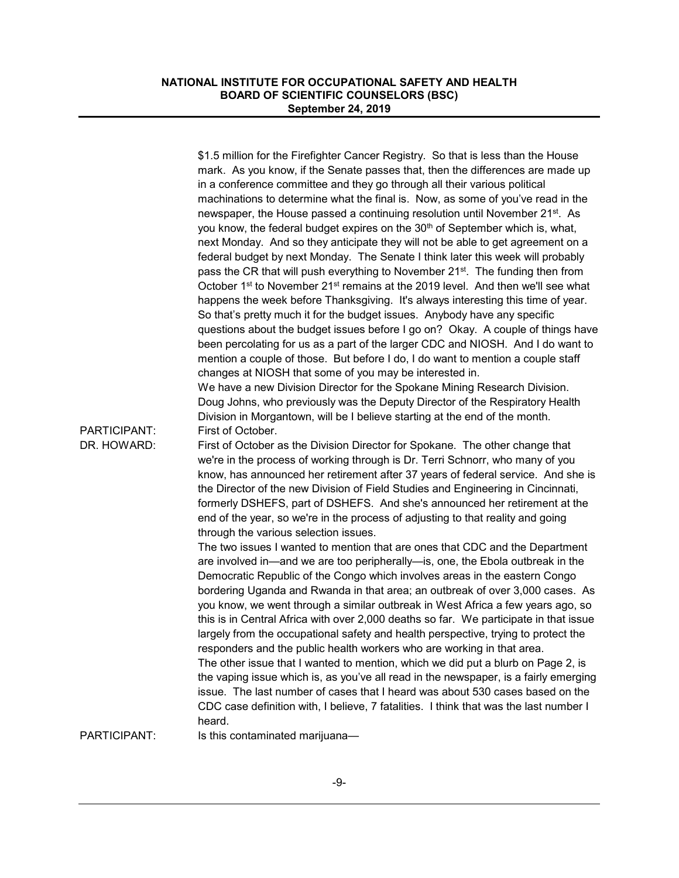| PARTICIPANT:<br>DR. HOWARD: | \$1.5 million for the Firefighter Cancer Registry. So that is less than the House<br>mark. As you know, if the Senate passes that, then the differences are made up<br>in a conference committee and they go through all their various political<br>machinations to determine what the final is. Now, as some of you've read in the<br>newspaper, the House passed a continuing resolution until November 21 <sup>st</sup> . As<br>you know, the federal budget expires on the 30 <sup>th</sup> of September which is, what,<br>next Monday. And so they anticipate they will not be able to get agreement on a<br>federal budget by next Monday. The Senate I think later this week will probably<br>pass the CR that will push everything to November 21 <sup>st</sup> . The funding then from<br>October 1 <sup>st</sup> to November 21 <sup>st</sup> remains at the 2019 level. And then we'll see what<br>happens the week before Thanksgiving. It's always interesting this time of year.<br>So that's pretty much it for the budget issues. Anybody have any specific<br>questions about the budget issues before I go on? Okay. A couple of things have<br>been percolating for us as a part of the larger CDC and NIOSH. And I do want to<br>mention a couple of those. But before I do, I do want to mention a couple staff<br>changes at NIOSH that some of you may be interested in.<br>We have a new Division Director for the Spokane Mining Research Division.<br>Doug Johns, who previously was the Deputy Director of the Respiratory Health<br>Division in Morgantown, will be I believe starting at the end of the month.<br>First of October.<br>First of October as the Division Director for Spokane. The other change that<br>we're in the process of working through is Dr. Terri Schnorr, who many of you<br>know, has announced her retirement after 37 years of federal service. And she is<br>the Director of the new Division of Field Studies and Engineering in Cincinnati,<br>formerly DSHEFS, part of DSHEFS. And she's announced her retirement at the<br>end of the year, so we're in the process of adjusting to that reality and going<br>through the various selection issues. |
|-----------------------------|----------------------------------------------------------------------------------------------------------------------------------------------------------------------------------------------------------------------------------------------------------------------------------------------------------------------------------------------------------------------------------------------------------------------------------------------------------------------------------------------------------------------------------------------------------------------------------------------------------------------------------------------------------------------------------------------------------------------------------------------------------------------------------------------------------------------------------------------------------------------------------------------------------------------------------------------------------------------------------------------------------------------------------------------------------------------------------------------------------------------------------------------------------------------------------------------------------------------------------------------------------------------------------------------------------------------------------------------------------------------------------------------------------------------------------------------------------------------------------------------------------------------------------------------------------------------------------------------------------------------------------------------------------------------------------------------------------------------------------------------------------------------------------------------------------------------------------------------------------------------------------------------------------------------------------------------------------------------------------------------------------------------------------------------------------------------------------------------------------------------------------------------------------------------------------------------------------------------|
| PARTICIPANT:                | The two issues I wanted to mention that are ones that CDC and the Department<br>are involved in—and we are too peripherally—is, one, the Ebola outbreak in the<br>Democratic Republic of the Congo which involves areas in the eastern Congo<br>bordering Uganda and Rwanda in that area; an outbreak of over 3,000 cases. As<br>you know, we went through a similar outbreak in West Africa a few years ago, so<br>this is in Central Africa with over 2,000 deaths so far. We participate in that issue<br>largely from the occupational safety and health perspective, trying to protect the<br>responders and the public health workers who are working in that area.<br>The other issue that I wanted to mention, which we did put a blurb on Page 2, is<br>the vaping issue which is, as you've all read in the newspaper, is a fairly emerging<br>issue. The last number of cases that I heard was about 530 cases based on the<br>CDC case definition with, I believe, 7 fatalities. I think that was the last number I<br>heard.<br>Is this contaminated marijuana-                                                                                                                                                                                                                                                                                                                                                                                                                                                                                                                                                                                                                                                                                                                                                                                                                                                                                                                                                                                                                                                                                                                                         |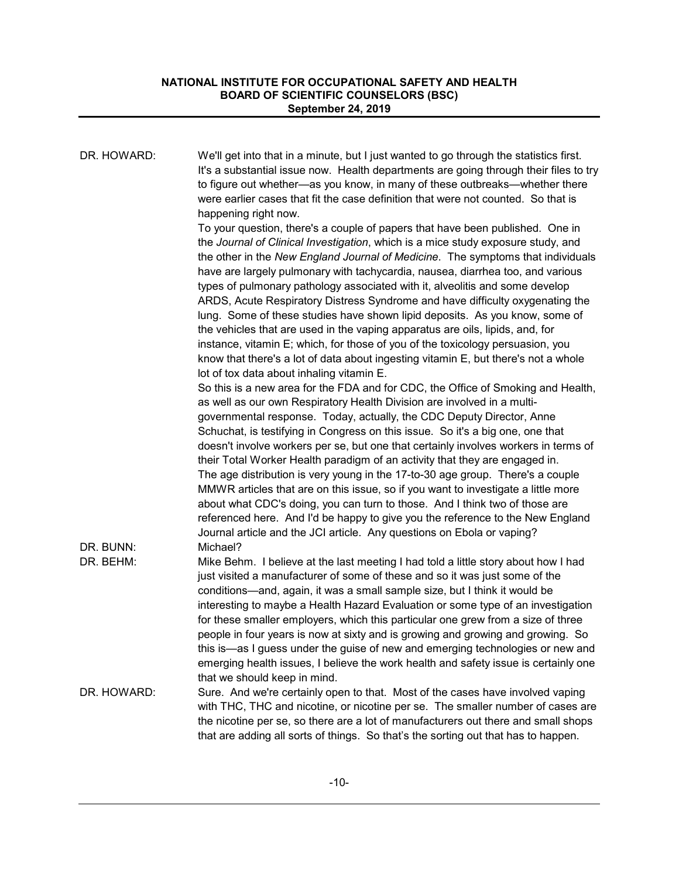| DR. HOWARD:            | We'll get into that in a minute, but I just wanted to go through the statistics first.<br>It's a substantial issue now. Health departments are going through their files to try<br>to figure out whether—as you know, in many of these outbreaks—whether there<br>were earlier cases that fit the case definition that were not counted. So that is<br>happening right now.                                                                                                                                                                                                                                                                                                                                                                                                                                                                                                                                                                                 |
|------------------------|-------------------------------------------------------------------------------------------------------------------------------------------------------------------------------------------------------------------------------------------------------------------------------------------------------------------------------------------------------------------------------------------------------------------------------------------------------------------------------------------------------------------------------------------------------------------------------------------------------------------------------------------------------------------------------------------------------------------------------------------------------------------------------------------------------------------------------------------------------------------------------------------------------------------------------------------------------------|
|                        | To your question, there's a couple of papers that have been published. One in<br>the Journal of Clinical Investigation, which is a mice study exposure study, and<br>the other in the New England Journal of Medicine. The symptoms that individuals<br>have are largely pulmonary with tachycardia, nausea, diarrhea too, and various<br>types of pulmonary pathology associated with it, alveolitis and some develop<br>ARDS, Acute Respiratory Distress Syndrome and have difficulty oxygenating the<br>lung. Some of these studies have shown lipid deposits. As you know, some of<br>the vehicles that are used in the vaping apparatus are oils, lipids, and, for<br>instance, vitamin E; which, for those of you of the toxicology persuasion, you<br>know that there's a lot of data about ingesting vitamin E, but there's not a whole                                                                                                             |
|                        | lot of tox data about inhaling vitamin E.<br>So this is a new area for the FDA and for CDC, the Office of Smoking and Health,<br>as well as our own Respiratory Health Division are involved in a multi-<br>governmental response. Today, actually, the CDC Deputy Director, Anne<br>Schuchat, is testifying in Congress on this issue. So it's a big one, one that<br>doesn't involve workers per se, but one that certainly involves workers in terms of<br>their Total Worker Health paradigm of an activity that they are engaged in.<br>The age distribution is very young in the 17-to-30 age group. There's a couple<br>MMWR articles that are on this issue, so if you want to investigate a little more<br>about what CDC's doing, you can turn to those. And I think two of those are<br>referenced here. And I'd be happy to give you the reference to the New England<br>Journal article and the JCI article. Any questions on Ebola or vaping? |
| DR. BUNN:<br>DR. BEHM: | Michael?<br>Mike Behm. I believe at the last meeting I had told a little story about how I had<br>just visited a manufacturer of some of these and so it was just some of the<br>conditions—and, again, it was a small sample size, but I think it would be<br>interesting to maybe a Health Hazard Evaluation or some type of an investigation<br>for these smaller employers, which this particular one grew from a size of three<br>people in four years is now at sixty and is growing and growing and growing. So<br>this is—as I guess under the guise of new and emerging technologies or new and<br>emerging health issues, I believe the work health and safety issue is certainly one<br>that we should keep in mind.                                                                                                                                                                                                                             |
| DR. HOWARD:            | Sure. And we're certainly open to that. Most of the cases have involved vaping<br>with THC, THC and nicotine, or nicotine per se. The smaller number of cases are<br>the nicotine per se, so there are a lot of manufacturers out there and small shops<br>that are adding all sorts of things. So that's the sorting out that has to happen.                                                                                                                                                                                                                                                                                                                                                                                                                                                                                                                                                                                                               |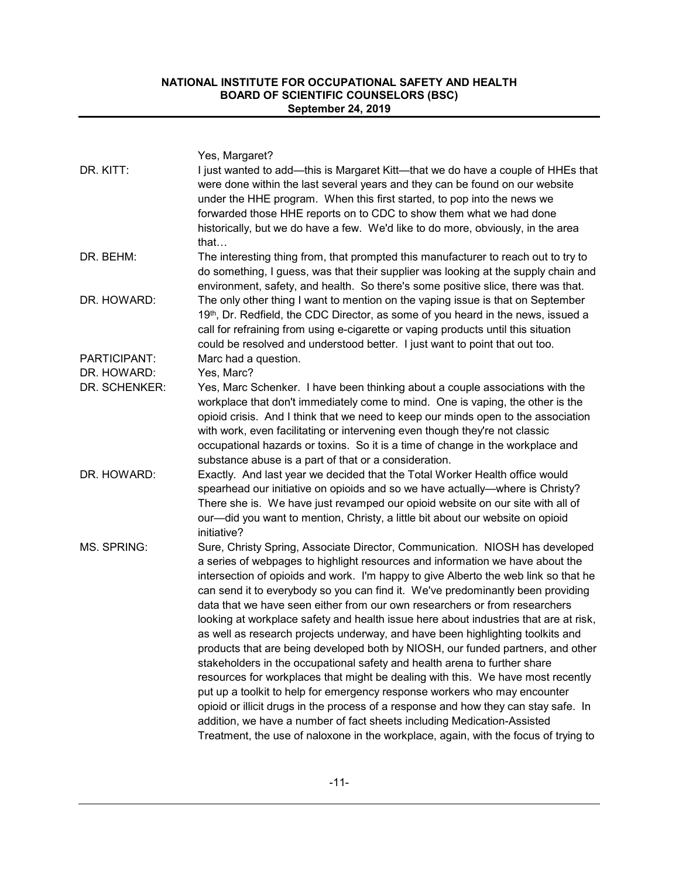|               | Yes, Margaret?                                                                                                                                                                                                                                                                                                                                                                                                                                                                                                                                                                                                                                                                                                                                                                                                                                                                                                                                                                                                                                                                                                                                                                           |
|---------------|------------------------------------------------------------------------------------------------------------------------------------------------------------------------------------------------------------------------------------------------------------------------------------------------------------------------------------------------------------------------------------------------------------------------------------------------------------------------------------------------------------------------------------------------------------------------------------------------------------------------------------------------------------------------------------------------------------------------------------------------------------------------------------------------------------------------------------------------------------------------------------------------------------------------------------------------------------------------------------------------------------------------------------------------------------------------------------------------------------------------------------------------------------------------------------------|
| DR. KITT:     | I just wanted to add—this is Margaret Kitt—that we do have a couple of HHEs that<br>were done within the last several years and they can be found on our website<br>under the HHE program. When this first started, to pop into the news we<br>forwarded those HHE reports on to CDC to show them what we had done<br>historically, but we do have a few. We'd like to do more, obviously, in the area<br>that $\dots$                                                                                                                                                                                                                                                                                                                                                                                                                                                                                                                                                                                                                                                                                                                                                                   |
| DR. BEHM:     | The interesting thing from, that prompted this manufacturer to reach out to try to<br>do something, I guess, was that their supplier was looking at the supply chain and<br>environment, safety, and health. So there's some positive slice, there was that.                                                                                                                                                                                                                                                                                                                                                                                                                                                                                                                                                                                                                                                                                                                                                                                                                                                                                                                             |
| DR. HOWARD:   | The only other thing I want to mention on the vaping issue is that on September<br>19 <sup>th</sup> , Dr. Redfield, the CDC Director, as some of you heard in the news, issued a<br>call for refraining from using e-cigarette or vaping products until this situation<br>could be resolved and understood better. I just want to point that out too.                                                                                                                                                                                                                                                                                                                                                                                                                                                                                                                                                                                                                                                                                                                                                                                                                                    |
| PARTICIPANT:  | Marc had a question.                                                                                                                                                                                                                                                                                                                                                                                                                                                                                                                                                                                                                                                                                                                                                                                                                                                                                                                                                                                                                                                                                                                                                                     |
| DR. HOWARD:   | Yes, Marc?                                                                                                                                                                                                                                                                                                                                                                                                                                                                                                                                                                                                                                                                                                                                                                                                                                                                                                                                                                                                                                                                                                                                                                               |
| DR. SCHENKER: | Yes, Marc Schenker. I have been thinking about a couple associations with the<br>workplace that don't immediately come to mind. One is vaping, the other is the<br>opioid crisis. And I think that we need to keep our minds open to the association<br>with work, even facilitating or intervening even though they're not classic<br>occupational hazards or toxins. So it is a time of change in the workplace and<br>substance abuse is a part of that or a consideration.                                                                                                                                                                                                                                                                                                                                                                                                                                                                                                                                                                                                                                                                                                           |
| DR. HOWARD:   | Exactly. And last year we decided that the Total Worker Health office would<br>spearhead our initiative on opioids and so we have actually-where is Christy?<br>There she is. We have just revamped our opioid website on our site with all of<br>our-did you want to mention, Christy, a little bit about our website on opioid<br>initiative?                                                                                                                                                                                                                                                                                                                                                                                                                                                                                                                                                                                                                                                                                                                                                                                                                                          |
| MS. SPRING:   | Sure, Christy Spring, Associate Director, Communication. NIOSH has developed<br>a series of webpages to highlight resources and information we have about the<br>intersection of opioids and work. I'm happy to give Alberto the web link so that he<br>can send it to everybody so you can find it. We've predominantly been providing<br>data that we have seen either from our own researchers or from researchers<br>looking at workplace safety and health issue here about industries that are at risk,<br>as well as research projects underway, and have been highlighting toolkits and<br>products that are being developed both by NIOSH, our funded partners, and other<br>stakeholders in the occupational safety and health arena to further share<br>resources for workplaces that might be dealing with this. We have most recently<br>put up a toolkit to help for emergency response workers who may encounter<br>opioid or illicit drugs in the process of a response and how they can stay safe. In<br>addition, we have a number of fact sheets including Medication-Assisted<br>Treatment, the use of naloxone in the workplace, again, with the focus of trying to |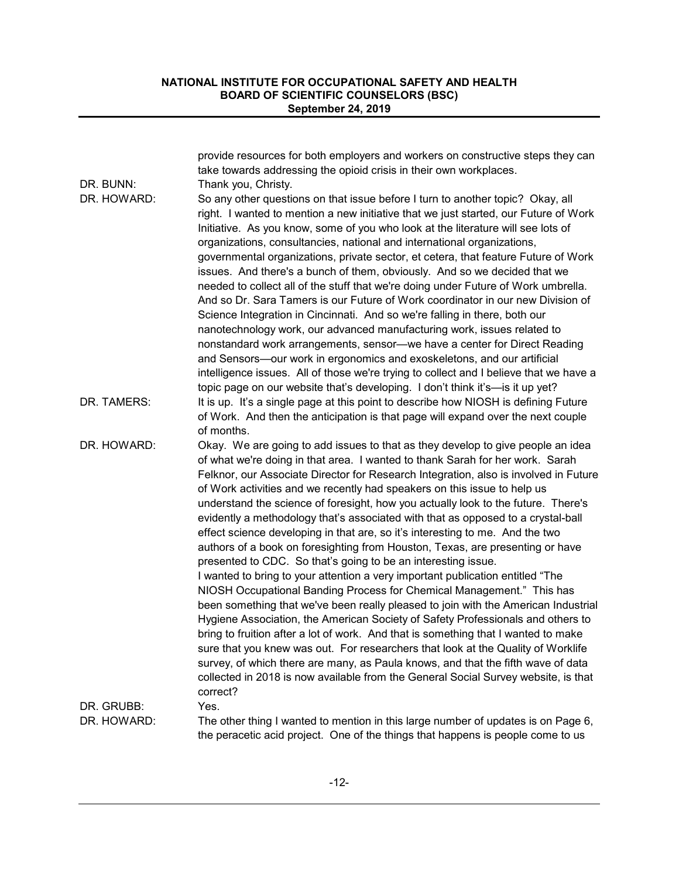|             | provide resources for both employers and workers on constructive steps they can<br>take towards addressing the opioid crisis in their own workplaces.                                                                                                                                                                                                                                                                                                                                                                                                                                                                                                                                                                                                                                                                                                                                                                                                                                                                                                                                                                                                                                                                                                                                                                                                                                                                                                |
|-------------|------------------------------------------------------------------------------------------------------------------------------------------------------------------------------------------------------------------------------------------------------------------------------------------------------------------------------------------------------------------------------------------------------------------------------------------------------------------------------------------------------------------------------------------------------------------------------------------------------------------------------------------------------------------------------------------------------------------------------------------------------------------------------------------------------------------------------------------------------------------------------------------------------------------------------------------------------------------------------------------------------------------------------------------------------------------------------------------------------------------------------------------------------------------------------------------------------------------------------------------------------------------------------------------------------------------------------------------------------------------------------------------------------------------------------------------------------|
| DR. BUNN:   | Thank you, Christy.                                                                                                                                                                                                                                                                                                                                                                                                                                                                                                                                                                                                                                                                                                                                                                                                                                                                                                                                                                                                                                                                                                                                                                                                                                                                                                                                                                                                                                  |
| DR. HOWARD: | So any other questions on that issue before I turn to another topic? Okay, all<br>right. I wanted to mention a new initiative that we just started, our Future of Work<br>Initiative. As you know, some of you who look at the literature will see lots of<br>organizations, consultancies, national and international organizations,<br>governmental organizations, private sector, et cetera, that feature Future of Work<br>issues. And there's a bunch of them, obviously. And so we decided that we<br>needed to collect all of the stuff that we're doing under Future of Work umbrella.<br>And so Dr. Sara Tamers is our Future of Work coordinator in our new Division of<br>Science Integration in Cincinnati. And so we're falling in there, both our<br>nanotechnology work, our advanced manufacturing work, issues related to<br>nonstandard work arrangements, sensor-we have a center for Direct Reading<br>and Sensors-our work in ergonomics and exoskeletons, and our artificial<br>intelligence issues. All of those we're trying to collect and I believe that we have a                                                                                                                                                                                                                                                                                                                                                         |
|             | topic page on our website that's developing. I don't think it's-is it up yet?                                                                                                                                                                                                                                                                                                                                                                                                                                                                                                                                                                                                                                                                                                                                                                                                                                                                                                                                                                                                                                                                                                                                                                                                                                                                                                                                                                        |
| DR. TAMERS: | It is up. It's a single page at this point to describe how NIOSH is defining Future<br>of Work. And then the anticipation is that page will expand over the next couple<br>of months.                                                                                                                                                                                                                                                                                                                                                                                                                                                                                                                                                                                                                                                                                                                                                                                                                                                                                                                                                                                                                                                                                                                                                                                                                                                                |
| DR. HOWARD: | Okay. We are going to add issues to that as they develop to give people an idea<br>of what we're doing in that area. I wanted to thank Sarah for her work. Sarah<br>Felknor, our Associate Director for Research Integration, also is involved in Future<br>of Work activities and we recently had speakers on this issue to help us<br>understand the science of foresight, how you actually look to the future. There's<br>evidently a methodology that's associated with that as opposed to a crystal-ball<br>effect science developing in that are, so it's interesting to me. And the two<br>authors of a book on foresighting from Houston, Texas, are presenting or have<br>presented to CDC. So that's going to be an interesting issue.<br>I wanted to bring to your attention a very important publication entitled "The<br>NIOSH Occupational Banding Process for Chemical Management." This has<br>been something that we've been really pleased to join with the American Industrial<br>Hygiene Association, the American Society of Safety Professionals and others to<br>bring to fruition after a lot of work. And that is something that I wanted to make<br>sure that you knew was out. For researchers that look at the Quality of Worklife<br>survey, of which there are many, as Paula knows, and that the fifth wave of data<br>collected in 2018 is now available from the General Social Survey website, is that<br>correct? |
| DR. GRUBB:  | Yes.                                                                                                                                                                                                                                                                                                                                                                                                                                                                                                                                                                                                                                                                                                                                                                                                                                                                                                                                                                                                                                                                                                                                                                                                                                                                                                                                                                                                                                                 |
| DR. HOWARD: | The other thing I wanted to mention in this large number of updates is on Page 6,<br>the peracetic acid project. One of the things that happens is people come to us                                                                                                                                                                                                                                                                                                                                                                                                                                                                                                                                                                                                                                                                                                                                                                                                                                                                                                                                                                                                                                                                                                                                                                                                                                                                                 |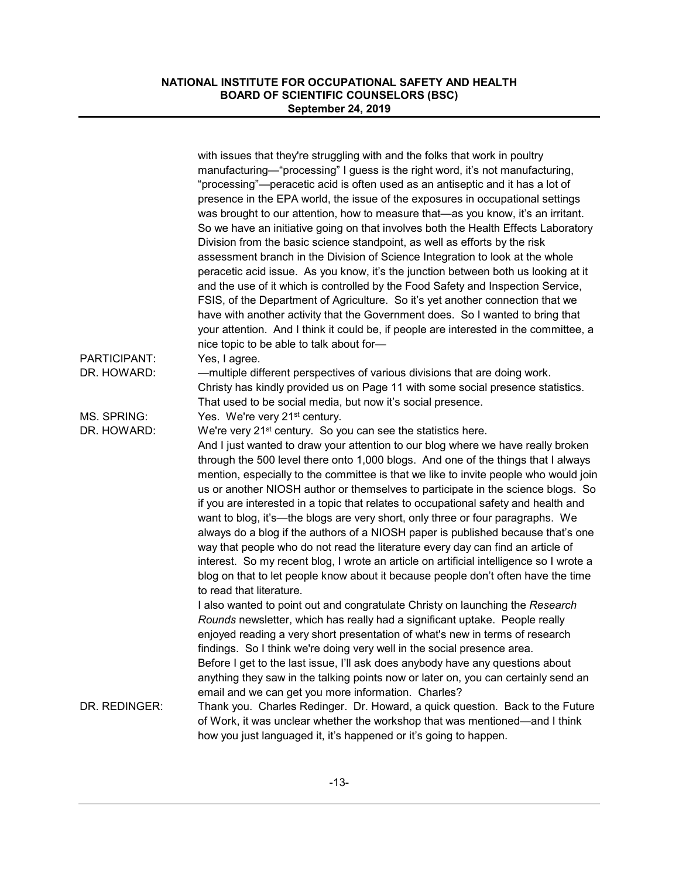|               | with issues that they're struggling with and the folks that work in poultry<br>manufacturing—"processing" I guess is the right word, it's not manufacturing,<br>"processing"—peracetic acid is often used as an antiseptic and it has a lot of<br>presence in the EPA world, the issue of the exposures in occupational settings<br>was brought to our attention, how to measure that—as you know, it's an irritant.<br>So we have an initiative going on that involves both the Health Effects Laboratory<br>Division from the basic science standpoint, as well as efforts by the risk<br>assessment branch in the Division of Science Integration to look at the whole<br>peracetic acid issue. As you know, it's the junction between both us looking at it<br>and the use of it which is controlled by the Food Safety and Inspection Service,<br>FSIS, of the Department of Agriculture. So it's yet another connection that we<br>have with another activity that the Government does. So I wanted to bring that<br>your attention. And I think it could be, if people are interested in the committee, a |
|---------------|------------------------------------------------------------------------------------------------------------------------------------------------------------------------------------------------------------------------------------------------------------------------------------------------------------------------------------------------------------------------------------------------------------------------------------------------------------------------------------------------------------------------------------------------------------------------------------------------------------------------------------------------------------------------------------------------------------------------------------------------------------------------------------------------------------------------------------------------------------------------------------------------------------------------------------------------------------------------------------------------------------------------------------------------------------------------------------------------------------------|
|               | nice topic to be able to talk about for-                                                                                                                                                                                                                                                                                                                                                                                                                                                                                                                                                                                                                                                                                                                                                                                                                                                                                                                                                                                                                                                                         |
| PARTICIPANT:  | Yes, I agree.                                                                                                                                                                                                                                                                                                                                                                                                                                                                                                                                                                                                                                                                                                                                                                                                                                                                                                                                                                                                                                                                                                    |
| DR. HOWARD:   | -multiple different perspectives of various divisions that are doing work.<br>Christy has kindly provided us on Page 11 with some social presence statistics.<br>That used to be social media, but now it's social presence.                                                                                                                                                                                                                                                                                                                                                                                                                                                                                                                                                                                                                                                                                                                                                                                                                                                                                     |
| MS. SPRING:   | Yes. We're very 21 <sup>st</sup> century.                                                                                                                                                                                                                                                                                                                                                                                                                                                                                                                                                                                                                                                                                                                                                                                                                                                                                                                                                                                                                                                                        |
| DR. HOWARD:   | We're very 21 <sup>st</sup> century. So you can see the statistics here.<br>And I just wanted to draw your attention to our blog where we have really broken<br>through the 500 level there onto 1,000 blogs. And one of the things that I always<br>mention, especially to the committee is that we like to invite people who would join<br>us or another NIOSH author or themselves to participate in the science blogs. So<br>if you are interested in a topic that relates to occupational safety and health and<br>want to blog, it's—the blogs are very short, only three or four paragraphs. We<br>always do a blog if the authors of a NIOSH paper is published because that's one<br>way that people who do not read the literature every day can find an article of<br>interest. So my recent blog, I wrote an article on artificial intelligence so I wrote a<br>blog on that to let people know about it because people don't often have the time<br>to read that literature.<br>I also wanted to point out and congratulate Christy on launching the Research                                       |
|               | Rounds newsletter, which has really had a significant uptake. People really<br>enjoyed reading a very short presentation of what's new in terms of research<br>findings. So I think we're doing very well in the social presence area.<br>Before I get to the last issue, I'll ask does anybody have any questions about<br>anything they saw in the talking points now or later on, you can certainly send an<br>email and we can get you more information. Charles?                                                                                                                                                                                                                                                                                                                                                                                                                                                                                                                                                                                                                                            |
| DR. REDINGER: | Thank you. Charles Redinger. Dr. Howard, a quick question. Back to the Future<br>of Work, it was unclear whether the workshop that was mentioned—and I think<br>how you just languaged it, it's happened or it's going to happen.                                                                                                                                                                                                                                                                                                                                                                                                                                                                                                                                                                                                                                                                                                                                                                                                                                                                                |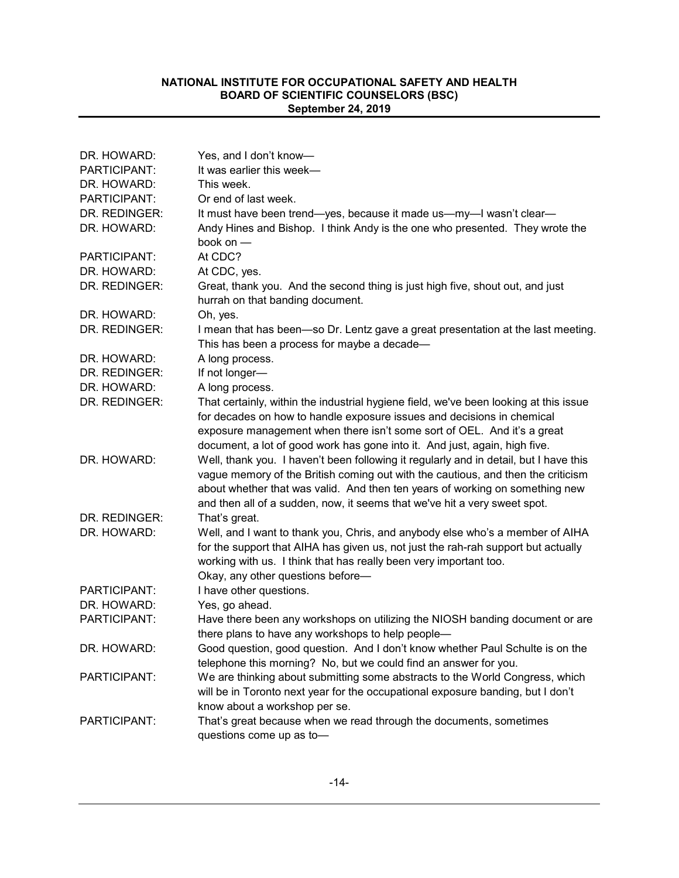| DR. HOWARD:         | Yes, and I don't know-                                                                                                                                                                                                                                    |
|---------------------|-----------------------------------------------------------------------------------------------------------------------------------------------------------------------------------------------------------------------------------------------------------|
| <b>PARTICIPANT:</b> | It was earlier this week-                                                                                                                                                                                                                                 |
| DR. HOWARD:         | This week.                                                                                                                                                                                                                                                |
| PARTICIPANT:        | Or end of last week.                                                                                                                                                                                                                                      |
| DR. REDINGER:       | It must have been trend-yes, because it made us-my-I wasn't clear-                                                                                                                                                                                        |
| DR. HOWARD:         | Andy Hines and Bishop. I think Andy is the one who presented. They wrote the                                                                                                                                                                              |
|                     | book on $-$                                                                                                                                                                                                                                               |
| PARTICIPANT:        | At CDC?                                                                                                                                                                                                                                                   |
| DR. HOWARD:         | At CDC, yes.                                                                                                                                                                                                                                              |
| DR. REDINGER:       | Great, thank you. And the second thing is just high five, shout out, and just                                                                                                                                                                             |
|                     | hurrah on that banding document.                                                                                                                                                                                                                          |
| DR. HOWARD:         | Oh, yes.                                                                                                                                                                                                                                                  |
| DR. REDINGER:       | I mean that has been—so Dr. Lentz gave a great presentation at the last meeting.<br>This has been a process for maybe a decade-                                                                                                                           |
| DR. HOWARD:         | A long process.                                                                                                                                                                                                                                           |
| DR. REDINGER:       | If not longer-                                                                                                                                                                                                                                            |
| DR. HOWARD:         | A long process.                                                                                                                                                                                                                                           |
| DR. REDINGER:       | That certainly, within the industrial hygiene field, we've been looking at this issue                                                                                                                                                                     |
|                     | for decades on how to handle exposure issues and decisions in chemical                                                                                                                                                                                    |
|                     | exposure management when there isn't some sort of OEL. And it's a great                                                                                                                                                                                   |
|                     | document, a lot of good work has gone into it. And just, again, high five.                                                                                                                                                                                |
| DR. HOWARD:         | Well, thank you. I haven't been following it regularly and in detail, but I have this<br>vague memory of the British coming out with the cautious, and then the criticism<br>about whether that was valid. And then ten years of working on something new |
|                     | and then all of a sudden, now, it seems that we've hit a very sweet spot.                                                                                                                                                                                 |
| DR. REDINGER:       | That's great.                                                                                                                                                                                                                                             |
| DR. HOWARD:         | Well, and I want to thank you, Chris, and anybody else who's a member of AIHA<br>for the support that AIHA has given us, not just the rah-rah support but actually<br>working with us. I think that has really been very important too.                   |
| PARTICIPANT:        | Okay, any other questions before-<br>I have other questions.                                                                                                                                                                                              |
| DR. HOWARD:         | Yes, go ahead.                                                                                                                                                                                                                                            |
| PARTICIPANT:        | Have there been any workshops on utilizing the NIOSH banding document or are                                                                                                                                                                              |
|                     | there plans to have any workshops to help people-                                                                                                                                                                                                         |
| DR. HOWARD:         | Good question, good question. And I don't know whether Paul Schulte is on the                                                                                                                                                                             |
|                     | telephone this morning? No, but we could find an answer for you.                                                                                                                                                                                          |
| PARTICIPANT:        | We are thinking about submitting some abstracts to the World Congress, which                                                                                                                                                                              |
|                     | will be in Toronto next year for the occupational exposure banding, but I don't<br>know about a workshop per se.                                                                                                                                          |
| PARTICIPANT:        | That's great because when we read through the documents, sometimes                                                                                                                                                                                        |
|                     | questions come up as to-                                                                                                                                                                                                                                  |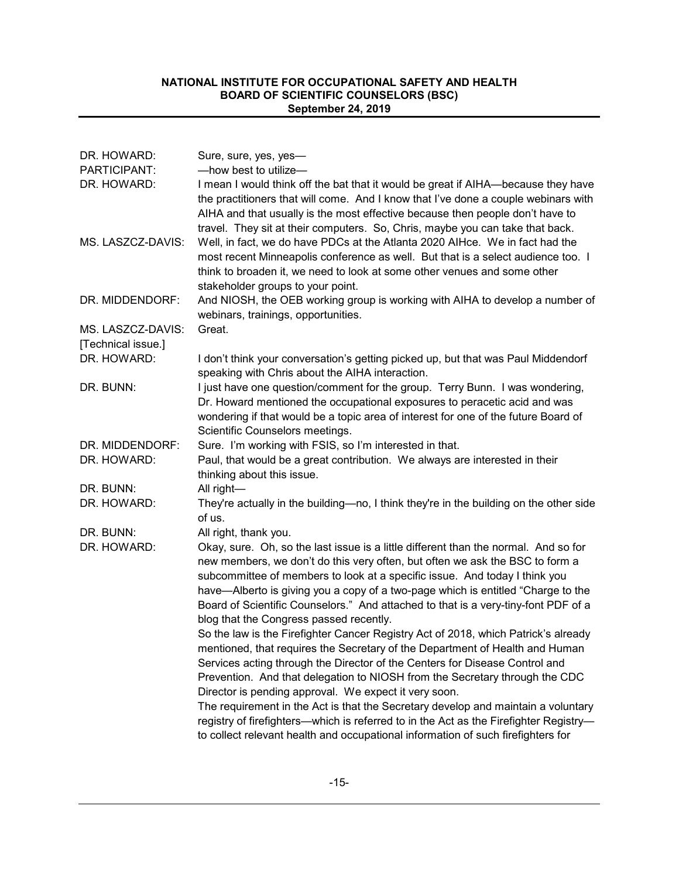| DR. HOWARD:                             | Sure, sure, yes, yes-                                                                                                                                                                                                                                                                                                                                                                                                                                                  |
|-----------------------------------------|------------------------------------------------------------------------------------------------------------------------------------------------------------------------------------------------------------------------------------------------------------------------------------------------------------------------------------------------------------------------------------------------------------------------------------------------------------------------|
| PARTICIPANT:                            | -how best to utilize-                                                                                                                                                                                                                                                                                                                                                                                                                                                  |
| DR. HOWARD:                             | I mean I would think off the bat that it would be great if AIHA—because they have<br>the practitioners that will come. And I know that I've done a couple webinars with<br>AIHA and that usually is the most effective because then people don't have to<br>travel. They sit at their computers. So, Chris, maybe you can take that back.                                                                                                                              |
| MS. LASZCZ-DAVIS:                       | Well, in fact, we do have PDCs at the Atlanta 2020 AIHce. We in fact had the<br>most recent Minneapolis conference as well. But that is a select audience too. I<br>think to broaden it, we need to look at some other venues and some other<br>stakeholder groups to your point.                                                                                                                                                                                      |
| DR. MIDDENDORF:                         | And NIOSH, the OEB working group is working with AIHA to develop a number of<br>webinars, trainings, opportunities.                                                                                                                                                                                                                                                                                                                                                    |
| MS. LASZCZ-DAVIS:<br>[Technical issue.] | Great.                                                                                                                                                                                                                                                                                                                                                                                                                                                                 |
| DR. HOWARD:                             | I don't think your conversation's getting picked up, but that was Paul Middendorf<br>speaking with Chris about the AIHA interaction.                                                                                                                                                                                                                                                                                                                                   |
| DR. BUNN:                               | I just have one question/comment for the group. Terry Bunn. I was wondering,<br>Dr. Howard mentioned the occupational exposures to peracetic acid and was<br>wondering if that would be a topic area of interest for one of the future Board of<br>Scientific Counselors meetings.                                                                                                                                                                                     |
| DR. MIDDENDORF:                         | Sure. I'm working with FSIS, so I'm interested in that.                                                                                                                                                                                                                                                                                                                                                                                                                |
| DR. HOWARD:                             | Paul, that would be a great contribution. We always are interested in their<br>thinking about this issue.                                                                                                                                                                                                                                                                                                                                                              |
| DR. BUNN:                               | All right-                                                                                                                                                                                                                                                                                                                                                                                                                                                             |
| DR. HOWARD:                             | They're actually in the building-no, I think they're in the building on the other side<br>of us.                                                                                                                                                                                                                                                                                                                                                                       |
| DR. BUNN:                               | All right, thank you.                                                                                                                                                                                                                                                                                                                                                                                                                                                  |
| DR. HOWARD:                             | Okay, sure. Oh, so the last issue is a little different than the normal. And so for<br>new members, we don't do this very often, but often we ask the BSC to form a<br>subcommittee of members to look at a specific issue. And today I think you<br>have—Alberto is giving you a copy of a two-page which is entitled "Charge to the<br>Board of Scientific Counselors." And attached to that is a very-tiny-font PDF of a<br>blog that the Congress passed recently. |
|                                         | So the law is the Firefighter Cancer Registry Act of 2018, which Patrick's already<br>mentioned, that requires the Secretary of the Department of Health and Human<br>Services acting through the Director of the Centers for Disease Control and<br>Prevention. And that delegation to NIOSH from the Secretary through the CDC<br>Director is pending approval. We expect it very soon.                                                                              |
|                                         | The requirement in the Act is that the Secretary develop and maintain a voluntary<br>registry of firefighters—which is referred to in the Act as the Firefighter Registry—<br>to collect relevant health and occupational information of such firefighters for                                                                                                                                                                                                         |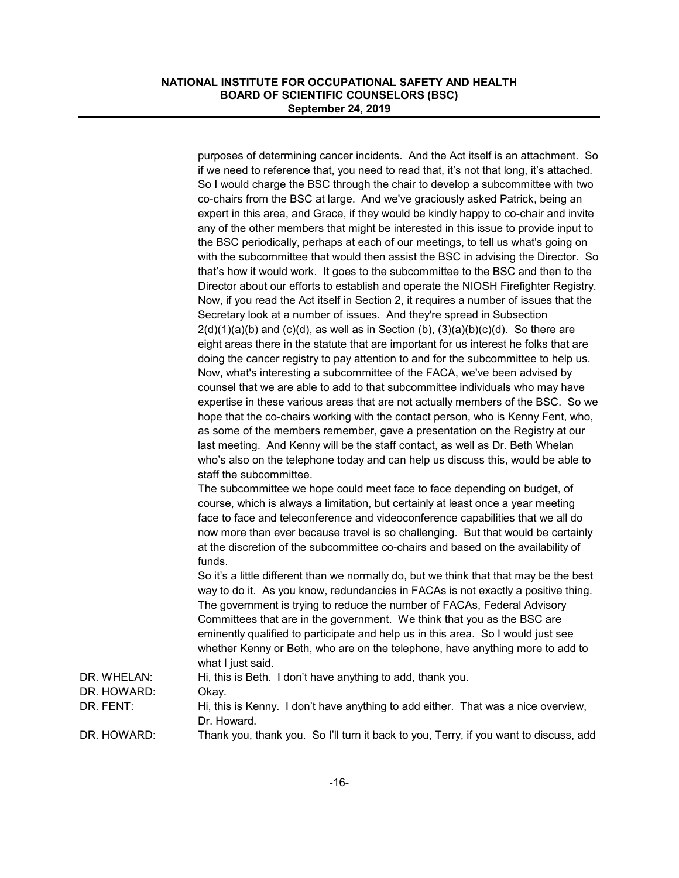|             | purposes of determining cancer incidents. And the Act itself is an attachment. So<br>if we need to reference that, you need to read that, it's not that long, it's attached.<br>So I would charge the BSC through the chair to develop a subcommittee with two<br>co-chairs from the BSC at large. And we've graciously asked Patrick, being an<br>expert in this area, and Grace, if they would be kindly happy to co-chair and invite<br>any of the other members that might be interested in this issue to provide input to<br>the BSC periodically, perhaps at each of our meetings, to tell us what's going on<br>with the subcommittee that would then assist the BSC in advising the Director. So<br>that's how it would work. It goes to the subcommittee to the BSC and then to the<br>Director about our efforts to establish and operate the NIOSH Firefighter Registry.<br>Now, if you read the Act itself in Section 2, it requires a number of issues that the<br>Secretary look at a number of issues. And they're spread in Subsection<br>$2(d)(1)(a)(b)$ and $(c)(d)$ , as well as in Section $(b)$ , $(3)(a)(b)(c)(d)$ . So there are<br>eight areas there in the statute that are important for us interest he folks that are<br>doing the cancer registry to pay attention to and for the subcommittee to help us.<br>Now, what's interesting a subcommittee of the FACA, we've been advised by<br>counsel that we are able to add to that subcommittee individuals who may have<br>expertise in these various areas that are not actually members of the BSC. So we<br>hope that the co-chairs working with the contact person, who is Kenny Fent, who,<br>as some of the members remember, gave a presentation on the Registry at our<br>last meeting. And Kenny will be the staff contact, as well as Dr. Beth Whelan<br>who's also on the telephone today and can help us discuss this, would be able to<br>staff the subcommittee.<br>The subcommittee we hope could meet face to face depending on budget, of<br>course, which is always a limitation, but certainly at least once a year meeting<br>face to face and teleconference and videoconference capabilities that we all do<br>now more than ever because travel is so challenging. But that would be certainly<br>at the discretion of the subcommittee co-chairs and based on the availability of<br>funds.<br>So it's a little different than we normally do, but we think that that may be the best<br>way to do it. As you know, redundancies in FACAs is not exactly a positive thing. |
|-------------|---------------------------------------------------------------------------------------------------------------------------------------------------------------------------------------------------------------------------------------------------------------------------------------------------------------------------------------------------------------------------------------------------------------------------------------------------------------------------------------------------------------------------------------------------------------------------------------------------------------------------------------------------------------------------------------------------------------------------------------------------------------------------------------------------------------------------------------------------------------------------------------------------------------------------------------------------------------------------------------------------------------------------------------------------------------------------------------------------------------------------------------------------------------------------------------------------------------------------------------------------------------------------------------------------------------------------------------------------------------------------------------------------------------------------------------------------------------------------------------------------------------------------------------------------------------------------------------------------------------------------------------------------------------------------------------------------------------------------------------------------------------------------------------------------------------------------------------------------------------------------------------------------------------------------------------------------------------------------------------------------------------------------------------------------------------------------------------------------------------------------------------------------------------------------------------------------------------------------------------------------------------------------------------------------------------------------------------------------------------------------------------------------------------------------------------------------------------------------------------------------------------------------------------------------------------------------------|
|             | The government is trying to reduce the number of FACAs, Federal Advisory<br>Committees that are in the government. We think that you as the BSC are<br>eminently qualified to participate and help us in this area. So I would just see<br>whether Kenny or Beth, who are on the telephone, have anything more to add to                                                                                                                                                                                                                                                                                                                                                                                                                                                                                                                                                                                                                                                                                                                                                                                                                                                                                                                                                                                                                                                                                                                                                                                                                                                                                                                                                                                                                                                                                                                                                                                                                                                                                                                                                                                                                                                                                                                                                                                                                                                                                                                                                                                                                                                        |
| DR. WHELAN: | what I just said.<br>Hi, this is Beth. I don't have anything to add, thank you.                                                                                                                                                                                                                                                                                                                                                                                                                                                                                                                                                                                                                                                                                                                                                                                                                                                                                                                                                                                                                                                                                                                                                                                                                                                                                                                                                                                                                                                                                                                                                                                                                                                                                                                                                                                                                                                                                                                                                                                                                                                                                                                                                                                                                                                                                                                                                                                                                                                                                                 |
| DR. HOWARD: | Okay.                                                                                                                                                                                                                                                                                                                                                                                                                                                                                                                                                                                                                                                                                                                                                                                                                                                                                                                                                                                                                                                                                                                                                                                                                                                                                                                                                                                                                                                                                                                                                                                                                                                                                                                                                                                                                                                                                                                                                                                                                                                                                                                                                                                                                                                                                                                                                                                                                                                                                                                                                                           |
| DR. FENT:   | Hi, this is Kenny. I don't have anything to add either. That was a nice overview,<br>Dr. Howard.                                                                                                                                                                                                                                                                                                                                                                                                                                                                                                                                                                                                                                                                                                                                                                                                                                                                                                                                                                                                                                                                                                                                                                                                                                                                                                                                                                                                                                                                                                                                                                                                                                                                                                                                                                                                                                                                                                                                                                                                                                                                                                                                                                                                                                                                                                                                                                                                                                                                                |
| DR. HOWARD: | Thank you, thank you. So I'll turn it back to you, Terry, if you want to discuss, add                                                                                                                                                                                                                                                                                                                                                                                                                                                                                                                                                                                                                                                                                                                                                                                                                                                                                                                                                                                                                                                                                                                                                                                                                                                                                                                                                                                                                                                                                                                                                                                                                                                                                                                                                                                                                                                                                                                                                                                                                                                                                                                                                                                                                                                                                                                                                                                                                                                                                           |
|             |                                                                                                                                                                                                                                                                                                                                                                                                                                                                                                                                                                                                                                                                                                                                                                                                                                                                                                                                                                                                                                                                                                                                                                                                                                                                                                                                                                                                                                                                                                                                                                                                                                                                                                                                                                                                                                                                                                                                                                                                                                                                                                                                                                                                                                                                                                                                                                                                                                                                                                                                                                                 |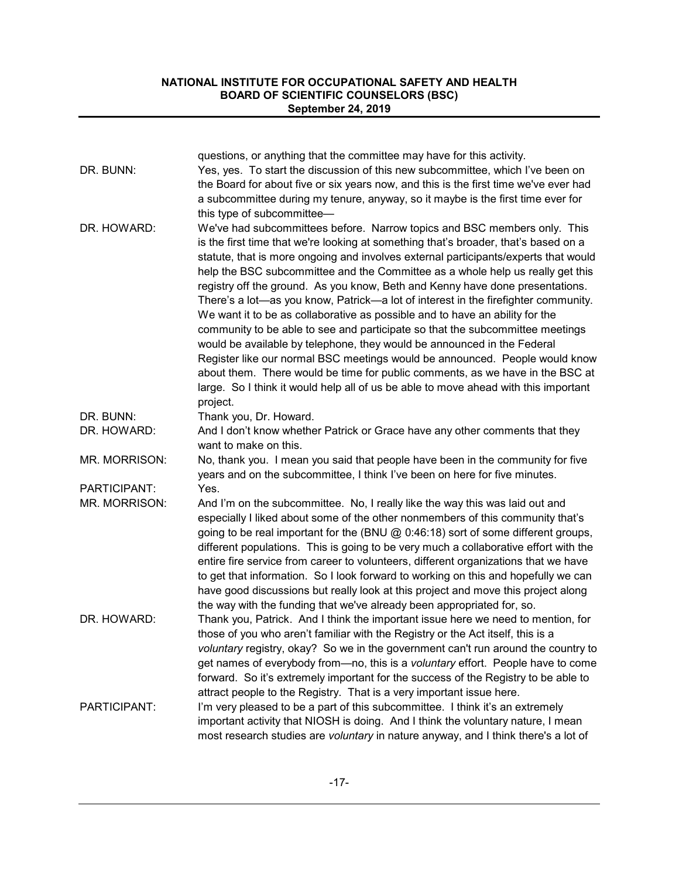|               | questions, or anything that the committee may have for this activity.                                                                                 |
|---------------|-------------------------------------------------------------------------------------------------------------------------------------------------------|
| DR. BUNN:     | Yes, yes. To start the discussion of this new subcommittee, which I've been on                                                                        |
|               | the Board for about five or six years now, and this is the first time we've ever had                                                                  |
|               | a subcommittee during my tenure, anyway, so it maybe is the first time ever for                                                                       |
|               | this type of subcommittee-                                                                                                                            |
| DR. HOWARD:   | We've had subcommittees before. Narrow topics and BSC members only. This                                                                              |
|               | is the first time that we're looking at something that's broader, that's based on a                                                                   |
|               | statute, that is more ongoing and involves external participants/experts that would                                                                   |
|               | help the BSC subcommittee and the Committee as a whole help us really get this                                                                        |
|               | registry off the ground. As you know, Beth and Kenny have done presentations.                                                                         |
|               | There's a lot-as you know, Patrick-a lot of interest in the firefighter community.                                                                    |
|               | We want it to be as collaborative as possible and to have an ability for the                                                                          |
|               | community to be able to see and participate so that the subcommittee meetings                                                                         |
|               | would be available by telephone, they would be announced in the Federal                                                                               |
|               | Register like our normal BSC meetings would be announced. People would know                                                                           |
|               | about them. There would be time for public comments, as we have in the BSC at                                                                         |
|               | large. So I think it would help all of us be able to move ahead with this important                                                                   |
|               | project.                                                                                                                                              |
| DR. BUNN:     | Thank you, Dr. Howard.                                                                                                                                |
| DR. HOWARD:   | And I don't know whether Patrick or Grace have any other comments that they                                                                           |
|               | want to make on this.                                                                                                                                 |
| MR. MORRISON: | No, thank you. I mean you said that people have been in the community for five                                                                        |
|               | years and on the subcommittee, I think I've been on here for five minutes.                                                                            |
| PARTICIPANT:  | Yes.                                                                                                                                                  |
| MR. MORRISON: | And I'm on the subcommittee. No, I really like the way this was laid out and                                                                          |
|               | especially I liked about some of the other nonmembers of this community that's                                                                        |
|               | going to be real important for the (BNU @ 0:46:18) sort of some different groups,                                                                     |
|               | different populations. This is going to be very much a collaborative effort with the                                                                  |
|               | entire fire service from career to volunteers, different organizations that we have                                                                   |
|               | to get that information. So I look forward to working on this and hopefully we can                                                                    |
|               | have good discussions but really look at this project and move this project along                                                                     |
|               | the way with the funding that we've already been appropriated for, so.                                                                                |
| DR. HOWARD:   | Thank you, Patrick. And I think the important issue here we need to mention, for                                                                      |
|               | those of you who aren't familiar with the Registry or the Act itself, this is a                                                                       |
|               | voluntary registry, okay? So we in the government can't run around the country to                                                                     |
|               | get names of everybody from-no, this is a voluntary effort. People have to come                                                                       |
|               | forward. So it's extremely important for the success of the Registry to be able to                                                                    |
| PARTICIPANT:  | attract people to the Registry. That is a very important issue here.<br>I'm very pleased to be a part of this subcommittee. I think it's an extremely |
|               | important activity that NIOSH is doing. And I think the voluntary nature, I mean                                                                      |
|               | most research studies are voluntary in nature anyway, and I think there's a lot of                                                                    |
|               |                                                                                                                                                       |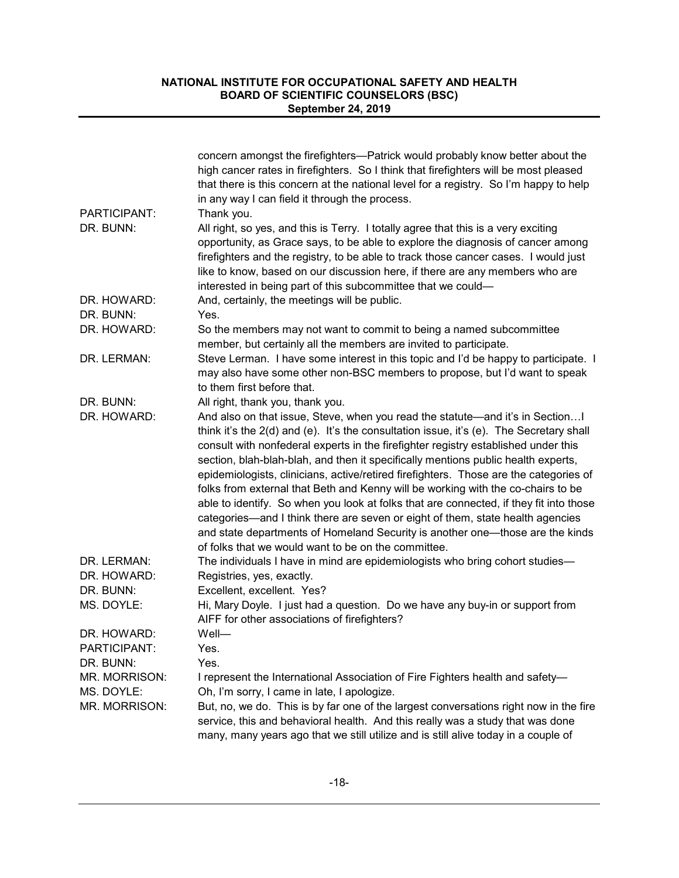|                             | concern amongst the firefighters—Patrick would probably know better about the<br>high cancer rates in firefighters. So I think that firefighters will be most pleased<br>that there is this concern at the national level for a registry. So I'm happy to help<br>in any way I can field it through the process.                                                                                                                                                                                                                                                                                                                                                                                                                                                                                                                                     |
|-----------------------------|------------------------------------------------------------------------------------------------------------------------------------------------------------------------------------------------------------------------------------------------------------------------------------------------------------------------------------------------------------------------------------------------------------------------------------------------------------------------------------------------------------------------------------------------------------------------------------------------------------------------------------------------------------------------------------------------------------------------------------------------------------------------------------------------------------------------------------------------------|
| PARTICIPANT:                | Thank you.                                                                                                                                                                                                                                                                                                                                                                                                                                                                                                                                                                                                                                                                                                                                                                                                                                           |
| DR. BUNN:                   | All right, so yes, and this is Terry. I totally agree that this is a very exciting<br>opportunity, as Grace says, to be able to explore the diagnosis of cancer among<br>firefighters and the registry, to be able to track those cancer cases. I would just<br>like to know, based on our discussion here, if there are any members who are<br>interested in being part of this subcommittee that we could-                                                                                                                                                                                                                                                                                                                                                                                                                                         |
| DR. HOWARD:                 | And, certainly, the meetings will be public.                                                                                                                                                                                                                                                                                                                                                                                                                                                                                                                                                                                                                                                                                                                                                                                                         |
| DR. BUNN:                   | Yes.                                                                                                                                                                                                                                                                                                                                                                                                                                                                                                                                                                                                                                                                                                                                                                                                                                                 |
| DR. HOWARD:                 | So the members may not want to commit to being a named subcommittee<br>member, but certainly all the members are invited to participate.                                                                                                                                                                                                                                                                                                                                                                                                                                                                                                                                                                                                                                                                                                             |
| DR. LERMAN:                 | Steve Lerman. I have some interest in this topic and I'd be happy to participate. I<br>may also have some other non-BSC members to propose, but I'd want to speak<br>to them first before that.                                                                                                                                                                                                                                                                                                                                                                                                                                                                                                                                                                                                                                                      |
| DR. BUNN:                   | All right, thank you, thank you.                                                                                                                                                                                                                                                                                                                                                                                                                                                                                                                                                                                                                                                                                                                                                                                                                     |
| DR. HOWARD:                 | And also on that issue, Steve, when you read the statute—and it's in SectionI<br>think it's the 2(d) and (e). It's the consultation issue, it's (e). The Secretary shall<br>consult with nonfederal experts in the firefighter registry established under this<br>section, blah-blah-blah, and then it specifically mentions public health experts,<br>epidemiologists, clinicians, active/retired firefighters. Those are the categories of<br>folks from external that Beth and Kenny will be working with the co-chairs to be<br>able to identify. So when you look at folks that are connected, if they fit into those<br>categories—and I think there are seven or eight of them, state health agencies<br>and state departments of Homeland Security is another one-those are the kinds<br>of folks that we would want to be on the committee. |
| DR. LERMAN:                 | The individuals I have in mind are epidemiologists who bring cohort studies-                                                                                                                                                                                                                                                                                                                                                                                                                                                                                                                                                                                                                                                                                                                                                                         |
| DR. HOWARD:                 | Registries, yes, exactly.                                                                                                                                                                                                                                                                                                                                                                                                                                                                                                                                                                                                                                                                                                                                                                                                                            |
| DR. BUNN:                   | Excellent, excellent. Yes?                                                                                                                                                                                                                                                                                                                                                                                                                                                                                                                                                                                                                                                                                                                                                                                                                           |
| MS. DOYLE:                  | Hi, Mary Doyle. I just had a question. Do we have any buy-in or support from<br>AIFF for other associations of firefighters?                                                                                                                                                                                                                                                                                                                                                                                                                                                                                                                                                                                                                                                                                                                         |
| DR. HOWARD:                 | Well-                                                                                                                                                                                                                                                                                                                                                                                                                                                                                                                                                                                                                                                                                                                                                                                                                                                |
| PARTICIPANT:                | Yes.                                                                                                                                                                                                                                                                                                                                                                                                                                                                                                                                                                                                                                                                                                                                                                                                                                                 |
| DR. BUNN:                   | Yes.                                                                                                                                                                                                                                                                                                                                                                                                                                                                                                                                                                                                                                                                                                                                                                                                                                                 |
| MR. MORRISON:<br>MS. DOYLE: | I represent the International Association of Fire Fighters health and safety-<br>Oh, I'm sorry, I came in late, I apologize.                                                                                                                                                                                                                                                                                                                                                                                                                                                                                                                                                                                                                                                                                                                         |
| MR. MORRISON:               | But, no, we do. This is by far one of the largest conversations right now in the fire<br>service, this and behavioral health. And this really was a study that was done<br>many, many years ago that we still utilize and is still alive today in a couple of                                                                                                                                                                                                                                                                                                                                                                                                                                                                                                                                                                                        |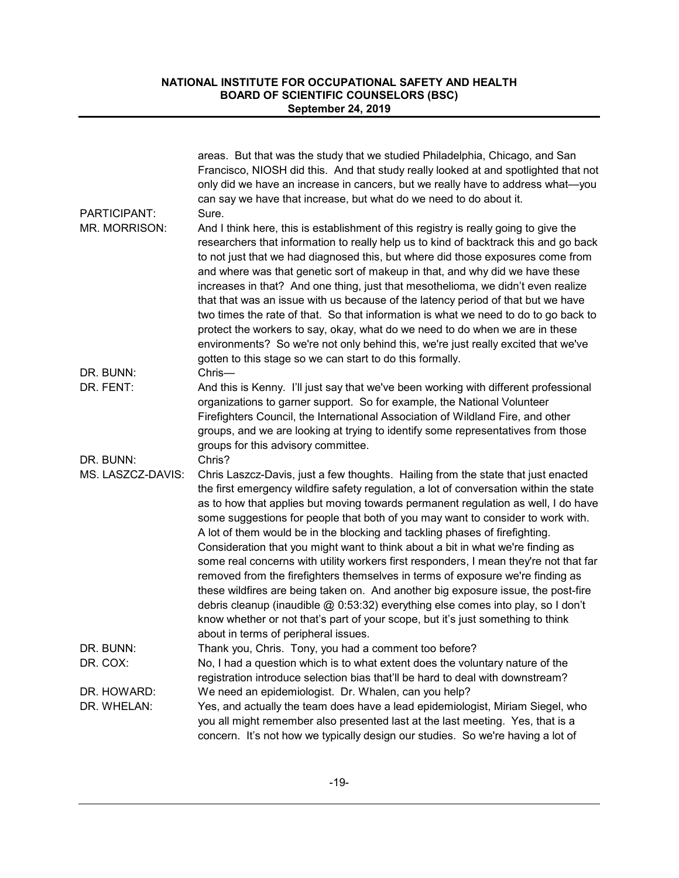|                   | areas. But that was the study that we studied Philadelphia, Chicago, and San<br>Francisco, NIOSH did this. And that study really looked at and spotlighted that not<br>only did we have an increase in cancers, but we really have to address what-you<br>can say we have that increase, but what do we need to do about it.                                                                                                                                                                                                                                                                                                                                                                                                                                                                                                                                                                                                                                                                         |
|-------------------|------------------------------------------------------------------------------------------------------------------------------------------------------------------------------------------------------------------------------------------------------------------------------------------------------------------------------------------------------------------------------------------------------------------------------------------------------------------------------------------------------------------------------------------------------------------------------------------------------------------------------------------------------------------------------------------------------------------------------------------------------------------------------------------------------------------------------------------------------------------------------------------------------------------------------------------------------------------------------------------------------|
| PARTICIPANT:      | Sure.                                                                                                                                                                                                                                                                                                                                                                                                                                                                                                                                                                                                                                                                                                                                                                                                                                                                                                                                                                                                |
| MR. MORRISON:     | And I think here, this is establishment of this registry is really going to give the<br>researchers that information to really help us to kind of backtrack this and go back<br>to not just that we had diagnosed this, but where did those exposures come from<br>and where was that genetic sort of makeup in that, and why did we have these<br>increases in that? And one thing, just that mesothelioma, we didn't even realize<br>that that was an issue with us because of the latency period of that but we have<br>two times the rate of that. So that information is what we need to do to go back to<br>protect the workers to say, okay, what do we need to do when we are in these<br>environments? So we're not only behind this, we're just really excited that we've<br>gotten to this stage so we can start to do this formally.                                                                                                                                                     |
| DR. BUNN:         | Chris-                                                                                                                                                                                                                                                                                                                                                                                                                                                                                                                                                                                                                                                                                                                                                                                                                                                                                                                                                                                               |
| DR. FENT:         | And this is Kenny. I'll just say that we've been working with different professional<br>organizations to garner support. So for example, the National Volunteer<br>Firefighters Council, the International Association of Wildland Fire, and other<br>groups, and we are looking at trying to identify some representatives from those<br>groups for this advisory committee.                                                                                                                                                                                                                                                                                                                                                                                                                                                                                                                                                                                                                        |
| DR. BUNN:         | Chris?                                                                                                                                                                                                                                                                                                                                                                                                                                                                                                                                                                                                                                                                                                                                                                                                                                                                                                                                                                                               |
| MS. LASZCZ-DAVIS: | Chris Laszcz-Davis, just a few thoughts. Hailing from the state that just enacted<br>the first emergency wildfire safety regulation, a lot of conversation within the state<br>as to how that applies but moving towards permanent regulation as well, I do have<br>some suggestions for people that both of you may want to consider to work with.<br>A lot of them would be in the blocking and tackling phases of firefighting.<br>Consideration that you might want to think about a bit in what we're finding as<br>some real concerns with utility workers first responders, I mean they're not that far<br>removed from the firefighters themselves in terms of exposure we're finding as<br>these wildfires are being taken on. And another big exposure issue, the post-fire<br>debris cleanup (inaudible @ 0:53:32) everything else comes into play, so I don't<br>know whether or not that's part of your scope, but it's just something to think<br>about in terms of peripheral issues. |
| DR. BUNN:         | Thank you, Chris. Tony, you had a comment too before?                                                                                                                                                                                                                                                                                                                                                                                                                                                                                                                                                                                                                                                                                                                                                                                                                                                                                                                                                |
| DR. COX:          | No, I had a question which is to what extent does the voluntary nature of the<br>registration introduce selection bias that'll be hard to deal with downstream?                                                                                                                                                                                                                                                                                                                                                                                                                                                                                                                                                                                                                                                                                                                                                                                                                                      |
| DR. HOWARD:       | We need an epidemiologist. Dr. Whalen, can you help?                                                                                                                                                                                                                                                                                                                                                                                                                                                                                                                                                                                                                                                                                                                                                                                                                                                                                                                                                 |
| DR. WHELAN:       | Yes, and actually the team does have a lead epidemiologist, Miriam Siegel, who<br>you all might remember also presented last at the last meeting. Yes, that is a<br>concern. It's not how we typically design our studies. So we're having a lot of                                                                                                                                                                                                                                                                                                                                                                                                                                                                                                                                                                                                                                                                                                                                                  |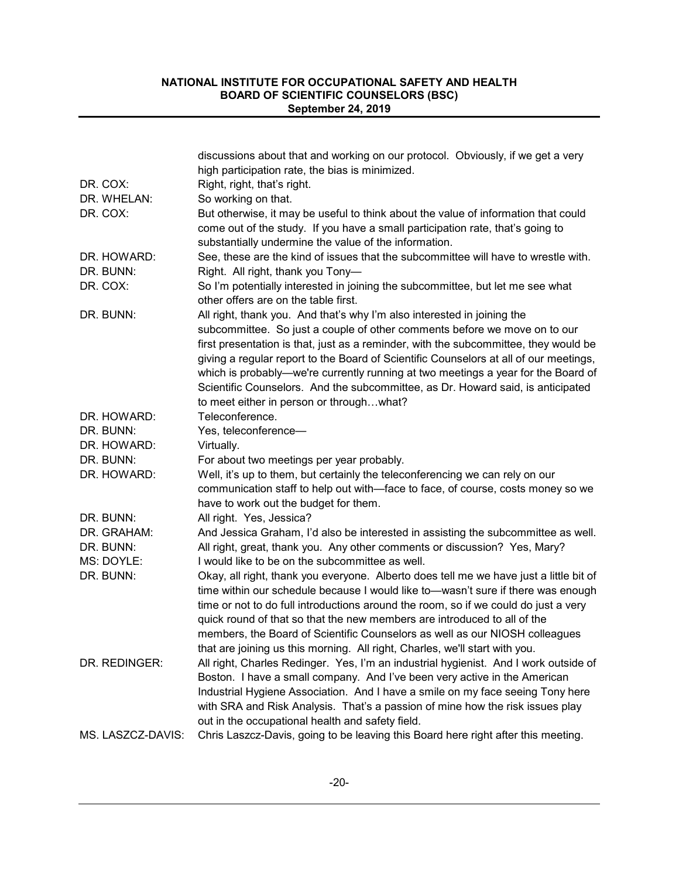| discussions about that and working on our protocol. Obviously, if we get a very                        |  |
|--------------------------------------------------------------------------------------------------------|--|
| high participation rate, the bias is minimized.                                                        |  |
| DR. COX:<br>Right, right, that's right.                                                                |  |
| DR. WHELAN:<br>So working on that.                                                                     |  |
| DR. COX:<br>But otherwise, it may be useful to think about the value of information that could         |  |
| come out of the study. If you have a small participation rate, that's going to                         |  |
| substantially undermine the value of the information.                                                  |  |
| See, these are the kind of issues that the subcommittee will have to wrestle with.<br>DR. HOWARD:      |  |
| DR. BUNN:<br>Right. All right, thank you Tony-                                                         |  |
| DR. COX:<br>So I'm potentially interested in joining the subcommittee, but let me see what             |  |
| other offers are on the table first.                                                                   |  |
| DR. BUNN:<br>All right, thank you. And that's why I'm also interested in joining the                   |  |
| subcommittee. So just a couple of other comments before we move on to our                              |  |
| first presentation is that, just as a reminder, with the subcommittee, they would be                   |  |
| giving a regular report to the Board of Scientific Counselors at all of our meetings,                  |  |
| which is probably-we're currently running at two meetings a year for the Board of                      |  |
| Scientific Counselors. And the subcommittee, as Dr. Howard said, is anticipated                        |  |
| to meet either in person or throughwhat?                                                               |  |
| Teleconference.<br>DR. HOWARD:                                                                         |  |
| DR. BUNN:<br>Yes, teleconference-                                                                      |  |
| DR. HOWARD:<br>Virtually.                                                                              |  |
| DR. BUNN:<br>For about two meetings per year probably.                                                 |  |
| Well, it's up to them, but certainly the teleconferencing we can rely on our<br>DR. HOWARD:            |  |
| communication staff to help out with-face to face, of course, costs money so we                        |  |
| have to work out the budget for them.                                                                  |  |
| DR. BUNN:<br>All right. Yes, Jessica?                                                                  |  |
| And Jessica Graham, I'd also be interested in assisting the subcommittee as well.<br>DR. GRAHAM:       |  |
| DR. BUNN:<br>All right, great, thank you. Any other comments or discussion? Yes, Mary?                 |  |
| MS: DOYLE:<br>I would like to be on the subcommittee as well.                                          |  |
| DR. BUNN:<br>Okay, all right, thank you everyone. Alberto does tell me we have just a little bit of    |  |
| time within our schedule because I would like to-wasn't sure if there was enough                       |  |
| time or not to do full introductions around the room, so if we could do just a very                    |  |
| quick round of that so that the new members are introduced to all of the                               |  |
| members, the Board of Scientific Counselors as well as our NIOSH colleagues                            |  |
| that are joining us this morning. All right, Charles, we'll start with you.                            |  |
| All right, Charles Redinger. Yes, I'm an industrial hygienist. And I work outside of<br>DR. REDINGER:  |  |
| Boston. I have a small company. And I've been very active in the American                              |  |
| Industrial Hygiene Association. And I have a smile on my face seeing Tony here                         |  |
| with SRA and Risk Analysis. That's a passion of mine how the risk issues play                          |  |
| out in the occupational health and safety field.                                                       |  |
| Chris Laszcz-Davis, going to be leaving this Board here right after this meeting.<br>MS. LASZCZ-DAVIS: |  |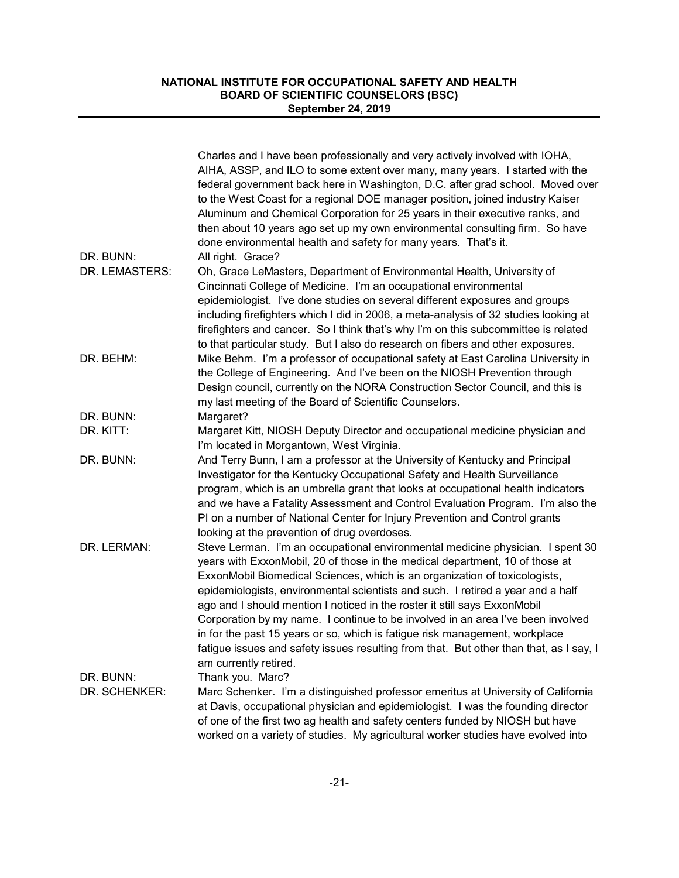| DR. BUNN:      | Charles and I have been professionally and very actively involved with IOHA,<br>AIHA, ASSP, and ILO to some extent over many, many years. I started with the<br>federal government back here in Washington, D.C. after grad school. Moved over<br>to the West Coast for a regional DOE manager position, joined industry Kaiser<br>Aluminum and Chemical Corporation for 25 years in their executive ranks, and<br>then about 10 years ago set up my own environmental consulting firm. So have<br>done environmental health and safety for many years. That's it.                                                                                                                                |
|----------------|---------------------------------------------------------------------------------------------------------------------------------------------------------------------------------------------------------------------------------------------------------------------------------------------------------------------------------------------------------------------------------------------------------------------------------------------------------------------------------------------------------------------------------------------------------------------------------------------------------------------------------------------------------------------------------------------------|
| DR. LEMASTERS: | All right. Grace?<br>Oh, Grace LeMasters, Department of Environmental Health, University of<br>Cincinnati College of Medicine. I'm an occupational environmental<br>epidemiologist. I've done studies on several different exposures and groups<br>including firefighters which I did in 2006, a meta-analysis of 32 studies looking at<br>firefighters and cancer. So I think that's why I'm on this subcommittee is related<br>to that particular study. But I also do research on fibers and other exposures.                                                                                                                                                                                  |
| DR. BEHM:      | Mike Behm. I'm a professor of occupational safety at East Carolina University in<br>the College of Engineering. And I've been on the NIOSH Prevention through<br>Design council, currently on the NORA Construction Sector Council, and this is<br>my last meeting of the Board of Scientific Counselors.                                                                                                                                                                                                                                                                                                                                                                                         |
| DR. BUNN:      | Margaret?                                                                                                                                                                                                                                                                                                                                                                                                                                                                                                                                                                                                                                                                                         |
| DR. KITT:      | Margaret Kitt, NIOSH Deputy Director and occupational medicine physician and<br>I'm located in Morgantown, West Virginia.                                                                                                                                                                                                                                                                                                                                                                                                                                                                                                                                                                         |
| DR. BUNN:      | And Terry Bunn, I am a professor at the University of Kentucky and Principal<br>Investigator for the Kentucky Occupational Safety and Health Surveillance<br>program, which is an umbrella grant that looks at occupational health indicators<br>and we have a Fatality Assessment and Control Evaluation Program. I'm also the<br>PI on a number of National Center for Injury Prevention and Control grants<br>looking at the prevention of drug overdoses.                                                                                                                                                                                                                                     |
| DR. LERMAN:    | Steve Lerman. I'm an occupational environmental medicine physician. I spent 30<br>years with ExxonMobil, 20 of those in the medical department, 10 of those at<br>ExxonMobil Biomedical Sciences, which is an organization of toxicologists,<br>epidemiologists, environmental scientists and such. I retired a year and a half<br>ago and I should mention I noticed in the roster it still says ExxonMobil<br>Corporation by my name. I continue to be involved in an area I've been involved<br>in for the past 15 years or so, which is fatigue risk management, workplace<br>fatigue issues and safety issues resulting from that. But other than that, as I say, I<br>am currently retired. |
| DR. BUNN:      | Thank you. Marc?                                                                                                                                                                                                                                                                                                                                                                                                                                                                                                                                                                                                                                                                                  |
| DR. SCHENKER:  | Marc Schenker. I'm a distinguished professor emeritus at University of California<br>at Davis, occupational physician and epidemiologist. I was the founding director<br>of one of the first two ag health and safety centers funded by NIOSH but have<br>worked on a variety of studies. My agricultural worker studies have evolved into                                                                                                                                                                                                                                                                                                                                                        |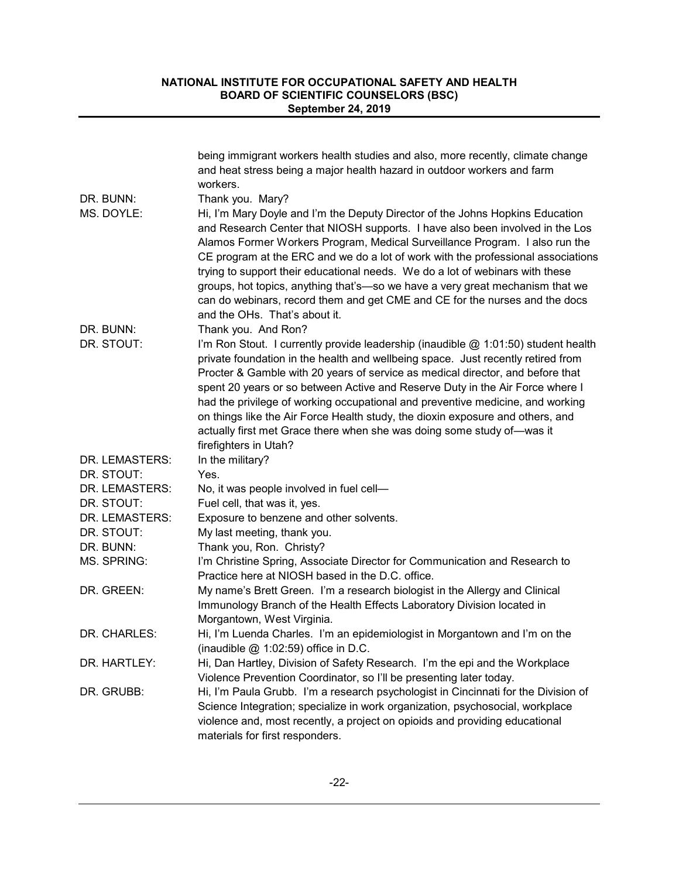|                | being immigrant workers health studies and also, more recently, climate change<br>and heat stress being a major health hazard in outdoor workers and farm                                                                                                                                                                                                                                                                                                                                                                                                                                                           |
|----------------|---------------------------------------------------------------------------------------------------------------------------------------------------------------------------------------------------------------------------------------------------------------------------------------------------------------------------------------------------------------------------------------------------------------------------------------------------------------------------------------------------------------------------------------------------------------------------------------------------------------------|
|                | workers.                                                                                                                                                                                                                                                                                                                                                                                                                                                                                                                                                                                                            |
| DR. BUNN:      | Thank you. Mary?                                                                                                                                                                                                                                                                                                                                                                                                                                                                                                                                                                                                    |
| MS. DOYLE:     | Hi, I'm Mary Doyle and I'm the Deputy Director of the Johns Hopkins Education<br>and Research Center that NIOSH supports. I have also been involved in the Los<br>Alamos Former Workers Program, Medical Surveillance Program. I also run the<br>CE program at the ERC and we do a lot of work with the professional associations<br>trying to support their educational needs. We do a lot of webinars with these<br>groups, hot topics, anything that's-so we have a very great mechanism that we<br>can do webinars, record them and get CME and CE for the nurses and the docs<br>and the OHs. That's about it. |
| DR. BUNN:      | Thank you. And Ron?                                                                                                                                                                                                                                                                                                                                                                                                                                                                                                                                                                                                 |
| DR. STOUT:     | I'm Ron Stout. I currently provide leadership (inaudible @ 1:01:50) student health<br>private foundation in the health and wellbeing space. Just recently retired from<br>Procter & Gamble with 20 years of service as medical director, and before that<br>spent 20 years or so between Active and Reserve Duty in the Air Force where I<br>had the privilege of working occupational and preventive medicine, and working<br>on things like the Air Force Health study, the dioxin exposure and others, and<br>actually first met Grace there when she was doing some study of-was it<br>firefighters in Utah?    |
| DR. LEMASTERS: | In the military?                                                                                                                                                                                                                                                                                                                                                                                                                                                                                                                                                                                                    |
| DR. STOUT:     | Yes.                                                                                                                                                                                                                                                                                                                                                                                                                                                                                                                                                                                                                |
| DR. LEMASTERS: | No, it was people involved in fuel cell-                                                                                                                                                                                                                                                                                                                                                                                                                                                                                                                                                                            |
| DR. STOUT:     | Fuel cell, that was it, yes.                                                                                                                                                                                                                                                                                                                                                                                                                                                                                                                                                                                        |
| DR. LEMASTERS: | Exposure to benzene and other solvents.                                                                                                                                                                                                                                                                                                                                                                                                                                                                                                                                                                             |
| DR. STOUT:     | My last meeting, thank you.                                                                                                                                                                                                                                                                                                                                                                                                                                                                                                                                                                                         |
| DR. BUNN:      | Thank you, Ron. Christy?                                                                                                                                                                                                                                                                                                                                                                                                                                                                                                                                                                                            |
| MS. SPRING:    | I'm Christine Spring, Associate Director for Communication and Research to<br>Practice here at NIOSH based in the D.C. office.                                                                                                                                                                                                                                                                                                                                                                                                                                                                                      |
| DR. GREEN:     | My name's Brett Green. I'm a research biologist in the Allergy and Clinical<br>Immunology Branch of the Health Effects Laboratory Division located in<br>Morgantown, West Virginia.                                                                                                                                                                                                                                                                                                                                                                                                                                 |
| DR. CHARLES:   | Hi, I'm Luenda Charles. I'm an epidemiologist in Morgantown and I'm on the<br>(inaudible $@$ 1:02:59) office in D.C.                                                                                                                                                                                                                                                                                                                                                                                                                                                                                                |
| DR. HARTLEY:   | Hi, Dan Hartley, Division of Safety Research. I'm the epi and the Workplace<br>Violence Prevention Coordinator, so I'll be presenting later today.                                                                                                                                                                                                                                                                                                                                                                                                                                                                  |
| DR. GRUBB:     | Hi, I'm Paula Grubb. I'm a research psychologist in Cincinnati for the Division of<br>Science Integration; specialize in work organization, psychosocial, workplace<br>violence and, most recently, a project on opioids and providing educational<br>materials for first responders.                                                                                                                                                                                                                                                                                                                               |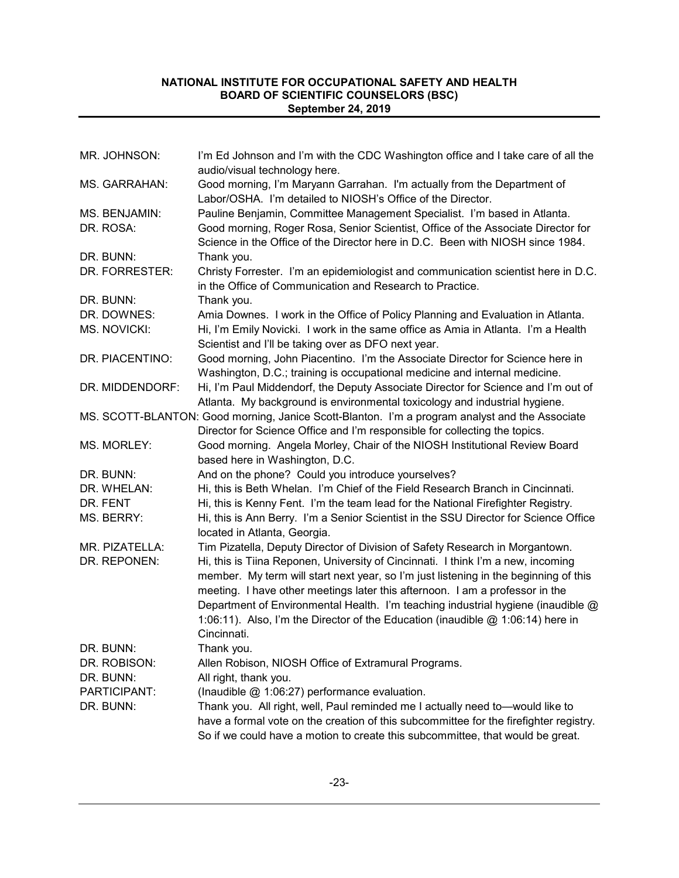| MR. JOHNSON:        | I'm Ed Johnson and I'm with the CDC Washington office and I take care of all the<br>audio/visual technology here.                                                                                                                                                                                                                                                                                                                              |
|---------------------|------------------------------------------------------------------------------------------------------------------------------------------------------------------------------------------------------------------------------------------------------------------------------------------------------------------------------------------------------------------------------------------------------------------------------------------------|
| MS. GARRAHAN:       | Good morning, I'm Maryann Garrahan. I'm actually from the Department of<br>Labor/OSHA. I'm detailed to NIOSH's Office of the Director.                                                                                                                                                                                                                                                                                                         |
| MS. BENJAMIN:       | Pauline Benjamin, Committee Management Specialist. I'm based in Atlanta.                                                                                                                                                                                                                                                                                                                                                                       |
| DR. ROSA:           | Good morning, Roger Rosa, Senior Scientist, Office of the Associate Director for<br>Science in the Office of the Director here in D.C. Been with NIOSH since 1984.                                                                                                                                                                                                                                                                             |
| DR. BUNN:           | Thank you.                                                                                                                                                                                                                                                                                                                                                                                                                                     |
| DR. FORRESTER:      | Christy Forrester. I'm an epidemiologist and communication scientist here in D.C.<br>in the Office of Communication and Research to Practice.                                                                                                                                                                                                                                                                                                  |
| DR. BUNN:           | Thank you.                                                                                                                                                                                                                                                                                                                                                                                                                                     |
| DR. DOWNES:         | Amia Downes. I work in the Office of Policy Planning and Evaluation in Atlanta.                                                                                                                                                                                                                                                                                                                                                                |
| <b>MS. NOVICKI:</b> | Hi, I'm Emily Novicki. I work in the same office as Amia in Atlanta. I'm a Health<br>Scientist and I'll be taking over as DFO next year.                                                                                                                                                                                                                                                                                                       |
| DR. PIACENTINO:     | Good morning, John Piacentino. I'm the Associate Director for Science here in<br>Washington, D.C.; training is occupational medicine and internal medicine.                                                                                                                                                                                                                                                                                    |
| DR. MIDDENDORF:     | Hi, I'm Paul Middendorf, the Deputy Associate Director for Science and I'm out of<br>Atlanta. My background is environmental toxicology and industrial hygiene.                                                                                                                                                                                                                                                                                |
|                     | MS. SCOTT-BLANTON: Good morning, Janice Scott-Blanton. I'm a program analyst and the Associate<br>Director for Science Office and I'm responsible for collecting the topics.                                                                                                                                                                                                                                                                   |
| MS. MORLEY:         | Good morning. Angela Morley, Chair of the NIOSH Institutional Review Board<br>based here in Washington, D.C.                                                                                                                                                                                                                                                                                                                                   |
| DR. BUNN:           | And on the phone? Could you introduce yourselves?                                                                                                                                                                                                                                                                                                                                                                                              |
| DR. WHELAN:         | Hi, this is Beth Whelan. I'm Chief of the Field Research Branch in Cincinnati.                                                                                                                                                                                                                                                                                                                                                                 |
| DR. FENT            | Hi, this is Kenny Fent. I'm the team lead for the National Firefighter Registry.                                                                                                                                                                                                                                                                                                                                                               |
| MS. BERRY:          | Hi, this is Ann Berry. I'm a Senior Scientist in the SSU Director for Science Office<br>located in Atlanta, Georgia.                                                                                                                                                                                                                                                                                                                           |
| MR. PIZATELLA:      | Tim Pizatella, Deputy Director of Division of Safety Research in Morgantown.                                                                                                                                                                                                                                                                                                                                                                   |
| DR. REPONEN:        | Hi, this is Tiina Reponen, University of Cincinnati. I think I'm a new, incoming<br>member. My term will start next year, so I'm just listening in the beginning of this<br>meeting. I have other meetings later this afternoon. I am a professor in the<br>Department of Environmental Health. I'm teaching industrial hygiene (inaudible @<br>1:06:11). Also, I'm the Director of the Education (inaudible @ 1:06:14) here in<br>Cincinnati. |
| DR. BUNN:           | Thank you.                                                                                                                                                                                                                                                                                                                                                                                                                                     |
| DR. ROBISON:        | Allen Robison, NIOSH Office of Extramural Programs.                                                                                                                                                                                                                                                                                                                                                                                            |
| DR. BUNN:           | All right, thank you.                                                                                                                                                                                                                                                                                                                                                                                                                          |
| PARTICIPANT:        | (Inaudible @ 1:06:27) performance evaluation.                                                                                                                                                                                                                                                                                                                                                                                                  |
| DR. BUNN:           | Thank you. All right, well, Paul reminded me I actually need to-would like to                                                                                                                                                                                                                                                                                                                                                                  |
|                     | have a formal vote on the creation of this subcommittee for the firefighter registry.                                                                                                                                                                                                                                                                                                                                                          |
|                     | So if we could have a motion to create this subcommittee, that would be great.                                                                                                                                                                                                                                                                                                                                                                 |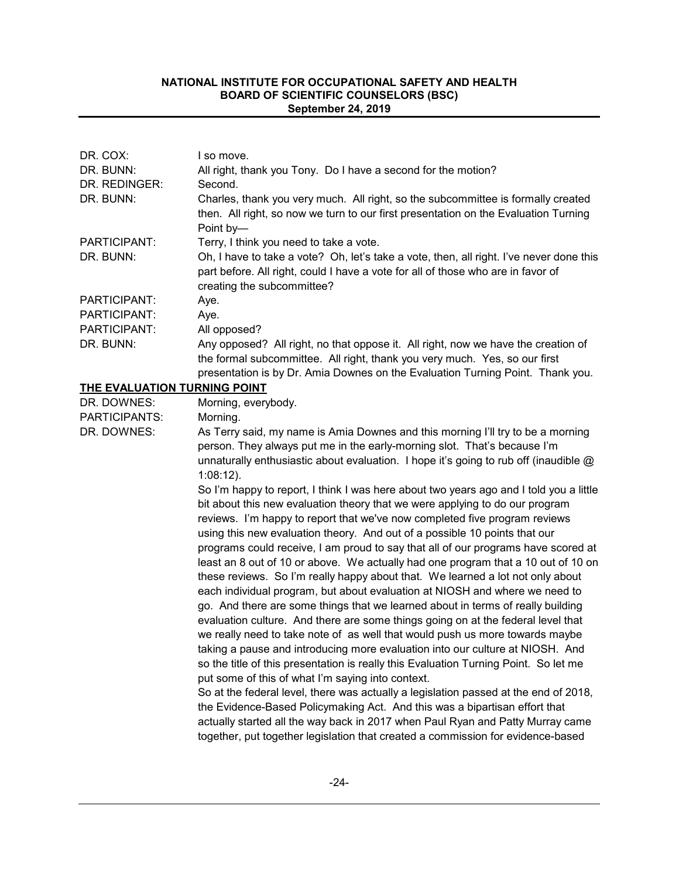| DR. COX:                     | I so move.                                                                                                                                                                                                                                                                                                                                                                                                                                                                                                                                                                                                                                                                                                                                                                                                                                                                                                                                                                                                                                                                                                                                                                                                                                                                                                                                                                                                                                                                                                    |
|------------------------------|---------------------------------------------------------------------------------------------------------------------------------------------------------------------------------------------------------------------------------------------------------------------------------------------------------------------------------------------------------------------------------------------------------------------------------------------------------------------------------------------------------------------------------------------------------------------------------------------------------------------------------------------------------------------------------------------------------------------------------------------------------------------------------------------------------------------------------------------------------------------------------------------------------------------------------------------------------------------------------------------------------------------------------------------------------------------------------------------------------------------------------------------------------------------------------------------------------------------------------------------------------------------------------------------------------------------------------------------------------------------------------------------------------------------------------------------------------------------------------------------------------------|
| DR. BUNN:                    | All right, thank you Tony. Do I have a second for the motion?                                                                                                                                                                                                                                                                                                                                                                                                                                                                                                                                                                                                                                                                                                                                                                                                                                                                                                                                                                                                                                                                                                                                                                                                                                                                                                                                                                                                                                                 |
| DR. REDINGER:                | Second.                                                                                                                                                                                                                                                                                                                                                                                                                                                                                                                                                                                                                                                                                                                                                                                                                                                                                                                                                                                                                                                                                                                                                                                                                                                                                                                                                                                                                                                                                                       |
| DR. BUNN:                    | Charles, thank you very much. All right, so the subcommittee is formally created<br>then. All right, so now we turn to our first presentation on the Evaluation Turning<br>Point by-                                                                                                                                                                                                                                                                                                                                                                                                                                                                                                                                                                                                                                                                                                                                                                                                                                                                                                                                                                                                                                                                                                                                                                                                                                                                                                                          |
| PARTICIPANT:                 | Terry, I think you need to take a vote.                                                                                                                                                                                                                                                                                                                                                                                                                                                                                                                                                                                                                                                                                                                                                                                                                                                                                                                                                                                                                                                                                                                                                                                                                                                                                                                                                                                                                                                                       |
| DR. BUNN:                    | Oh, I have to take a vote? Oh, let's take a vote, then, all right. I've never done this<br>part before. All right, could I have a vote for all of those who are in favor of<br>creating the subcommittee?                                                                                                                                                                                                                                                                                                                                                                                                                                                                                                                                                                                                                                                                                                                                                                                                                                                                                                                                                                                                                                                                                                                                                                                                                                                                                                     |
| PARTICIPANT:                 | Aye.                                                                                                                                                                                                                                                                                                                                                                                                                                                                                                                                                                                                                                                                                                                                                                                                                                                                                                                                                                                                                                                                                                                                                                                                                                                                                                                                                                                                                                                                                                          |
| PARTICIPANT:                 | Aye.                                                                                                                                                                                                                                                                                                                                                                                                                                                                                                                                                                                                                                                                                                                                                                                                                                                                                                                                                                                                                                                                                                                                                                                                                                                                                                                                                                                                                                                                                                          |
| PARTICIPANT:                 | All opposed?                                                                                                                                                                                                                                                                                                                                                                                                                                                                                                                                                                                                                                                                                                                                                                                                                                                                                                                                                                                                                                                                                                                                                                                                                                                                                                                                                                                                                                                                                                  |
| DR. BUNN:                    | Any opposed? All right, no that oppose it. All right, now we have the creation of<br>the formal subcommittee. All right, thank you very much. Yes, so our first<br>presentation is by Dr. Amia Downes on the Evaluation Turning Point. Thank you.                                                                                                                                                                                                                                                                                                                                                                                                                                                                                                                                                                                                                                                                                                                                                                                                                                                                                                                                                                                                                                                                                                                                                                                                                                                             |
| THE EVALUATION TURNING POINT |                                                                                                                                                                                                                                                                                                                                                                                                                                                                                                                                                                                                                                                                                                                                                                                                                                                                                                                                                                                                                                                                                                                                                                                                                                                                                                                                                                                                                                                                                                               |
| DR. DOWNES:                  | Morning, everybody.                                                                                                                                                                                                                                                                                                                                                                                                                                                                                                                                                                                                                                                                                                                                                                                                                                                                                                                                                                                                                                                                                                                                                                                                                                                                                                                                                                                                                                                                                           |
| PARTICIPANTS:                | Morning.                                                                                                                                                                                                                                                                                                                                                                                                                                                                                                                                                                                                                                                                                                                                                                                                                                                                                                                                                                                                                                                                                                                                                                                                                                                                                                                                                                                                                                                                                                      |
| DR. DOWNES:                  | As Terry said, my name is Amia Downes and this morning I'll try to be a morning<br>person. They always put me in the early-morning slot. That's because I'm<br>unnaturally enthusiastic about evaluation. I hope it's going to rub off (inaudible $@$<br>$1:08:12$ ).                                                                                                                                                                                                                                                                                                                                                                                                                                                                                                                                                                                                                                                                                                                                                                                                                                                                                                                                                                                                                                                                                                                                                                                                                                         |
|                              | So I'm happy to report, I think I was here about two years ago and I told you a little<br>bit about this new evaluation theory that we were applying to do our program<br>reviews. I'm happy to report that we've now completed five program reviews<br>using this new evaluation theory. And out of a possible 10 points that our<br>programs could receive, I am proud to say that all of our programs have scored at<br>least an 8 out of 10 or above. We actually had one program that a 10 out of 10 on<br>these reviews. So I'm really happy about that. We learned a lot not only about<br>each individual program, but about evaluation at NIOSH and where we need to<br>go. And there are some things that we learned about in terms of really building<br>evaluation culture. And there are some things going on at the federal level that<br>we really need to take note of as well that would push us more towards maybe<br>taking a pause and introducing more evaluation into our culture at NIOSH. And<br>so the title of this presentation is really this Evaluation Turning Point. So let me<br>put some of this of what I'm saying into context.<br>So at the federal level, there was actually a legislation passed at the end of 2018,<br>the Evidence-Based Policymaking Act. And this was a bipartisan effort that<br>actually started all the way back in 2017 when Paul Ryan and Patty Murray came<br>together, put together legislation that created a commission for evidence-based |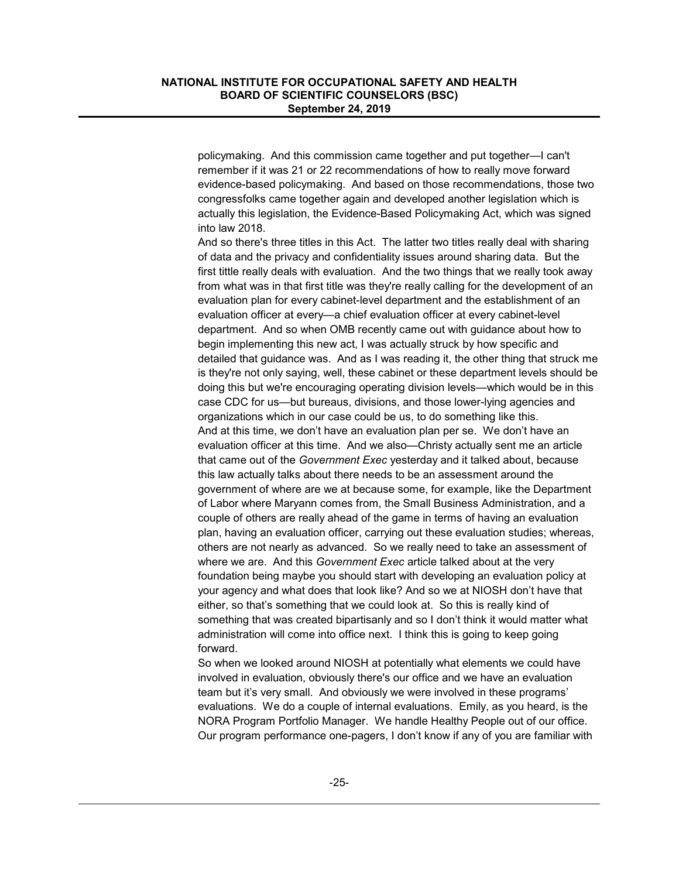policymaking. And this commission came together and put together—I can't remember if it was 21 or 22 recommendations of how to really move forward evidence-based policymaking. And based on those recommendations, those two congressfolks came together again and developed another legislation which is actually this legislation, the Evidence-Based Policymaking Act, which was signed into law 2018.

And so there's three titles in this Act. The latter two titles really deal with sharing of data and the privacy and confidentiality issues around sharing data. But the first tittle really deals with evaluation. And the two things that we really took away from what was in that first title was they're really calling for the development of an evaluation plan for every cabinet-level department and the establishment of an evaluation officer at every—a chief evaluation officer at every cabinet-level department. And so when OMB recently came out with guidance about how to begin implementing this new act, I was actually struck by how specific and detailed that guidance was. And as I was reading it, the other thing that struck me is they're not only saying, well, these cabinet or these department levels should be doing this but we're encouraging operating division levels—which would be in this case CDC for us—but bureaus, divisions, and those lower-lying agencies and organizations which in our case could be us, to do something like this. And at this time, we don't have an evaluation plan per se. We don't have an evaluation officer at this time. And we also—Christy actually sent me an article that came out of the *Government Exec* yesterday and it talked about, because this law actually talks about there needs to be an assessment around the government of where are we at because some, for example, like the Department of Labor where Maryann comes from, the Small Business Administration, and a couple of others are really ahead of the game in terms of having an evaluation plan, having an evaluation officer, carrying out these evaluation studies; whereas, others are not nearly as advanced. So we really need to take an assessment of where we are. And this *Government Exec* article talked about at the very foundation being maybe you should start with developing an evaluation policy at your agency and what does that look like? And so we at NIOSH don't have that either, so that's something that we could look at. So this is really kind of something that was created bipartisanly and so I don't think it would matter what administration will come into office next. I think this is going to keep going forward.

So when we looked around NIOSH at potentially what elements we could have involved in evaluation, obviously there's our office and we have an evaluation team but it's very small. And obviously we were involved in these programs' evaluations. We do a couple of internal evaluations. Emily, as you heard, is the NORA Program Portfolio Manager. We handle Healthy People out of our office. Our program performance one-pagers, I don't know if any of you are familiar with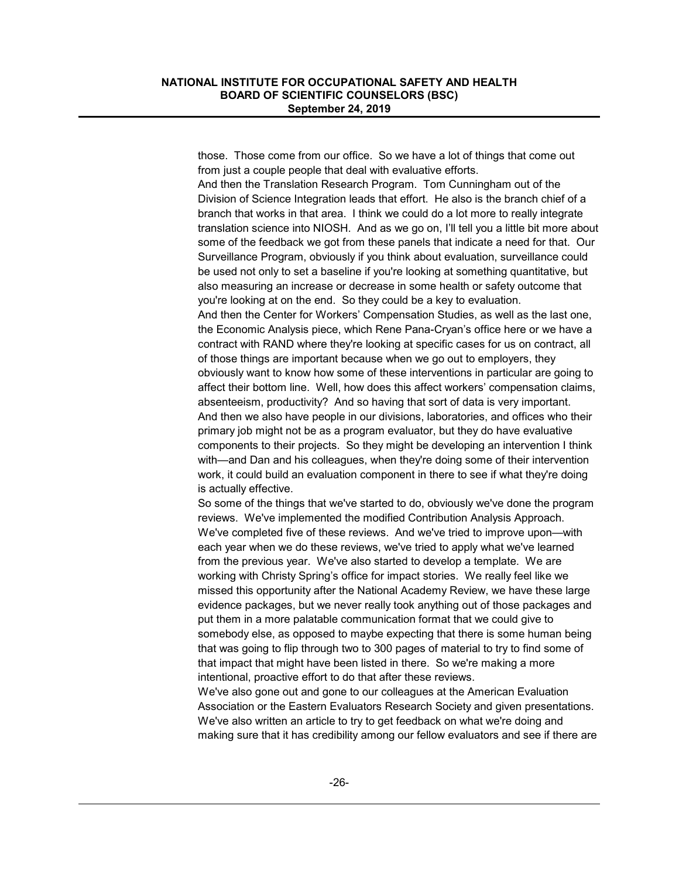those. Those come from our office. So we have a lot of things that come out from just a couple people that deal with evaluative efforts.

And then the Translation Research Program. Tom Cunningham out of the Division of Science Integration leads that effort. He also is the branch chief of a branch that works in that area. I think we could do a lot more to really integrate translation science into NIOSH. And as we go on, I'll tell you a little bit more about some of the feedback we got from these panels that indicate a need for that. Our Surveillance Program, obviously if you think about evaluation, surveillance could be used not only to set a baseline if you're looking at something quantitative, but also measuring an increase or decrease in some health or safety outcome that you're looking at on the end. So they could be a key to evaluation.

And then the Center for Workers' Compensation Studies, as well as the last one, the Economic Analysis piece, which Rene Pana-Cryan's office here or we have a contract with RAND where they're looking at specific cases for us on contract, all of those things are important because when we go out to employers, they obviously want to know how some of these interventions in particular are going to affect their bottom line. Well, how does this affect workers' compensation claims, absenteeism, productivity? And so having that sort of data is very important. And then we also have people in our divisions, laboratories, and offices who their primary job might not be as a program evaluator, but they do have evaluative components to their projects. So they might be developing an intervention I think with—and Dan and his colleagues, when they're doing some of their intervention work, it could build an evaluation component in there to see if what they're doing is actually effective.

So some of the things that we've started to do, obviously we've done the program reviews. We've implemented the modified Contribution Analysis Approach. We've completed five of these reviews. And we've tried to improve upon—with each year when we do these reviews, we've tried to apply what we've learned from the previous year. We've also started to develop a template. We are working with Christy Spring's office for impact stories. We really feel like we missed this opportunity after the National Academy Review, we have these large evidence packages, but we never really took anything out of those packages and put them in a more palatable communication format that we could give to somebody else, as opposed to maybe expecting that there is some human being that was going to flip through two to 300 pages of material to try to find some of that impact that might have been listed in there. So we're making a more intentional, proactive effort to do that after these reviews.

We've also gone out and gone to our colleagues at the American Evaluation Association or the Eastern Evaluators Research Society and given presentations. We've also written an article to try to get feedback on what we're doing and making sure that it has credibility among our fellow evaluators and see if there are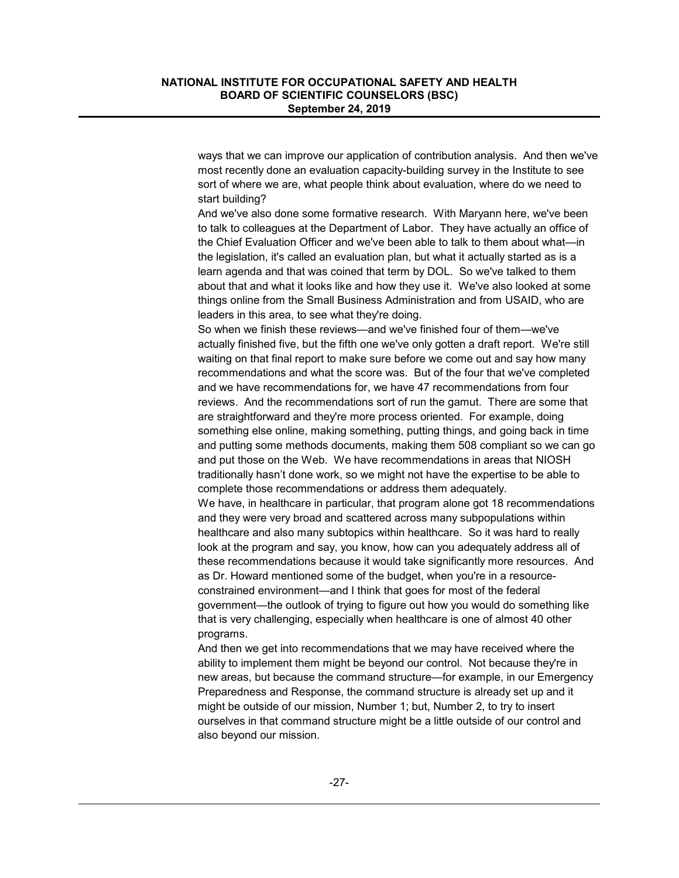ways that we can improve our application of contribution analysis. And then we've most recently done an evaluation capacity-building survey in the Institute to see sort of where we are, what people think about evaluation, where do we need to start building?

And we've also done some formative research. With Maryann here, we've been to talk to colleagues at the Department of Labor. They have actually an office of the Chief Evaluation Officer and we've been able to talk to them about what—in the legislation, it's called an evaluation plan, but what it actually started as is a learn agenda and that was coined that term by DOL. So we've talked to them about that and what it looks like and how they use it. We've also looked at some things online from the Small Business Administration and from USAID, who are leaders in this area, to see what they're doing.

So when we finish these reviews—and we've finished four of them—we've actually finished five, but the fifth one we've only gotten a draft report. We're still waiting on that final report to make sure before we come out and say how many recommendations and what the score was. But of the four that we've completed and we have recommendations for, we have 47 recommendations from four reviews. And the recommendations sort of run the gamut. There are some that are straightforward and they're more process oriented. For example, doing something else online, making something, putting things, and going back in time and putting some methods documents, making them 508 compliant so we can go and put those on the Web. We have recommendations in areas that NIOSH traditionally hasn't done work, so we might not have the expertise to be able to complete those recommendations or address them adequately.

We have, in healthcare in particular, that program alone got 18 recommendations and they were very broad and scattered across many subpopulations within healthcare and also many subtopics within healthcare. So it was hard to really look at the program and say, you know, how can you adequately address all of these recommendations because it would take significantly more resources. And as Dr. Howard mentioned some of the budget, when you're in a resourceconstrained environment—and I think that goes for most of the federal government—the outlook of trying to figure out how you would do something like that is very challenging, especially when healthcare is one of almost 40 other programs.

And then we get into recommendations that we may have received where the ability to implement them might be beyond our control. Not because they're in new areas, but because the command structure—for example, in our Emergency Preparedness and Response, the command structure is already set up and it might be outside of our mission, Number 1; but, Number 2, to try to insert ourselves in that command structure might be a little outside of our control and also beyond our mission.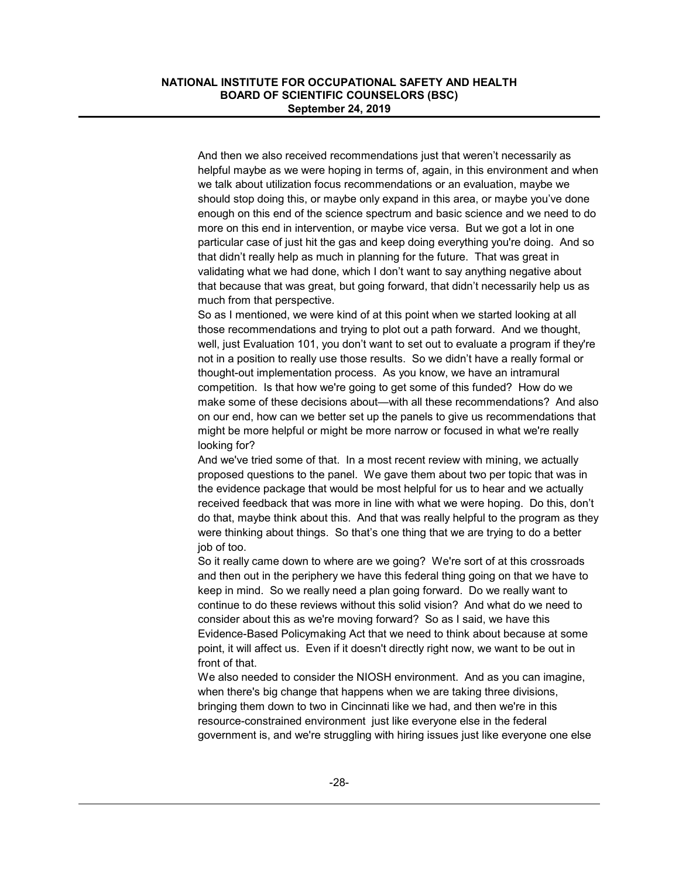And then we also received recommendations just that weren't necessarily as helpful maybe as we were hoping in terms of, again, in this environment and when we talk about utilization focus recommendations or an evaluation, maybe we should stop doing this, or maybe only expand in this area, or maybe you've done enough on this end of the science spectrum and basic science and we need to do more on this end in intervention, or maybe vice versa. But we got a lot in one particular case of just hit the gas and keep doing everything you're doing. And so that didn't really help as much in planning for the future. That was great in validating what we had done, which I don't want to say anything negative about that because that was great, but going forward, that didn't necessarily help us as much from that perspective.

So as I mentioned, we were kind of at this point when we started looking at all those recommendations and trying to plot out a path forward. And we thought, well, just Evaluation 101, you don't want to set out to evaluate a program if they're not in a position to really use those results. So we didn't have a really formal or thought-out implementation process. As you know, we have an intramural competition. Is that how we're going to get some of this funded? How do we make some of these decisions about—with all these recommendations? And also on our end, how can we better set up the panels to give us recommendations that might be more helpful or might be more narrow or focused in what we're really looking for?

And we've tried some of that. In a most recent review with mining, we actually proposed questions to the panel. We gave them about two per topic that was in the evidence package that would be most helpful for us to hear and we actually received feedback that was more in line with what we were hoping. Do this, don't do that, maybe think about this. And that was really helpful to the program as they were thinking about things. So that's one thing that we are trying to do a better job of too.

So it really came down to where are we going? We're sort of at this crossroads and then out in the periphery we have this federal thing going on that we have to keep in mind. So we really need a plan going forward. Do we really want to continue to do these reviews without this solid vision? And what do we need to consider about this as we're moving forward? So as I said, we have this Evidence-Based Policymaking Act that we need to think about because at some point, it will affect us. Even if it doesn't directly right now, we want to be out in front of that.

We also needed to consider the NIOSH environment. And as you can imagine, when there's big change that happens when we are taking three divisions, bringing them down to two in Cincinnati like we had, and then we're in this resource-constrained environment just like everyone else in the federal government is, and we're struggling with hiring issues just like everyone one else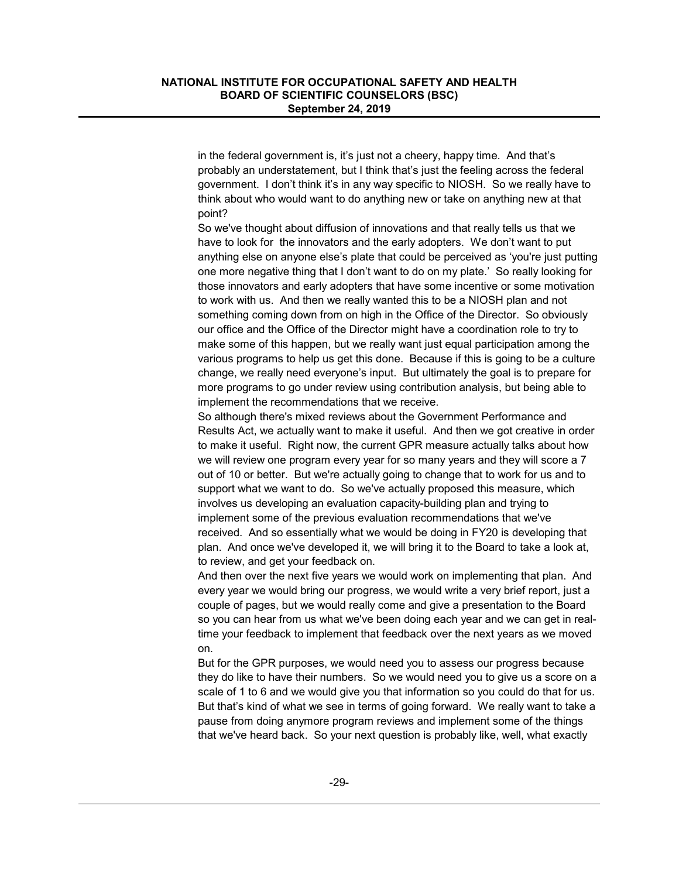in the federal government is, it's just not a cheery, happy time. And that's probably an understatement, but I think that's just the feeling across the federal government. I don't think it's in any way specific to NIOSH. So we really have to think about who would want to do anything new or take on anything new at that point?

So we've thought about diffusion of innovations and that really tells us that we have to look for the innovators and the early adopters. We don't want to put anything else on anyone else's plate that could be perceived as 'you're just putting one more negative thing that I don't want to do on my plate.' So really looking for those innovators and early adopters that have some incentive or some motivation to work with us. And then we really wanted this to be a NIOSH plan and not something coming down from on high in the Office of the Director. So obviously our office and the Office of the Director might have a coordination role to try to make some of this happen, but we really want just equal participation among the various programs to help us get this done. Because if this is going to be a culture change, we really need everyone's input. But ultimately the goal is to prepare for more programs to go under review using contribution analysis, but being able to implement the recommendations that we receive.

So although there's mixed reviews about the Government Performance and Results Act, we actually want to make it useful. And then we got creative in order to make it useful. Right now, the current GPR measure actually talks about how we will review one program every year for so many years and they will score a 7 out of 10 or better. But we're actually going to change that to work for us and to support what we want to do. So we've actually proposed this measure, which involves us developing an evaluation capacity-building plan and trying to implement some of the previous evaluation recommendations that we've received. And so essentially what we would be doing in FY20 is developing that plan. And once we've developed it, we will bring it to the Board to take a look at, to review, and get your feedback on.

And then over the next five years we would work on implementing that plan. And every year we would bring our progress, we would write a very brief report, just a couple of pages, but we would really come and give a presentation to the Board so you can hear from us what we've been doing each year and we can get in realtime your feedback to implement that feedback over the next years as we moved on.

But for the GPR purposes, we would need you to assess our progress because they do like to have their numbers. So we would need you to give us a score on a scale of 1 to 6 and we would give you that information so you could do that for us. But that's kind of what we see in terms of going forward. We really want to take a pause from doing anymore program reviews and implement some of the things that we've heard back. So your next question is probably like, well, what exactly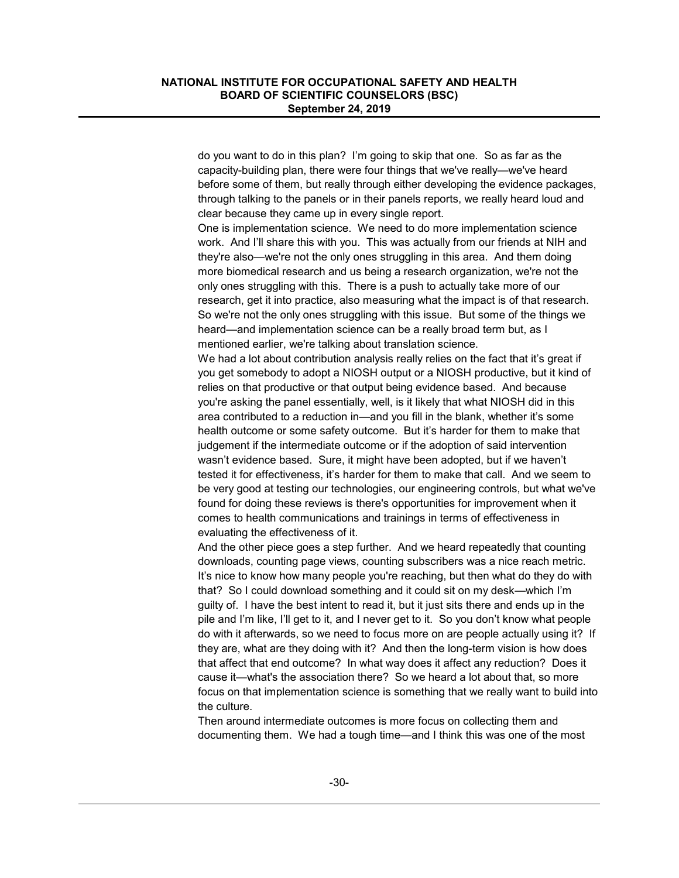do you want to do in this plan? I'm going to skip that one. So as far as the capacity-building plan, there were four things that we've really—we've heard before some of them, but really through either developing the evidence packages, through talking to the panels or in their panels reports, we really heard loud and clear because they came up in every single report.

One is implementation science. We need to do more implementation science work. And I'll share this with you. This was actually from our friends at NIH and they're also—we're not the only ones struggling in this area. And them doing more biomedical research and us being a research organization, we're not the only ones struggling with this. There is a push to actually take more of our research, get it into practice, also measuring what the impact is of that research. So we're not the only ones struggling with this issue. But some of the things we heard—and implementation science can be a really broad term but, as I mentioned earlier, we're talking about translation science.

We had a lot about contribution analysis really relies on the fact that it's great if you get somebody to adopt a NIOSH output or a NIOSH productive, but it kind of relies on that productive or that output being evidence based. And because you're asking the panel essentially, well, is it likely that what NIOSH did in this area contributed to a reduction in—and you fill in the blank, whether it's some health outcome or some safety outcome. But it's harder for them to make that judgement if the intermediate outcome or if the adoption of said intervention wasn't evidence based. Sure, it might have been adopted, but if we haven't tested it for effectiveness, it's harder for them to make that call. And we seem to be very good at testing our technologies, our engineering controls, but what we've found for doing these reviews is there's opportunities for improvement when it comes to health communications and trainings in terms of effectiveness in evaluating the effectiveness of it.

And the other piece goes a step further. And we heard repeatedly that counting downloads, counting page views, counting subscribers was a nice reach metric. It's nice to know how many people you're reaching, but then what do they do with that? So I could download something and it could sit on my desk—which I'm guilty of. I have the best intent to read it, but it just sits there and ends up in the pile and I'm like, I'll get to it, and I never get to it. So you don't know what people do with it afterwards, so we need to focus more on are people actually using it? If they are, what are they doing with it? And then the long-term vision is how does that affect that end outcome? In what way does it affect any reduction? Does it cause it—what's the association there? So we heard a lot about that, so more focus on that implementation science is something that we really want to build into the culture.

Then around intermediate outcomes is more focus on collecting them and documenting them. We had a tough time—and I think this was one of the most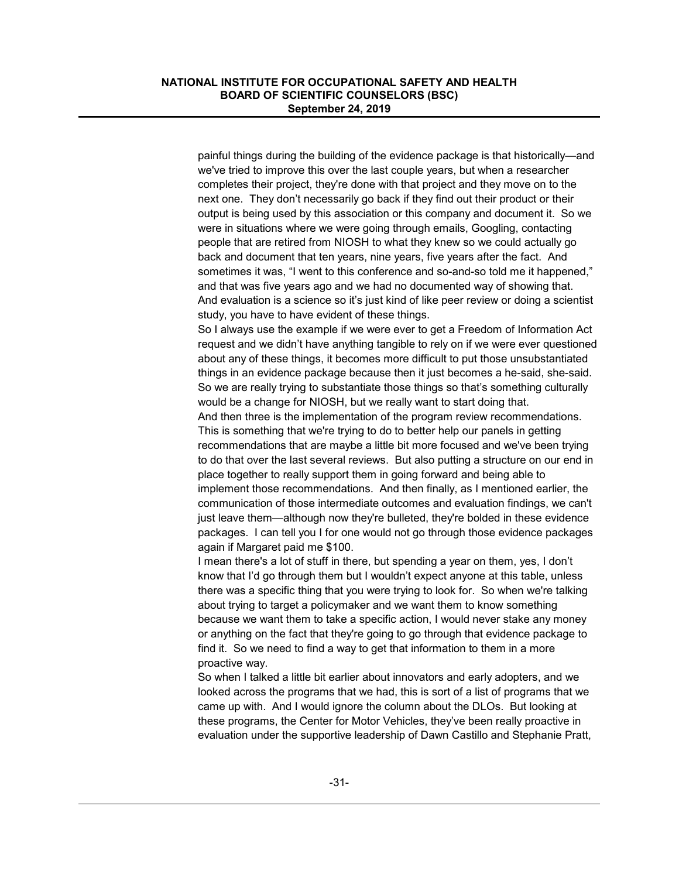painful things during the building of the evidence package is that historically—and we've tried to improve this over the last couple years, but when a researcher completes their project, they're done with that project and they move on to the next one. They don't necessarily go back if they find out their product or their output is being used by this association or this company and document it. So we were in situations where we were going through emails, Googling, contacting people that are retired from NIOSH to what they knew so we could actually go back and document that ten years, nine years, five years after the fact. And sometimes it was, "I went to this conference and so-and-so told me it happened," and that was five years ago and we had no documented way of showing that. And evaluation is a science so it's just kind of like peer review or doing a scientist study, you have to have evident of these things.

So I always use the example if we were ever to get a Freedom of Information Act request and we didn't have anything tangible to rely on if we were ever questioned about any of these things, it becomes more difficult to put those unsubstantiated things in an evidence package because then it just becomes a he-said, she-said. So we are really trying to substantiate those things so that's something culturally would be a change for NIOSH, but we really want to start doing that.

And then three is the implementation of the program review recommendations. This is something that we're trying to do to better help our panels in getting recommendations that are maybe a little bit more focused and we've been trying to do that over the last several reviews. But also putting a structure on our end in place together to really support them in going forward and being able to implement those recommendations. And then finally, as I mentioned earlier, the communication of those intermediate outcomes and evaluation findings, we can't just leave them—although now they're bulleted, they're bolded in these evidence packages. I can tell you I for one would not go through those evidence packages again if Margaret paid me \$100.

I mean there's a lot of stuff in there, but spending a year on them, yes, I don't know that I'd go through them but I wouldn't expect anyone at this table, unless there was a specific thing that you were trying to look for. So when we're talking about trying to target a policymaker and we want them to know something because we want them to take a specific action, I would never stake any money or anything on the fact that they're going to go through that evidence package to find it. So we need to find a way to get that information to them in a more proactive way.

So when I talked a little bit earlier about innovators and early adopters, and we looked across the programs that we had, this is sort of a list of programs that we came up with. And I would ignore the column about the DLOs. But looking at these programs, the Center for Motor Vehicles, they've been really proactive in evaluation under the supportive leadership of Dawn Castillo and Stephanie Pratt,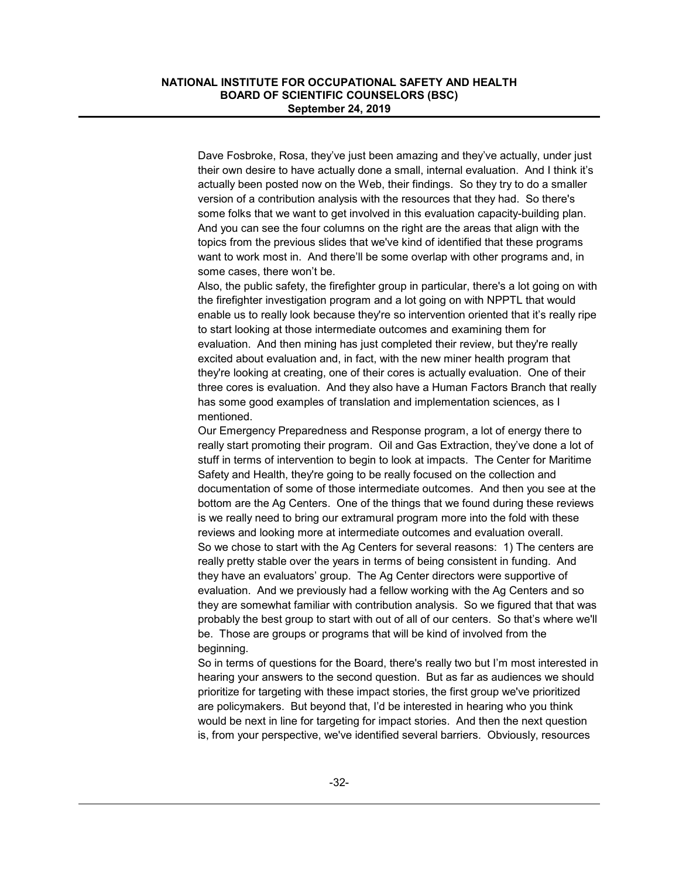Dave Fosbroke, Rosa, they've just been amazing and they've actually, under just their own desire to have actually done a small, internal evaluation. And I think it's actually been posted now on the Web, their findings. So they try to do a smaller version of a contribution analysis with the resources that they had. So there's some folks that we want to get involved in this evaluation capacity-building plan. And you can see the four columns on the right are the areas that align with the topics from the previous slides that we've kind of identified that these programs want to work most in. And there'll be some overlap with other programs and, in some cases, there won't be.

Also, the public safety, the firefighter group in particular, there's a lot going on with the firefighter investigation program and a lot going on with NPPTL that would enable us to really look because they're so intervention oriented that it's really ripe to start looking at those intermediate outcomes and examining them for evaluation. And then mining has just completed their review, but they're really excited about evaluation and, in fact, with the new miner health program that they're looking at creating, one of their cores is actually evaluation. One of their three cores is evaluation. And they also have a Human Factors Branch that really has some good examples of translation and implementation sciences, as I mentioned.

Our Emergency Preparedness and Response program, a lot of energy there to really start promoting their program. Oil and Gas Extraction, they've done a lot of stuff in terms of intervention to begin to look at impacts. The Center for Maritime Safety and Health, they're going to be really focused on the collection and documentation of some of those intermediate outcomes. And then you see at the bottom are the Ag Centers. One of the things that we found during these reviews is we really need to bring our extramural program more into the fold with these reviews and looking more at intermediate outcomes and evaluation overall. So we chose to start with the Ag Centers for several reasons: 1) The centers are really pretty stable over the years in terms of being consistent in funding. And they have an evaluators' group. The Ag Center directors were supportive of evaluation. And we previously had a fellow working with the Ag Centers and so they are somewhat familiar with contribution analysis. So we figured that that was probably the best group to start with out of all of our centers. So that's where we'll be. Those are groups or programs that will be kind of involved from the beginning.

So in terms of questions for the Board, there's really two but I'm most interested in hearing your answers to the second question. But as far as audiences we should prioritize for targeting with these impact stories, the first group we've prioritized are policymakers. But beyond that, I'd be interested in hearing who you think would be next in line for targeting for impact stories. And then the next question is, from your perspective, we've identified several barriers. Obviously, resources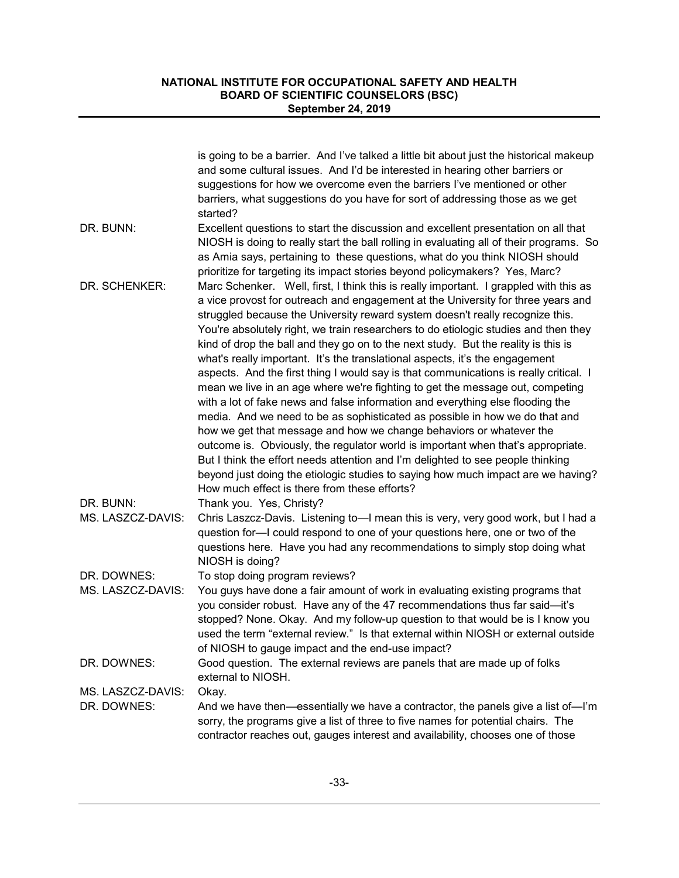|                                  | is going to be a barrier. And I've talked a little bit about just the historical makeup<br>and some cultural issues. And I'd be interested in hearing other barriers or<br>suggestions for how we overcome even the barriers I've mentioned or other<br>barriers, what suggestions do you have for sort of addressing those as we get<br>started?                                                                                                                                                                                                                                                                                                                                                                                                                                                                                                                                                                                                                                                                                                                                                                                                                                                                                                    |
|----------------------------------|------------------------------------------------------------------------------------------------------------------------------------------------------------------------------------------------------------------------------------------------------------------------------------------------------------------------------------------------------------------------------------------------------------------------------------------------------------------------------------------------------------------------------------------------------------------------------------------------------------------------------------------------------------------------------------------------------------------------------------------------------------------------------------------------------------------------------------------------------------------------------------------------------------------------------------------------------------------------------------------------------------------------------------------------------------------------------------------------------------------------------------------------------------------------------------------------------------------------------------------------------|
| DR. BUNN:                        | Excellent questions to start the discussion and excellent presentation on all that<br>NIOSH is doing to really start the ball rolling in evaluating all of their programs. So<br>as Amia says, pertaining to these questions, what do you think NIOSH should<br>prioritize for targeting its impact stories beyond policymakers? Yes, Marc?                                                                                                                                                                                                                                                                                                                                                                                                                                                                                                                                                                                                                                                                                                                                                                                                                                                                                                          |
| DR. SCHENKER:                    | Marc Schenker. Well, first, I think this is really important. I grappled with this as<br>a vice provost for outreach and engagement at the University for three years and<br>struggled because the University reward system doesn't really recognize this.<br>You're absolutely right, we train researchers to do etiologic studies and then they<br>kind of drop the ball and they go on to the next study. But the reality is this is<br>what's really important. It's the translational aspects, it's the engagement<br>aspects. And the first thing I would say is that communications is really critical. I<br>mean we live in an age where we're fighting to get the message out, competing<br>with a lot of fake news and false information and everything else flooding the<br>media. And we need to be as sophisticated as possible in how we do that and<br>how we get that message and how we change behaviors or whatever the<br>outcome is. Obviously, the regulator world is important when that's appropriate.<br>But I think the effort needs attention and I'm delighted to see people thinking<br>beyond just doing the etiologic studies to saying how much impact are we having?<br>How much effect is there from these efforts? |
| DR. BUNN:<br>MS. LASZCZ-DAVIS:   | Thank you. Yes, Christy?<br>Chris Laszcz-Davis. Listening to-I mean this is very, very good work, but I had a<br>question for-I could respond to one of your questions here, one or two of the<br>questions here. Have you had any recommendations to simply stop doing what<br>NIOSH is doing?                                                                                                                                                                                                                                                                                                                                                                                                                                                                                                                                                                                                                                                                                                                                                                                                                                                                                                                                                      |
| DR. DOWNES:<br>MS. LASZCZ-DAVIS: | To stop doing program reviews?<br>You guys have done a fair amount of work in evaluating existing programs that<br>you consider robust. Have any of the 47 recommendations thus far said-it's<br>stopped? None. Okay. And my follow-up question to that would be is I know you<br>used the term "external review." Is that external within NIOSH or external outside<br>of NIOSH to gauge impact and the end-use impact?                                                                                                                                                                                                                                                                                                                                                                                                                                                                                                                                                                                                                                                                                                                                                                                                                             |
| DR. DOWNES:                      | Good question. The external reviews are panels that are made up of folks<br>external to NIOSH.                                                                                                                                                                                                                                                                                                                                                                                                                                                                                                                                                                                                                                                                                                                                                                                                                                                                                                                                                                                                                                                                                                                                                       |
| MS. LASZCZ-DAVIS:<br>DR. DOWNES: | Okay.<br>And we have then—essentially we have a contractor, the panels give a list of—I'm<br>sorry, the programs give a list of three to five names for potential chairs. The<br>contractor reaches out, gauges interest and availability, chooses one of those                                                                                                                                                                                                                                                                                                                                                                                                                                                                                                                                                                                                                                                                                                                                                                                                                                                                                                                                                                                      |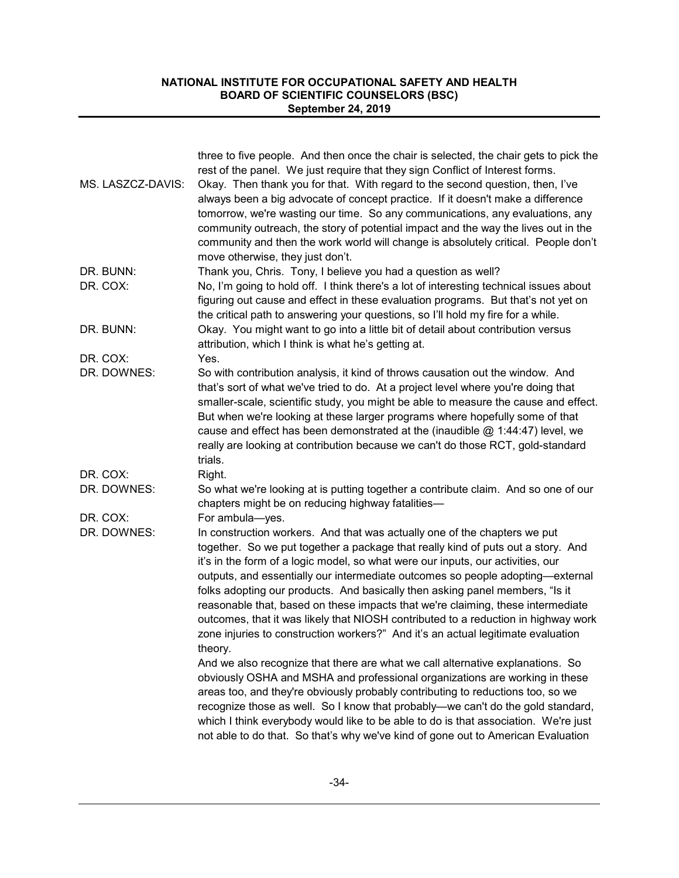|                   | three to five people. And then once the chair is selected, the chair gets to pick the<br>rest of the panel. We just require that they sign Conflict of Interest forms.                                                                                                                                                                                                                                                                                                                                                                                                                                                                                                                     |
|-------------------|--------------------------------------------------------------------------------------------------------------------------------------------------------------------------------------------------------------------------------------------------------------------------------------------------------------------------------------------------------------------------------------------------------------------------------------------------------------------------------------------------------------------------------------------------------------------------------------------------------------------------------------------------------------------------------------------|
| MS. LASZCZ-DAVIS: | Okay. Then thank you for that. With regard to the second question, then, I've<br>always been a big advocate of concept practice. If it doesn't make a difference<br>tomorrow, we're wasting our time. So any communications, any evaluations, any<br>community outreach, the story of potential impact and the way the lives out in the<br>community and then the work world will change is absolutely critical. People don't<br>move otherwise, they just don't.                                                                                                                                                                                                                          |
| DR. BUNN:         | Thank you, Chris. Tony, I believe you had a question as well?                                                                                                                                                                                                                                                                                                                                                                                                                                                                                                                                                                                                                              |
| DR. COX:          | No, I'm going to hold off. I think there's a lot of interesting technical issues about<br>figuring out cause and effect in these evaluation programs. But that's not yet on<br>the critical path to answering your questions, so I'll hold my fire for a while.                                                                                                                                                                                                                                                                                                                                                                                                                            |
| DR. BUNN:         | Okay. You might want to go into a little bit of detail about contribution versus<br>attribution, which I think is what he's getting at.                                                                                                                                                                                                                                                                                                                                                                                                                                                                                                                                                    |
| DR. COX:          | Yes.                                                                                                                                                                                                                                                                                                                                                                                                                                                                                                                                                                                                                                                                                       |
| DR. DOWNES:       | So with contribution analysis, it kind of throws causation out the window. And<br>that's sort of what we've tried to do. At a project level where you're doing that<br>smaller-scale, scientific study, you might be able to measure the cause and effect.<br>But when we're looking at these larger programs where hopefully some of that<br>cause and effect has been demonstrated at the (inaudible $@$ 1:44:47) level, we<br>really are looking at contribution because we can't do those RCT, gold-standard<br>trials.                                                                                                                                                                |
| DR. COX:          | Right.                                                                                                                                                                                                                                                                                                                                                                                                                                                                                                                                                                                                                                                                                     |
| DR. DOWNES:       | So what we're looking at is putting together a contribute claim. And so one of our<br>chapters might be on reducing highway fatalities-                                                                                                                                                                                                                                                                                                                                                                                                                                                                                                                                                    |
| DR. COX:          | For ambula-yes.                                                                                                                                                                                                                                                                                                                                                                                                                                                                                                                                                                                                                                                                            |
| DR. DOWNES:       | In construction workers. And that was actually one of the chapters we put<br>together. So we put together a package that really kind of puts out a story. And<br>it's in the form of a logic model, so what were our inputs, our activities, our<br>outputs, and essentially our intermediate outcomes so people adopting-external<br>folks adopting our products. And basically then asking panel members, "Is it<br>reasonable that, based on these impacts that we're claiming, these intermediate<br>outcomes, that it was likely that NIOSH contributed to a reduction in highway work<br>zone injuries to construction workers?" And it's an actual legitimate evaluation<br>theory. |
|                   | And we also recognize that there are what we call alternative explanations. So<br>obviously OSHA and MSHA and professional organizations are working in these<br>areas too, and they're obviously probably contributing to reductions too, so we<br>recognize those as well. So I know that probably—we can't do the gold standard,<br>which I think everybody would like to be able to do is that association. We're just<br>not able to do that. So that's why we've kind of gone out to American Evaluation                                                                                                                                                                             |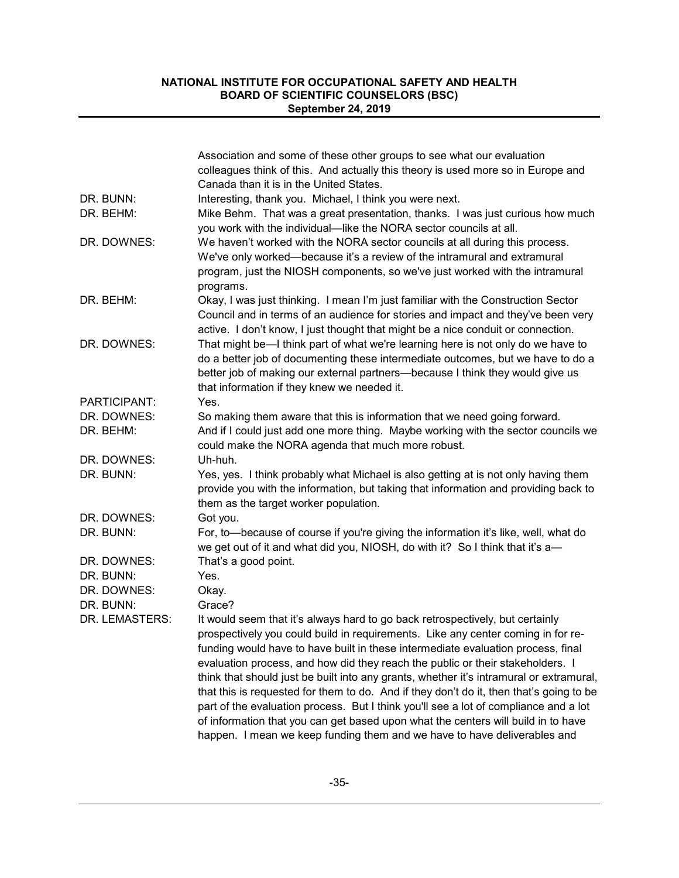|                | Association and some of these other groups to see what our evaluation                                                        |
|----------------|------------------------------------------------------------------------------------------------------------------------------|
|                | colleagues think of this. And actually this theory is used more so in Europe and                                             |
|                | Canada than it is in the United States.                                                                                      |
| DR. BUNN:      | Interesting, thank you. Michael, I think you were next.                                                                      |
| DR. BEHM:      | Mike Behm. That was a great presentation, thanks. I was just curious how much                                                |
|                | you work with the individual-like the NORA sector councils at all.                                                           |
| DR. DOWNES:    | We haven't worked with the NORA sector councils at all during this process.                                                  |
|                | We've only worked—because it's a review of the intramural and extramural                                                     |
|                | program, just the NIOSH components, so we've just worked with the intramural                                                 |
|                | programs.                                                                                                                    |
| DR. BEHM:      | Okay, I was just thinking. I mean I'm just familiar with the Construction Sector                                             |
|                | Council and in terms of an audience for stories and impact and they've been very                                             |
|                | active. I don't know, I just thought that might be a nice conduit or connection.                                             |
| DR. DOWNES:    | That might be-I think part of what we're learning here is not only do we have to                                             |
|                | do a better job of documenting these intermediate outcomes, but we have to do a                                              |
|                | better job of making our external partners-because I think they would give us<br>that information if they knew we needed it. |
| PARTICIPANT:   | Yes.                                                                                                                         |
| DR. DOWNES:    | So making them aware that this is information that we need going forward.                                                    |
| DR. BEHM:      | And if I could just add one more thing. Maybe working with the sector councils we                                            |
|                | could make the NORA agenda that much more robust.                                                                            |
| DR. DOWNES:    | Uh-huh.                                                                                                                      |
| DR. BUNN:      | Yes, yes. I think probably what Michael is also getting at is not only having them                                           |
|                | provide you with the information, but taking that information and providing back to                                          |
|                | them as the target worker population.                                                                                        |
| DR. DOWNES:    | Got you.                                                                                                                     |
| DR. BUNN:      | For, to-because of course if you're giving the information it's like, well, what do                                          |
|                | we get out of it and what did you, NIOSH, do with it? So I think that it's a-                                                |
| DR. DOWNES:    | That's a good point.                                                                                                         |
| DR. BUNN:      | Yes.                                                                                                                         |
| DR. DOWNES:    | Okay.                                                                                                                        |
| DR. BUNN:      | Grace?                                                                                                                       |
| DR. LEMASTERS: | It would seem that it's always hard to go back retrospectively, but certainly                                                |
|                | prospectively you could build in requirements. Like any center coming in for re-                                             |
|                | funding would have to have built in these intermediate evaluation process, final                                             |
|                | evaluation process, and how did they reach the public or their stakeholders. I                                               |
|                | think that should just be built into any grants, whether it's intramural or extramural,                                      |
|                | that this is requested for them to do. And if they don't do it, then that's going to be                                      |
|                | part of the evaluation process. But I think you'll see a lot of compliance and a lot                                         |
|                | of information that you can get based upon what the centers will build in to have                                            |
|                | happen. I mean we keep funding them and we have to have deliverables and                                                     |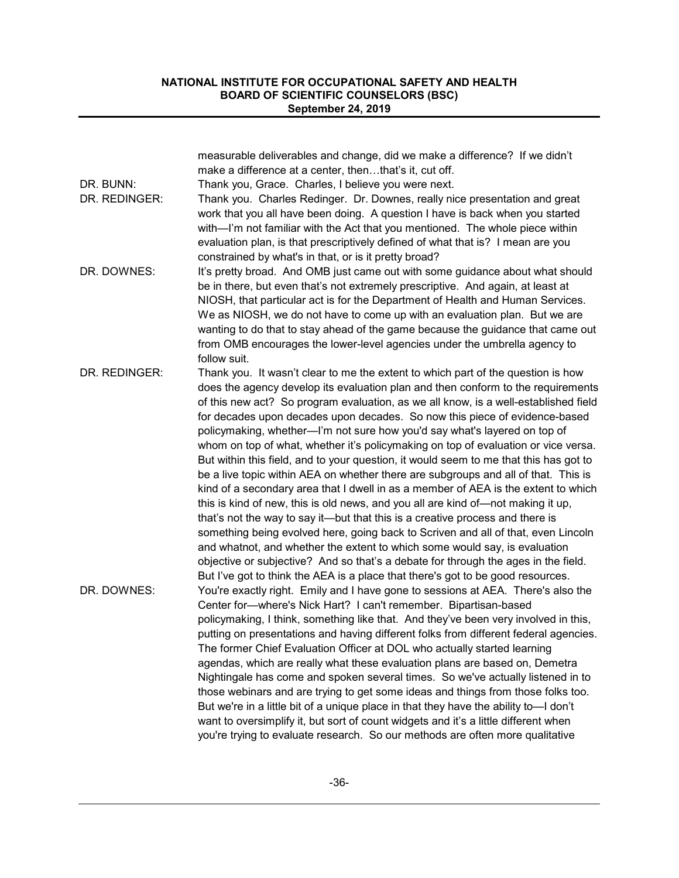|               | measurable deliverables and change, did we make a difference? If we didn't<br>make a difference at a center, thenthat's it, cut off.                                                                                                                                                                                                                                                                                                                                                                                                                                                                                                                                                                                                                                                                                                                                                                                                  |
|---------------|---------------------------------------------------------------------------------------------------------------------------------------------------------------------------------------------------------------------------------------------------------------------------------------------------------------------------------------------------------------------------------------------------------------------------------------------------------------------------------------------------------------------------------------------------------------------------------------------------------------------------------------------------------------------------------------------------------------------------------------------------------------------------------------------------------------------------------------------------------------------------------------------------------------------------------------|
| DR. BUNN:     | Thank you, Grace. Charles, I believe you were next.                                                                                                                                                                                                                                                                                                                                                                                                                                                                                                                                                                                                                                                                                                                                                                                                                                                                                   |
| DR. REDINGER: | Thank you. Charles Redinger. Dr. Downes, really nice presentation and great<br>work that you all have been doing. A question I have is back when you started<br>with-'m not familiar with the Act that you mentioned. The whole piece within                                                                                                                                                                                                                                                                                                                                                                                                                                                                                                                                                                                                                                                                                          |
|               | evaluation plan, is that prescriptively defined of what that is? I mean are you                                                                                                                                                                                                                                                                                                                                                                                                                                                                                                                                                                                                                                                                                                                                                                                                                                                       |
|               | constrained by what's in that, or is it pretty broad?                                                                                                                                                                                                                                                                                                                                                                                                                                                                                                                                                                                                                                                                                                                                                                                                                                                                                 |
| DR. DOWNES:   | It's pretty broad. And OMB just came out with some guidance about what should<br>be in there, but even that's not extremely prescriptive. And again, at least at<br>NIOSH, that particular act is for the Department of Health and Human Services.<br>We as NIOSH, we do not have to come up with an evaluation plan. But we are<br>wanting to do that to stay ahead of the game because the guidance that came out<br>from OMB encourages the lower-level agencies under the umbrella agency to<br>follow suit.                                                                                                                                                                                                                                                                                                                                                                                                                      |
| DR. REDINGER: | Thank you. It wasn't clear to me the extent to which part of the question is how<br>does the agency develop its evaluation plan and then conform to the requirements<br>of this new act? So program evaluation, as we all know, is a well-established field                                                                                                                                                                                                                                                                                                                                                                                                                                                                                                                                                                                                                                                                           |
|               | for decades upon decades upon decades. So now this piece of evidence-based<br>policymaking, whether-'m not sure how you'd say what's layered on top of<br>whom on top of what, whether it's policymaking on top of evaluation or vice versa.                                                                                                                                                                                                                                                                                                                                                                                                                                                                                                                                                                                                                                                                                          |
|               | But within this field, and to your question, it would seem to me that this has got to<br>be a live topic within AEA on whether there are subgroups and all of that. This is<br>kind of a secondary area that I dwell in as a member of AEA is the extent to which<br>this is kind of new, this is old news, and you all are kind of—not making it up,<br>that's not the way to say it—but that this is a creative process and there is<br>something being evolved here, going back to Scriven and all of that, even Lincoln<br>and whatnot, and whether the extent to which some would say, is evaluation<br>objective or subjective? And so that's a debate for through the ages in the field.<br>But I've got to think the AEA is a place that there's got to be good resources.                                                                                                                                                    |
| DR. DOWNES:   | You're exactly right. Emily and I have gone to sessions at AEA. There's also the<br>Center for-where's Nick Hart? I can't remember. Bipartisan-based<br>policymaking, I think, something like that. And they've been very involved in this,<br>putting on presentations and having different folks from different federal agencies.<br>The former Chief Evaluation Officer at DOL who actually started learning<br>agendas, which are really what these evaluation plans are based on, Demetra<br>Nightingale has come and spoken several times. So we've actually listened in to<br>those webinars and are trying to get some ideas and things from those folks too.<br>But we're in a little bit of a unique place in that they have the ability to-I don't<br>want to oversimplify it, but sort of count widgets and it's a little different when<br>you're trying to evaluate research. So our methods are often more qualitative |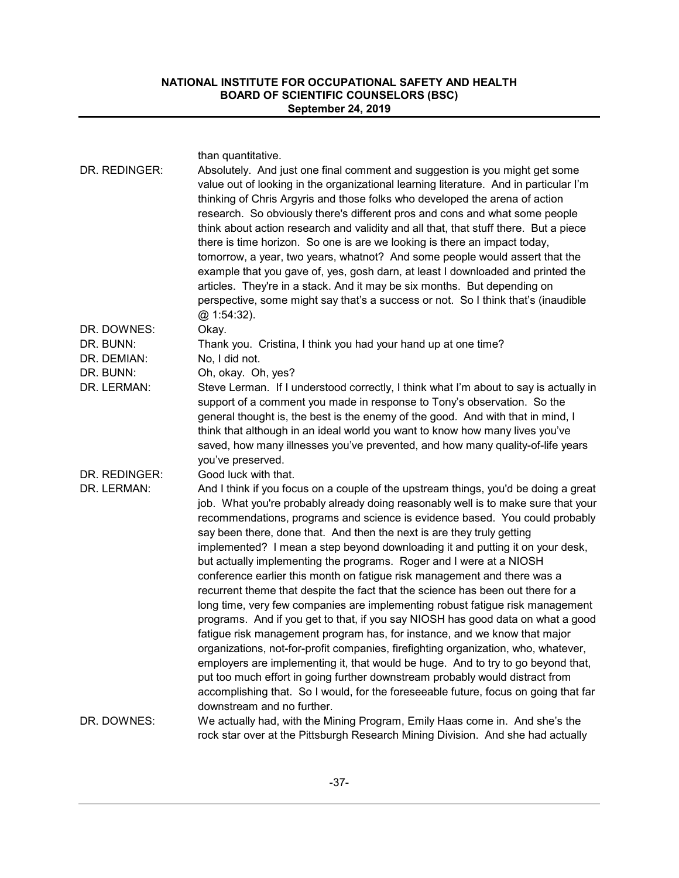than quantitative.

| DR. REDINGER: | Absolutely. And just one final comment and suggestion is you might get some<br>value out of looking in the organizational learning literature. And in particular I'm<br>thinking of Chris Argyris and those folks who developed the arena of action<br>research. So obviously there's different pros and cons and what some people<br>think about action research and validity and all that, that stuff there. But a piece<br>there is time horizon. So one is are we looking is there an impact today,<br>tomorrow, a year, two years, whatnot? And some people would assert that the<br>example that you gave of, yes, gosh darn, at least I downloaded and printed the<br>articles. They're in a stack. And it may be six months. But depending on<br>perspective, some might say that's a success or not. So I think that's (inaudible<br>@.1:54:32).                                                                                                                                                                                                                                                                                                                                                                                                                                |
|---------------|------------------------------------------------------------------------------------------------------------------------------------------------------------------------------------------------------------------------------------------------------------------------------------------------------------------------------------------------------------------------------------------------------------------------------------------------------------------------------------------------------------------------------------------------------------------------------------------------------------------------------------------------------------------------------------------------------------------------------------------------------------------------------------------------------------------------------------------------------------------------------------------------------------------------------------------------------------------------------------------------------------------------------------------------------------------------------------------------------------------------------------------------------------------------------------------------------------------------------------------------------------------------------------------|
| DR. DOWNES:   | Okay.                                                                                                                                                                                                                                                                                                                                                                                                                                                                                                                                                                                                                                                                                                                                                                                                                                                                                                                                                                                                                                                                                                                                                                                                                                                                                    |
| DR. BUNN:     | Thank you. Cristina, I think you had your hand up at one time?                                                                                                                                                                                                                                                                                                                                                                                                                                                                                                                                                                                                                                                                                                                                                                                                                                                                                                                                                                                                                                                                                                                                                                                                                           |
| DR. DEMIAN:   | No, I did not.                                                                                                                                                                                                                                                                                                                                                                                                                                                                                                                                                                                                                                                                                                                                                                                                                                                                                                                                                                                                                                                                                                                                                                                                                                                                           |
| DR. BUNN:     | Oh, okay. Oh, yes?                                                                                                                                                                                                                                                                                                                                                                                                                                                                                                                                                                                                                                                                                                                                                                                                                                                                                                                                                                                                                                                                                                                                                                                                                                                                       |
| DR. LERMAN:   | Steve Lerman. If I understood correctly, I think what I'm about to say is actually in<br>support of a comment you made in response to Tony's observation. So the<br>general thought is, the best is the enemy of the good. And with that in mind, I<br>think that although in an ideal world you want to know how many lives you've<br>saved, how many illnesses you've prevented, and how many quality-of-life years<br>you've preserved.                                                                                                                                                                                                                                                                                                                                                                                                                                                                                                                                                                                                                                                                                                                                                                                                                                               |
| DR. REDINGER: | Good luck with that.                                                                                                                                                                                                                                                                                                                                                                                                                                                                                                                                                                                                                                                                                                                                                                                                                                                                                                                                                                                                                                                                                                                                                                                                                                                                     |
| DR. LERMAN:   | And I think if you focus on a couple of the upstream things, you'd be doing a great<br>job. What you're probably already doing reasonably well is to make sure that your<br>recommendations, programs and science is evidence based. You could probably<br>say been there, done that. And then the next is are they truly getting<br>implemented? I mean a step beyond downloading it and putting it on your desk,<br>but actually implementing the programs. Roger and I were at a NIOSH<br>conference earlier this month on fatigue risk management and there was a<br>recurrent theme that despite the fact that the science has been out there for a<br>long time, very few companies are implementing robust fatigue risk management<br>programs. And if you get to that, if you say NIOSH has good data on what a good<br>fatigue risk management program has, for instance, and we know that major<br>organizations, not-for-profit companies, firefighting organization, who, whatever,<br>employers are implementing it, that would be huge. And to try to go beyond that,<br>put too much effort in going further downstream probably would distract from<br>accomplishing that. So I would, for the foreseeable future, focus on going that far<br>downstream and no further. |
| DR. DOWNES:   | We actually had, with the Mining Program, Emily Haas come in. And she's the                                                                                                                                                                                                                                                                                                                                                                                                                                                                                                                                                                                                                                                                                                                                                                                                                                                                                                                                                                                                                                                                                                                                                                                                              |
|               | rock star over at the Pittsburgh Research Mining Division. And she had actually                                                                                                                                                                                                                                                                                                                                                                                                                                                                                                                                                                                                                                                                                                                                                                                                                                                                                                                                                                                                                                                                                                                                                                                                          |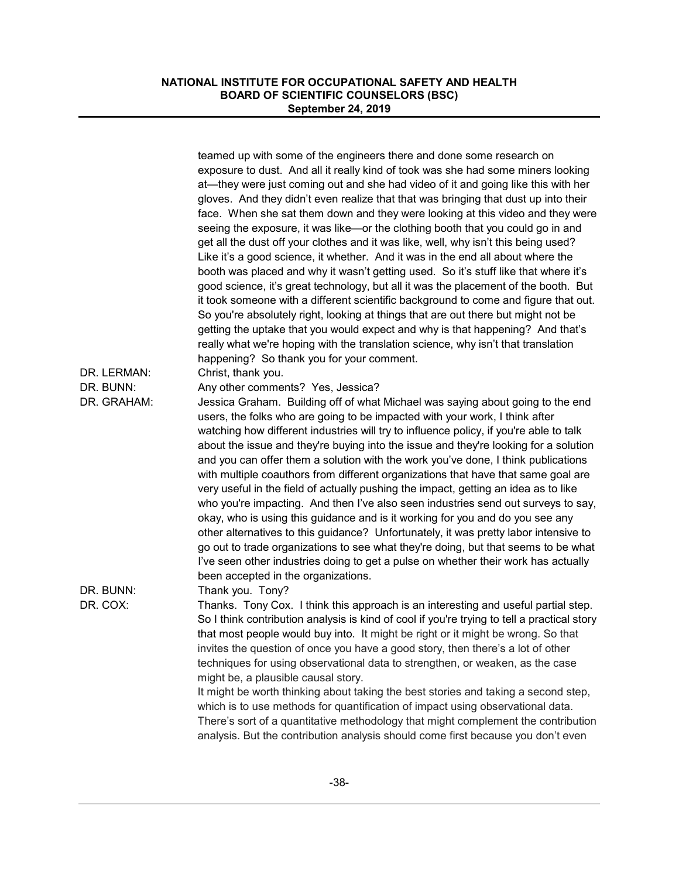|             | teamed up with some of the engineers there and done some research on<br>exposure to dust. And all it really kind of took was she had some miners looking<br>at—they were just coming out and she had video of it and going like this with her<br>gloves. And they didn't even realize that that was bringing that dust up into their<br>face. When she sat them down and they were looking at this video and they were<br>seeing the exposure, it was like-or the clothing booth that you could go in and<br>get all the dust off your clothes and it was like, well, why isn't this being used?<br>Like it's a good science, it whether. And it was in the end all about where the<br>booth was placed and why it wasn't getting used. So it's stuff like that where it's<br>good science, it's great technology, but all it was the placement of the booth. But<br>it took someone with a different scientific background to come and figure that out.<br>So you're absolutely right, looking at things that are out there but might not be<br>getting the uptake that you would expect and why is that happening? And that's<br>really what we're hoping with the translation science, why isn't that translation<br>happening? So thank you for your comment. |
|-------------|-------------------------------------------------------------------------------------------------------------------------------------------------------------------------------------------------------------------------------------------------------------------------------------------------------------------------------------------------------------------------------------------------------------------------------------------------------------------------------------------------------------------------------------------------------------------------------------------------------------------------------------------------------------------------------------------------------------------------------------------------------------------------------------------------------------------------------------------------------------------------------------------------------------------------------------------------------------------------------------------------------------------------------------------------------------------------------------------------------------------------------------------------------------------------------------------------------------------------------------------------------------------|
| DR. LERMAN: | Christ, thank you.                                                                                                                                                                                                                                                                                                                                                                                                                                                                                                                                                                                                                                                                                                                                                                                                                                                                                                                                                                                                                                                                                                                                                                                                                                                |
| DR. BUNN:   | Any other comments? Yes, Jessica?                                                                                                                                                                                                                                                                                                                                                                                                                                                                                                                                                                                                                                                                                                                                                                                                                                                                                                                                                                                                                                                                                                                                                                                                                                 |
| DR. GRAHAM: | Jessica Graham. Building off of what Michael was saying about going to the end                                                                                                                                                                                                                                                                                                                                                                                                                                                                                                                                                                                                                                                                                                                                                                                                                                                                                                                                                                                                                                                                                                                                                                                    |
|             | users, the folks who are going to be impacted with your work, I think after                                                                                                                                                                                                                                                                                                                                                                                                                                                                                                                                                                                                                                                                                                                                                                                                                                                                                                                                                                                                                                                                                                                                                                                       |
|             | watching how different industries will try to influence policy, if you're able to talk                                                                                                                                                                                                                                                                                                                                                                                                                                                                                                                                                                                                                                                                                                                                                                                                                                                                                                                                                                                                                                                                                                                                                                            |
|             | about the issue and they're buying into the issue and they're looking for a solution                                                                                                                                                                                                                                                                                                                                                                                                                                                                                                                                                                                                                                                                                                                                                                                                                                                                                                                                                                                                                                                                                                                                                                              |
|             | and you can offer them a solution with the work you've done, I think publications                                                                                                                                                                                                                                                                                                                                                                                                                                                                                                                                                                                                                                                                                                                                                                                                                                                                                                                                                                                                                                                                                                                                                                                 |
|             | with multiple coauthors from different organizations that have that same goal are                                                                                                                                                                                                                                                                                                                                                                                                                                                                                                                                                                                                                                                                                                                                                                                                                                                                                                                                                                                                                                                                                                                                                                                 |
|             | very useful in the field of actually pushing the impact, getting an idea as to like<br>who you're impacting. And then I've also seen industries send out surveys to say,                                                                                                                                                                                                                                                                                                                                                                                                                                                                                                                                                                                                                                                                                                                                                                                                                                                                                                                                                                                                                                                                                          |
|             | okay, who is using this guidance and is it working for you and do you see any                                                                                                                                                                                                                                                                                                                                                                                                                                                                                                                                                                                                                                                                                                                                                                                                                                                                                                                                                                                                                                                                                                                                                                                     |
|             | other alternatives to this guidance? Unfortunately, it was pretty labor intensive to                                                                                                                                                                                                                                                                                                                                                                                                                                                                                                                                                                                                                                                                                                                                                                                                                                                                                                                                                                                                                                                                                                                                                                              |
|             | go out to trade organizations to see what they're doing, but that seems to be what                                                                                                                                                                                                                                                                                                                                                                                                                                                                                                                                                                                                                                                                                                                                                                                                                                                                                                                                                                                                                                                                                                                                                                                |
|             | I've seen other industries doing to get a pulse on whether their work has actually                                                                                                                                                                                                                                                                                                                                                                                                                                                                                                                                                                                                                                                                                                                                                                                                                                                                                                                                                                                                                                                                                                                                                                                |
|             | been accepted in the organizations.                                                                                                                                                                                                                                                                                                                                                                                                                                                                                                                                                                                                                                                                                                                                                                                                                                                                                                                                                                                                                                                                                                                                                                                                                               |
| DR. BUNN:   | Thank you. Tony?                                                                                                                                                                                                                                                                                                                                                                                                                                                                                                                                                                                                                                                                                                                                                                                                                                                                                                                                                                                                                                                                                                                                                                                                                                                  |
| DR. COX:    | Thanks. Tony Cox. I think this approach is an interesting and useful partial step.                                                                                                                                                                                                                                                                                                                                                                                                                                                                                                                                                                                                                                                                                                                                                                                                                                                                                                                                                                                                                                                                                                                                                                                |
|             | So I think contribution analysis is kind of cool if you're trying to tell a practical story                                                                                                                                                                                                                                                                                                                                                                                                                                                                                                                                                                                                                                                                                                                                                                                                                                                                                                                                                                                                                                                                                                                                                                       |
|             | that most people would buy into. It might be right or it might be wrong. So that                                                                                                                                                                                                                                                                                                                                                                                                                                                                                                                                                                                                                                                                                                                                                                                                                                                                                                                                                                                                                                                                                                                                                                                  |
|             | invites the question of once you have a good story, then there's a lot of other                                                                                                                                                                                                                                                                                                                                                                                                                                                                                                                                                                                                                                                                                                                                                                                                                                                                                                                                                                                                                                                                                                                                                                                   |
|             | techniques for using observational data to strengthen, or weaken, as the case                                                                                                                                                                                                                                                                                                                                                                                                                                                                                                                                                                                                                                                                                                                                                                                                                                                                                                                                                                                                                                                                                                                                                                                     |
|             | might be, a plausible causal story.<br>It might be worth thinking about taking the best stories and taking a second step,                                                                                                                                                                                                                                                                                                                                                                                                                                                                                                                                                                                                                                                                                                                                                                                                                                                                                                                                                                                                                                                                                                                                         |
|             | which is to use methods for quantification of impact using observational data.                                                                                                                                                                                                                                                                                                                                                                                                                                                                                                                                                                                                                                                                                                                                                                                                                                                                                                                                                                                                                                                                                                                                                                                    |
|             | There's sort of a quantitative methodology that might complement the contribution                                                                                                                                                                                                                                                                                                                                                                                                                                                                                                                                                                                                                                                                                                                                                                                                                                                                                                                                                                                                                                                                                                                                                                                 |
|             | analysis. But the contribution analysis should come first because you don't even                                                                                                                                                                                                                                                                                                                                                                                                                                                                                                                                                                                                                                                                                                                                                                                                                                                                                                                                                                                                                                                                                                                                                                                  |
|             |                                                                                                                                                                                                                                                                                                                                                                                                                                                                                                                                                                                                                                                                                                                                                                                                                                                                                                                                                                                                                                                                                                                                                                                                                                                                   |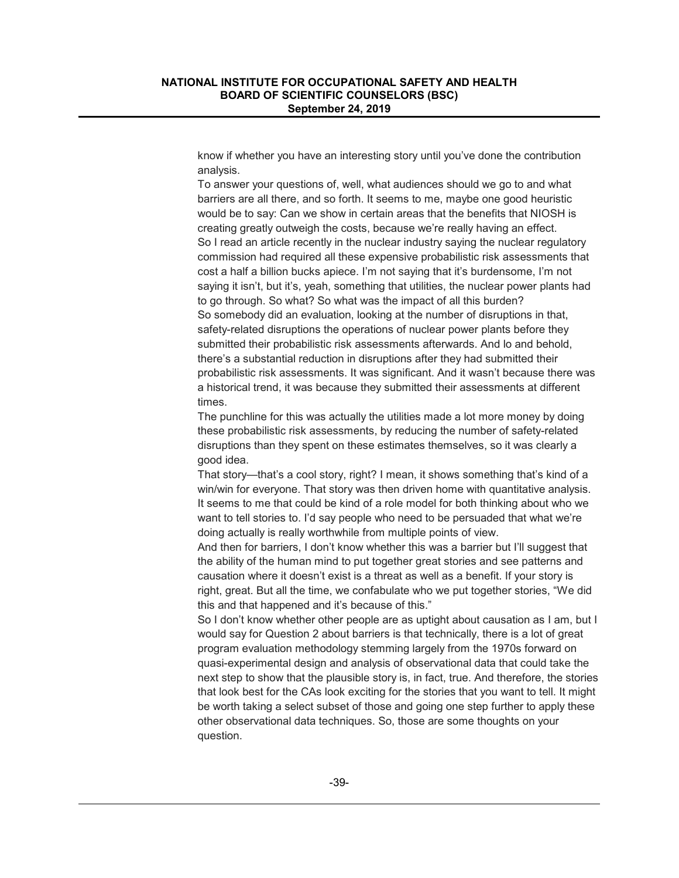know if whether you have an interesting story until you've done the contribution analysis.

To answer your questions of, well, what audiences should we go to and what barriers are all there, and so forth. It seems to me, maybe one good heuristic would be to say: Can we show in certain areas that the benefits that NIOSH is creating greatly outweigh the costs, because we're really having an effect. So I read an article recently in the nuclear industry saying the nuclear regulatory commission had required all these expensive probabilistic risk assessments that cost a half a billion bucks apiece. I'm not saying that it's burdensome, I'm not saying it isn't, but it's, yeah, something that utilities, the nuclear power plants had to go through. So what? So what was the impact of all this burden? So somebody did an evaluation, looking at the number of disruptions in that, safety-related disruptions the operations of nuclear power plants before they submitted their probabilistic risk assessments afterwards. And lo and behold, there's a substantial reduction in disruptions after they had submitted their probabilistic risk assessments. It was significant. And it wasn't because there was a historical trend, it was because they submitted their assessments at different times.

The punchline for this was actually the utilities made a lot more money by doing these probabilistic risk assessments, by reducing the number of safety-related disruptions than they spent on these estimates themselves, so it was clearly a good idea.

That story—that's a cool story, right? I mean, it shows something that's kind of a win/win for everyone. That story was then driven home with quantitative analysis. It seems to me that could be kind of a role model for both thinking about who we want to tell stories to. I'd say people who need to be persuaded that what we're doing actually is really worthwhile from multiple points of view.

And then for barriers, I don't know whether this was a barrier but I'll suggest that the ability of the human mind to put together great stories and see patterns and causation where it doesn't exist is a threat as well as a benefit. If your story is right, great. But all the time, we confabulate who we put together stories, "We did this and that happened and it's because of this."

So I don't know whether other people are as uptight about causation as I am, but I would say for Question 2 about barriers is that technically, there is a lot of great program evaluation methodology stemming largely from the 1970s forward on quasi-experimental design and analysis of observational data that could take the next step to show that the plausible story is, in fact, true. And therefore, the stories that look best for the CAs look exciting for the stories that you want to tell. It might be worth taking a select subset of those and going one step further to apply these other observational data techniques. So, those are some thoughts on your question.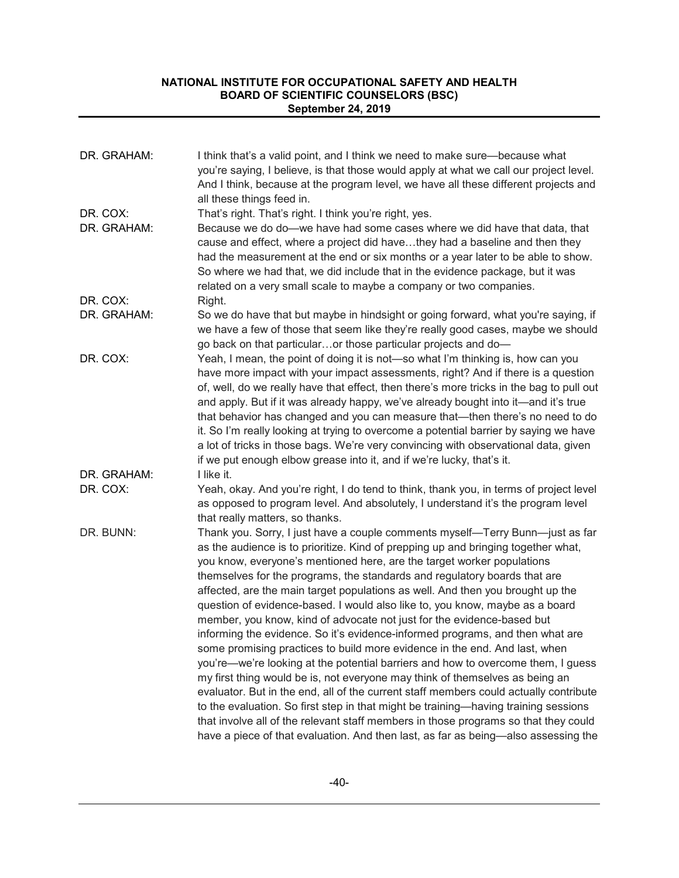| DR. GRAHAM:             | I think that's a valid point, and I think we need to make sure-because what<br>you're saying, I believe, is that those would apply at what we call our project level.<br>And I think, because at the program level, we have all these different projects and<br>all these things feed in.                                                                                                                                                                                                                                                                                                                                                                                                                                                                                                                                                                                                                                                                                                                                                                                                                                                                                                                                                                             |
|-------------------------|-----------------------------------------------------------------------------------------------------------------------------------------------------------------------------------------------------------------------------------------------------------------------------------------------------------------------------------------------------------------------------------------------------------------------------------------------------------------------------------------------------------------------------------------------------------------------------------------------------------------------------------------------------------------------------------------------------------------------------------------------------------------------------------------------------------------------------------------------------------------------------------------------------------------------------------------------------------------------------------------------------------------------------------------------------------------------------------------------------------------------------------------------------------------------------------------------------------------------------------------------------------------------|
| DR. COX:<br>DR. GRAHAM: | That's right. That's right. I think you're right, yes.<br>Because we do do-we have had some cases where we did have that data, that<br>cause and effect, where a project did havethey had a baseline and then they<br>had the measurement at the end or six months or a year later to be able to show.<br>So where we had that, we did include that in the evidence package, but it was<br>related on a very small scale to maybe a company or two companies.                                                                                                                                                                                                                                                                                                                                                                                                                                                                                                                                                                                                                                                                                                                                                                                                         |
| DR. COX:                | Right.                                                                                                                                                                                                                                                                                                                                                                                                                                                                                                                                                                                                                                                                                                                                                                                                                                                                                                                                                                                                                                                                                                                                                                                                                                                                |
| DR. GRAHAM:             | So we do have that but maybe in hindsight or going forward, what you're saying, if<br>we have a few of those that seem like they're really good cases, maybe we should<br>go back on that particularor those particular projects and do-                                                                                                                                                                                                                                                                                                                                                                                                                                                                                                                                                                                                                                                                                                                                                                                                                                                                                                                                                                                                                              |
| DR. COX:                | Yeah, I mean, the point of doing it is not-so what I'm thinking is, how can you<br>have more impact with your impact assessments, right? And if there is a question<br>of, well, do we really have that effect, then there's more tricks in the bag to pull out<br>and apply. But if it was already happy, we've already bought into it—and it's true<br>that behavior has changed and you can measure that—then there's no need to do<br>it. So I'm really looking at trying to overcome a potential barrier by saying we have<br>a lot of tricks in those bags. We're very convincing with observational data, given<br>if we put enough elbow grease into it, and if we're lucky, that's it.                                                                                                                                                                                                                                                                                                                                                                                                                                                                                                                                                                       |
| DR. GRAHAM:             | I like it.                                                                                                                                                                                                                                                                                                                                                                                                                                                                                                                                                                                                                                                                                                                                                                                                                                                                                                                                                                                                                                                                                                                                                                                                                                                            |
| DR. COX:                | Yeah, okay. And you're right, I do tend to think, thank you, in terms of project level<br>as opposed to program level. And absolutely, I understand it's the program level<br>that really matters, so thanks.                                                                                                                                                                                                                                                                                                                                                                                                                                                                                                                                                                                                                                                                                                                                                                                                                                                                                                                                                                                                                                                         |
| DR. BUNN:               | Thank you. Sorry, I just have a couple comments myself—Terry Bunn—just as far<br>as the audience is to prioritize. Kind of prepping up and bringing together what,<br>you know, everyone's mentioned here, are the target worker populations<br>themselves for the programs, the standards and regulatory boards that are<br>affected, are the main target populations as well. And then you brought up the<br>question of evidence-based. I would also like to, you know, maybe as a board<br>member, you know, kind of advocate not just for the evidence-based but<br>informing the evidence. So it's evidence-informed programs, and then what are<br>some promising practices to build more evidence in the end. And last, when<br>you're—we're looking at the potential barriers and how to overcome them, I guess<br>my first thing would be is, not everyone may think of themselves as being an<br>evaluator. But in the end, all of the current staff members could actually contribute<br>to the evaluation. So first step in that might be training—having training sessions<br>that involve all of the relevant staff members in those programs so that they could<br>have a piece of that evaluation. And then last, as far as being-also assessing the |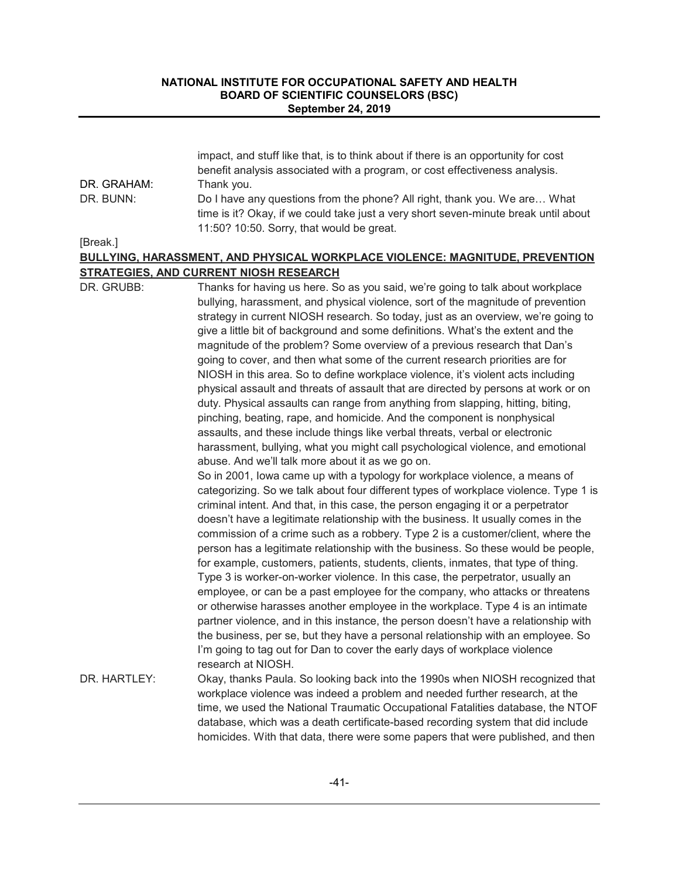|             | impact, and stuff like that, is to think about if there is an opportunity for cost  |
|-------------|-------------------------------------------------------------------------------------|
|             | benefit analysis associated with a program, or cost effectiveness analysis.         |
| DR. GRAHAM: | Thank you.                                                                          |
| DR. BUNN:   | Do I have any questions from the phone? All right, thank you. We are What           |
|             | time is it? Okay, if we could take just a very short seven-minute break until about |
|             | 11:50? 10:50. Sorry, that would be great.                                           |
|             |                                                                                     |

[Break.]

# **BULLYING, HARASSMENT, AND PHYSICAL WORKPLACE VIOLENCE: MAGNITUDE, PREVENTION STRATEGIES, AND CURRENT NIOSH RESEARCH**

| DR. GRUBB:   | Thanks for having us here. So as you said, we're going to talk about workplace<br>bullying, harassment, and physical violence, sort of the magnitude of prevention<br>strategy in current NIOSH research. So today, just as an overview, we're going to<br>give a little bit of background and some definitions. What's the extent and the<br>magnitude of the problem? Some overview of a previous research that Dan's<br>going to cover, and then what some of the current research priorities are for<br>NIOSH in this area. So to define workplace violence, it's violent acts including<br>physical assault and threats of assault that are directed by persons at work or on<br>duty. Physical assaults can range from anything from slapping, hitting, biting,                                                                                                                                                                                                                                                                                                                                                                                                                             |
|--------------|---------------------------------------------------------------------------------------------------------------------------------------------------------------------------------------------------------------------------------------------------------------------------------------------------------------------------------------------------------------------------------------------------------------------------------------------------------------------------------------------------------------------------------------------------------------------------------------------------------------------------------------------------------------------------------------------------------------------------------------------------------------------------------------------------------------------------------------------------------------------------------------------------------------------------------------------------------------------------------------------------------------------------------------------------------------------------------------------------------------------------------------------------------------------------------------------------|
|              | pinching, beating, rape, and homicide. And the component is nonphysical<br>assaults, and these include things like verbal threats, verbal or electronic<br>harassment, bullying, what you might call psychological violence, and emotional                                                                                                                                                                                                                                                                                                                                                                                                                                                                                                                                                                                                                                                                                                                                                                                                                                                                                                                                                        |
|              | abuse. And we'll talk more about it as we go on.<br>So in 2001, lowa came up with a typology for workplace violence, a means of<br>categorizing. So we talk about four different types of workplace violence. Type 1 is<br>criminal intent. And that, in this case, the person engaging it or a perpetrator<br>doesn't have a legitimate relationship with the business. It usually comes in the<br>commission of a crime such as a robbery. Type 2 is a customer/client, where the<br>person has a legitimate relationship with the business. So these would be people,<br>for example, customers, patients, students, clients, inmates, that type of thing.<br>Type 3 is worker-on-worker violence. In this case, the perpetrator, usually an<br>employee, or can be a past employee for the company, who attacks or threatens<br>or otherwise harasses another employee in the workplace. Type 4 is an intimate<br>partner violence, and in this instance, the person doesn't have a relationship with<br>the business, per se, but they have a personal relationship with an employee. So<br>I'm going to tag out for Dan to cover the early days of workplace violence<br>research at NIOSH. |
| DR. HARTLEY: | Okay, thanks Paula. So looking back into the 1990s when NIOSH recognized that<br>workplace violence was indeed a problem and needed further research, at the<br>time, we used the National Traumatic Occupational Fatalities database, the NTOF<br>database, which was a death certificate-based recording system that did include<br>homicides. With that data, there were some papers that were published, and then                                                                                                                                                                                                                                                                                                                                                                                                                                                                                                                                                                                                                                                                                                                                                                             |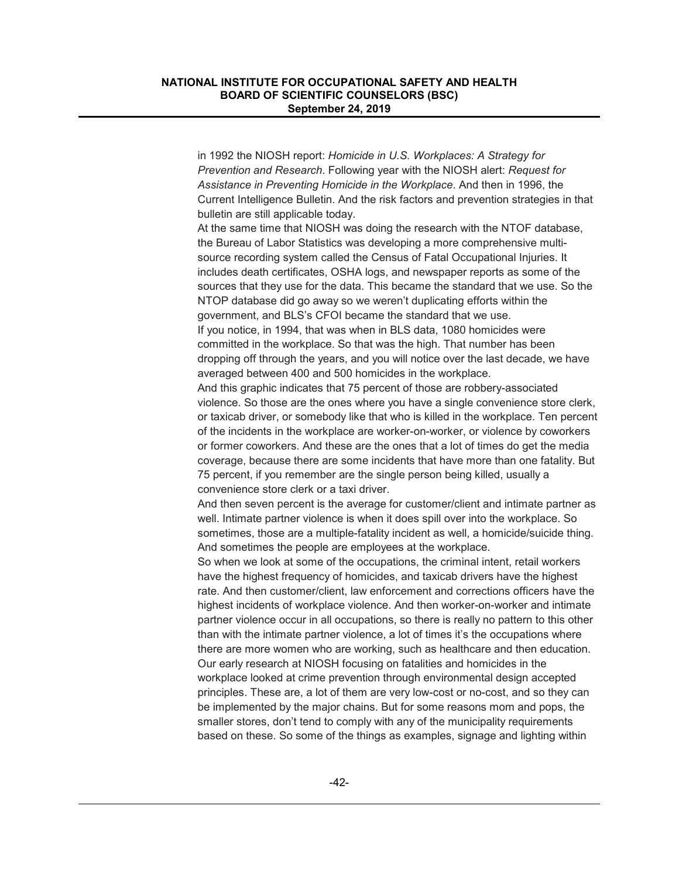in 1992 the NIOSH report: *Homicide in U.S. Workplaces: A Strategy for Prevention and Research*. Following year with the NIOSH alert: *Request for Assistance in Preventing Homicide in the Workplace*. And then in 1996, the Current Intelligence Bulletin. And the risk factors and prevention strategies in that bulletin are still applicable today.

At the same time that NIOSH was doing the research with the NTOF database, the Bureau of Labor Statistics was developing a more comprehensive multisource recording system called the Census of Fatal Occupational Injuries. It includes death certificates, OSHA logs, and newspaper reports as some of the sources that they use for the data. This became the standard that we use. So the NTOP database did go away so we weren't duplicating efforts within the government, and BLS's CFOI became the standard that we use. If you notice, in 1994, that was when in BLS data, 1080 homicides were committed in the workplace. So that was the high. That number has been dropping off through the years, and you will notice over the last decade, we have averaged between 400 and 500 homicides in the workplace.

And this graphic indicates that 75 percent of those are robbery-associated violence. So those are the ones where you have a single convenience store clerk, or taxicab driver, or somebody like that who is killed in the workplace. Ten percent of the incidents in the workplace are worker-on-worker, or violence by coworkers or former coworkers. And these are the ones that a lot of times do get the media coverage, because there are some incidents that have more than one fatality. But 75 percent, if you remember are the single person being killed, usually a convenience store clerk or a taxi driver.

And then seven percent is the average for customer/client and intimate partner as well. Intimate partner violence is when it does spill over into the workplace. So sometimes, those are a multiple-fatality incident as well, a homicide/suicide thing. And sometimes the people are employees at the workplace.

So when we look at some of the occupations, the criminal intent, retail workers have the highest frequency of homicides, and taxicab drivers have the highest rate. And then customer/client, law enforcement and corrections officers have the highest incidents of workplace violence. And then worker-on-worker and intimate partner violence occur in all occupations, so there is really no pattern to this other than with the intimate partner violence, a lot of times it's the occupations where there are more women who are working, such as healthcare and then education. Our early research at NIOSH focusing on fatalities and homicides in the workplace looked at crime prevention through environmental design accepted principles. These are, a lot of them are very low-cost or no-cost, and so they can be implemented by the major chains. But for some reasons mom and pops, the smaller stores, don't tend to comply with any of the municipality requirements based on these. So some of the things as examples, signage and lighting within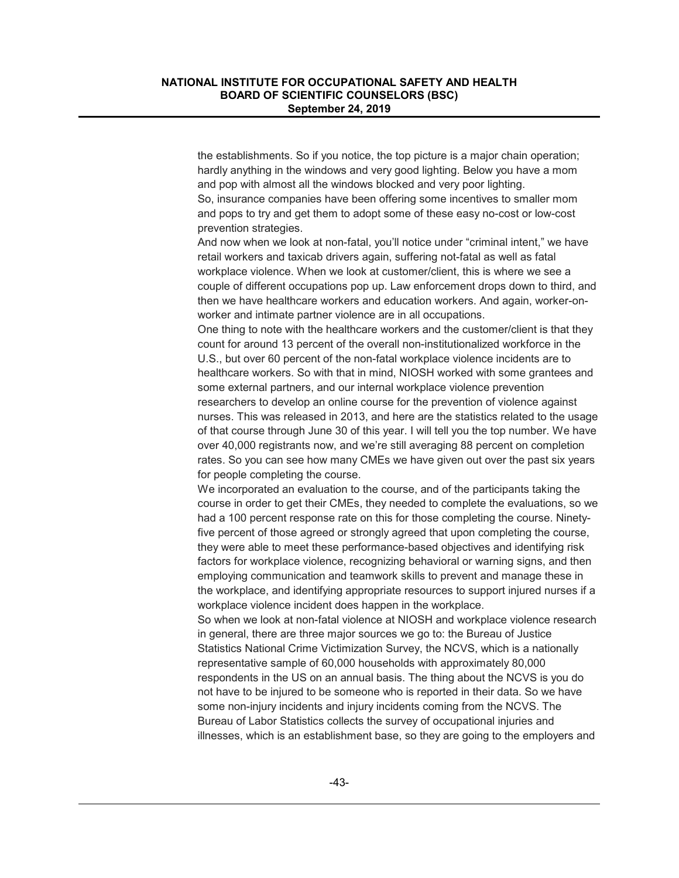the establishments. So if you notice, the top picture is a major chain operation; hardly anything in the windows and very good lighting. Below you have a mom and pop with almost all the windows blocked and very poor lighting. So, insurance companies have been offering some incentives to smaller mom and pops to try and get them to adopt some of these easy no-cost or low-cost prevention strategies.

And now when we look at non-fatal, you'll notice under "criminal intent," we have retail workers and taxicab drivers again, suffering not-fatal as well as fatal workplace violence. When we look at customer/client, this is where we see a couple of different occupations pop up. Law enforcement drops down to third, and then we have healthcare workers and education workers. And again, worker-onworker and intimate partner violence are in all occupations.

One thing to note with the healthcare workers and the customer/client is that they count for around 13 percent of the overall non-institutionalized workforce in the U.S., but over 60 percent of the non-fatal workplace violence incidents are to healthcare workers. So with that in mind, NIOSH worked with some grantees and some external partners, and our internal workplace violence prevention researchers to develop an online course for the prevention of violence against nurses. This was released in 2013, and here are the statistics related to the usage of that course through June 30 of this year. I will tell you the top number. We have over 40,000 registrants now, and we're still averaging 88 percent on completion rates. So you can see how many CMEs we have given out over the past six years for people completing the course.

We incorporated an evaluation to the course, and of the participants taking the course in order to get their CMEs, they needed to complete the evaluations, so we had a 100 percent response rate on this for those completing the course. Ninetyfive percent of those agreed or strongly agreed that upon completing the course, they were able to meet these performance-based objectives and identifying risk factors for workplace violence, recognizing behavioral or warning signs, and then employing communication and teamwork skills to prevent and manage these in the workplace, and identifying appropriate resources to support injured nurses if a workplace violence incident does happen in the workplace.

So when we look at non-fatal violence at NIOSH and workplace violence research in general, there are three major sources we go to: the Bureau of Justice Statistics National Crime Victimization Survey, the NCVS, which is a nationally representative sample of 60,000 households with approximately 80,000 respondents in the US on an annual basis. The thing about the NCVS is you do not have to be injured to be someone who is reported in their data. So we have some non-injury incidents and injury incidents coming from the NCVS. The Bureau of Labor Statistics collects the survey of occupational injuries and illnesses, which is an establishment base, so they are going to the employers and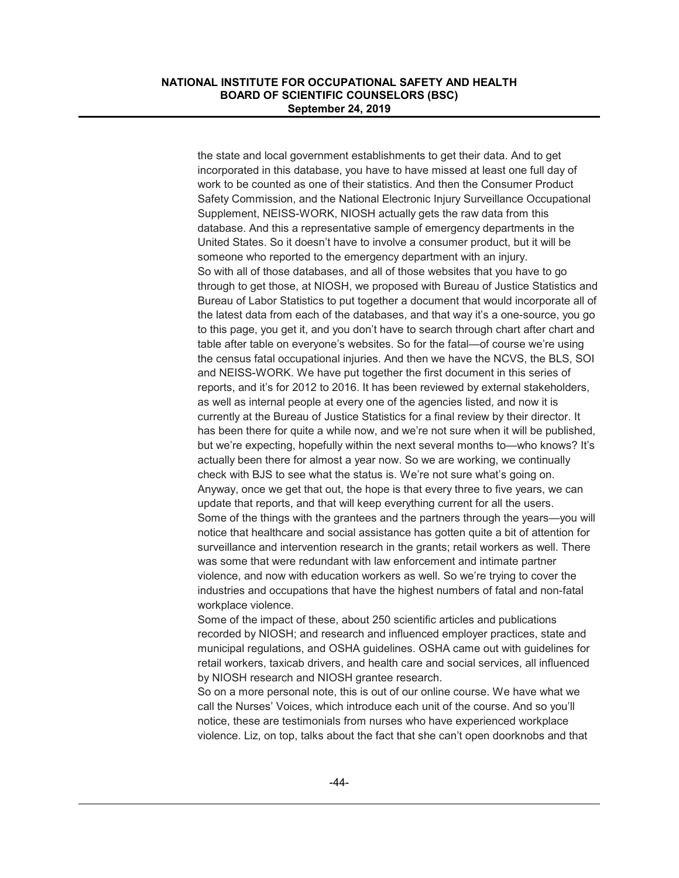the state and local government establishments to get their data. And to get incorporated in this database, you have to have missed at least one full day of work to be counted as one of their statistics. And then the Consumer Product Safety Commission, and the National Electronic Injury Surveillance Occupational Supplement, NEISS-WORK, NIOSH actually gets the raw data from this database. And this a representative sample of emergency departments in the United States. So it doesn't have to involve a consumer product, but it will be someone who reported to the emergency department with an injury. So with all of those databases, and all of those websites that you have to go through to get those, at NIOSH, we proposed with Bureau of Justice Statistics and Bureau of Labor Statistics to put together a document that would incorporate all of the latest data from each of the databases, and that way it's a one-source, you go to this page, you get it, and you don't have to search through chart after chart and table after table on everyone's websites. So for the fatal—of course we're using the census fatal occupational injuries. And then we have the NCVS, the BLS, SOI and NEISS-WORK. We have put together the first document in this series of reports, and it's for 2012 to 2016. It has been reviewed by external stakeholders, as well as internal people at every one of the agencies listed, and now it is currently at the Bureau of Justice Statistics for a final review by their director. It has been there for quite a while now, and we're not sure when it will be published, but we're expecting, hopefully within the next several months to—who knows? It's actually been there for almost a year now. So we are working, we continually check with BJS to see what the status is. We're not sure what's going on. Anyway, once we get that out, the hope is that every three to five years, we can update that reports, and that will keep everything current for all the users. Some of the things with the grantees and the partners through the years—you will notice that healthcare and social assistance has gotten quite a bit of attention for surveillance and intervention research in the grants; retail workers as well. There was some that were redundant with law enforcement and intimate partner violence, and now with education workers as well. So we're trying to cover the industries and occupations that have the highest numbers of fatal and non-fatal workplace violence.

Some of the impact of these, about 250 scientific articles and publications recorded by NIOSH; and research and influenced employer practices, state and municipal regulations, and OSHA guidelines. OSHA came out with guidelines for retail workers, taxicab drivers, and health care and social services, all influenced by NIOSH research and NIOSH grantee research.

So on a more personal note, this is out of our online course. We have what we call the Nurses' Voices, which introduce each unit of the course. And so you'll notice, these are testimonials from nurses who have experienced workplace violence. Liz, on top, talks about the fact that she can't open doorknobs and that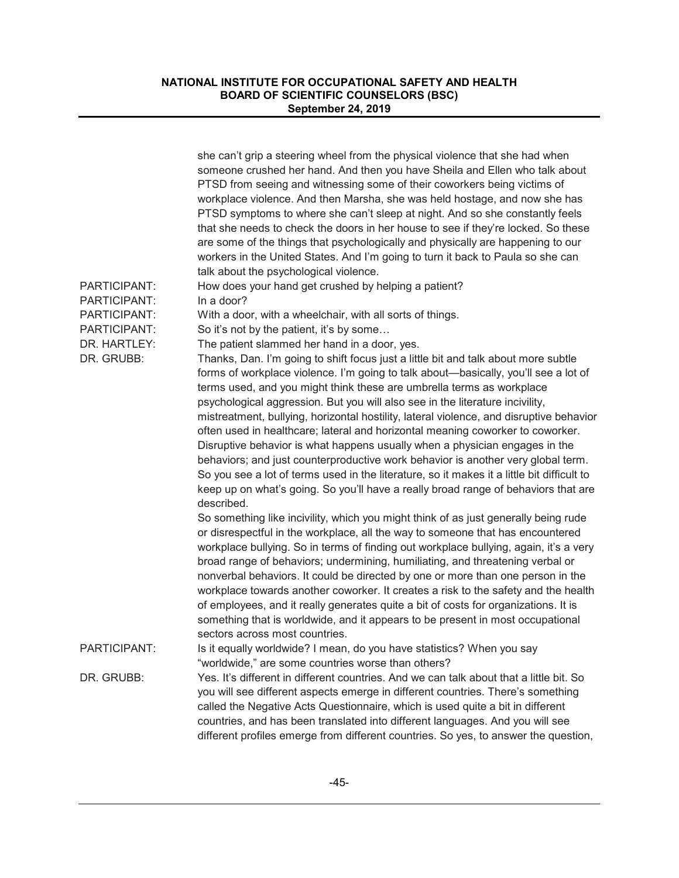|                              | she can't grip a steering wheel from the physical violence that she had when<br>someone crushed her hand. And then you have Sheila and Ellen who talk about<br>PTSD from seeing and witnessing some of their coworkers being victims of<br>workplace violence. And then Marsha, she was held hostage, and now she has<br>PTSD symptoms to where she can't sleep at night. And so she constantly feels<br>that she needs to check the doors in her house to see if they're locked. So these<br>are some of the things that psychologically and physically are happening to our<br>workers in the United States. And I'm going to turn it back to Paula so she can<br>talk about the psychological violence.                          |
|------------------------------|-------------------------------------------------------------------------------------------------------------------------------------------------------------------------------------------------------------------------------------------------------------------------------------------------------------------------------------------------------------------------------------------------------------------------------------------------------------------------------------------------------------------------------------------------------------------------------------------------------------------------------------------------------------------------------------------------------------------------------------|
| PARTICIPANT:                 | How does your hand get crushed by helping a patient?                                                                                                                                                                                                                                                                                                                                                                                                                                                                                                                                                                                                                                                                                |
| PARTICIPANT:                 | In a door?                                                                                                                                                                                                                                                                                                                                                                                                                                                                                                                                                                                                                                                                                                                          |
| PARTICIPANT:                 | With a door, with a wheelchair, with all sorts of things.                                                                                                                                                                                                                                                                                                                                                                                                                                                                                                                                                                                                                                                                           |
| PARTICIPANT:<br>DR. HARTLEY: | So it's not by the patient, it's by some<br>The patient slammed her hand in a door, yes.                                                                                                                                                                                                                                                                                                                                                                                                                                                                                                                                                                                                                                            |
| DR. GRUBB:                   | Thanks, Dan. I'm going to shift focus just a little bit and talk about more subtle                                                                                                                                                                                                                                                                                                                                                                                                                                                                                                                                                                                                                                                  |
|                              | forms of workplace violence. I'm going to talk about—basically, you'll see a lot of<br>terms used, and you might think these are umbrella terms as workplace<br>psychological aggression. But you will also see in the literature incivility,<br>mistreatment, bullying, horizontal hostility, lateral violence, and disruptive behavior                                                                                                                                                                                                                                                                                                                                                                                            |
|                              | often used in healthcare; lateral and horizontal meaning coworker to coworker.<br>Disruptive behavior is what happens usually when a physician engages in the<br>behaviors; and just counterproductive work behavior is another very global term.<br>So you see a lot of terms used in the literature, so it makes it a little bit difficult to                                                                                                                                                                                                                                                                                                                                                                                     |
|                              | keep up on what's going. So you'll have a really broad range of behaviors that are<br>described.                                                                                                                                                                                                                                                                                                                                                                                                                                                                                                                                                                                                                                    |
|                              | So something like incivility, which you might think of as just generally being rude<br>or disrespectful in the workplace, all the way to someone that has encountered<br>workplace bullying. So in terms of finding out workplace bullying, again, it's a very<br>broad range of behaviors; undermining, humiliating, and threatening verbal or<br>nonverbal behaviors. It could be directed by one or more than one person in the<br>workplace towards another coworker. It creates a risk to the safety and the health<br>of employees, and it really generates quite a bit of costs for organizations. It is<br>something that is worldwide, and it appears to be present in most occupational<br>sectors across most countries. |
| PARTICIPANT:                 | Is it equally worldwide? I mean, do you have statistics? When you say<br>"worldwide," are some countries worse than others?                                                                                                                                                                                                                                                                                                                                                                                                                                                                                                                                                                                                         |
| DR. GRUBB:                   | Yes. It's different in different countries. And we can talk about that a little bit. So<br>you will see different aspects emerge in different countries. There's something<br>called the Negative Acts Questionnaire, which is used quite a bit in different<br>countries, and has been translated into different languages. And you will see<br>different profiles emerge from different countries. So yes, to answer the question,                                                                                                                                                                                                                                                                                                |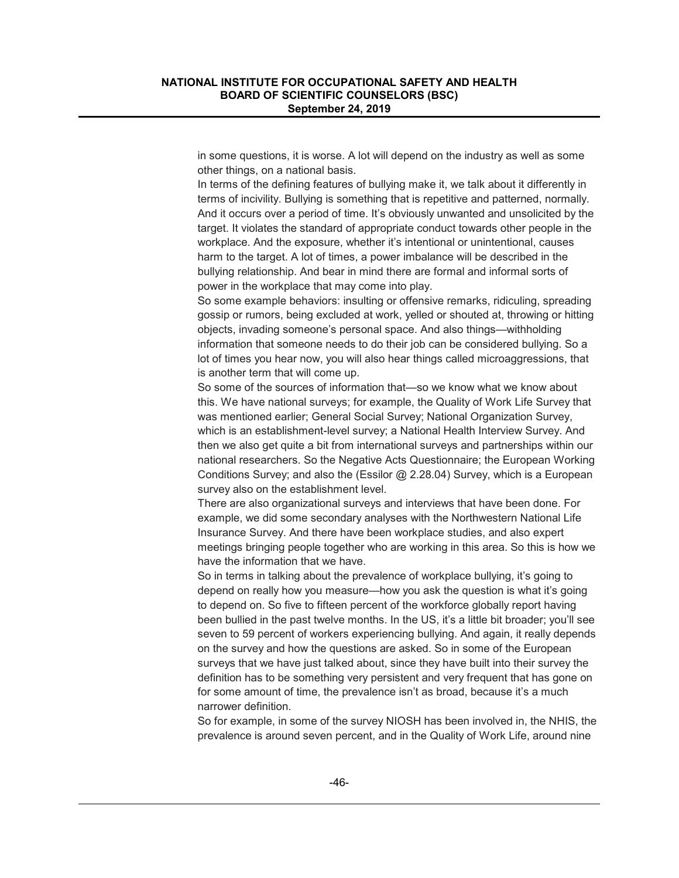in some questions, it is worse. A lot will depend on the industry as well as some other things, on a national basis.

In terms of the defining features of bullying make it, we talk about it differently in terms of incivility. Bullying is something that is repetitive and patterned, normally. And it occurs over a period of time. It's obviously unwanted and unsolicited by the target. It violates the standard of appropriate conduct towards other people in the workplace. And the exposure, whether it's intentional or unintentional, causes harm to the target. A lot of times, a power imbalance will be described in the bullying relationship. And bear in mind there are formal and informal sorts of power in the workplace that may come into play.

So some example behaviors: insulting or offensive remarks, ridiculing, spreading gossip or rumors, being excluded at work, yelled or shouted at, throwing or hitting objects, invading someone's personal space. And also things—withholding information that someone needs to do their job can be considered bullying. So a lot of times you hear now, you will also hear things called microaggressions, that is another term that will come up.

So some of the sources of information that—so we know what we know about this. We have national surveys; for example, the Quality of Work Life Survey that was mentioned earlier; General Social Survey; National Organization Survey, which is an establishment-level survey; a National Health Interview Survey. And then we also get quite a bit from international surveys and partnerships within our national researchers. So the Negative Acts Questionnaire; the European Working Conditions Survey; and also the (Essilor @ 2.28.04) Survey, which is a European survey also on the establishment level.

There are also organizational surveys and interviews that have been done. For example, we did some secondary analyses with the Northwestern National Life Insurance Survey. And there have been workplace studies, and also expert meetings bringing people together who are working in this area. So this is how we have the information that we have.

So in terms in talking about the prevalence of workplace bullying, it's going to depend on really how you measure—how you ask the question is what it's going to depend on. So five to fifteen percent of the workforce globally report having been bullied in the past twelve months. In the US, it's a little bit broader; you'll see seven to 59 percent of workers experiencing bullying. And again, it really depends on the survey and how the questions are asked. So in some of the European surveys that we have just talked about, since they have built into their survey the definition has to be something very persistent and very frequent that has gone on for some amount of time, the prevalence isn't as broad, because it's a much narrower definition.

So for example, in some of the survey NIOSH has been involved in, the NHIS, the prevalence is around seven percent, and in the Quality of Work Life, around nine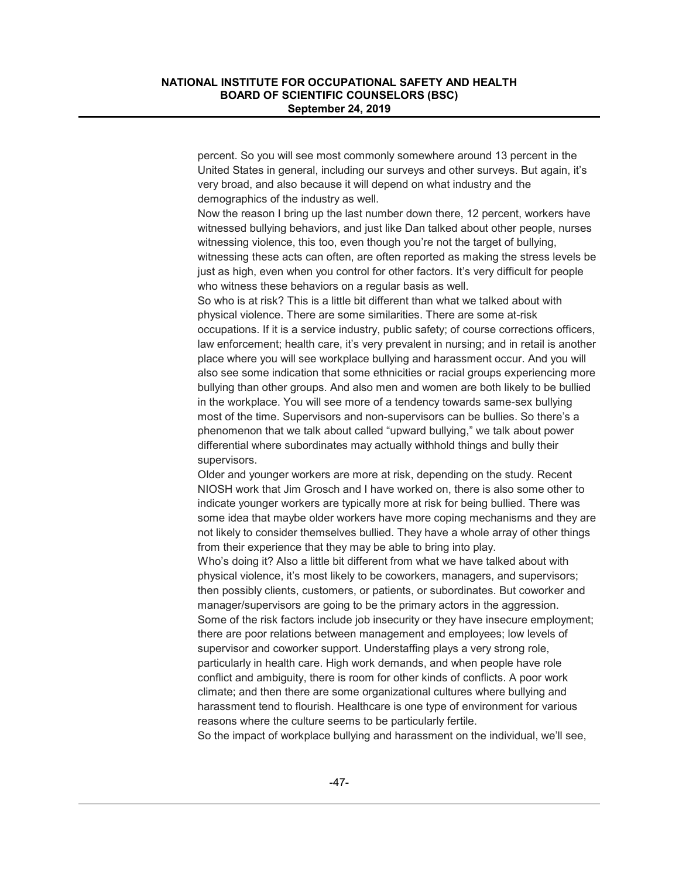percent. So you will see most commonly somewhere around 13 percent in the United States in general, including our surveys and other surveys. But again, it's very broad, and also because it will depend on what industry and the demographics of the industry as well.

Now the reason I bring up the last number down there, 12 percent, workers have witnessed bullying behaviors, and just like Dan talked about other people, nurses witnessing violence, this too, even though you're not the target of bullying, witnessing these acts can often, are often reported as making the stress levels be just as high, even when you control for other factors. It's very difficult for people who witness these behaviors on a regular basis as well.

So who is at risk? This is a little bit different than what we talked about with physical violence. There are some similarities. There are some at-risk occupations. If it is a service industry, public safety; of course corrections officers, law enforcement; health care, it's very prevalent in nursing; and in retail is another place where you will see workplace bullying and harassment occur. And you will also see some indication that some ethnicities or racial groups experiencing more bullying than other groups. And also men and women are both likely to be bullied in the workplace. You will see more of a tendency towards same-sex bullying most of the time. Supervisors and non-supervisors can be bullies. So there's a phenomenon that we talk about called "upward bullying," we talk about power differential where subordinates may actually withhold things and bully their supervisors.

Older and younger workers are more at risk, depending on the study. Recent NIOSH work that Jim Grosch and I have worked on, there is also some other to indicate younger workers are typically more at risk for being bullied. There was some idea that maybe older workers have more coping mechanisms and they are not likely to consider themselves bullied. They have a whole array of other things from their experience that they may be able to bring into play.

Who's doing it? Also a little bit different from what we have talked about with physical violence, it's most likely to be coworkers, managers, and supervisors; then possibly clients, customers, or patients, or subordinates. But coworker and manager/supervisors are going to be the primary actors in the aggression. Some of the risk factors include job insecurity or they have insecure employment; there are poor relations between management and employees; low levels of supervisor and coworker support. Understaffing plays a very strong role, particularly in health care. High work demands, and when people have role conflict and ambiguity, there is room for other kinds of conflicts. A poor work climate; and then there are some organizational cultures where bullying and harassment tend to flourish. Healthcare is one type of environment for various reasons where the culture seems to be particularly fertile.

So the impact of workplace bullying and harassment on the individual, we'll see,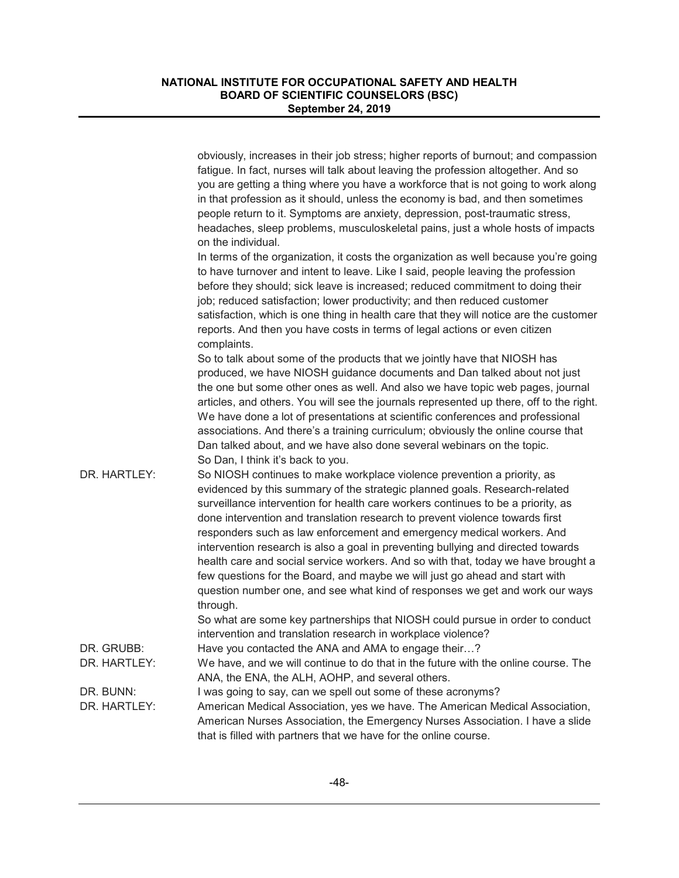|                            | obviously, increases in their job stress; higher reports of burnout; and compassion<br>fatigue. In fact, nurses will talk about leaving the profession altogether. And so<br>you are getting a thing where you have a workforce that is not going to work along<br>in that profession as it should, unless the economy is bad, and then sometimes<br>people return to it. Symptoms are anxiety, depression, post-traumatic stress,<br>headaches, sleep problems, musculoskeletal pains, just a whole hosts of impacts<br>on the individual.                                                                                                                                                                                                                                                                                             |
|----------------------------|-----------------------------------------------------------------------------------------------------------------------------------------------------------------------------------------------------------------------------------------------------------------------------------------------------------------------------------------------------------------------------------------------------------------------------------------------------------------------------------------------------------------------------------------------------------------------------------------------------------------------------------------------------------------------------------------------------------------------------------------------------------------------------------------------------------------------------------------|
|                            | In terms of the organization, it costs the organization as well because you're going<br>to have turnover and intent to leave. Like I said, people leaving the profession<br>before they should; sick leave is increased; reduced commitment to doing their<br>job; reduced satisfaction; lower productivity; and then reduced customer<br>satisfaction, which is one thing in health care that they will notice are the customer<br>reports. And then you have costs in terms of legal actions or even citizen<br>complaints.                                                                                                                                                                                                                                                                                                           |
|                            | So to talk about some of the products that we jointly have that NIOSH has<br>produced, we have NIOSH guidance documents and Dan talked about not just<br>the one but some other ones as well. And also we have topic web pages, journal<br>articles, and others. You will see the journals represented up there, off to the right.<br>We have done a lot of presentations at scientific conferences and professional<br>associations. And there's a training curriculum; obviously the online course that<br>Dan talked about, and we have also done several webinars on the topic.<br>So Dan, I think it's back to you.                                                                                                                                                                                                                |
| DR. HARTLEY:               | So NIOSH continues to make workplace violence prevention a priority, as<br>evidenced by this summary of the strategic planned goals. Research-related<br>surveillance intervention for health care workers continues to be a priority, as<br>done intervention and translation research to prevent violence towards first<br>responders such as law enforcement and emergency medical workers. And<br>intervention research is also a goal in preventing bullying and directed towards<br>health care and social service workers. And so with that, today we have brought a<br>few questions for the Board, and maybe we will just go ahead and start with<br>question number one, and see what kind of responses we get and work our ways<br>through.<br>So what are some key partnerships that NIOSH could pursue in order to conduct |
|                            | intervention and translation research in workplace violence?                                                                                                                                                                                                                                                                                                                                                                                                                                                                                                                                                                                                                                                                                                                                                                            |
| DR. GRUBB:<br>DR. HARTLEY: | Have you contacted the ANA and AMA to engage their?                                                                                                                                                                                                                                                                                                                                                                                                                                                                                                                                                                                                                                                                                                                                                                                     |
|                            | We have, and we will continue to do that in the future with the online course. The<br>ANA, the ENA, the ALH, AOHP, and several others.                                                                                                                                                                                                                                                                                                                                                                                                                                                                                                                                                                                                                                                                                                  |
| DR. BUNN:                  | I was going to say, can we spell out some of these acronyms?                                                                                                                                                                                                                                                                                                                                                                                                                                                                                                                                                                                                                                                                                                                                                                            |
| DR. HARTLEY:               | American Medical Association, yes we have. The American Medical Association,<br>American Nurses Association, the Emergency Nurses Association. I have a slide<br>that is filled with partners that we have for the online course.                                                                                                                                                                                                                                                                                                                                                                                                                                                                                                                                                                                                       |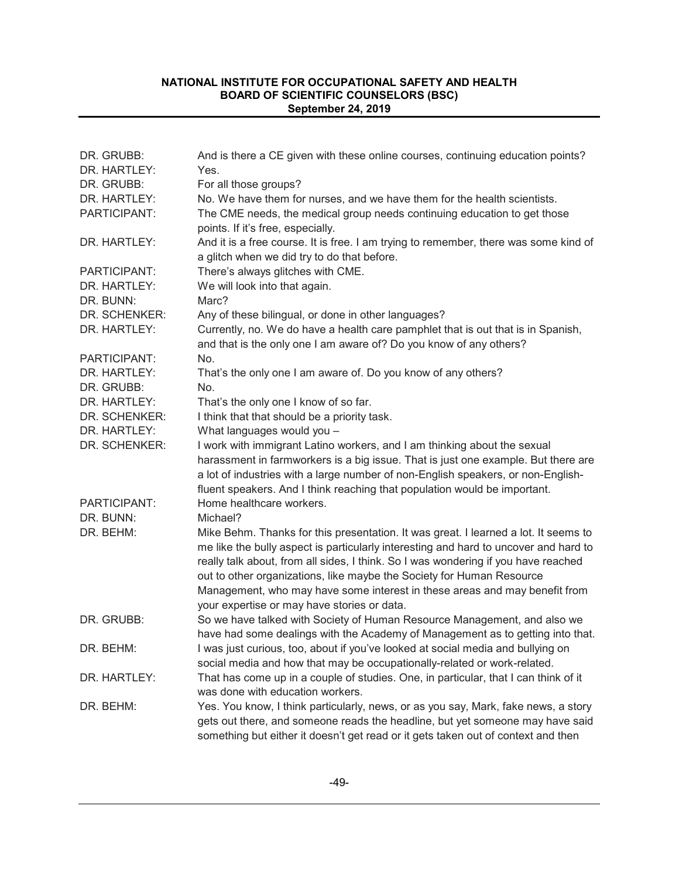| DR. GRUBB:<br>DR. HARTLEY: | And is there a CE given with these online courses, continuing education points?<br>Yes.                                                                                                                                                                                                                                                                                                                                                                                 |
|----------------------------|-------------------------------------------------------------------------------------------------------------------------------------------------------------------------------------------------------------------------------------------------------------------------------------------------------------------------------------------------------------------------------------------------------------------------------------------------------------------------|
| DR. GRUBB:                 | For all those groups?                                                                                                                                                                                                                                                                                                                                                                                                                                                   |
| DR. HARTLEY:               | No. We have them for nurses, and we have them for the health scientists.                                                                                                                                                                                                                                                                                                                                                                                                |
| PARTICIPANT:               | The CME needs, the medical group needs continuing education to get those<br>points. If it's free, especially.                                                                                                                                                                                                                                                                                                                                                           |
| DR. HARTLEY:               | And it is a free course. It is free. I am trying to remember, there was some kind of<br>a glitch when we did try to do that before.                                                                                                                                                                                                                                                                                                                                     |
| PARTICIPANT:               | There's always glitches with CME.                                                                                                                                                                                                                                                                                                                                                                                                                                       |
| DR. HARTLEY:               | We will look into that again.                                                                                                                                                                                                                                                                                                                                                                                                                                           |
| DR. BUNN:                  | Marc?                                                                                                                                                                                                                                                                                                                                                                                                                                                                   |
| DR. SCHENKER:              | Any of these bilingual, or done in other languages?                                                                                                                                                                                                                                                                                                                                                                                                                     |
| DR. HARTLEY:               | Currently, no. We do have a health care pamphlet that is out that is in Spanish,<br>and that is the only one I am aware of? Do you know of any others?                                                                                                                                                                                                                                                                                                                  |
| PARTICIPANT:               | No.                                                                                                                                                                                                                                                                                                                                                                                                                                                                     |
| DR. HARTLEY:               | That's the only one I am aware of. Do you know of any others?                                                                                                                                                                                                                                                                                                                                                                                                           |
| DR. GRUBB:                 | No.                                                                                                                                                                                                                                                                                                                                                                                                                                                                     |
| DR. HARTLEY:               | That's the only one I know of so far.                                                                                                                                                                                                                                                                                                                                                                                                                                   |
| DR. SCHENKER:              | I think that that should be a priority task.                                                                                                                                                                                                                                                                                                                                                                                                                            |
| DR. HARTLEY:               | What languages would you -                                                                                                                                                                                                                                                                                                                                                                                                                                              |
| DR. SCHENKER:              | I work with immigrant Latino workers, and I am thinking about the sexual<br>harassment in farmworkers is a big issue. That is just one example. But there are<br>a lot of industries with a large number of non-English speakers, or non-English-<br>fluent speakers. And I think reaching that population would be important.                                                                                                                                          |
| PARTICIPANT:               | Home healthcare workers.                                                                                                                                                                                                                                                                                                                                                                                                                                                |
| DR. BUNN:                  | Michael?                                                                                                                                                                                                                                                                                                                                                                                                                                                                |
| DR. BEHM:                  | Mike Behm. Thanks for this presentation. It was great. I learned a lot. It seems to<br>me like the bully aspect is particularly interesting and hard to uncover and hard to<br>really talk about, from all sides, I think. So I was wondering if you have reached<br>out to other organizations, like maybe the Society for Human Resource<br>Management, who may have some interest in these areas and may benefit from<br>your expertise or may have stories or data. |
| DR. GRUBB:                 | So we have talked with Society of Human Resource Management, and also we<br>have had some dealings with the Academy of Management as to getting into that.                                                                                                                                                                                                                                                                                                              |
| DR. BEHM:                  | I was just curious, too, about if you've looked at social media and bullying on<br>social media and how that may be occupationally-related or work-related.                                                                                                                                                                                                                                                                                                             |
| DR. HARTLEY:               | That has come up in a couple of studies. One, in particular, that I can think of it<br>was done with education workers.                                                                                                                                                                                                                                                                                                                                                 |
| DR. BEHM:                  | Yes. You know, I think particularly, news, or as you say, Mark, fake news, a story<br>gets out there, and someone reads the headline, but yet someone may have said<br>something but either it doesn't get read or it gets taken out of context and then                                                                                                                                                                                                                |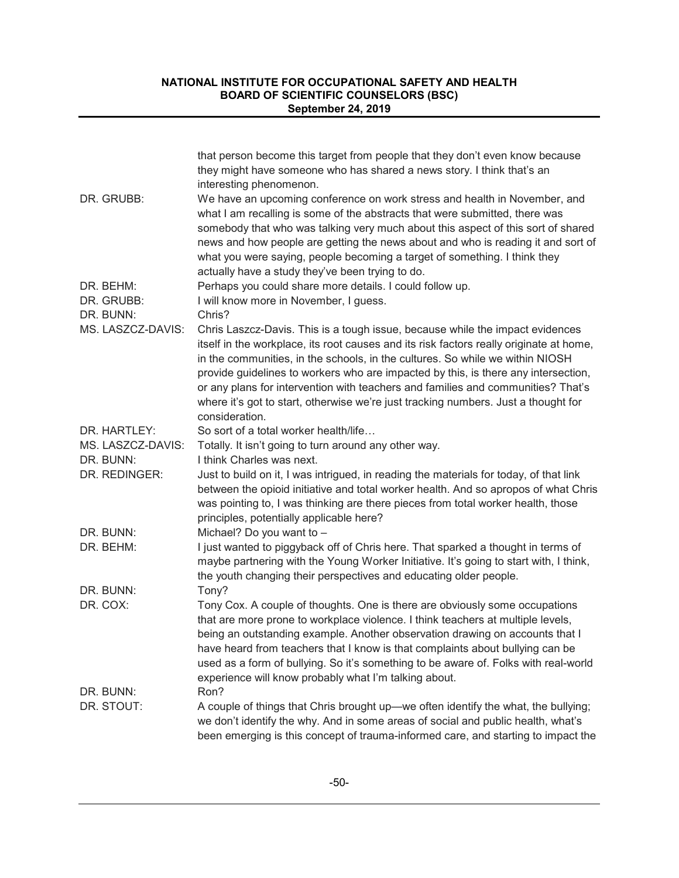|                         | that person become this target from people that they don't even know because<br>they might have someone who has shared a news story. I think that's an<br>interesting phenomenon.                                                                                                                                                                                                                                                                                                                                                           |
|-------------------------|---------------------------------------------------------------------------------------------------------------------------------------------------------------------------------------------------------------------------------------------------------------------------------------------------------------------------------------------------------------------------------------------------------------------------------------------------------------------------------------------------------------------------------------------|
| DR. GRUBB:              | We have an upcoming conference on work stress and health in November, and<br>what I am recalling is some of the abstracts that were submitted, there was<br>somebody that who was talking very much about this aspect of this sort of shared<br>news and how people are getting the news about and who is reading it and sort of<br>what you were saying, people becoming a target of something. I think they<br>actually have a study they've been trying to do.                                                                           |
| DR. BEHM:               | Perhaps you could share more details. I could follow up.                                                                                                                                                                                                                                                                                                                                                                                                                                                                                    |
| DR. GRUBB:<br>DR. BUNN: | I will know more in November, I guess.<br>Chris?                                                                                                                                                                                                                                                                                                                                                                                                                                                                                            |
| MS. LASZCZ-DAVIS:       | Chris Laszcz-Davis. This is a tough issue, because while the impact evidences<br>itself in the workplace, its root causes and its risk factors really originate at home,<br>in the communities, in the schools, in the cultures. So while we within NIOSH<br>provide guidelines to workers who are impacted by this, is there any intersection,<br>or any plans for intervention with teachers and families and communities? That's<br>where it's got to start, otherwise we're just tracking numbers. Just a thought for<br>consideration. |
| DR. HARTLEY:            | So sort of a total worker health/life                                                                                                                                                                                                                                                                                                                                                                                                                                                                                                       |
| MS. LASZCZ-DAVIS:       | Totally. It isn't going to turn around any other way.                                                                                                                                                                                                                                                                                                                                                                                                                                                                                       |
| DR. BUNN:               | I think Charles was next.                                                                                                                                                                                                                                                                                                                                                                                                                                                                                                                   |
| DR. REDINGER:           | Just to build on it, I was intrigued, in reading the materials for today, of that link<br>between the opioid initiative and total worker health. And so apropos of what Chris<br>was pointing to, I was thinking are there pieces from total worker health, those<br>principles, potentially applicable here?                                                                                                                                                                                                                               |
| DR. BUNN:               | Michael? Do you want to -                                                                                                                                                                                                                                                                                                                                                                                                                                                                                                                   |
| DR. BEHM:               | I just wanted to piggyback off of Chris here. That sparked a thought in terms of<br>maybe partnering with the Young Worker Initiative. It's going to start with, I think,<br>the youth changing their perspectives and educating older people.                                                                                                                                                                                                                                                                                              |
| DR. BUNN:               | Tony?                                                                                                                                                                                                                                                                                                                                                                                                                                                                                                                                       |
| DR. COX:                | Tony Cox. A couple of thoughts. One is there are obviously some occupations<br>that are more prone to workplace violence. I think teachers at multiple levels,<br>being an outstanding example. Another observation drawing on accounts that I<br>have heard from teachers that I know is that complaints about bullying can be<br>used as a form of bullying. So it's something to be aware of. Folks with real-world<br>experience will know probably what I'm talking about.                                                             |
| DR. BUNN:               | Ron?                                                                                                                                                                                                                                                                                                                                                                                                                                                                                                                                        |
| DR. STOUT:              | A couple of things that Chris brought up-we often identify the what, the bullying;<br>we don't identify the why. And in some areas of social and public health, what's<br>been emerging is this concept of trauma-informed care, and starting to impact the                                                                                                                                                                                                                                                                                 |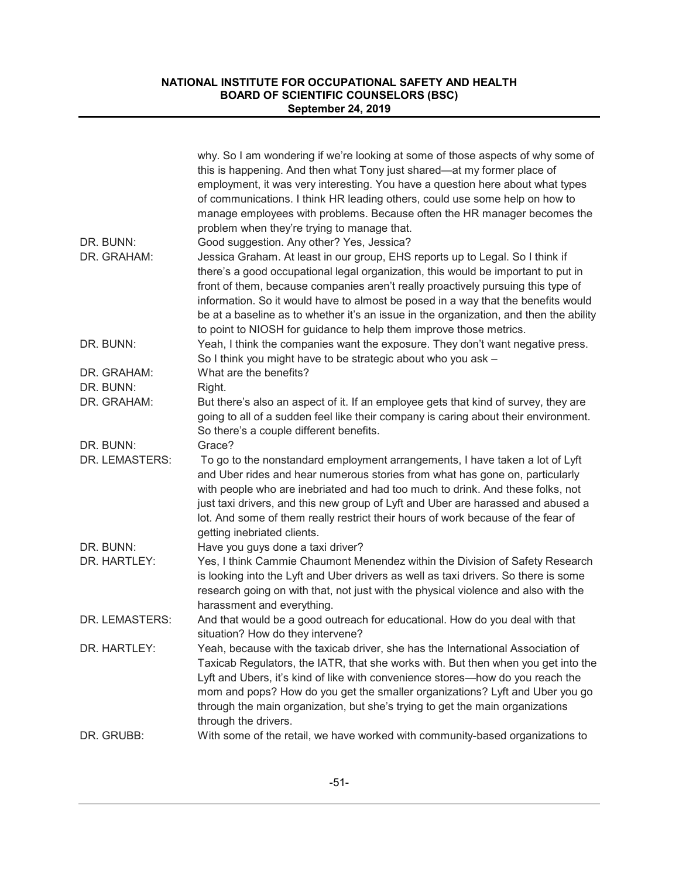|                | why. So I am wondering if we're looking at some of those aspects of why some of<br>this is happening. And then what Tony just shared—at my former place of<br>employment, it was very interesting. You have a question here about what types<br>of communications. I think HR leading others, could use some help on how to<br>manage employees with problems. Because often the HR manager becomes the<br>problem when they're trying to manage that.                                                      |
|----------------|-------------------------------------------------------------------------------------------------------------------------------------------------------------------------------------------------------------------------------------------------------------------------------------------------------------------------------------------------------------------------------------------------------------------------------------------------------------------------------------------------------------|
| DR. BUNN:      | Good suggestion. Any other? Yes, Jessica?                                                                                                                                                                                                                                                                                                                                                                                                                                                                   |
| DR. GRAHAM:    | Jessica Graham. At least in our group, EHS reports up to Legal. So I think if<br>there's a good occupational legal organization, this would be important to put in<br>front of them, because companies aren't really proactively pursuing this type of<br>information. So it would have to almost be posed in a way that the benefits would<br>be at a baseline as to whether it's an issue in the organization, and then the ability<br>to point to NIOSH for guidance to help them improve those metrics. |
| DR. BUNN:      | Yeah, I think the companies want the exposure. They don't want negative press.<br>So I think you might have to be strategic about who you ask -                                                                                                                                                                                                                                                                                                                                                             |
| DR. GRAHAM:    | What are the benefits?                                                                                                                                                                                                                                                                                                                                                                                                                                                                                      |
| DR. BUNN:      | Right.                                                                                                                                                                                                                                                                                                                                                                                                                                                                                                      |
| DR. GRAHAM:    | But there's also an aspect of it. If an employee gets that kind of survey, they are<br>going to all of a sudden feel like their company is caring about their environment.<br>So there's a couple different benefits.                                                                                                                                                                                                                                                                                       |
| DR. BUNN:      | Grace?                                                                                                                                                                                                                                                                                                                                                                                                                                                                                                      |
| DR. LEMASTERS: | To go to the nonstandard employment arrangements, I have taken a lot of Lyft<br>and Uber rides and hear numerous stories from what has gone on, particularly<br>with people who are inebriated and had too much to drink. And these folks, not<br>just taxi drivers, and this new group of Lyft and Uber are harassed and abused a<br>lot. And some of them really restrict their hours of work because of the fear of<br>getting inebriated clients.                                                       |
| DR. BUNN:      | Have you guys done a taxi driver?                                                                                                                                                                                                                                                                                                                                                                                                                                                                           |
| DR. HARTLEY:   | Yes, I think Cammie Chaumont Menendez within the Division of Safety Research<br>is looking into the Lyft and Uber drivers as well as taxi drivers. So there is some<br>research going on with that, not just with the physical violence and also with the<br>harassment and everything.                                                                                                                                                                                                                     |
| DR. LEMASTERS: | And that would be a good outreach for educational. How do you deal with that<br>situation? How do they intervene?                                                                                                                                                                                                                                                                                                                                                                                           |
| DR. HARTLEY:   | Yeah, because with the taxicab driver, she has the International Association of<br>Taxicab Regulators, the IATR, that she works with. But then when you get into the<br>Lyft and Ubers, it's kind of like with convenience stores-how do you reach the<br>mom and pops? How do you get the smaller organizations? Lyft and Uber you go<br>through the main organization, but she's trying to get the main organizations<br>through the drivers.                                                             |
| DR. GRUBB:     | With some of the retail, we have worked with community-based organizations to                                                                                                                                                                                                                                                                                                                                                                                                                               |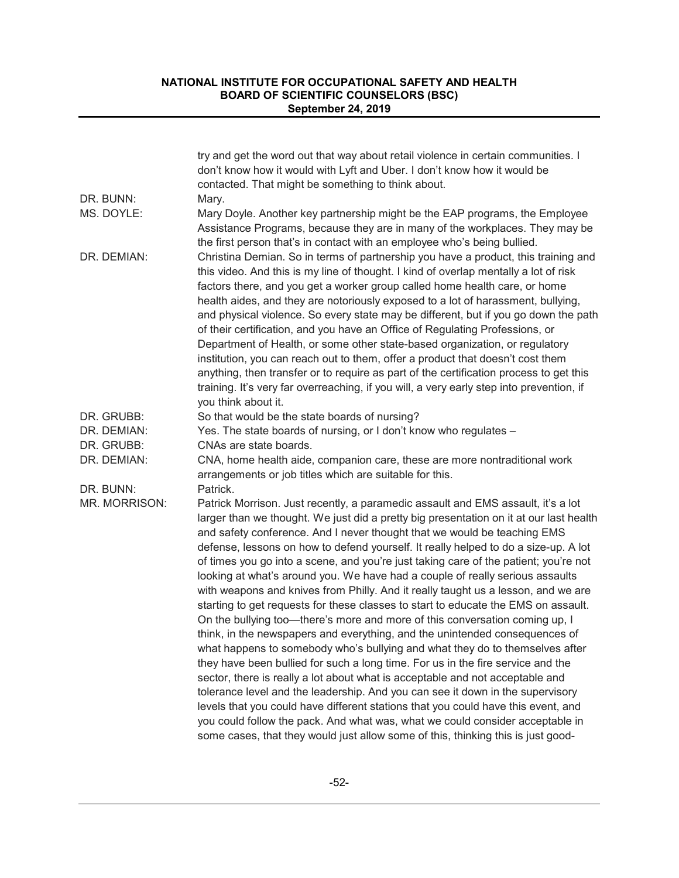|               | try and get the word out that way about retail violence in certain communities. I<br>don't know how it would with Lyft and Uber. I don't know how it would be<br>contacted. That might be something to think about.                                                                                                                                                                                                                                                                                                                                                                                                                                                                                                                                                                                                                                                                                                                                                                                                                                                                                                                                                                                                                                                                                                                                                                                                                                             |
|---------------|-----------------------------------------------------------------------------------------------------------------------------------------------------------------------------------------------------------------------------------------------------------------------------------------------------------------------------------------------------------------------------------------------------------------------------------------------------------------------------------------------------------------------------------------------------------------------------------------------------------------------------------------------------------------------------------------------------------------------------------------------------------------------------------------------------------------------------------------------------------------------------------------------------------------------------------------------------------------------------------------------------------------------------------------------------------------------------------------------------------------------------------------------------------------------------------------------------------------------------------------------------------------------------------------------------------------------------------------------------------------------------------------------------------------------------------------------------------------|
| DR. BUNN:     | Mary.                                                                                                                                                                                                                                                                                                                                                                                                                                                                                                                                                                                                                                                                                                                                                                                                                                                                                                                                                                                                                                                                                                                                                                                                                                                                                                                                                                                                                                                           |
| MS. DOYLE:    | Mary Doyle. Another key partnership might be the EAP programs, the Employee<br>Assistance Programs, because they are in many of the workplaces. They may be<br>the first person that's in contact with an employee who's being bullied.                                                                                                                                                                                                                                                                                                                                                                                                                                                                                                                                                                                                                                                                                                                                                                                                                                                                                                                                                                                                                                                                                                                                                                                                                         |
| DR. DEMIAN:   | Christina Demian. So in terms of partnership you have a product, this training and<br>this video. And this is my line of thought. I kind of overlap mentally a lot of risk<br>factors there, and you get a worker group called home health care, or home<br>health aides, and they are notoriously exposed to a lot of harassment, bullying,<br>and physical violence. So every state may be different, but if you go down the path<br>of their certification, and you have an Office of Regulating Professions, or<br>Department of Health, or some other state-based organization, or regulatory<br>institution, you can reach out to them, offer a product that doesn't cost them<br>anything, then transfer or to require as part of the certification process to get this<br>training. It's very far overreaching, if you will, a very early step into prevention, if<br>you think about it.                                                                                                                                                                                                                                                                                                                                                                                                                                                                                                                                                               |
| DR. GRUBB:    | So that would be the state boards of nursing?                                                                                                                                                                                                                                                                                                                                                                                                                                                                                                                                                                                                                                                                                                                                                                                                                                                                                                                                                                                                                                                                                                                                                                                                                                                                                                                                                                                                                   |
| DR. DEMIAN:   | Yes. The state boards of nursing, or I don't know who regulates -                                                                                                                                                                                                                                                                                                                                                                                                                                                                                                                                                                                                                                                                                                                                                                                                                                                                                                                                                                                                                                                                                                                                                                                                                                                                                                                                                                                               |
| DR. GRUBB:    | CNAs are state boards.                                                                                                                                                                                                                                                                                                                                                                                                                                                                                                                                                                                                                                                                                                                                                                                                                                                                                                                                                                                                                                                                                                                                                                                                                                                                                                                                                                                                                                          |
| DR. DEMIAN:   | CNA, home health aide, companion care, these are more nontraditional work<br>arrangements or job titles which are suitable for this.                                                                                                                                                                                                                                                                                                                                                                                                                                                                                                                                                                                                                                                                                                                                                                                                                                                                                                                                                                                                                                                                                                                                                                                                                                                                                                                            |
| DR. BUNN:     | Patrick.                                                                                                                                                                                                                                                                                                                                                                                                                                                                                                                                                                                                                                                                                                                                                                                                                                                                                                                                                                                                                                                                                                                                                                                                                                                                                                                                                                                                                                                        |
| MR. MORRISON: | Patrick Morrison. Just recently, a paramedic assault and EMS assault, it's a lot<br>larger than we thought. We just did a pretty big presentation on it at our last health<br>and safety conference. And I never thought that we would be teaching EMS<br>defense, lessons on how to defend yourself. It really helped to do a size-up. A lot<br>of times you go into a scene, and you're just taking care of the patient; you're not<br>looking at what's around you. We have had a couple of really serious assaults<br>with weapons and knives from Philly. And it really taught us a lesson, and we are<br>starting to get requests for these classes to start to educate the EMS on assault.<br>On the bullying too-there's more and more of this conversation coming up, I<br>think, in the newspapers and everything, and the unintended consequences of<br>what happens to somebody who's bullying and what they do to themselves after<br>they have been bullied for such a long time. For us in the fire service and the<br>sector, there is really a lot about what is acceptable and not acceptable and<br>tolerance level and the leadership. And you can see it down in the supervisory<br>levels that you could have different stations that you could have this event, and<br>you could follow the pack. And what was, what we could consider acceptable in<br>some cases, that they would just allow some of this, thinking this is just good- |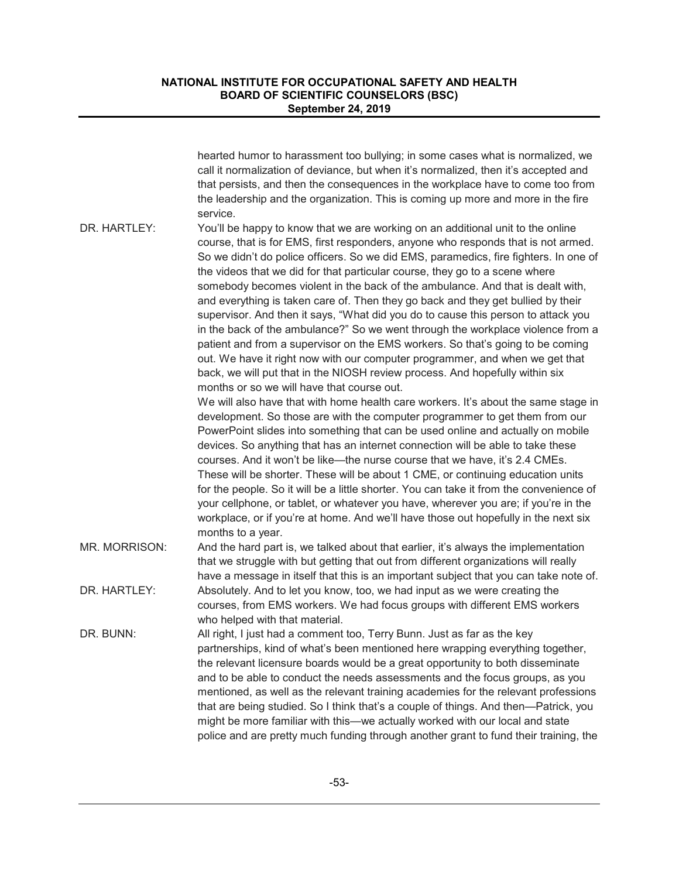|               | hearted humor to harassment too bullying; in some cases what is normalized, we<br>call it normalization of deviance, but when it's normalized, then it's accepted and<br>that persists, and then the consequences in the workplace have to come too from<br>the leadership and the organization. This is coming up more and more in the fire<br>service.                                                                                                                                                                                                                                                                                                                                                                                                                                                                                                                                                                                                                                                                                                                                                                                                       |
|---------------|----------------------------------------------------------------------------------------------------------------------------------------------------------------------------------------------------------------------------------------------------------------------------------------------------------------------------------------------------------------------------------------------------------------------------------------------------------------------------------------------------------------------------------------------------------------------------------------------------------------------------------------------------------------------------------------------------------------------------------------------------------------------------------------------------------------------------------------------------------------------------------------------------------------------------------------------------------------------------------------------------------------------------------------------------------------------------------------------------------------------------------------------------------------|
| DR. HARTLEY:  | You'll be happy to know that we are working on an additional unit to the online<br>course, that is for EMS, first responders, anyone who responds that is not armed.<br>So we didn't do police officers. So we did EMS, paramedics, fire fighters. In one of<br>the videos that we did for that particular course, they go to a scene where<br>somebody becomes violent in the back of the ambulance. And that is dealt with,<br>and everything is taken care of. Then they go back and they get bullied by their<br>supervisor. And then it says, "What did you do to cause this person to attack you<br>in the back of the ambulance?" So we went through the workplace violence from a<br>patient and from a supervisor on the EMS workers. So that's going to be coming<br>out. We have it right now with our computer programmer, and when we get that<br>back, we will put that in the NIOSH review process. And hopefully within six<br>months or so we will have that course out.<br>We will also have that with home health care workers. It's about the same stage in<br>development. So those are with the computer programmer to get them from our |
|               | PowerPoint slides into something that can be used online and actually on mobile<br>devices. So anything that has an internet connection will be able to take these<br>courses. And it won't be like—the nurse course that we have, it's 2.4 CMEs.<br>These will be shorter. These will be about 1 CME, or continuing education units<br>for the people. So it will be a little shorter. You can take it from the convenience of<br>your cellphone, or tablet, or whatever you have, wherever you are; if you're in the<br>workplace, or if you're at home. And we'll have those out hopefully in the next six<br>months to a year.                                                                                                                                                                                                                                                                                                                                                                                                                                                                                                                             |
| MR. MORRISON: | And the hard part is, we talked about that earlier, it's always the implementation<br>that we struggle with but getting that out from different organizations will really<br>have a message in itself that this is an important subject that you can take note of.                                                                                                                                                                                                                                                                                                                                                                                                                                                                                                                                                                                                                                                                                                                                                                                                                                                                                             |
| DR. HARTLEY:  | Absolutely. And to let you know, too, we had input as we were creating the<br>courses, from EMS workers. We had focus groups with different EMS workers<br>who helped with that material.                                                                                                                                                                                                                                                                                                                                                                                                                                                                                                                                                                                                                                                                                                                                                                                                                                                                                                                                                                      |
| DR. BUNN:     | All right, I just had a comment too, Terry Bunn. Just as far as the key<br>partnerships, kind of what's been mentioned here wrapping everything together,<br>the relevant licensure boards would be a great opportunity to both disseminate<br>and to be able to conduct the needs assessments and the focus groups, as you<br>mentioned, as well as the relevant training academies for the relevant professions<br>that are being studied. So I think that's a couple of things. And then-Patrick, you<br>might be more familiar with this-we actually worked with our local and state<br>police and are pretty much funding through another grant to fund their training, the                                                                                                                                                                                                                                                                                                                                                                                                                                                                               |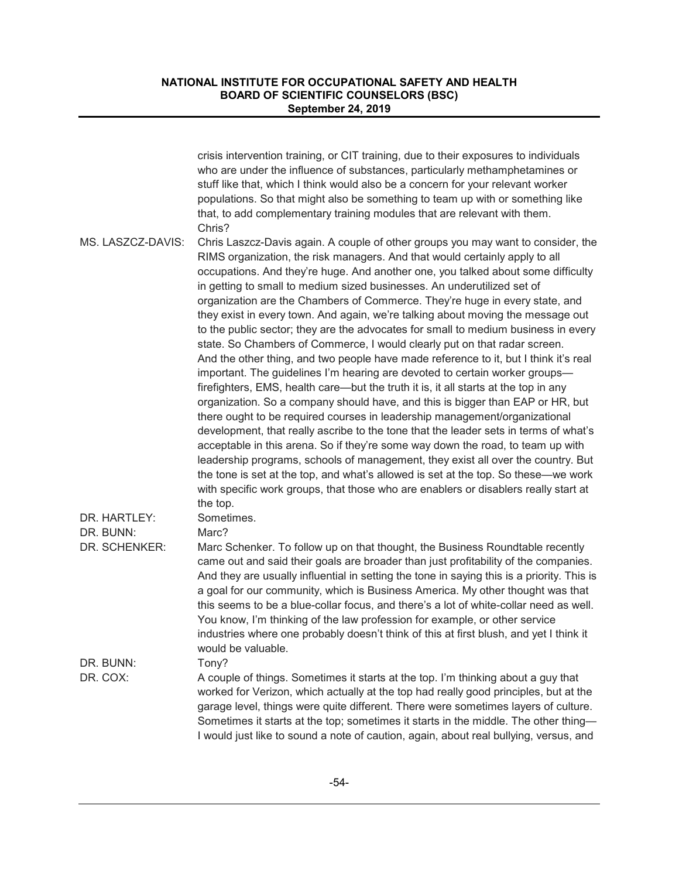|                                   | crisis intervention training, or CIT training, due to their exposures to individuals<br>who are under the influence of substances, particularly methamphetamines or<br>stuff like that, which I think would also be a concern for your relevant worker<br>populations. So that might also be something to team up with or something like<br>that, to add complementary training modules that are relevant with them.<br>Chris?                                                                                                                                                                                                                                                                                                                                                                                                                                                                                                                                                                                                                                                                                                                                                                                                                                                                                                                                                                                                                                                                                                                                          |
|-----------------------------------|-------------------------------------------------------------------------------------------------------------------------------------------------------------------------------------------------------------------------------------------------------------------------------------------------------------------------------------------------------------------------------------------------------------------------------------------------------------------------------------------------------------------------------------------------------------------------------------------------------------------------------------------------------------------------------------------------------------------------------------------------------------------------------------------------------------------------------------------------------------------------------------------------------------------------------------------------------------------------------------------------------------------------------------------------------------------------------------------------------------------------------------------------------------------------------------------------------------------------------------------------------------------------------------------------------------------------------------------------------------------------------------------------------------------------------------------------------------------------------------------------------------------------------------------------------------------------|
| MS. LASZCZ-DAVIS:<br>DR. HARTLEY: | Chris Laszcz-Davis again. A couple of other groups you may want to consider, the<br>RIMS organization, the risk managers. And that would certainly apply to all<br>occupations. And they're huge. And another one, you talked about some difficulty<br>in getting to small to medium sized businesses. An underutilized set of<br>organization are the Chambers of Commerce. They're huge in every state, and<br>they exist in every town. And again, we're talking about moving the message out<br>to the public sector; they are the advocates for small to medium business in every<br>state. So Chambers of Commerce, I would clearly put on that radar screen.<br>And the other thing, and two people have made reference to it, but I think it's real<br>important. The guidelines I'm hearing are devoted to certain worker groups-<br>firefighters, EMS, health care—but the truth it is, it all starts at the top in any<br>organization. So a company should have, and this is bigger than EAP or HR, but<br>there ought to be required courses in leadership management/organizational<br>development, that really ascribe to the tone that the leader sets in terms of what's<br>acceptable in this arena. So if they're some way down the road, to team up with<br>leadership programs, schools of management, they exist all over the country. But<br>the tone is set at the top, and what's allowed is set at the top. So these—we work<br>with specific work groups, that those who are enablers or disablers really start at<br>the top.<br>Sometimes. |
| DR. BUNN:<br>DR. SCHENKER:        | Marc?<br>Marc Schenker. To follow up on that thought, the Business Roundtable recently<br>came out and said their goals are broader than just profitability of the companies.<br>And they are usually influential in setting the tone in saying this is a priority. This is<br>a goal for our community, which is Business America. My other thought was that<br>this seems to be a blue-collar focus, and there's a lot of white-collar need as well.<br>You know, I'm thinking of the law profession for example, or other service<br>industries where one probably doesn't think of this at first blush, and yet I think it<br>would be valuable.                                                                                                                                                                                                                                                                                                                                                                                                                                                                                                                                                                                                                                                                                                                                                                                                                                                                                                                    |
| DR. BUNN:<br>DR. COX:             | Tony?<br>A couple of things. Sometimes it starts at the top. I'm thinking about a guy that<br>worked for Verizon, which actually at the top had really good principles, but at the<br>garage level, things were quite different. There were sometimes layers of culture.<br>Sometimes it starts at the top; sometimes it starts in the middle. The other thing-<br>I would just like to sound a note of caution, again, about real bullying, versus, and                                                                                                                                                                                                                                                                                                                                                                                                                                                                                                                                                                                                                                                                                                                                                                                                                                                                                                                                                                                                                                                                                                                |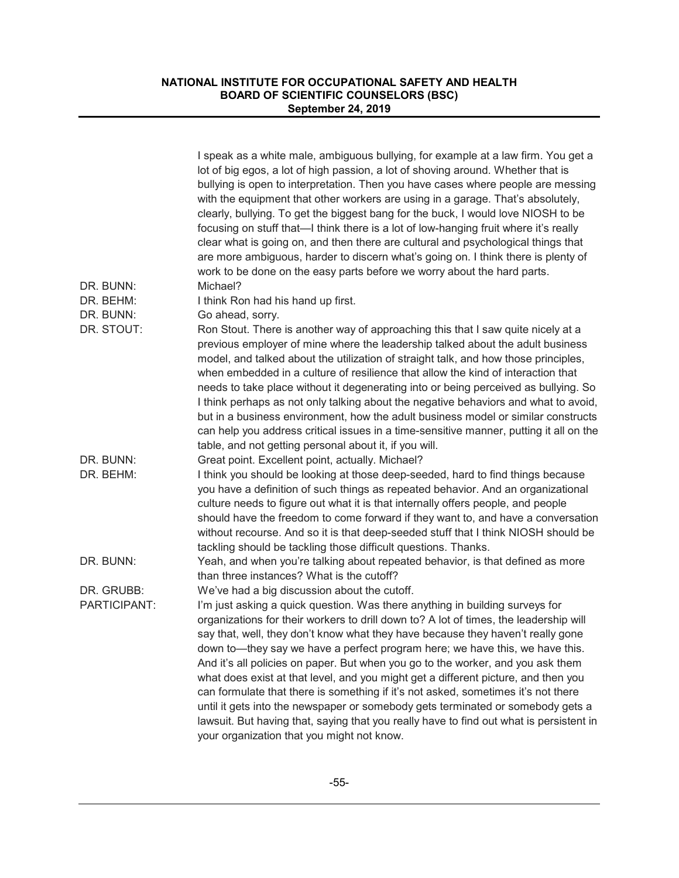|                        | I speak as a white male, ambiguous bullying, for example at a law firm. You get a<br>lot of big egos, a lot of high passion, a lot of shoving around. Whether that is<br>bullying is open to interpretation. Then you have cases where people are messing<br>with the equipment that other workers are using in a garage. That's absolutely,<br>clearly, bullying. To get the biggest bang for the buck, I would love NIOSH to be<br>focusing on stuff that—I think there is a lot of low-hanging fruit where it's really<br>clear what is going on, and then there are cultural and psychological things that<br>are more ambiguous, harder to discern what's going on. I think there is plenty of<br>work to be done on the easy parts before we worry about the hard parts.                                                     |
|------------------------|------------------------------------------------------------------------------------------------------------------------------------------------------------------------------------------------------------------------------------------------------------------------------------------------------------------------------------------------------------------------------------------------------------------------------------------------------------------------------------------------------------------------------------------------------------------------------------------------------------------------------------------------------------------------------------------------------------------------------------------------------------------------------------------------------------------------------------|
| DR. BUNN:              | Michael?                                                                                                                                                                                                                                                                                                                                                                                                                                                                                                                                                                                                                                                                                                                                                                                                                           |
| DR. BEHM:<br>DR. BUNN: | I think Ron had his hand up first.<br>Go ahead, sorry.                                                                                                                                                                                                                                                                                                                                                                                                                                                                                                                                                                                                                                                                                                                                                                             |
| DR. STOUT:             | Ron Stout. There is another way of approaching this that I saw quite nicely at a<br>previous employer of mine where the leadership talked about the adult business<br>model, and talked about the utilization of straight talk, and how those principles,<br>when embedded in a culture of resilience that allow the kind of interaction that<br>needs to take place without it degenerating into or being perceived as bullying. So                                                                                                                                                                                                                                                                                                                                                                                               |
|                        | I think perhaps as not only talking about the negative behaviors and what to avoid,<br>but in a business environment, how the adult business model or similar constructs<br>can help you address critical issues in a time-sensitive manner, putting it all on the<br>table, and not getting personal about it, if you will.                                                                                                                                                                                                                                                                                                                                                                                                                                                                                                       |
| DR. BUNN:              | Great point. Excellent point, actually. Michael?                                                                                                                                                                                                                                                                                                                                                                                                                                                                                                                                                                                                                                                                                                                                                                                   |
| DR. BEHM:              | I think you should be looking at those deep-seeded, hard to find things because<br>you have a definition of such things as repeated behavior. And an organizational<br>culture needs to figure out what it is that internally offers people, and people<br>should have the freedom to come forward if they want to, and have a conversation<br>without recourse. And so it is that deep-seeded stuff that I think NIOSH should be<br>tackling should be tackling those difficult questions. Thanks.                                                                                                                                                                                                                                                                                                                                |
| DR. BUNN:              | Yeah, and when you're talking about repeated behavior, is that defined as more<br>than three instances? What is the cutoff?                                                                                                                                                                                                                                                                                                                                                                                                                                                                                                                                                                                                                                                                                                        |
| DR. GRUBB:             | We've had a big discussion about the cutoff.                                                                                                                                                                                                                                                                                                                                                                                                                                                                                                                                                                                                                                                                                                                                                                                       |
| PARTICIPANT:           | I'm just asking a quick question. Was there anything in building surveys for<br>organizations for their workers to drill down to? A lot of times, the leadership will<br>say that, well, they don't know what they have because they haven't really gone<br>down to—they say we have a perfect program here; we have this, we have this.<br>And it's all policies on paper. But when you go to the worker, and you ask them<br>what does exist at that level, and you might get a different picture, and then you<br>can formulate that there is something if it's not asked, sometimes it's not there<br>until it gets into the newspaper or somebody gets terminated or somebody gets a<br>lawsuit. But having that, saying that you really have to find out what is persistent in<br>your organization that you might not know. |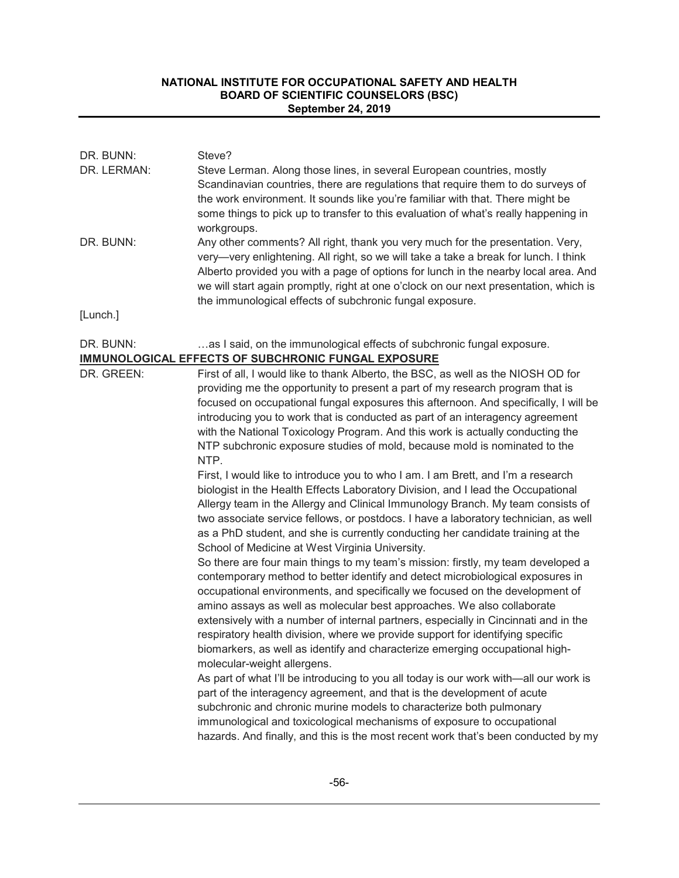| DR. BUNN:<br>DR. LERMAN:<br>DR. BUNN: | Steve?<br>Steve Lerman. Along those lines, in several European countries, mostly<br>Scandinavian countries, there are regulations that require them to do surveys of<br>the work environment. It sounds like you're familiar with that. There might be<br>some things to pick up to transfer to this evaluation of what's really happening in<br>workgroups.<br>Any other comments? All right, thank you very much for the presentation. Very,<br>very-very enlightening. All right, so we will take a take a break for lunch. I think                                                                                                                                                                                                                                                                                                                                                                                                                                                                                                                                                                                                                                                                                                                                                                                                                                                                                                                                                                                                                                                                                                                                                                                                                                                                                                                                                                                                                                                                                                        |
|---------------------------------------|-----------------------------------------------------------------------------------------------------------------------------------------------------------------------------------------------------------------------------------------------------------------------------------------------------------------------------------------------------------------------------------------------------------------------------------------------------------------------------------------------------------------------------------------------------------------------------------------------------------------------------------------------------------------------------------------------------------------------------------------------------------------------------------------------------------------------------------------------------------------------------------------------------------------------------------------------------------------------------------------------------------------------------------------------------------------------------------------------------------------------------------------------------------------------------------------------------------------------------------------------------------------------------------------------------------------------------------------------------------------------------------------------------------------------------------------------------------------------------------------------------------------------------------------------------------------------------------------------------------------------------------------------------------------------------------------------------------------------------------------------------------------------------------------------------------------------------------------------------------------------------------------------------------------------------------------------------------------------------------------------------------------------------------------------|
|                                       | Alberto provided you with a page of options for lunch in the nearby local area. And<br>we will start again promptly, right at one o'clock on our next presentation, which is<br>the immunological effects of subchronic fungal exposure.                                                                                                                                                                                                                                                                                                                                                                                                                                                                                                                                                                                                                                                                                                                                                                                                                                                                                                                                                                                                                                                                                                                                                                                                                                                                                                                                                                                                                                                                                                                                                                                                                                                                                                                                                                                                      |
| [Lunch.]                              |                                                                                                                                                                                                                                                                                                                                                                                                                                                                                                                                                                                                                                                                                                                                                                                                                                                                                                                                                                                                                                                                                                                                                                                                                                                                                                                                                                                                                                                                                                                                                                                                                                                                                                                                                                                                                                                                                                                                                                                                                                               |
| DR. BUNN:                             | as I said, on the immunological effects of subchronic fungal exposure.<br><b>IMMUNOLOGICAL EFFECTS OF SUBCHRONIC FUNGAL EXPOSURE</b>                                                                                                                                                                                                                                                                                                                                                                                                                                                                                                                                                                                                                                                                                                                                                                                                                                                                                                                                                                                                                                                                                                                                                                                                                                                                                                                                                                                                                                                                                                                                                                                                                                                                                                                                                                                                                                                                                                          |
| DR. GREEN:                            | First of all, I would like to thank Alberto, the BSC, as well as the NIOSH OD for<br>providing me the opportunity to present a part of my research program that is<br>focused on occupational fungal exposures this afternoon. And specifically, I will be<br>introducing you to work that is conducted as part of an interagency agreement<br>with the National Toxicology Program. And this work is actually conducting the<br>NTP subchronic exposure studies of mold, because mold is nominated to the<br>NTP.<br>First, I would like to introduce you to who I am. I am Brett, and I'm a research<br>biologist in the Health Effects Laboratory Division, and I lead the Occupational<br>Allergy team in the Allergy and Clinical Immunology Branch. My team consists of<br>two associate service fellows, or postdocs. I have a laboratory technician, as well<br>as a PhD student, and she is currently conducting her candidate training at the<br>School of Medicine at West Virginia University.<br>So there are four main things to my team's mission: firstly, my team developed a<br>contemporary method to better identify and detect microbiological exposures in<br>occupational environments, and specifically we focused on the development of<br>amino assays as well as molecular best approaches. We also collaborate<br>extensively with a number of internal partners, especially in Cincinnati and in the<br>respiratory health division, where we provide support for identifying specific<br>biomarkers, as well as identify and characterize emerging occupational high-<br>molecular-weight allergens.<br>As part of what I'll be introducing to you all today is our work with-all our work is<br>part of the interagency agreement, and that is the development of acute<br>subchronic and chronic murine models to characterize both pulmonary<br>immunological and toxicological mechanisms of exposure to occupational<br>hazards. And finally, and this is the most recent work that's been conducted by my |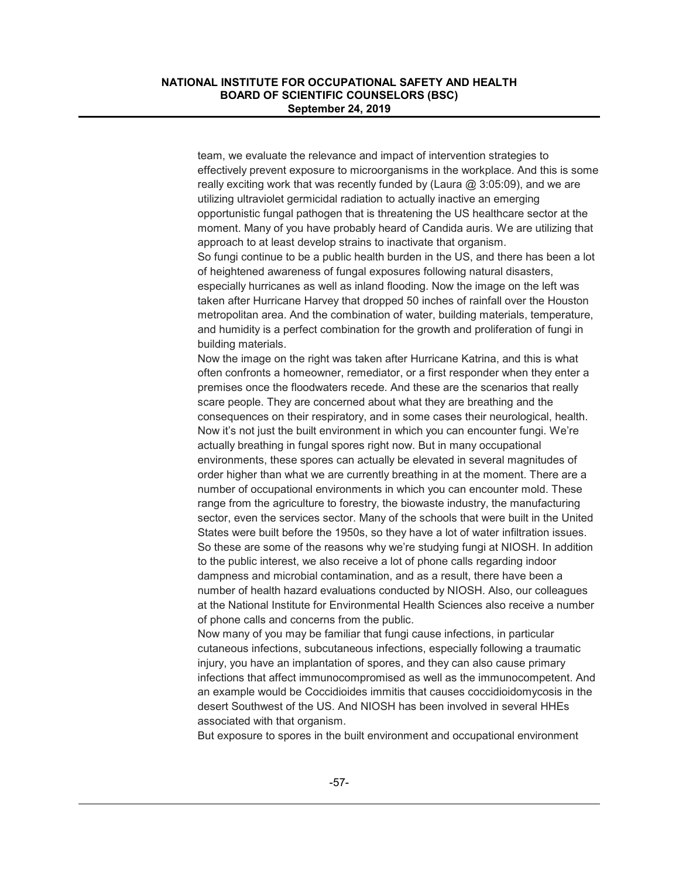team, we evaluate the relevance and impact of intervention strategies to effectively prevent exposure to microorganisms in the workplace. And this is some really exciting work that was recently funded by (Laura  $@3:05:09$ ), and we are utilizing ultraviolet germicidal radiation to actually inactive an emerging opportunistic fungal pathogen that is threatening the US healthcare sector at the moment. Many of you have probably heard of Candida auris. We are utilizing that approach to at least develop strains to inactivate that organism. So fungi continue to be a public health burden in the US, and there has been a lot of heightened awareness of fungal exposures following natural disasters, especially hurricanes as well as inland flooding. Now the image on the left was taken after Hurricane Harvey that dropped 50 inches of rainfall over the Houston metropolitan area. And the combination of water, building materials, temperature, and humidity is a perfect combination for the growth and proliferation of fungi in building materials.

Now the image on the right was taken after Hurricane Katrina, and this is what often confronts a homeowner, remediator, or a first responder when they enter a premises once the floodwaters recede. And these are the scenarios that really scare people. They are concerned about what they are breathing and the consequences on their respiratory, and in some cases their neurological, health. Now it's not just the built environment in which you can encounter fungi. We're actually breathing in fungal spores right now. But in many occupational environments, these spores can actually be elevated in several magnitudes of order higher than what we are currently breathing in at the moment. There are a number of occupational environments in which you can encounter mold. These range from the agriculture to forestry, the biowaste industry, the manufacturing sector, even the services sector. Many of the schools that were built in the United States were built before the 1950s, so they have a lot of water infiltration issues. So these are some of the reasons why we're studying fungi at NIOSH. In addition to the public interest, we also receive a lot of phone calls regarding indoor dampness and microbial contamination, and as a result, there have been a number of health hazard evaluations conducted by NIOSH. Also, our colleagues at the National Institute for Environmental Health Sciences also receive a number of phone calls and concerns from the public.

Now many of you may be familiar that fungi cause infections, in particular cutaneous infections, subcutaneous infections, especially following a traumatic injury, you have an implantation of spores, and they can also cause primary infections that affect immunocompromised as well as the immunocompetent. And an example would be Coccidioides immitis that causes coccidioidomycosis in the desert Southwest of the US. And NIOSH has been involved in several HHEs associated with that organism.

But exposure to spores in the built environment and occupational environment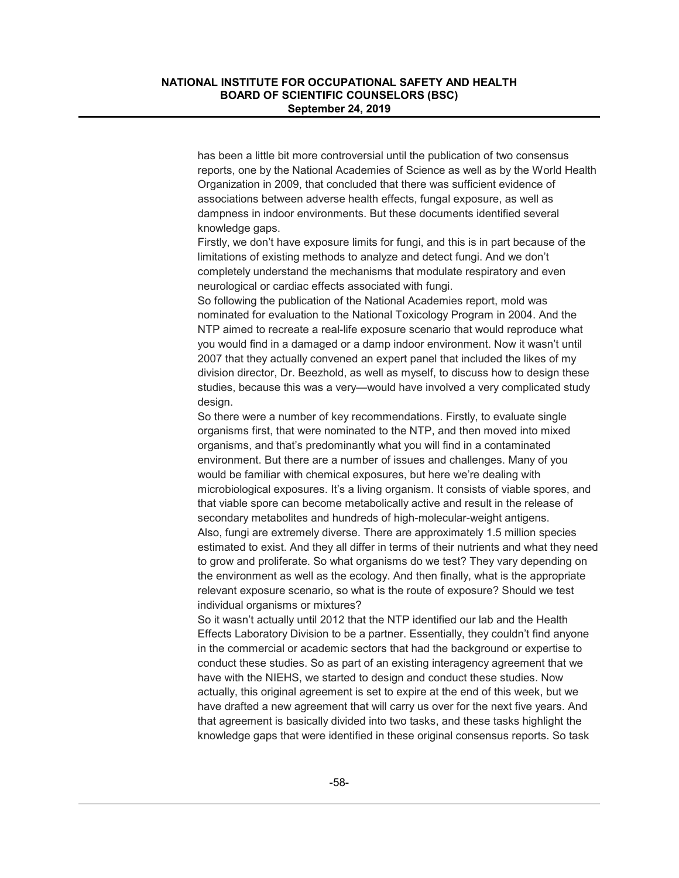has been a little bit more controversial until the publication of two consensus reports, one by the National Academies of Science as well as by the World Health Organization in 2009, that concluded that there was sufficient evidence of associations between adverse health effects, fungal exposure, as well as dampness in indoor environments. But these documents identified several knowledge gaps.

Firstly, we don't have exposure limits for fungi, and this is in part because of the limitations of existing methods to analyze and detect fungi. And we don't completely understand the mechanisms that modulate respiratory and even neurological or cardiac effects associated with fungi.

So following the publication of the National Academies report, mold was nominated for evaluation to the National Toxicology Program in 2004. And the NTP aimed to recreate a real-life exposure scenario that would reproduce what you would find in a damaged or a damp indoor environment. Now it wasn't until 2007 that they actually convened an expert panel that included the likes of my division director, Dr. Beezhold, as well as myself, to discuss how to design these studies, because this was a very—would have involved a very complicated study design.

So there were a number of key recommendations. Firstly, to evaluate single organisms first, that were nominated to the NTP, and then moved into mixed organisms, and that's predominantly what you will find in a contaminated environment. But there are a number of issues and challenges. Many of you would be familiar with chemical exposures, but here we're dealing with microbiological exposures. It's a living organism. It consists of viable spores, and that viable spore can become metabolically active and result in the release of secondary metabolites and hundreds of high-molecular-weight antigens. Also, fungi are extremely diverse. There are approximately 1.5 million species estimated to exist. And they all differ in terms of their nutrients and what they need to grow and proliferate. So what organisms do we test? They vary depending on the environment as well as the ecology. And then finally, what is the appropriate relevant exposure scenario, so what is the route of exposure? Should we test individual organisms or mixtures?

So it wasn't actually until 2012 that the NTP identified our lab and the Health Effects Laboratory Division to be a partner. Essentially, they couldn't find anyone in the commercial or academic sectors that had the background or expertise to conduct these studies. So as part of an existing interagency agreement that we have with the NIEHS, we started to design and conduct these studies. Now actually, this original agreement is set to expire at the end of this week, but we have drafted a new agreement that will carry us over for the next five years. And that agreement is basically divided into two tasks, and these tasks highlight the knowledge gaps that were identified in these original consensus reports. So task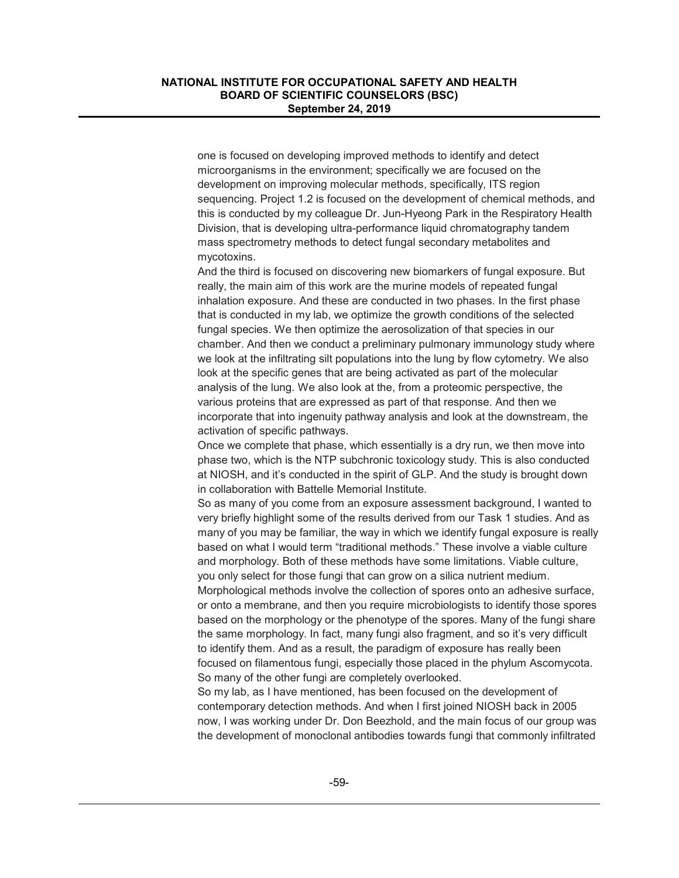one is focused on developing improved methods to identify and detect microorganisms in the environment; specifically we are focused on the development on improving molecular methods, specifically, ITS region sequencing. Project 1.2 is focused on the development of chemical methods, and this is conducted by my colleague Dr. Jun-Hyeong Park in the Respiratory Health Division, that is developing ultra-performance liquid chromatography tandem mass spectrometry methods to detect fungal secondary metabolites and mycotoxins.

And the third is focused on discovering new biomarkers of fungal exposure. But really, the main aim of this work are the murine models of repeated fungal inhalation exposure. And these are conducted in two phases. In the first phase that is conducted in my lab, we optimize the growth conditions of the selected fungal species. We then optimize the aerosolization of that species in our chamber. And then we conduct a preliminary pulmonary immunology study where we look at the infiltrating silt populations into the lung by flow cytometry. We also look at the specific genes that are being activated as part of the molecular analysis of the lung. We also look at the, from a proteomic perspective, the various proteins that are expressed as part of that response. And then we incorporate that into ingenuity pathway analysis and look at the downstream, the activation of specific pathways.

Once we complete that phase, which essentially is a dry run, we then move into phase two, which is the NTP subchronic toxicology study. This is also conducted at NIOSH, and it's conducted in the spirit of GLP. And the study is brought down in collaboration with Battelle Memorial Institute.

So as many of you come from an exposure assessment background, I wanted to very briefly highlight some of the results derived from our Task 1 studies. And as many of you may be familiar, the way in which we identify fungal exposure is really based on what I would term "traditional methods." These involve a viable culture and morphology. Both of these methods have some limitations. Viable culture, you only select for those fungi that can grow on a silica nutrient medium.

Morphological methods involve the collection of spores onto an adhesive surface, or onto a membrane, and then you require microbiologists to identify those spores based on the morphology or the phenotype of the spores. Many of the fungi share the same morphology. In fact, many fungi also fragment, and so it's very difficult to identify them. And as a result, the paradigm of exposure has really been focused on filamentous fungi, especially those placed in the phylum Ascomycota. So many of the other fungi are completely overlooked.

So my lab, as I have mentioned, has been focused on the development of contemporary detection methods. And when I first joined NIOSH back in 2005 now, I was working under Dr. Don Beezhold, and the main focus of our group was the development of monoclonal antibodies towards fungi that commonly infiltrated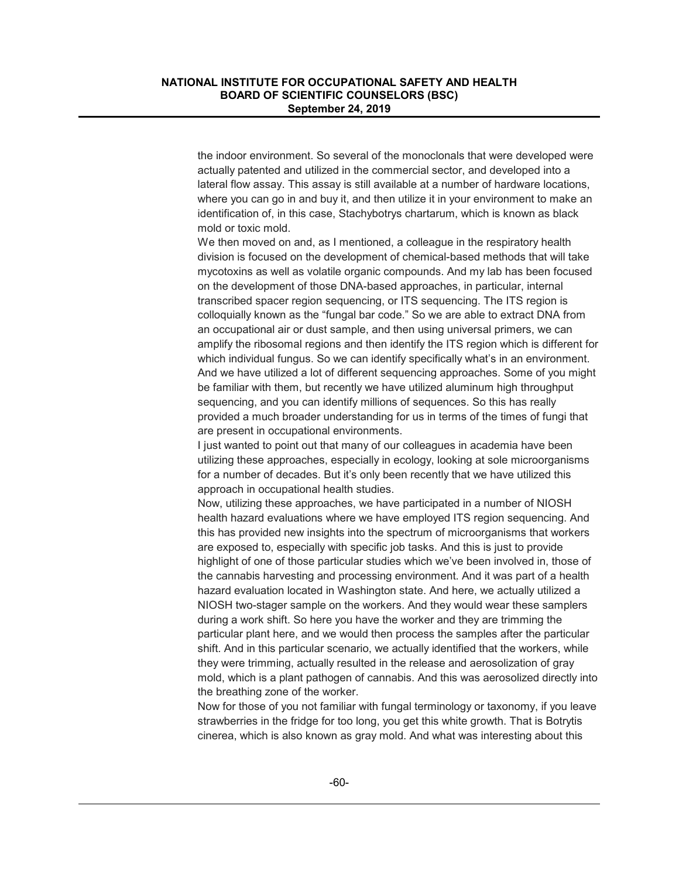the indoor environment. So several of the monoclonals that were developed were actually patented and utilized in the commercial sector, and developed into a lateral flow assay. This assay is still available at a number of hardware locations, where you can go in and buy it, and then utilize it in your environment to make an identification of, in this case, Stachybotrys chartarum, which is known as black mold or toxic mold.

We then moved on and, as I mentioned, a colleague in the respiratory health division is focused on the development of chemical-based methods that will take mycotoxins as well as volatile organic compounds. And my lab has been focused on the development of those DNA-based approaches, in particular, internal transcribed spacer region sequencing, or ITS sequencing. The ITS region is colloquially known as the "fungal bar code." So we are able to extract DNA from an occupational air or dust sample, and then using universal primers, we can amplify the ribosomal regions and then identify the ITS region which is different for which individual fungus. So we can identify specifically what's in an environment. And we have utilized a lot of different sequencing approaches. Some of you might be familiar with them, but recently we have utilized aluminum high throughput sequencing, and you can identify millions of sequences. So this has really provided a much broader understanding for us in terms of the times of fungi that are present in occupational environments.

I just wanted to point out that many of our colleagues in academia have been utilizing these approaches, especially in ecology, looking at sole microorganisms for a number of decades. But it's only been recently that we have utilized this approach in occupational health studies.

Now, utilizing these approaches, we have participated in a number of NIOSH health hazard evaluations where we have employed ITS region sequencing. And this has provided new insights into the spectrum of microorganisms that workers are exposed to, especially with specific job tasks. And this is just to provide highlight of one of those particular studies which we've been involved in, those of the cannabis harvesting and processing environment. And it was part of a health hazard evaluation located in Washington state. And here, we actually utilized a NIOSH two-stager sample on the workers. And they would wear these samplers during a work shift. So here you have the worker and they are trimming the particular plant here, and we would then process the samples after the particular shift. And in this particular scenario, we actually identified that the workers, while they were trimming, actually resulted in the release and aerosolization of gray mold, which is a plant pathogen of cannabis. And this was aerosolized directly into the breathing zone of the worker.

Now for those of you not familiar with fungal terminology or taxonomy, if you leave strawberries in the fridge for too long, you get this white growth. That is Botrytis cinerea, which is also known as gray mold. And what was interesting about this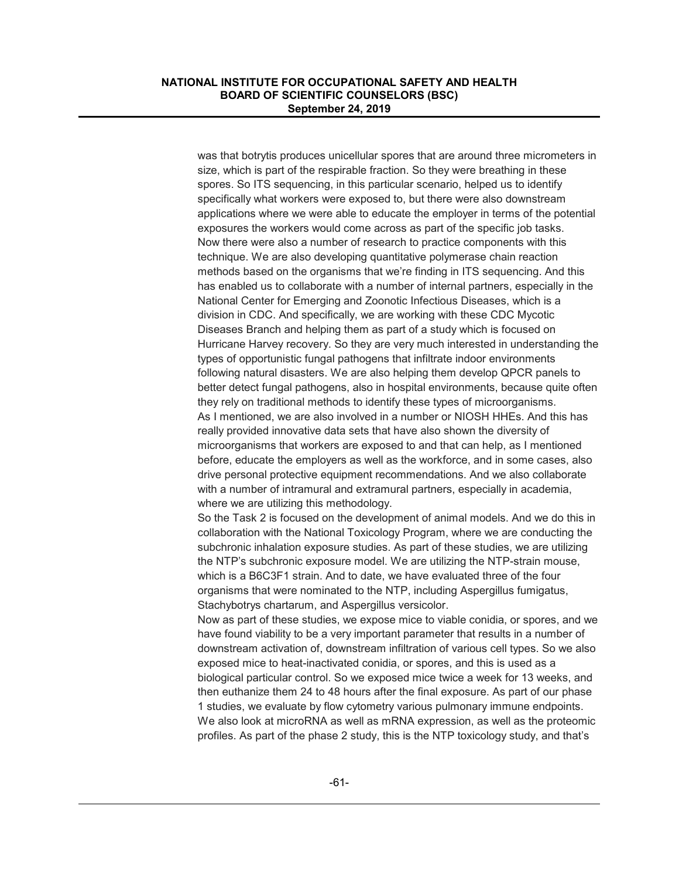was that botrytis produces unicellular spores that are around three micrometers in size, which is part of the respirable fraction. So they were breathing in these spores. So ITS sequencing, in this particular scenario, helped us to identify specifically what workers were exposed to, but there were also downstream applications where we were able to educate the employer in terms of the potential exposures the workers would come across as part of the specific job tasks. Now there were also a number of research to practice components with this technique. We are also developing quantitative polymerase chain reaction methods based on the organisms that we're finding in ITS sequencing. And this has enabled us to collaborate with a number of internal partners, especially in the National Center for Emerging and Zoonotic Infectious Diseases, which is a division in CDC. And specifically, we are working with these CDC Mycotic Diseases Branch and helping them as part of a study which is focused on Hurricane Harvey recovery. So they are very much interested in understanding the types of opportunistic fungal pathogens that infiltrate indoor environments following natural disasters. We are also helping them develop QPCR panels to better detect fungal pathogens, also in hospital environments, because quite often they rely on traditional methods to identify these types of microorganisms. As I mentioned, we are also involved in a number or NIOSH HHEs. And this has really provided innovative data sets that have also shown the diversity of microorganisms that workers are exposed to and that can help, as I mentioned before, educate the employers as well as the workforce, and in some cases, also drive personal protective equipment recommendations. And we also collaborate with a number of intramural and extramural partners, especially in academia, where we are utilizing this methodology.

So the Task 2 is focused on the development of animal models. And we do this in collaboration with the National Toxicology Program, where we are conducting the subchronic inhalation exposure studies. As part of these studies, we are utilizing the NTP's subchronic exposure model. We are utilizing the NTP-strain mouse, which is a B6C3F1 strain. And to date, we have evaluated three of the four organisms that were nominated to the NTP, including Aspergillus fumigatus, Stachybotrys chartarum, and Aspergillus versicolor.

Now as part of these studies, we expose mice to viable conidia, or spores, and we have found viability to be a very important parameter that results in a number of downstream activation of, downstream infiltration of various cell types. So we also exposed mice to heat-inactivated conidia, or spores, and this is used as a biological particular control. So we exposed mice twice a week for 13 weeks, and then euthanize them 24 to 48 hours after the final exposure. As part of our phase 1 studies, we evaluate by flow cytometry various pulmonary immune endpoints. We also look at microRNA as well as mRNA expression, as well as the proteomic profiles. As part of the phase 2 study, this is the NTP toxicology study, and that's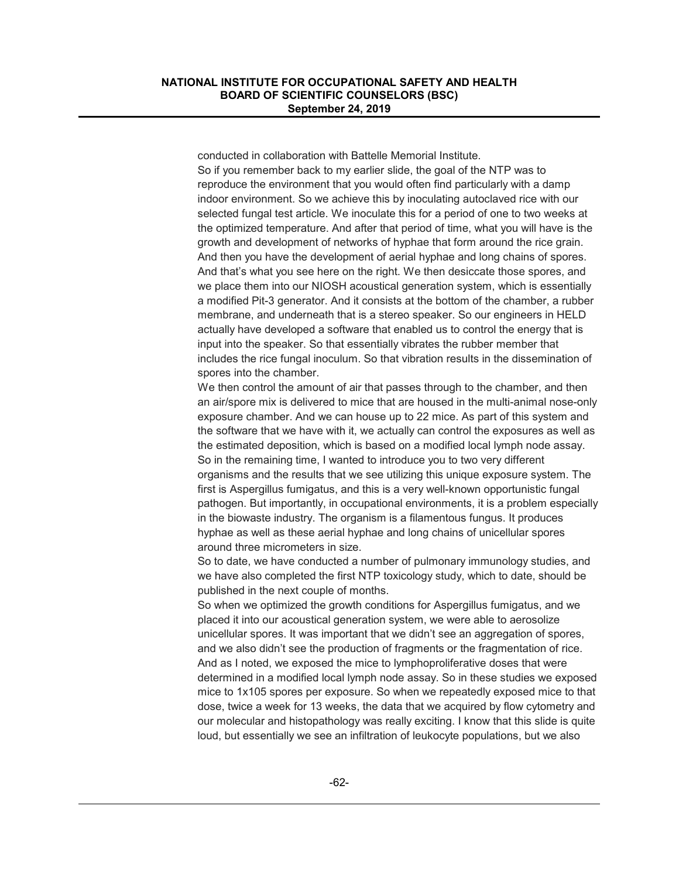conducted in collaboration with Battelle Memorial Institute. So if you remember back to my earlier slide, the goal of the NTP was to reproduce the environment that you would often find particularly with a damp indoor environment. So we achieve this by inoculating autoclaved rice with our selected fungal test article. We inoculate this for a period of one to two weeks at the optimized temperature. And after that period of time, what you will have is the growth and development of networks of hyphae that form around the rice grain. And then you have the development of aerial hyphae and long chains of spores. And that's what you see here on the right. We then desiccate those spores, and we place them into our NIOSH acoustical generation system, which is essentially a modified Pit-3 generator. And it consists at the bottom of the chamber, a rubber membrane, and underneath that is a stereo speaker. So our engineers in HELD actually have developed a software that enabled us to control the energy that is input into the speaker. So that essentially vibrates the rubber member that includes the rice fungal inoculum. So that vibration results in the dissemination of spores into the chamber.

We then control the amount of air that passes through to the chamber, and then an air/spore mix is delivered to mice that are housed in the multi-animal nose-only exposure chamber. And we can house up to 22 mice. As part of this system and the software that we have with it, we actually can control the exposures as well as the estimated deposition, which is based on a modified local lymph node assay. So in the remaining time, I wanted to introduce you to two very different organisms and the results that we see utilizing this unique exposure system. The first is Aspergillus fumigatus, and this is a very well-known opportunistic fungal pathogen. But importantly, in occupational environments, it is a problem especially in the biowaste industry. The organism is a filamentous fungus. It produces hyphae as well as these aerial hyphae and long chains of unicellular spores around three micrometers in size.

So to date, we have conducted a number of pulmonary immunology studies, and we have also completed the first NTP toxicology study, which to date, should be published in the next couple of months.

So when we optimized the growth conditions for Aspergillus fumigatus, and we placed it into our acoustical generation system, we were able to aerosolize unicellular spores. It was important that we didn't see an aggregation of spores, and we also didn't see the production of fragments or the fragmentation of rice. And as I noted, we exposed the mice to lymphoproliferative doses that were determined in a modified local lymph node assay. So in these studies we exposed mice to 1x105 spores per exposure. So when we repeatedly exposed mice to that dose, twice a week for 13 weeks, the data that we acquired by flow cytometry and our molecular and histopathology was really exciting. I know that this slide is quite loud, but essentially we see an infiltration of leukocyte populations, but we also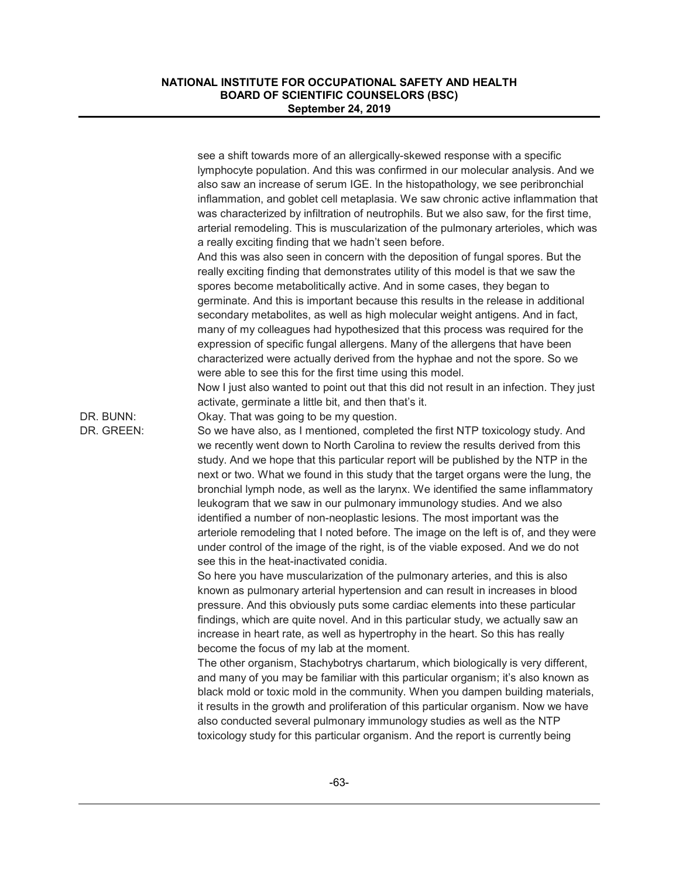|                         | see a shift towards more of an allergically-skewed response with a specific<br>lymphocyte population. And this was confirmed in our molecular analysis. And we<br>also saw an increase of serum IGE. In the histopathology, we see peribronchial<br>inflammation, and goblet cell metaplasia. We saw chronic active inflammation that<br>was characterized by infiltration of neutrophils. But we also saw, for the first time,<br>arterial remodeling. This is muscularization of the pulmonary arterioles, which was<br>a really exciting finding that we hadn't seen before.<br>And this was also seen in concern with the deposition of fungal spores. But the<br>really exciting finding that demonstrates utility of this model is that we saw the                                                                                                     |
|-------------------------|--------------------------------------------------------------------------------------------------------------------------------------------------------------------------------------------------------------------------------------------------------------------------------------------------------------------------------------------------------------------------------------------------------------------------------------------------------------------------------------------------------------------------------------------------------------------------------------------------------------------------------------------------------------------------------------------------------------------------------------------------------------------------------------------------------------------------------------------------------------|
|                         | spores become metabolitically active. And in some cases, they began to<br>germinate. And this is important because this results in the release in additional<br>secondary metabolites, as well as high molecular weight antigens. And in fact,<br>many of my colleagues had hypothesized that this process was required for the<br>expression of specific fungal allergens. Many of the allergens that have been<br>characterized were actually derived from the hyphae and not the spore. So we<br>were able to see this for the first time using this model.                                                                                                                                                                                                                                                                                               |
|                         | Now I just also wanted to point out that this did not result in an infection. They just<br>activate, germinate a little bit, and then that's it.                                                                                                                                                                                                                                                                                                                                                                                                                                                                                                                                                                                                                                                                                                             |
| DR. BUNN:<br>DR. GREEN: | Okay. That was going to be my question.<br>So we have also, as I mentioned, completed the first NTP toxicology study. And<br>we recently went down to North Carolina to review the results derived from this<br>study. And we hope that this particular report will be published by the NTP in the<br>next or two. What we found in this study that the target organs were the lung, the<br>bronchial lymph node, as well as the larynx. We identified the same inflammatory<br>leukogram that we saw in our pulmonary immunology studies. And we also<br>identified a number of non-neoplastic lesions. The most important was the<br>arteriole remodeling that I noted before. The image on the left is of, and they were<br>under control of the image of the right, is of the viable exposed. And we do not<br>see this in the heat-inactivated conidia. |
|                         | So here you have muscularization of the pulmonary arteries, and this is also<br>known as pulmonary arterial hypertension and can result in increases in blood<br>pressure. And this obviously puts some cardiac elements into these particular<br>findings, which are quite novel. And in this particular study, we actually saw an<br>increase in heart rate, as well as hypertrophy in the heart. So this has really<br>become the focus of my lab at the moment.<br>The other organism, Stachybotrys chartarum, which biologically is very different,<br>and many of you may be familiar with this particular organism; it's also known as<br>black mold or toxic mold in the community. When you dampen building materials,                                                                                                                              |
|                         | it results in the growth and proliferation of this particular organism. Now we have<br>also conducted several pulmonary immunology studies as well as the NTP<br>toxicology study for this particular organism. And the report is currently being                                                                                                                                                                                                                                                                                                                                                                                                                                                                                                                                                                                                            |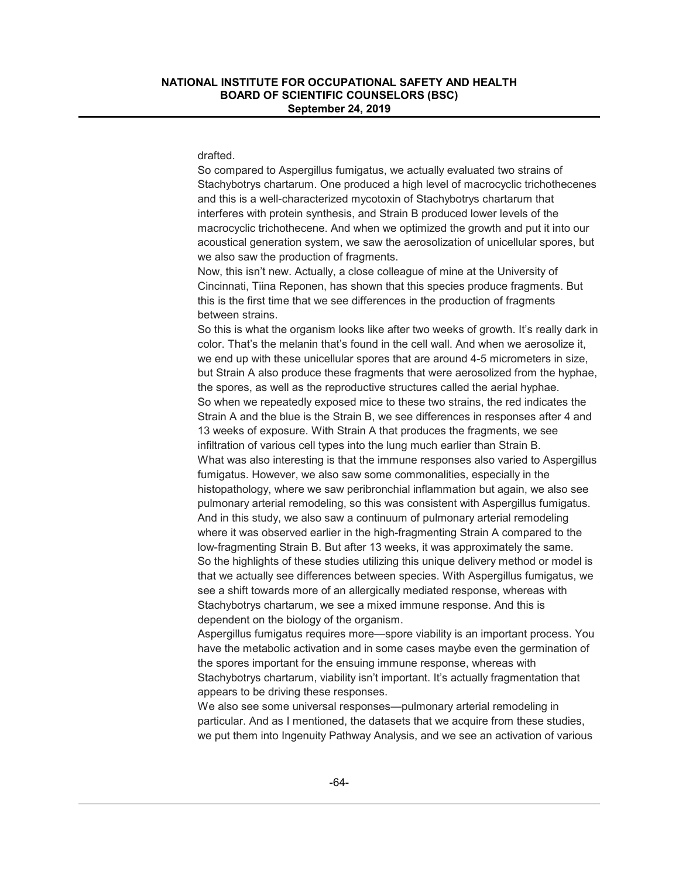#### drafted.

So compared to Aspergillus fumigatus, we actually evaluated two strains of Stachybotrys chartarum. One produced a high level of macrocyclic trichothecenes and this is a well-characterized mycotoxin of Stachybotrys chartarum that interferes with protein synthesis, and Strain B produced lower levels of the macrocyclic trichothecene. And when we optimized the growth and put it into our acoustical generation system, we saw the aerosolization of unicellular spores, but we also saw the production of fragments.

Now, this isn't new. Actually, a close colleague of mine at the University of Cincinnati, Tiina Reponen, has shown that this species produce fragments. But this is the first time that we see differences in the production of fragments between strains.

So this is what the organism looks like after two weeks of growth. It's really dark in color. That's the melanin that's found in the cell wall. And when we aerosolize it, we end up with these unicellular spores that are around 4-5 micrometers in size, but Strain A also produce these fragments that were aerosolized from the hyphae, the spores, as well as the reproductive structures called the aerial hyphae. So when we repeatedly exposed mice to these two strains, the red indicates the Strain A and the blue is the Strain B, we see differences in responses after 4 and 13 weeks of exposure. With Strain A that produces the fragments, we see infiltration of various cell types into the lung much earlier than Strain B. What was also interesting is that the immune responses also varied to Aspergillus fumigatus. However, we also saw some commonalities, especially in the histopathology, where we saw peribronchial inflammation but again, we also see pulmonary arterial remodeling, so this was consistent with Aspergillus fumigatus. And in this study, we also saw a continuum of pulmonary arterial remodeling where it was observed earlier in the high-fragmenting Strain A compared to the low-fragmenting Strain B. But after 13 weeks, it was approximately the same. So the highlights of these studies utilizing this unique delivery method or model is that we actually see differences between species. With Aspergillus fumigatus, we see a shift towards more of an allergically mediated response, whereas with Stachybotrys chartarum, we see a mixed immune response. And this is dependent on the biology of the organism.

Aspergillus fumigatus requires more—spore viability is an important process. You have the metabolic activation and in some cases maybe even the germination of the spores important for the ensuing immune response, whereas with Stachybotrys chartarum, viability isn't important. It's actually fragmentation that appears to be driving these responses.

We also see some universal responses—pulmonary arterial remodeling in particular. And as I mentioned, the datasets that we acquire from these studies, we put them into Ingenuity Pathway Analysis, and we see an activation of various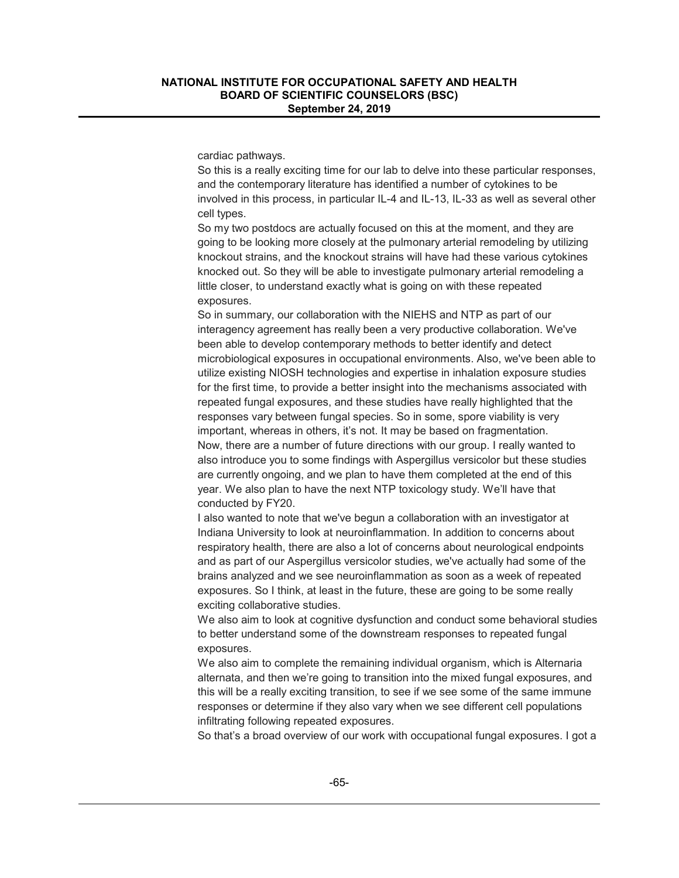cardiac pathways.

So this is a really exciting time for our lab to delve into these particular responses, and the contemporary literature has identified a number of cytokines to be involved in this process, in particular IL-4 and IL-13, IL-33 as well as several other cell types.

So my two postdocs are actually focused on this at the moment, and they are going to be looking more closely at the pulmonary arterial remodeling by utilizing knockout strains, and the knockout strains will have had these various cytokines knocked out. So they will be able to investigate pulmonary arterial remodeling a little closer, to understand exactly what is going on with these repeated exposures.

So in summary, our collaboration with the NIEHS and NTP as part of our interagency agreement has really been a very productive collaboration. We've been able to develop contemporary methods to better identify and detect microbiological exposures in occupational environments. Also, we've been able to utilize existing NIOSH technologies and expertise in inhalation exposure studies for the first time, to provide a better insight into the mechanisms associated with repeated fungal exposures, and these studies have really highlighted that the responses vary between fungal species. So in some, spore viability is very important, whereas in others, it's not. It may be based on fragmentation. Now, there are a number of future directions with our group. I really wanted to also introduce you to some findings with Aspergillus versicolor but these studies are currently ongoing, and we plan to have them completed at the end of this year. We also plan to have the next NTP toxicology study. We'll have that conducted by FY20.

I also wanted to note that we've begun a collaboration with an investigator at Indiana University to look at neuroinflammation. In addition to concerns about respiratory health, there are also a lot of concerns about neurological endpoints and as part of our Aspergillus versicolor studies, we've actually had some of the brains analyzed and we see neuroinflammation as soon as a week of repeated exposures. So I think, at least in the future, these are going to be some really exciting collaborative studies.

We also aim to look at cognitive dysfunction and conduct some behavioral studies to better understand some of the downstream responses to repeated fungal exposures.

We also aim to complete the remaining individual organism, which is Alternaria alternata, and then we're going to transition into the mixed fungal exposures, and this will be a really exciting transition, to see if we see some of the same immune responses or determine if they also vary when we see different cell populations infiltrating following repeated exposures.

So that's a broad overview of our work with occupational fungal exposures. I got a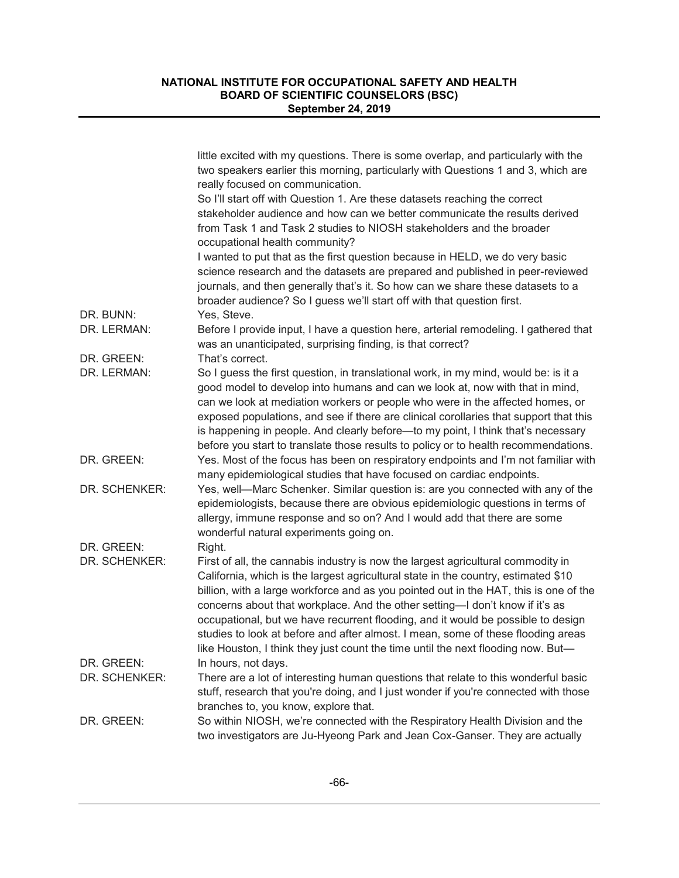|               | little excited with my questions. There is some overlap, and particularly with the<br>two speakers earlier this morning, particularly with Questions 1 and 3, which are<br>really focused on communication.                                                                                                                                                                                                                                                                                                                                                                                                 |
|---------------|-------------------------------------------------------------------------------------------------------------------------------------------------------------------------------------------------------------------------------------------------------------------------------------------------------------------------------------------------------------------------------------------------------------------------------------------------------------------------------------------------------------------------------------------------------------------------------------------------------------|
|               | So I'll start off with Question 1. Are these datasets reaching the correct                                                                                                                                                                                                                                                                                                                                                                                                                                                                                                                                  |
|               | stakeholder audience and how can we better communicate the results derived<br>from Task 1 and Task 2 studies to NIOSH stakeholders and the broader<br>occupational health community?                                                                                                                                                                                                                                                                                                                                                                                                                        |
|               | I wanted to put that as the first question because in HELD, we do very basic<br>science research and the datasets are prepared and published in peer-reviewed<br>journals, and then generally that's it. So how can we share these datasets to a<br>broader audience? So I guess we'll start off with that question first.                                                                                                                                                                                                                                                                                  |
| DR. BUNN:     | Yes, Steve.                                                                                                                                                                                                                                                                                                                                                                                                                                                                                                                                                                                                 |
| DR. LERMAN:   | Before I provide input, I have a question here, arterial remodeling. I gathered that<br>was an unanticipated, surprising finding, is that correct?                                                                                                                                                                                                                                                                                                                                                                                                                                                          |
| DR. GREEN:    | That's correct.                                                                                                                                                                                                                                                                                                                                                                                                                                                                                                                                                                                             |
| DR. LERMAN:   | So I guess the first question, in translational work, in my mind, would be: is it a<br>good model to develop into humans and can we look at, now with that in mind,<br>can we look at mediation workers or people who were in the affected homes, or<br>exposed populations, and see if there are clinical corollaries that support that this<br>is happening in people. And clearly before—to my point, I think that's necessary<br>before you start to translate those results to policy or to health recommendations.                                                                                    |
| DR. GREEN:    | Yes. Most of the focus has been on respiratory endpoints and I'm not familiar with<br>many epidemiological studies that have focused on cardiac endpoints.                                                                                                                                                                                                                                                                                                                                                                                                                                                  |
| DR. SCHENKER: | Yes, well-Marc Schenker. Similar question is: are you connected with any of the<br>epidemiologists, because there are obvious epidemiologic questions in terms of<br>allergy, immune response and so on? And I would add that there are some<br>wonderful natural experiments going on.                                                                                                                                                                                                                                                                                                                     |
| DR. GREEN:    | Right.                                                                                                                                                                                                                                                                                                                                                                                                                                                                                                                                                                                                      |
| DR. SCHENKER: | First of all, the cannabis industry is now the largest agricultural commodity in<br>California, which is the largest agricultural state in the country, estimated \$10<br>billion, with a large workforce and as you pointed out in the HAT, this is one of the<br>concerns about that workplace. And the other setting-I don't know if it's as<br>occupational, but we have recurrent flooding, and it would be possible to design<br>studies to look at before and after almost. I mean, some of these flooding areas<br>like Houston, I think they just count the time until the next flooding now. But- |
| DR. GREEN:    | In hours, not days.                                                                                                                                                                                                                                                                                                                                                                                                                                                                                                                                                                                         |
| DR. SCHENKER: | There are a lot of interesting human questions that relate to this wonderful basic<br>stuff, research that you're doing, and I just wonder if you're connected with those                                                                                                                                                                                                                                                                                                                                                                                                                                   |
|               | branches to, you know, explore that.                                                                                                                                                                                                                                                                                                                                                                                                                                                                                                                                                                        |
| DR. GREEN:    | So within NIOSH, we're connected with the Respiratory Health Division and the<br>two investigators are Ju-Hyeong Park and Jean Cox-Ganser. They are actually                                                                                                                                                                                                                                                                                                                                                                                                                                                |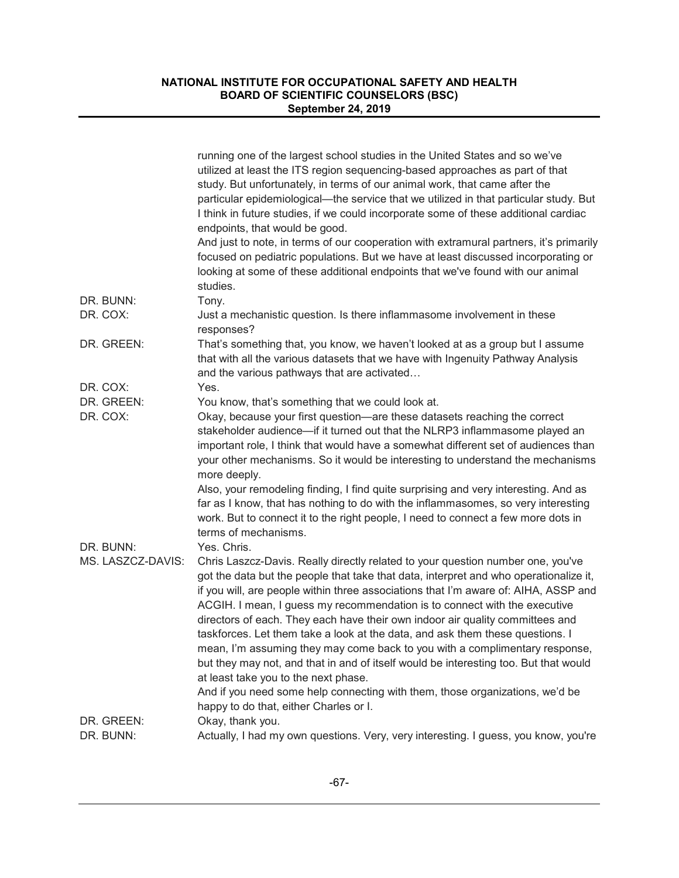|                   | running one of the largest school studies in the United States and so we've<br>utilized at least the ITS region sequencing-based approaches as part of that<br>study. But unfortunately, in terms of our animal work, that came after the                                                                                                                                                                                                                                                                                                                                                                                                                                                                                                                                                                     |
|-------------------|---------------------------------------------------------------------------------------------------------------------------------------------------------------------------------------------------------------------------------------------------------------------------------------------------------------------------------------------------------------------------------------------------------------------------------------------------------------------------------------------------------------------------------------------------------------------------------------------------------------------------------------------------------------------------------------------------------------------------------------------------------------------------------------------------------------|
|                   | particular epidemiological—the service that we utilized in that particular study. But<br>I think in future studies, if we could incorporate some of these additional cardiac<br>endpoints, that would be good.                                                                                                                                                                                                                                                                                                                                                                                                                                                                                                                                                                                                |
|                   | And just to note, in terms of our cooperation with extramural partners, it's primarily<br>focused on pediatric populations. But we have at least discussed incorporating or<br>looking at some of these additional endpoints that we've found with our animal<br>studies.                                                                                                                                                                                                                                                                                                                                                                                                                                                                                                                                     |
| DR. BUNN:         | Tony.                                                                                                                                                                                                                                                                                                                                                                                                                                                                                                                                                                                                                                                                                                                                                                                                         |
| DR. COX:          | Just a mechanistic question. Is there inflammasome involvement in these<br>responses?                                                                                                                                                                                                                                                                                                                                                                                                                                                                                                                                                                                                                                                                                                                         |
| DR. GREEN:        | That's something that, you know, we haven't looked at as a group but I assume<br>that with all the various datasets that we have with Ingenuity Pathway Analysis<br>and the various pathways that are activated                                                                                                                                                                                                                                                                                                                                                                                                                                                                                                                                                                                               |
| DR. COX:          | Yes.                                                                                                                                                                                                                                                                                                                                                                                                                                                                                                                                                                                                                                                                                                                                                                                                          |
| DR. GREEN:        | You know, that's something that we could look at.                                                                                                                                                                                                                                                                                                                                                                                                                                                                                                                                                                                                                                                                                                                                                             |
| DR. COX:          | Okay, because your first question-are these datasets reaching the correct<br>stakeholder audience—if it turned out that the NLRP3 inflammasome played an<br>important role, I think that would have a somewhat different set of audiences than<br>your other mechanisms. So it would be interesting to understand the mechanisms<br>more deeply.                                                                                                                                                                                                                                                                                                                                                                                                                                                              |
|                   | Also, your remodeling finding, I find quite surprising and very interesting. And as<br>far as I know, that has nothing to do with the inflammasomes, so very interesting<br>work. But to connect it to the right people, I need to connect a few more dots in<br>terms of mechanisms.                                                                                                                                                                                                                                                                                                                                                                                                                                                                                                                         |
| DR. BUNN:         | Yes. Chris.                                                                                                                                                                                                                                                                                                                                                                                                                                                                                                                                                                                                                                                                                                                                                                                                   |
| MS. LASZCZ-DAVIS: | Chris Laszcz-Davis. Really directly related to your question number one, you've<br>got the data but the people that take that data, interpret and who operationalize it,<br>if you will, are people within three associations that I'm aware of: AIHA, ASSP and<br>ACGIH. I mean, I guess my recommendation is to connect with the executive<br>directors of each. They each have their own indoor air quality committees and<br>taskforces. Let them take a look at the data, and ask them these questions. I<br>mean, I'm assuming they may come back to you with a complimentary response,<br>but they may not, and that in and of itself would be interesting too. But that would<br>at least take you to the next phase.<br>And if you need some help connecting with them, those organizations, we'd be |
|                   | happy to do that, either Charles or I.                                                                                                                                                                                                                                                                                                                                                                                                                                                                                                                                                                                                                                                                                                                                                                        |
| DR. GREEN:        | Okay, thank you.                                                                                                                                                                                                                                                                                                                                                                                                                                                                                                                                                                                                                                                                                                                                                                                              |
| DR. BUNN:         |                                                                                                                                                                                                                                                                                                                                                                                                                                                                                                                                                                                                                                                                                                                                                                                                               |
|                   | Actually, I had my own questions. Very, very interesting. I guess, you know, you're                                                                                                                                                                                                                                                                                                                                                                                                                                                                                                                                                                                                                                                                                                                           |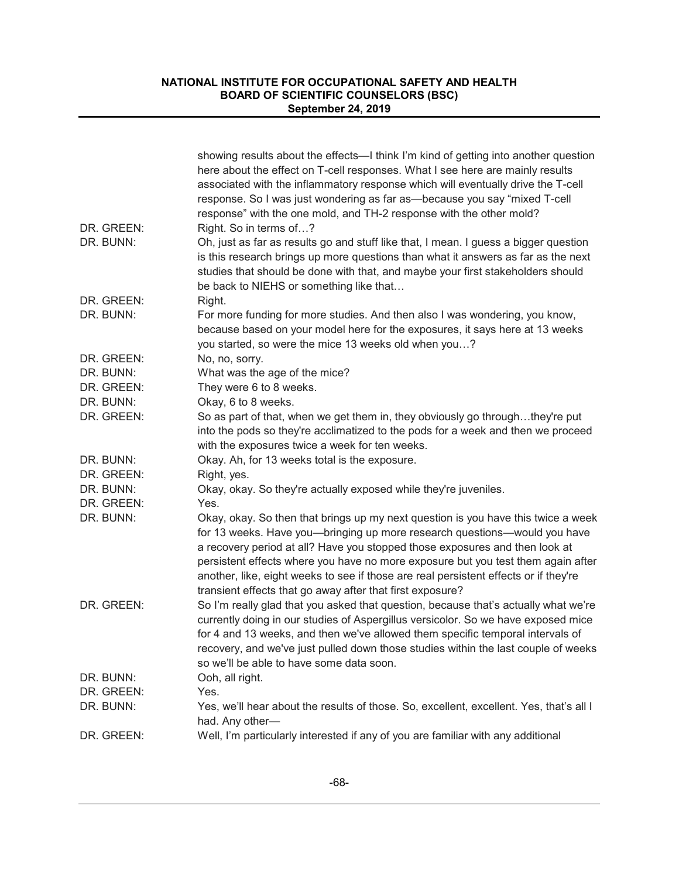|            | showing results about the effects—I think I'm kind of getting into another question<br>here about the effect on T-cell responses. What I see here are mainly results<br>associated with the inflammatory response which will eventually drive the T-cell<br>response. So I was just wondering as far as-because you say "mixed T-cell<br>response" with the one mold, and TH-2 response with the other mold?                                                                           |
|------------|----------------------------------------------------------------------------------------------------------------------------------------------------------------------------------------------------------------------------------------------------------------------------------------------------------------------------------------------------------------------------------------------------------------------------------------------------------------------------------------|
| DR. GREEN: | Right. So in terms of?                                                                                                                                                                                                                                                                                                                                                                                                                                                                 |
| DR. BUNN:  | Oh, just as far as results go and stuff like that, I mean. I guess a bigger question<br>is this research brings up more questions than what it answers as far as the next<br>studies that should be done with that, and maybe your first stakeholders should<br>be back to NIEHS or something like that                                                                                                                                                                                |
| DR. GREEN: | Right.                                                                                                                                                                                                                                                                                                                                                                                                                                                                                 |
| DR. BUNN:  | For more funding for more studies. And then also I was wondering, you know,<br>because based on your model here for the exposures, it says here at 13 weeks<br>you started, so were the mice 13 weeks old when you?                                                                                                                                                                                                                                                                    |
| DR. GREEN: | No, no, sorry.                                                                                                                                                                                                                                                                                                                                                                                                                                                                         |
| DR. BUNN:  | What was the age of the mice?                                                                                                                                                                                                                                                                                                                                                                                                                                                          |
| DR. GREEN: | They were 6 to 8 weeks.                                                                                                                                                                                                                                                                                                                                                                                                                                                                |
| DR. BUNN:  | Okay, 6 to 8 weeks.                                                                                                                                                                                                                                                                                                                                                                                                                                                                    |
| DR. GREEN: | So as part of that, when we get them in, they obviously go throughthey're put<br>into the pods so they're acclimatized to the pods for a week and then we proceed<br>with the exposures twice a week for ten weeks.                                                                                                                                                                                                                                                                    |
| DR. BUNN:  | Okay. Ah, for 13 weeks total is the exposure.                                                                                                                                                                                                                                                                                                                                                                                                                                          |
| DR. GREEN: | Right, yes.                                                                                                                                                                                                                                                                                                                                                                                                                                                                            |
| DR. BUNN:  | Okay, okay. So they're actually exposed while they're juveniles.                                                                                                                                                                                                                                                                                                                                                                                                                       |
| DR. GREEN: | Yes.                                                                                                                                                                                                                                                                                                                                                                                                                                                                                   |
| DR. BUNN:  | Okay, okay. So then that brings up my next question is you have this twice a week<br>for 13 weeks. Have you—bringing up more research questions—would you have<br>a recovery period at all? Have you stopped those exposures and then look at<br>persistent effects where you have no more exposure but you test them again after<br>another, like, eight weeks to see if those are real persistent effects or if they're<br>transient effects that go away after that first exposure? |
| DR. GREEN: | So I'm really glad that you asked that question, because that's actually what we're<br>currently doing in our studies of Aspergillus versicolor. So we have exposed mice<br>for 4 and 13 weeks, and then we've allowed them specific temporal intervals of<br>recovery, and we've just pulled down those studies within the last couple of weeks<br>so we'll be able to have some data soon.                                                                                           |
| DR. BUNN:  | Ooh, all right.                                                                                                                                                                                                                                                                                                                                                                                                                                                                        |
| DR. GREEN: | Yes.                                                                                                                                                                                                                                                                                                                                                                                                                                                                                   |
| DR. BUNN:  | Yes, we'll hear about the results of those. So, excellent, excellent. Yes, that's all I<br>had. Any other-                                                                                                                                                                                                                                                                                                                                                                             |
| DR. GREEN: | Well, I'm particularly interested if any of you are familiar with any additional                                                                                                                                                                                                                                                                                                                                                                                                       |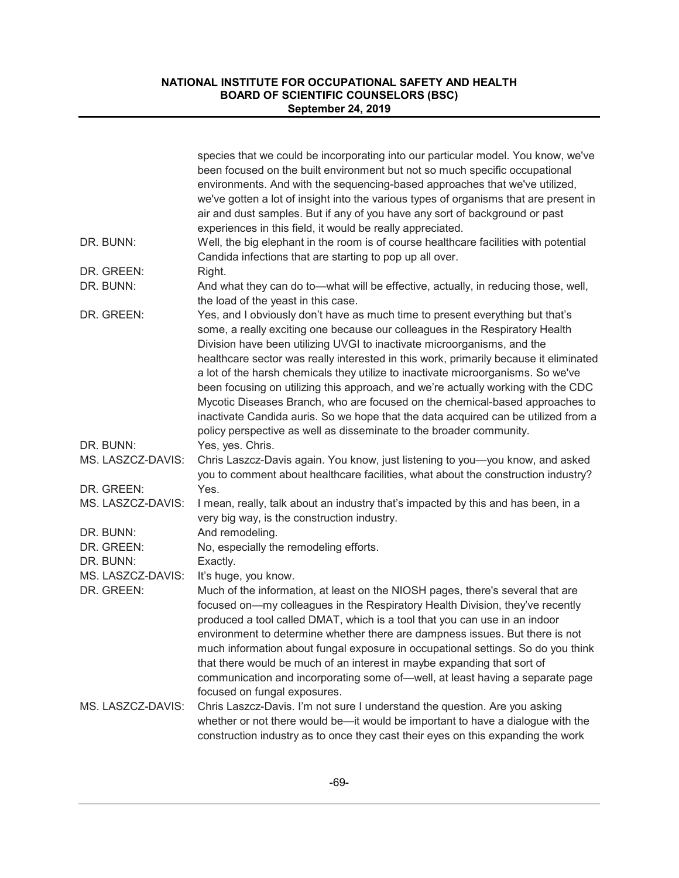|                   | species that we could be incorporating into our particular model. You know, we've<br>been focused on the built environment but not so much specific occupational                                                                                                                                                                                                                                                                                                                                                                                                                                                                                                                 |
|-------------------|----------------------------------------------------------------------------------------------------------------------------------------------------------------------------------------------------------------------------------------------------------------------------------------------------------------------------------------------------------------------------------------------------------------------------------------------------------------------------------------------------------------------------------------------------------------------------------------------------------------------------------------------------------------------------------|
|                   | environments. And with the sequencing-based approaches that we've utilized,<br>we've gotten a lot of insight into the various types of organisms that are present in<br>air and dust samples. But if any of you have any sort of background or past                                                                                                                                                                                                                                                                                                                                                                                                                              |
|                   | experiences in this field, it would be really appreciated.                                                                                                                                                                                                                                                                                                                                                                                                                                                                                                                                                                                                                       |
| DR. BUNN:         | Well, the big elephant in the room is of course healthcare facilities with potential                                                                                                                                                                                                                                                                                                                                                                                                                                                                                                                                                                                             |
|                   | Candida infections that are starting to pop up all over.                                                                                                                                                                                                                                                                                                                                                                                                                                                                                                                                                                                                                         |
| DR. GREEN:        | Right.                                                                                                                                                                                                                                                                                                                                                                                                                                                                                                                                                                                                                                                                           |
| DR. BUNN:         | And what they can do to—what will be effective, actually, in reducing those, well,<br>the load of the yeast in this case.                                                                                                                                                                                                                                                                                                                                                                                                                                                                                                                                                        |
| DR. GREEN:        | Yes, and I obviously don't have as much time to present everything but that's<br>some, a really exciting one because our colleagues in the Respiratory Health<br>Division have been utilizing UVGI to inactivate microorganisms, and the<br>healthcare sector was really interested in this work, primarily because it eliminated<br>a lot of the harsh chemicals they utilize to inactivate microorganisms. So we've<br>been focusing on utilizing this approach, and we're actually working with the CDC<br>Mycotic Diseases Branch, who are focused on the chemical-based approaches to<br>inactivate Candida auris. So we hope that the data acquired can be utilized from a |
|                   | policy perspective as well as disseminate to the broader community.                                                                                                                                                                                                                                                                                                                                                                                                                                                                                                                                                                                                              |
| DR. BUNN:         | Yes, yes. Chris.                                                                                                                                                                                                                                                                                                                                                                                                                                                                                                                                                                                                                                                                 |
| MS. LASZCZ-DAVIS: | Chris Laszcz-Davis again. You know, just listening to you-you know, and asked<br>you to comment about healthcare facilities, what about the construction industry?                                                                                                                                                                                                                                                                                                                                                                                                                                                                                                               |
| DR. GREEN:        | Yes.                                                                                                                                                                                                                                                                                                                                                                                                                                                                                                                                                                                                                                                                             |
| MS. LASZCZ-DAVIS: | I mean, really, talk about an industry that's impacted by this and has been, in a<br>very big way, is the construction industry.                                                                                                                                                                                                                                                                                                                                                                                                                                                                                                                                                 |
| DR. BUNN:         | And remodeling.                                                                                                                                                                                                                                                                                                                                                                                                                                                                                                                                                                                                                                                                  |
| DR. GREEN:        | No, especially the remodeling efforts.                                                                                                                                                                                                                                                                                                                                                                                                                                                                                                                                                                                                                                           |
| DR. BUNN:         | Exactly.                                                                                                                                                                                                                                                                                                                                                                                                                                                                                                                                                                                                                                                                         |
| MS. LASZCZ-DAVIS: | It's huge, you know.                                                                                                                                                                                                                                                                                                                                                                                                                                                                                                                                                                                                                                                             |
| DR. GREEN:        | Much of the information, at least on the NIOSH pages, there's several that are<br>focused on-my colleagues in the Respiratory Health Division, they've recently<br>produced a tool called DMAT, which is a tool that you can use in an indoor<br>environment to determine whether there are dampness issues. But there is not<br>much information about fungal exposure in occupational settings. So do you think<br>that there would be much of an interest in maybe expanding that sort of<br>communication and incorporating some of-well, at least having a separate page<br>focused on fungal exposures.                                                                    |
| MS. LASZCZ-DAVIS: | Chris Laszcz-Davis. I'm not sure I understand the question. Are you asking<br>whether or not there would be-it would be important to have a dialogue with the<br>construction industry as to once they cast their eyes on this expanding the work                                                                                                                                                                                                                                                                                                                                                                                                                                |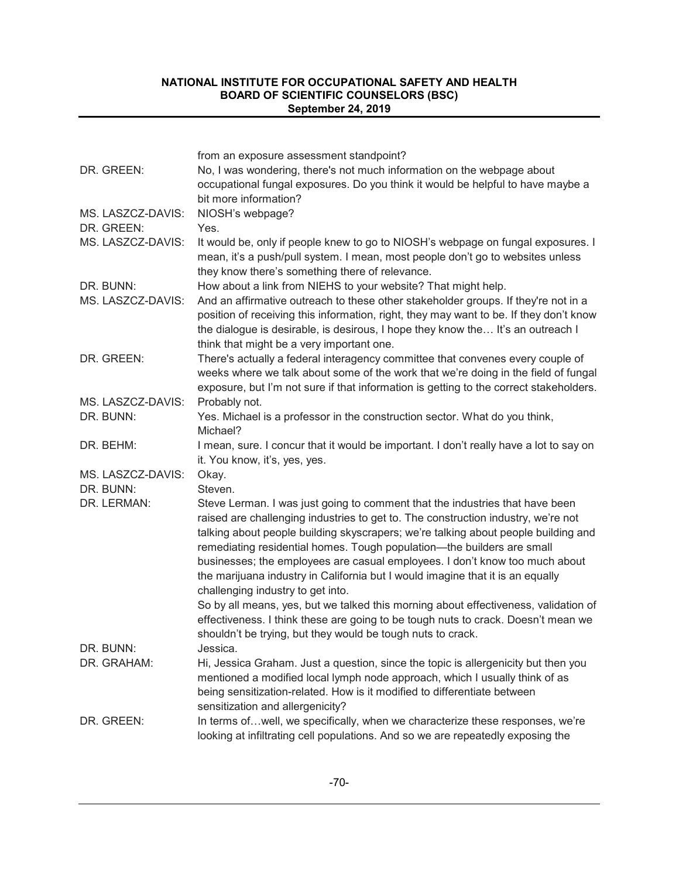|                   | from an exposure assessment standpoint?                                                                                                                                                                                                                                                                                                                                                                                                                                                                                                 |
|-------------------|-----------------------------------------------------------------------------------------------------------------------------------------------------------------------------------------------------------------------------------------------------------------------------------------------------------------------------------------------------------------------------------------------------------------------------------------------------------------------------------------------------------------------------------------|
| DR. GREEN:        | No, I was wondering, there's not much information on the webpage about<br>occupational fungal exposures. Do you think it would be helpful to have maybe a<br>bit more information?                                                                                                                                                                                                                                                                                                                                                      |
| MS. LASZCZ-DAVIS: | NIOSH's webpage?                                                                                                                                                                                                                                                                                                                                                                                                                                                                                                                        |
| DR. GREEN:        | Yes.                                                                                                                                                                                                                                                                                                                                                                                                                                                                                                                                    |
| MS. LASZCZ-DAVIS: | It would be, only if people knew to go to NIOSH's webpage on fungal exposures. I<br>mean, it's a push/pull system. I mean, most people don't go to websites unless<br>they know there's something there of relevance.                                                                                                                                                                                                                                                                                                                   |
| DR. BUNN:         | How about a link from NIEHS to your website? That might help.                                                                                                                                                                                                                                                                                                                                                                                                                                                                           |
| MS. LASZCZ-DAVIS: | And an affirmative outreach to these other stakeholder groups. If they're not in a<br>position of receiving this information, right, they may want to be. If they don't know<br>the dialogue is desirable, is desirous, I hope they know the It's an outreach I<br>think that might be a very important one.                                                                                                                                                                                                                            |
| DR. GREEN:        | There's actually a federal interagency committee that convenes every couple of<br>weeks where we talk about some of the work that we're doing in the field of fungal<br>exposure, but I'm not sure if that information is getting to the correct stakeholders.                                                                                                                                                                                                                                                                          |
| MS. LASZCZ-DAVIS: | Probably not.                                                                                                                                                                                                                                                                                                                                                                                                                                                                                                                           |
| DR. BUNN:         | Yes. Michael is a professor in the construction sector. What do you think,<br>Michael?                                                                                                                                                                                                                                                                                                                                                                                                                                                  |
| DR. BEHM:         | I mean, sure. I concur that it would be important. I don't really have a lot to say on<br>it. You know, it's, yes, yes.                                                                                                                                                                                                                                                                                                                                                                                                                 |
| MS. LASZCZ-DAVIS: | Okay.                                                                                                                                                                                                                                                                                                                                                                                                                                                                                                                                   |
| DR. BUNN:         | Steven.                                                                                                                                                                                                                                                                                                                                                                                                                                                                                                                                 |
| DR. LERMAN:       | Steve Lerman. I was just going to comment that the industries that have been<br>raised are challenging industries to get to. The construction industry, we're not<br>talking about people building skyscrapers; we're talking about people building and<br>remediating residential homes. Tough population-the builders are small<br>businesses; the employees are casual employees. I don't know too much about<br>the marijuana industry in California but I would imagine that it is an equally<br>challenging industry to get into. |
|                   | So by all means, yes, but we talked this morning about effectiveness, validation of<br>effectiveness. I think these are going to be tough nuts to crack. Doesn't mean we<br>shouldn't be trying, but they would be tough nuts to crack.                                                                                                                                                                                                                                                                                                 |
| DR. BUNN:         | Jessica.                                                                                                                                                                                                                                                                                                                                                                                                                                                                                                                                |
| DR. GRAHAM:       | Hi, Jessica Graham. Just a question, since the topic is allergenicity but then you<br>mentioned a modified local lymph node approach, which I usually think of as<br>being sensitization-related. How is it modified to differentiate between<br>sensitization and allergenicity?                                                                                                                                                                                                                                                       |
| DR. GREEN:        | In terms ofwell, we specifically, when we characterize these responses, we're                                                                                                                                                                                                                                                                                                                                                                                                                                                           |
|                   | looking at infiltrating cell populations. And so we are repeatedly exposing the                                                                                                                                                                                                                                                                                                                                                                                                                                                         |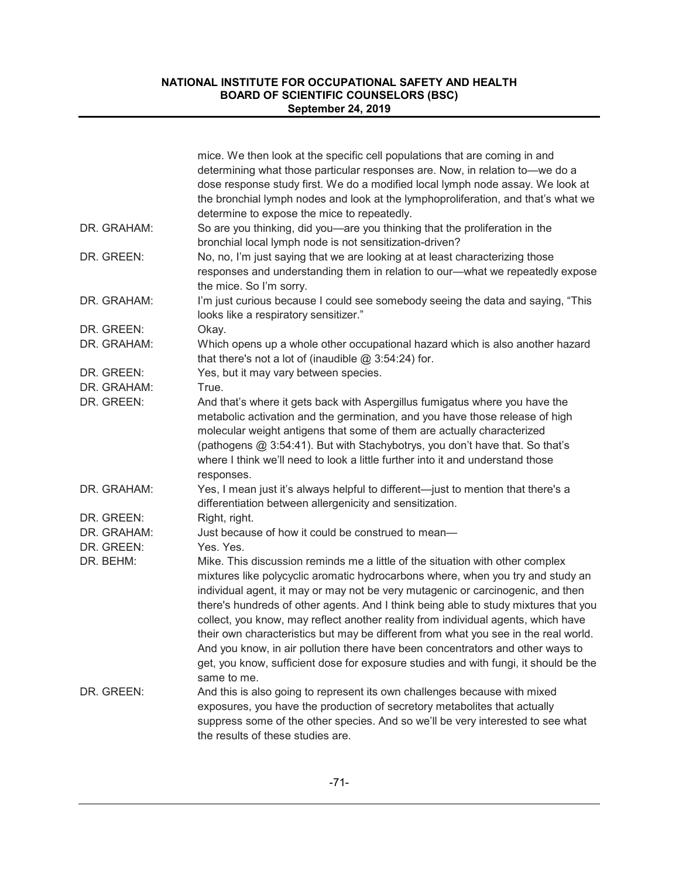|             | mice. We then look at the specific cell populations that are coming in and<br>determining what those particular responses are. Now, in relation to-we do a<br>dose response study first. We do a modified local lymph node assay. We look at<br>the bronchial lymph nodes and look at the lymphoproliferation, and that's what we<br>determine to expose the mice to repeatedly.                                                                                                                                                                                                                                                                                                                                |
|-------------|-----------------------------------------------------------------------------------------------------------------------------------------------------------------------------------------------------------------------------------------------------------------------------------------------------------------------------------------------------------------------------------------------------------------------------------------------------------------------------------------------------------------------------------------------------------------------------------------------------------------------------------------------------------------------------------------------------------------|
| DR. GRAHAM: | So are you thinking, did you-are you thinking that the proliferation in the<br>bronchial local lymph node is not sensitization-driven?                                                                                                                                                                                                                                                                                                                                                                                                                                                                                                                                                                          |
| DR. GREEN:  | No, no, I'm just saying that we are looking at at least characterizing those<br>responses and understanding them in relation to our-what we repeatedly expose<br>the mice. So I'm sorry.                                                                                                                                                                                                                                                                                                                                                                                                                                                                                                                        |
| DR. GRAHAM: | I'm just curious because I could see somebody seeing the data and saying, "This<br>looks like a respiratory sensitizer."                                                                                                                                                                                                                                                                                                                                                                                                                                                                                                                                                                                        |
| DR. GREEN:  | Okay.                                                                                                                                                                                                                                                                                                                                                                                                                                                                                                                                                                                                                                                                                                           |
| DR. GRAHAM: | Which opens up a whole other occupational hazard which is also another hazard<br>that there's not a lot of (inaudible $@3:54:24$ ) for.                                                                                                                                                                                                                                                                                                                                                                                                                                                                                                                                                                         |
| DR. GREEN:  | Yes, but it may vary between species.                                                                                                                                                                                                                                                                                                                                                                                                                                                                                                                                                                                                                                                                           |
| DR. GRAHAM: | True.                                                                                                                                                                                                                                                                                                                                                                                                                                                                                                                                                                                                                                                                                                           |
| DR. GREEN:  | And that's where it gets back with Aspergillus fumigatus where you have the<br>metabolic activation and the germination, and you have those release of high<br>molecular weight antigens that some of them are actually characterized<br>(pathogens @ 3:54:41). But with Stachybotrys, you don't have that. So that's<br>where I think we'll need to look a little further into it and understand those<br>responses.                                                                                                                                                                                                                                                                                           |
| DR. GRAHAM: | Yes, I mean just it's always helpful to different-just to mention that there's a<br>differentiation between allergenicity and sensitization.                                                                                                                                                                                                                                                                                                                                                                                                                                                                                                                                                                    |
| DR. GREEN:  | Right, right.                                                                                                                                                                                                                                                                                                                                                                                                                                                                                                                                                                                                                                                                                                   |
| DR. GRAHAM: | Just because of how it could be construed to mean-                                                                                                                                                                                                                                                                                                                                                                                                                                                                                                                                                                                                                                                              |
| DR. GREEN:  | Yes. Yes.                                                                                                                                                                                                                                                                                                                                                                                                                                                                                                                                                                                                                                                                                                       |
| DR. BEHM:   | Mike. This discussion reminds me a little of the situation with other complex<br>mixtures like polycyclic aromatic hydrocarbons where, when you try and study an<br>individual agent, it may or may not be very mutagenic or carcinogenic, and then<br>there's hundreds of other agents. And I think being able to study mixtures that you<br>collect, you know, may reflect another reality from individual agents, which have<br>their own characteristics but may be different from what you see in the real world.<br>And you know, in air pollution there have been concentrators and other ways to<br>get, you know, sufficient dose for exposure studies and with fungi, it should be the<br>same to me. |
| DR. GREEN:  | And this is also going to represent its own challenges because with mixed<br>exposures, you have the production of secretory metabolites that actually<br>suppress some of the other species. And so we'll be very interested to see what<br>the results of these studies are.                                                                                                                                                                                                                                                                                                                                                                                                                                  |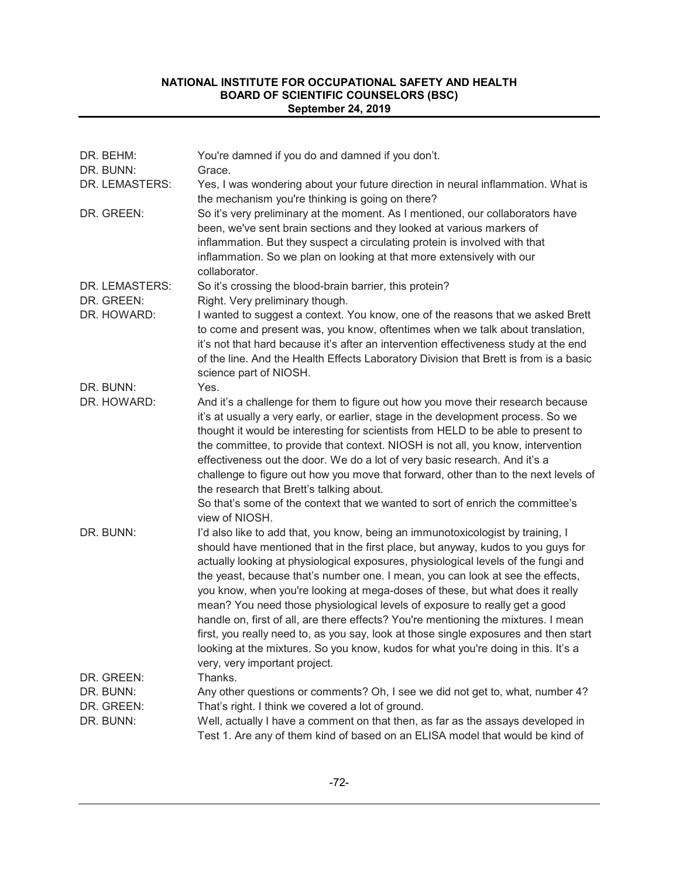| DR. BEHM:<br>DR. BUNN: | You're damned if you do and damned if you don't.<br>Grace.                                                                                                                                                                                                                                                                                                                                                                                                                                                                                                                                                                                                                                                                                                                                                     |
|------------------------|----------------------------------------------------------------------------------------------------------------------------------------------------------------------------------------------------------------------------------------------------------------------------------------------------------------------------------------------------------------------------------------------------------------------------------------------------------------------------------------------------------------------------------------------------------------------------------------------------------------------------------------------------------------------------------------------------------------------------------------------------------------------------------------------------------------|
| DR. LEMASTERS:         | Yes, I was wondering about your future direction in neural inflammation. What is<br>the mechanism you're thinking is going on there?                                                                                                                                                                                                                                                                                                                                                                                                                                                                                                                                                                                                                                                                           |
| DR. GREEN:             | So it's very preliminary at the moment. As I mentioned, our collaborators have<br>been, we've sent brain sections and they looked at various markers of<br>inflammation. But they suspect a circulating protein is involved with that<br>inflammation. So we plan on looking at that more extensively with our<br>collaborator.                                                                                                                                                                                                                                                                                                                                                                                                                                                                                |
| DR. LEMASTERS:         | So it's crossing the blood-brain barrier, this protein?                                                                                                                                                                                                                                                                                                                                                                                                                                                                                                                                                                                                                                                                                                                                                        |
| DR. GREEN:             | Right. Very preliminary though.                                                                                                                                                                                                                                                                                                                                                                                                                                                                                                                                                                                                                                                                                                                                                                                |
| DR. HOWARD:            | I wanted to suggest a context. You know, one of the reasons that we asked Brett<br>to come and present was, you know, oftentimes when we talk about translation,<br>it's not that hard because it's after an intervention effectiveness study at the end<br>of the line. And the Health Effects Laboratory Division that Brett is from is a basic<br>science part of NIOSH.                                                                                                                                                                                                                                                                                                                                                                                                                                    |
| DR. BUNN:              | Yes.                                                                                                                                                                                                                                                                                                                                                                                                                                                                                                                                                                                                                                                                                                                                                                                                           |
| DR. HOWARD:            | And it's a challenge for them to figure out how you move their research because<br>it's at usually a very early, or earlier, stage in the development process. So we<br>thought it would be interesting for scientists from HELD to be able to present to<br>the committee, to provide that context. NIOSH is not all, you know, intervention<br>effectiveness out the door. We do a lot of very basic research. And it's a<br>challenge to figure out how you move that forward, other than to the next levels of<br>the research that Brett's talking about.<br>So that's some of the context that we wanted to sort of enrich the committee's<br>view of NIOSH.                                                                                                                                             |
| DR. BUNN:              | I'd also like to add that, you know, being an immunotoxicologist by training, I<br>should have mentioned that in the first place, but anyway, kudos to you guys for<br>actually looking at physiological exposures, physiological levels of the fungi and<br>the yeast, because that's number one. I mean, you can look at see the effects,<br>you know, when you're looking at mega-doses of these, but what does it really<br>mean? You need those physiological levels of exposure to really get a good<br>handle on, first of all, are there effects? You're mentioning the mixtures. I mean<br>first, you really need to, as you say, look at those single exposures and then start<br>looking at the mixtures. So you know, kudos for what you're doing in this. It's a<br>very, very important project. |
| DR. GREEN:             | Thanks.                                                                                                                                                                                                                                                                                                                                                                                                                                                                                                                                                                                                                                                                                                                                                                                                        |
| DR. BUNN:              | Any other questions or comments? Oh, I see we did not get to, what, number 4?                                                                                                                                                                                                                                                                                                                                                                                                                                                                                                                                                                                                                                                                                                                                  |
| DR. GREEN:             | That's right. I think we covered a lot of ground.                                                                                                                                                                                                                                                                                                                                                                                                                                                                                                                                                                                                                                                                                                                                                              |
| DR. BUNN:              | Well, actually I have a comment on that then, as far as the assays developed in<br>Test 1. Are any of them kind of based on an ELISA model that would be kind of                                                                                                                                                                                                                                                                                                                                                                                                                                                                                                                                                                                                                                               |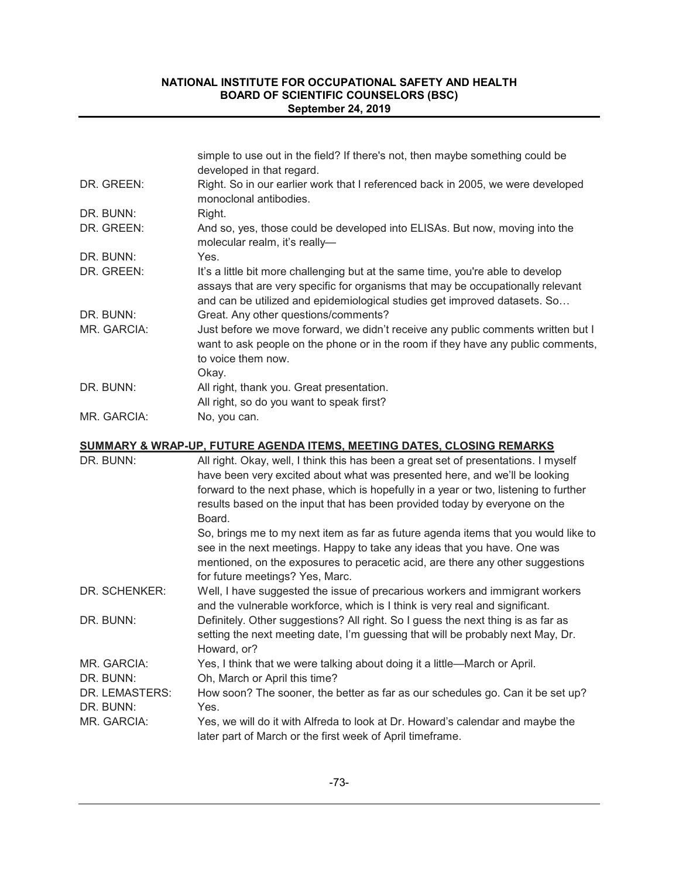|             | simple to use out in the field? If there's not, then maybe something could be<br>developed in that regard.                                                                                                                                      |
|-------------|-------------------------------------------------------------------------------------------------------------------------------------------------------------------------------------------------------------------------------------------------|
| DR. GREEN:  | Right. So in our earlier work that I referenced back in 2005, we were developed<br>monoclonal antibodies.                                                                                                                                       |
| DR. BUNN:   | Right.                                                                                                                                                                                                                                          |
| DR. GREEN:  | And so, yes, those could be developed into ELISAs. But now, moving into the<br>molecular realm, it's really-                                                                                                                                    |
| DR. BUNN:   | Yes.                                                                                                                                                                                                                                            |
| DR. GREEN:  | It's a little bit more challenging but at the same time, you're able to develop<br>assays that are very specific for organisms that may be occupationally relevant<br>and can be utilized and epidemiological studies get improved datasets. So |
| DR. BUNN:   | Great. Any other questions/comments?                                                                                                                                                                                                            |
| MR. GARCIA: | Just before we move forward, we didn't receive any public comments written but I<br>want to ask people on the phone or in the room if they have any public comments,<br>to voice them now.<br>Okay.                                             |
| DR. BUNN:   | All right, thank you. Great presentation.                                                                                                                                                                                                       |
|             | All right, so do you want to speak first?                                                                                                                                                                                                       |
| MR. GARCIA: | No, you can.                                                                                                                                                                                                                                    |

### **SUMMARY & WRAP-UP, FUTURE AGENDA ITEMS, MEETING DATES, CLOSING REMARKS**

| DR. BUNN:                   | All right. Okay, well, I think this has been a great set of presentations. I myself<br>have been very excited about what was presented here, and we'll be looking<br>forward to the next phase, which is hopefully in a year or two, listening to further<br>results based on the input that has been provided today by everyone on the<br>Board.<br>So, brings me to my next item as far as future agenda items that you would like to<br>see in the next meetings. Happy to take any ideas that you have. One was |
|-----------------------------|---------------------------------------------------------------------------------------------------------------------------------------------------------------------------------------------------------------------------------------------------------------------------------------------------------------------------------------------------------------------------------------------------------------------------------------------------------------------------------------------------------------------|
|                             | mentioned, on the exposures to peracetic acid, are there any other suggestions<br>for future meetings? Yes, Marc.                                                                                                                                                                                                                                                                                                                                                                                                   |
| DR. SCHENKER:               | Well, I have suggested the issue of precarious workers and immigrant workers<br>and the vulnerable workforce, which is I think is very real and significant.                                                                                                                                                                                                                                                                                                                                                        |
| DR. BUNN:                   | Definitely. Other suggestions? All right. So I guess the next thing is as far as<br>setting the next meeting date, I'm guessing that will be probably next May, Dr.<br>Howard, or?                                                                                                                                                                                                                                                                                                                                  |
| MR. GARCIA:                 | Yes, I think that we were talking about doing it a little—March or April.                                                                                                                                                                                                                                                                                                                                                                                                                                           |
| DR. BUNN:                   | Oh, March or April this time?                                                                                                                                                                                                                                                                                                                                                                                                                                                                                       |
| DR. LEMASTERS:<br>DR. BUNN: | How soon? The sooner, the better as far as our schedules go. Can it be set up?<br>Yes.                                                                                                                                                                                                                                                                                                                                                                                                                              |
| MR. GARCIA:                 | Yes, we will do it with Alfreda to look at Dr. Howard's calendar and maybe the<br>later part of March or the first week of April timeframe.                                                                                                                                                                                                                                                                                                                                                                         |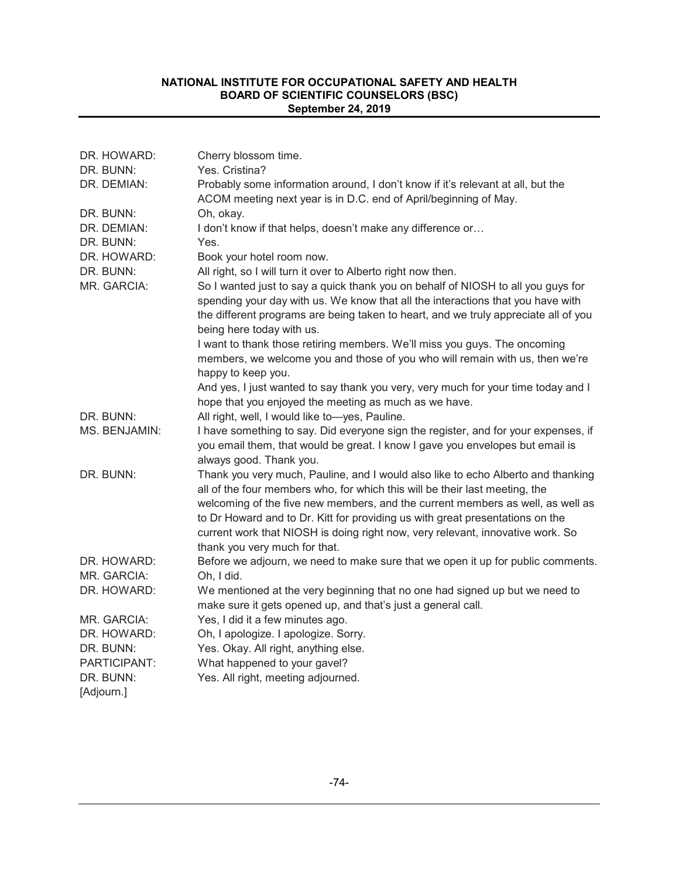| DR. HOWARD:             | Cherry blossom time.                                                                                                                                                                                                                                                                                                                                                                                                                                  |
|-------------------------|-------------------------------------------------------------------------------------------------------------------------------------------------------------------------------------------------------------------------------------------------------------------------------------------------------------------------------------------------------------------------------------------------------------------------------------------------------|
| DR. BUNN:               | Yes. Cristina?                                                                                                                                                                                                                                                                                                                                                                                                                                        |
| DR. DEMIAN:             | Probably some information around, I don't know if it's relevant at all, but the<br>ACOM meeting next year is in D.C. end of April/beginning of May.                                                                                                                                                                                                                                                                                                   |
| DR. BUNN:               | Oh, okay.                                                                                                                                                                                                                                                                                                                                                                                                                                             |
| DR. DEMIAN:             | I don't know if that helps, doesn't make any difference or                                                                                                                                                                                                                                                                                                                                                                                            |
| DR. BUNN:               | Yes.                                                                                                                                                                                                                                                                                                                                                                                                                                                  |
| DR. HOWARD:             | Book your hotel room now.                                                                                                                                                                                                                                                                                                                                                                                                                             |
| DR. BUNN:               | All right, so I will turn it over to Alberto right now then.                                                                                                                                                                                                                                                                                                                                                                                          |
| MR. GARCIA:             | So I wanted just to say a quick thank you on behalf of NIOSH to all you guys for<br>spending your day with us. We know that all the interactions that you have with<br>the different programs are being taken to heart, and we truly appreciate all of you<br>being here today with us.                                                                                                                                                               |
|                         | I want to thank those retiring members. We'll miss you guys. The oncoming<br>members, we welcome you and those of you who will remain with us, then we're<br>happy to keep you.                                                                                                                                                                                                                                                                       |
|                         | And yes, I just wanted to say thank you very, very much for your time today and I<br>hope that you enjoyed the meeting as much as we have.                                                                                                                                                                                                                                                                                                            |
| DR. BUNN:               | All right, well, I would like to-yes, Pauline.                                                                                                                                                                                                                                                                                                                                                                                                        |
| MS. BENJAMIN:           | I have something to say. Did everyone sign the register, and for your expenses, if<br>you email them, that would be great. I know I gave you envelopes but email is<br>always good. Thank you.                                                                                                                                                                                                                                                        |
| DR. BUNN:               | Thank you very much, Pauline, and I would also like to echo Alberto and thanking<br>all of the four members who, for which this will be their last meeting, the<br>welcoming of the five new members, and the current members as well, as well as<br>to Dr Howard and to Dr. Kitt for providing us with great presentations on the<br>current work that NIOSH is doing right now, very relevant, innovative work. So<br>thank you very much for that. |
| DR. HOWARD:             | Before we adjourn, we need to make sure that we open it up for public comments.                                                                                                                                                                                                                                                                                                                                                                       |
| MR. GARCIA:             | Oh, I did.                                                                                                                                                                                                                                                                                                                                                                                                                                            |
| DR. HOWARD:             | We mentioned at the very beginning that no one had signed up but we need to<br>make sure it gets opened up, and that's just a general call.                                                                                                                                                                                                                                                                                                           |
| MR. GARCIA:             | Yes, I did it a few minutes ago.                                                                                                                                                                                                                                                                                                                                                                                                                      |
| DR. HOWARD:             | Oh, I apologize. I apologize. Sorry.                                                                                                                                                                                                                                                                                                                                                                                                                  |
| DR. BUNN:               | Yes. Okay. All right, anything else.                                                                                                                                                                                                                                                                                                                                                                                                                  |
| PARTICIPANT:            | What happened to your gavel?                                                                                                                                                                                                                                                                                                                                                                                                                          |
| DR. BUNN:<br>[Adjourn.] | Yes. All right, meeting adjourned.                                                                                                                                                                                                                                                                                                                                                                                                                    |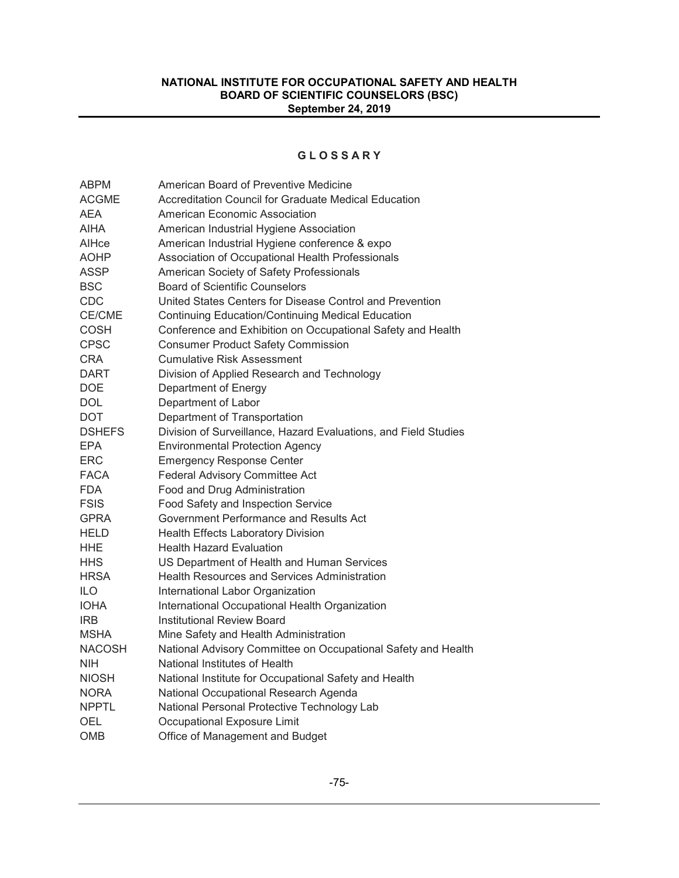### **G L O S S A R Y**

| <b>ABPM</b>   | American Board of Preventive Medicine                           |
|---------------|-----------------------------------------------------------------|
| <b>ACGME</b>  | Accreditation Council for Graduate Medical Education            |
| AEA           | American Economic Association                                   |
| <b>AIHA</b>   | American Industrial Hygiene Association                         |
| AlHce         | American Industrial Hygiene conference & expo                   |
| <b>AOHP</b>   | Association of Occupational Health Professionals                |
| <b>ASSP</b>   | American Society of Safety Professionals                        |
| <b>BSC</b>    | <b>Board of Scientific Counselors</b>                           |
| <b>CDC</b>    | United States Centers for Disease Control and Prevention        |
| CE/CME        | <b>Continuing Education/Continuing Medical Education</b>        |
| <b>COSH</b>   | Conference and Exhibition on Occupational Safety and Health     |
| <b>CPSC</b>   | <b>Consumer Product Safety Commission</b>                       |
| <b>CRA</b>    | <b>Cumulative Risk Assessment</b>                               |
| <b>DART</b>   | Division of Applied Research and Technology                     |
| <b>DOE</b>    | Department of Energy                                            |
| <b>DOL</b>    | Department of Labor                                             |
| DOT           | Department of Transportation                                    |
| <b>DSHEFS</b> | Division of Surveillance, Hazard Evaluations, and Field Studies |
| <b>EPA</b>    | <b>Environmental Protection Agency</b>                          |
| ERC           | <b>Emergency Response Center</b>                                |
| <b>FACA</b>   | Federal Advisory Committee Act                                  |
| <b>FDA</b>    | Food and Drug Administration                                    |
| <b>FSIS</b>   | Food Safety and Inspection Service                              |
| <b>GPRA</b>   | Government Performance and Results Act                          |
| <b>HELD</b>   | <b>Health Effects Laboratory Division</b>                       |
| HHE           | <b>Health Hazard Evaluation</b>                                 |
| <b>HHS</b>    | US Department of Health and Human Services                      |
| <b>HRSA</b>   | <b>Health Resources and Services Administration</b>             |
| <b>ILO</b>    | International Labor Organization                                |
| <b>IOHA</b>   | International Occupational Health Organization                  |
| <b>IRB</b>    | <b>Institutional Review Board</b>                               |
| <b>MSHA</b>   | Mine Safety and Health Administration                           |
| <b>NACOSH</b> | National Advisory Committee on Occupational Safety and Health   |
| NIH           | National Institutes of Health                                   |
| <b>NIOSH</b>  | National Institute for Occupational Safety and Health           |
| <b>NORA</b>   | National Occupational Research Agenda                           |
| <b>NPPTL</b>  | National Personal Protective Technology Lab                     |
| OEL           | Occupational Exposure Limit                                     |
| OMB           | Office of Management and Budget                                 |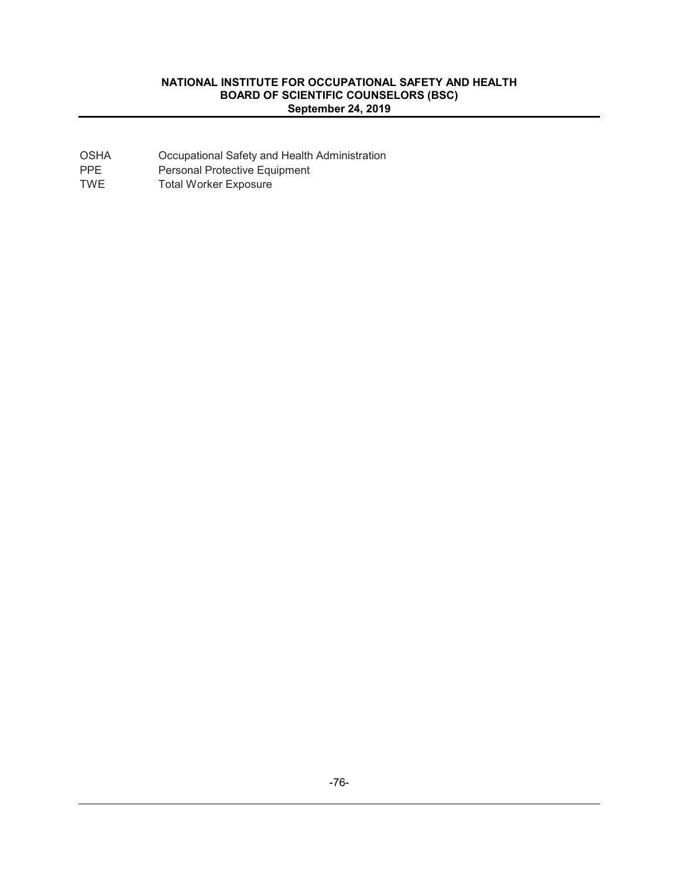| OSHA | Occupational Safety and Health Administration |
|------|-----------------------------------------------|
|------|-----------------------------------------------|

PPE Personal Protective Equipment

TWE Total Worker Exposure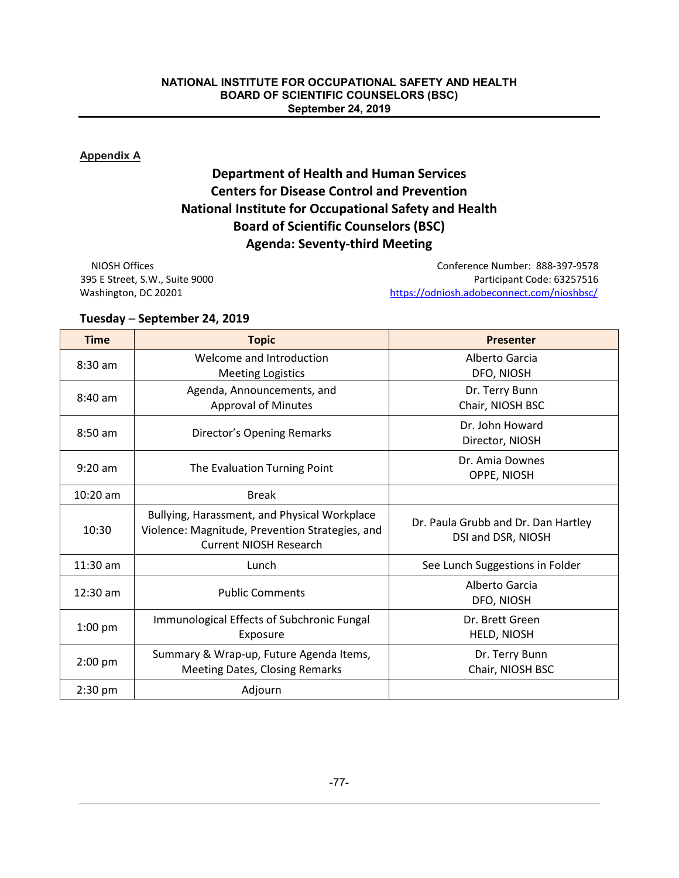### **Appendix A**

# **Department of Health and Human Services Centers for Disease Control and Prevention National Institute for Occupational Safety and Health Board of Scientific Counselors (BSC) Agenda: Seventy-third Meeting**

NIOSH Offices Conference Number: 888-397-9578 395 E Street, S.W., Suite 9000 Participant Code: 63257516 Washington, DC 20201 https://odniosh.adobeconnect.com/nioshbsc/

### **Tuesday ─ September 24, 2019**

| <b>Time</b> | <b>Topic</b>                                                                                                                     | <b>Presenter</b>                                          |  |
|-------------|----------------------------------------------------------------------------------------------------------------------------------|-----------------------------------------------------------|--|
| $8:30$ am   | Welcome and Introduction<br><b>Meeting Logistics</b>                                                                             | Alberto Garcia<br>DFO, NIOSH                              |  |
| $8:40$ am   | Agenda, Announcements, and<br><b>Approval of Minutes</b>                                                                         | Dr. Terry Bunn<br>Chair, NIOSH BSC                        |  |
| $8:50$ am   | Director's Opening Remarks                                                                                                       | Dr. John Howard<br>Director, NIOSH                        |  |
| $9:20$ am   | The Evaluation Turning Point                                                                                                     | Dr. Amia Downes<br>OPPE, NIOSH                            |  |
| $10:20$ am  | <b>Break</b>                                                                                                                     |                                                           |  |
| 10:30       | Bullying, Harassment, and Physical Workplace<br>Violence: Magnitude, Prevention Strategies, and<br><b>Current NIOSH Research</b> | Dr. Paula Grubb and Dr. Dan Hartley<br>DSI and DSR, NIOSH |  |
| $11:30$ am  | Lunch                                                                                                                            | See Lunch Suggestions in Folder                           |  |
| $12:30$ am  | <b>Public Comments</b>                                                                                                           | Alberto Garcia<br>DFO, NIOSH                              |  |
| $1:00$ pm   | Immunological Effects of Subchronic Fungal<br>Exposure                                                                           | Dr. Brett Green<br>HELD, NIOSH                            |  |
| $2:00$ pm   | Summary & Wrap-up, Future Agenda Items,<br><b>Meeting Dates, Closing Remarks</b>                                                 | Dr. Terry Bunn<br>Chair, NIOSH BSC                        |  |
| $2:30$ pm   | Adjourn                                                                                                                          |                                                           |  |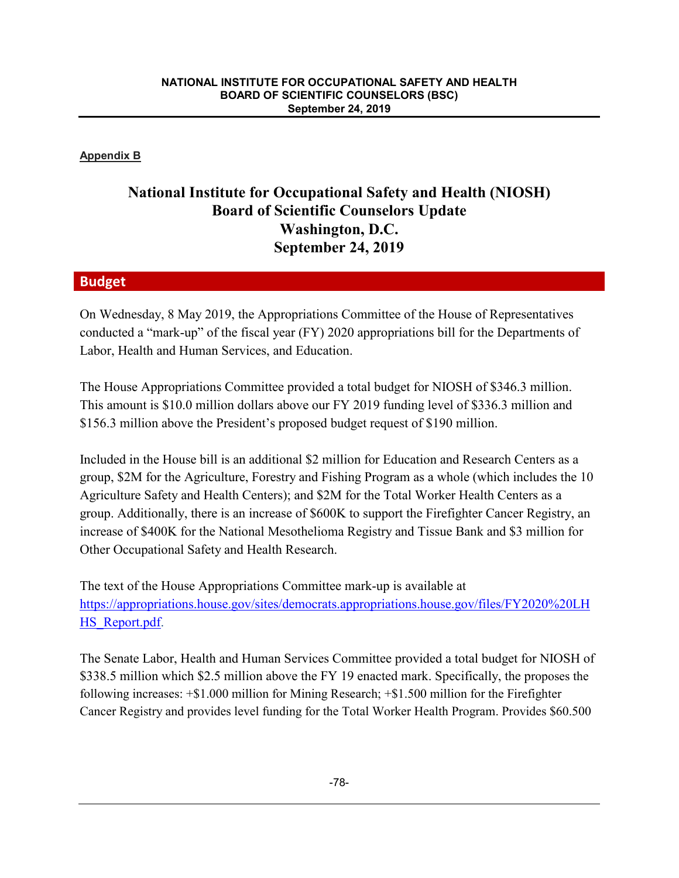### **Appendix B**

# **National Institute for Occupational Safety and Health (NIOSH) Board of Scientific Counselors Update Washington, D.C. September 24, 2019**

## **Budget**

On Wednesday, 8 May 2019, the Appropriations Committee of the House of Representatives conducted a "mark-up" of the fiscal year (FY) 2020 appropriations bill for the Departments of Labor, Health and Human Services, and Education.

The House Appropriations Committee provided a total budget for NIOSH of \$346.3 million. This amount is \$10.0 million dollars above our FY 2019 funding level of \$336.3 million and \$156.3 million above the President's proposed budget request of \$190 million.

Included in the House bill is an additional \$2 million for Education and Research Centers as a group, \$2M for the Agriculture, Forestry and Fishing Program as a whole (which includes the 10 Agriculture Safety and Health Centers); and \$2M for the Total Worker Health Centers as a group. Additionally, there is an increase of \$600K to support the Firefighter Cancer Registry, an increase of \$400K for the National Mesothelioma Registry and Tissue Bank and \$3 million for Other Occupational Safety and Health Research.

The text of the House Appropriations Committee mark-up is available at https://appropriations.house.gov/sites/democrats.appropriations.house.gov/files/FY2020%20LH HS Report.pdf.

The Senate Labor, Health and Human Services Committee provided a total budget for NIOSH of \$338.5 million which \$2.5 million above the FY 19 enacted mark. Specifically, the proposes the following increases: +\$1.000 million for Mining Research; +\$1.500 million for the Firefighter Cancer Registry and provides level funding for the Total Worker Health Program. Provides \$60.500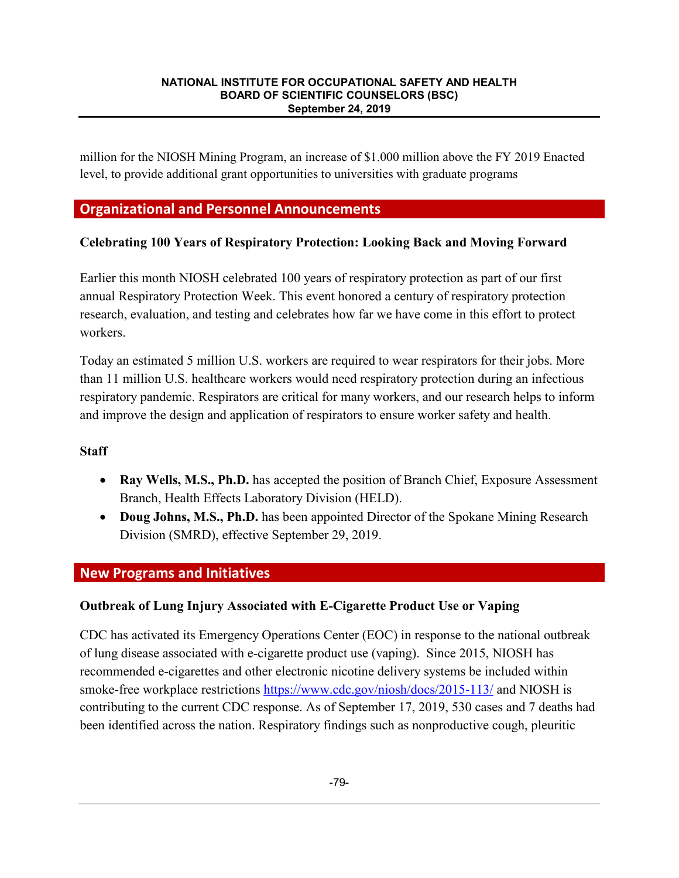million for the NIOSH Mining Program, an increase of \$1.000 million above the FY 2019 Enacted level, to provide additional grant opportunities to universities with graduate programs

# **Organizational and Personnel Announcements**

## **Celebrating 100 Years of Respiratory Protection: Looking Back and Moving Forward**

Earlier this month NIOSH celebrated 100 years of respiratory protection as part of our first annual Respiratory Protection Week. This event honored a century of respiratory protection research, evaluation, and testing and celebrates how far we have come in this effort to protect workers.

Today an estimated 5 million U.S. workers are required to wear respirators for their jobs. More than 11 million U.S. healthcare workers would need respiratory protection during an infectious respiratory pandemic. Respirators are critical for many workers, and our research helps to inform and improve the design and application of respirators to ensure worker safety and health.

## **Staff**

- **Ray Wells, M.S., Ph.D.** has accepted the position of Branch Chief, Exposure Assessment Branch, Health Effects Laboratory Division (HELD).
- **Doug Johns, M.S., Ph.D.** has been appointed Director of the Spokane Mining Research Division (SMRD), effective September 29, 2019.

## **New Programs and Initiatives**

## **Outbreak of Lung Injury Associated with E-Cigarette Product Use or Vaping**

CDC has activated its Emergency Operations Center (EOC) in response to the national outbreak of lung disease associated with e-cigarette product use (vaping). Since 2015, NIOSH has recommended e-cigarettes and other electronic nicotine delivery systems be included within smoke-free workplace restrictions https://www.cdc.gov/niosh/docs/2015-113/ and NIOSH is contributing to the current CDC response. As of September 17, 2019, 530 cases and 7 deaths had been identified across the nation. Respiratory findings such as nonproductive cough, pleuritic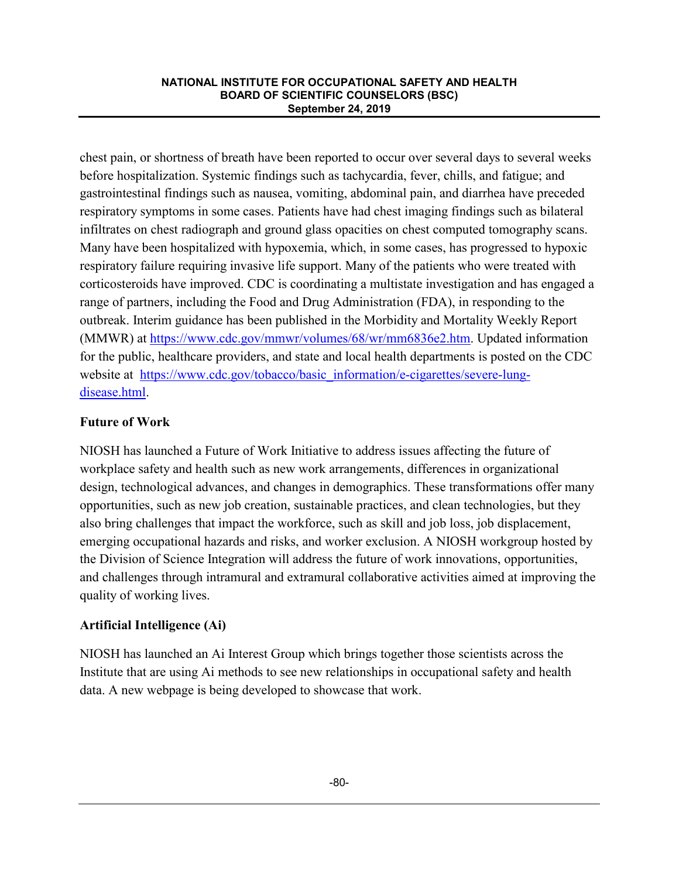chest pain, or shortness of breath have been reported to occur over several days to several weeks before hospitalization. Systemic findings such as tachycardia, fever, chills, and fatigue; and gastrointestinal findings such as nausea, vomiting, abdominal pain, and diarrhea have preceded respiratory symptoms in some cases. Patients have had chest imaging findings such as bilateral infiltrates on chest radiograph and ground glass opacities on chest computed tomography scans. Many have been hospitalized with hypoxemia, which, in some cases, has progressed to hypoxic respiratory failure requiring invasive life support. Many of the patients who were treated with corticosteroids have improved. CDC is coordinating a multistate investigation and has engaged a range of partners, including the Food and Drug Administration (FDA), in responding to the outbreak. Interim guidance has been published in the Morbidity and Mortality Weekly Report (MMWR) at https://www.cdc.gov/mmwr/volumes/68/wr/mm6836e2.htm. Updated information for the public, healthcare providers, and state and local health departments is posted on the CDC website at https://www.cdc.gov/tobacco/basic\_information/e-cigarettes/severe-lungdisease.html.

## **Future of Work**

NIOSH has launched a Future of Work Initiative to address issues affecting the future of workplace safety and health such as new work arrangements, differences in organizational design, technological advances, and changes in demographics. These transformations offer many opportunities, such as new job creation, sustainable practices, and clean technologies, but they also bring challenges that impact the workforce, such as skill and job loss, job displacement, emerging occupational hazards and risks, and worker exclusion. A NIOSH workgroup hosted by the Division of Science Integration will address the future of work innovations, opportunities, and challenges through intramural and extramural collaborative activities aimed at improving the quality of working lives.

## **Artificial Intelligence (Ai)**

NIOSH has launched an Ai Interest Group which brings together those scientists across the Institute that are using Ai methods to see new relationships in occupational safety and health data. A new webpage is being developed to showcase that work.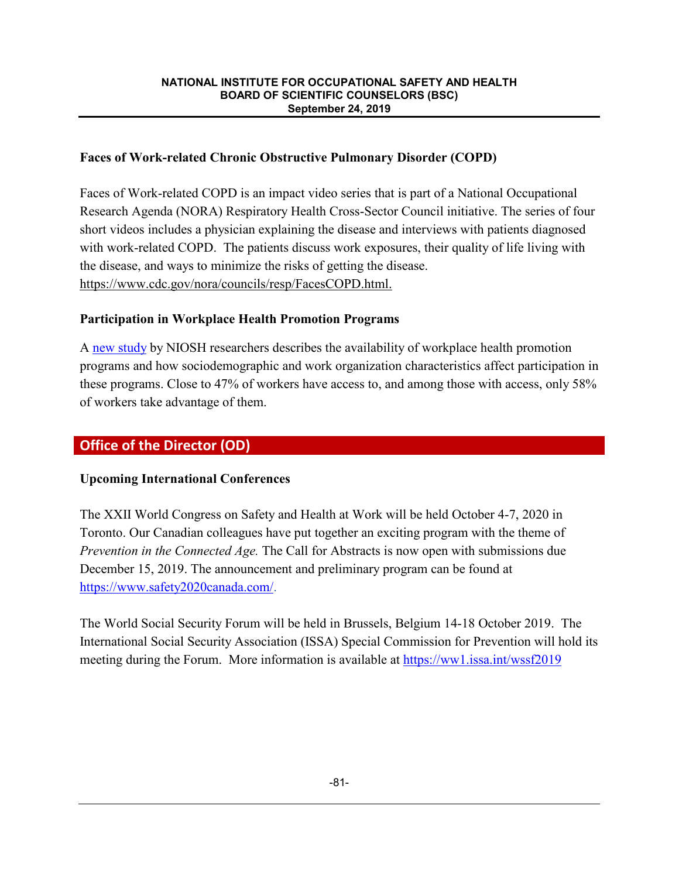## **Faces of Work-related Chronic Obstructive Pulmonary Disorder (COPD)**

Faces of Work-related COPD is an impact video series that is part of a National Occupational Research Agenda (NORA) Respiratory Health Cross-Sector Council initiative. The series of four short videos includes a physician explaining the disease and interviews with patients diagnosed with work-related COPD. The patients discuss work exposures, their quality of life living with the disease, and ways to minimize the risks of getting the disease. https://www.cdc.gov/nora/councils/resp/FacesCOPD.html.

## **Participation in Workplace Health Promotion Programs**

A new study by NIOSH researchers describes the availability of workplace health promotion programs and how sociodemographic and work organization characteristics affect participation in these programs. Close to 47% of workers have access to, and among those with access, only 58% of workers take advantage of them.

# **Office of the Director (OD)**

## **Upcoming International Conferences**

The XXII World Congress on Safety and Health at Work will be held October 4-7, 2020 in Toronto. Our Canadian colleagues have put together an exciting program with the theme of *Prevention in the Connected Age.* The Call for Abstracts is now open with submissions due December 15, 2019. The announcement and preliminary program can be found at https://www.safety2020canada.com/.

The World Social Security Forum will be held in Brussels, Belgium 14-18 October 2019. The International Social Security Association (ISSA) Special Commission for Prevention will hold its meeting during the Forum. More information is available at https://ww1.issa.int/wssf2019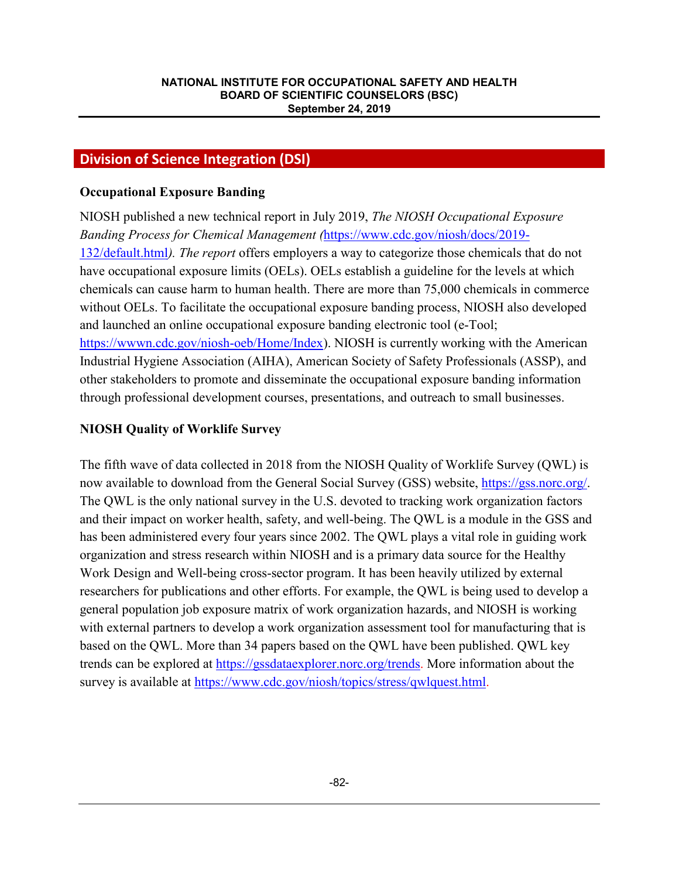## **Division of Science Integration (DSI)**

### **Occupational Exposure Banding**

NIOSH published a new technical report in July 2019, *The NIOSH Occupational Exposure Banding Process for Chemical Management (*https://www.cdc.gov/niosh/docs/2019- 132/default.html*). The report* offers employers a way to categorize those chemicals that do not have occupational exposure limits (OELs). OELs establish a guideline for the levels at which chemicals can cause harm to human health. There are more than 75,000 chemicals in commerce without OELs. To facilitate the occupational exposure banding process, NIOSH also developed and launched an online occupational exposure banding electronic tool (e-Tool; https://wwwn.cdc.gov/niosh-oeb/Home/Index). NIOSH is currently working with the American Industrial Hygiene Association (AIHA), American Society of Safety Professionals (ASSP), and other stakeholders to promote and disseminate the occupational exposure banding information through professional development courses, presentations, and outreach to small businesses.

## **NIOSH Quality of Worklife Survey**

The fifth wave of data collected in 2018 from the NIOSH Quality of Worklife Survey (QWL) is now available to download from the General Social Survey (GSS) website, https://gss.norc.org/. The QWL is the only national survey in the U.S. devoted to tracking work organization factors and their impact on worker health, safety, and well-being. The QWL is a module in the GSS and has been administered every four years since 2002. The QWL plays a vital role in guiding work organization and stress research within NIOSH and is a primary data source for the Healthy Work Design and Well-being cross-sector program. It has been heavily utilized by external researchers for publications and other efforts. For example, the QWL is being used to develop a general population job exposure matrix of work organization hazards, and NIOSH is working with external partners to develop a work organization assessment tool for manufacturing that is based on the QWL. More than 34 papers based on the QWL have been published. QWL key trends can be explored at https://gssdataexplorer.norc.org/trends. More information about the survey is available at https://www.cdc.gov/niosh/topics/stress/qwlquest.html.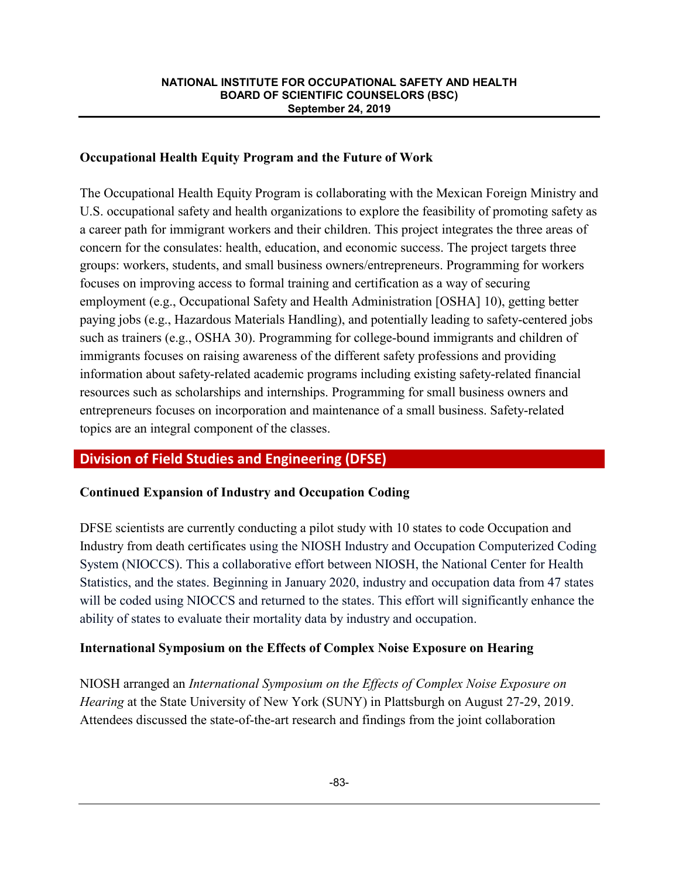## **Occupational Health Equity Program and the Future of Work**

The Occupational Health Equity Program is collaborating with the Mexican Foreign Ministry and U.S. occupational safety and health organizations to explore the feasibility of promoting safety as a career path for immigrant workers and their children. This project integrates the three areas of concern for the consulates: health, education, and economic success. The project targets three groups: workers, students, and small business owners/entrepreneurs. Programming for workers focuses on improving access to formal training and certification as a way of securing employment (e.g., Occupational Safety and Health Administration [OSHA] 10), getting better paying jobs (e.g., Hazardous Materials Handling), and potentially leading to safety-centered jobs such as trainers (e.g., OSHA 30). Programming for college-bound immigrants and children of immigrants focuses on raising awareness of the different safety professions and providing information about safety-related academic programs including existing safety-related financial resources such as scholarships and internships. Programming for small business owners and entrepreneurs focuses on incorporation and maintenance of a small business. Safety-related topics are an integral component of the classes.

# **Division of Field Studies and Engineering (DFSE)**

## **Continued Expansion of Industry and Occupation Coding**

DFSE scientists are currently conducting a pilot study with 10 states to code Occupation and Industry from death certificates using the NIOSH Industry and Occupation Computerized Coding System (NIOCCS). This a collaborative effort between NIOSH, the National Center for Health Statistics, and the states. Beginning in January 2020, industry and occupation data from 47 states will be coded using NIOCCS and returned to the states. This effort will significantly enhance the ability of states to evaluate their mortality data by industry and occupation.

## **International Symposium on the Effects of Complex Noise Exposure on Hearing**

NIOSH arranged an *International Symposium on the Effects of Complex Noise Exposure on Hearing* at the State University of New York (SUNY) in Plattsburgh on August 27-29, 2019. Attendees discussed the state-of-the-art research and findings from the joint collaboration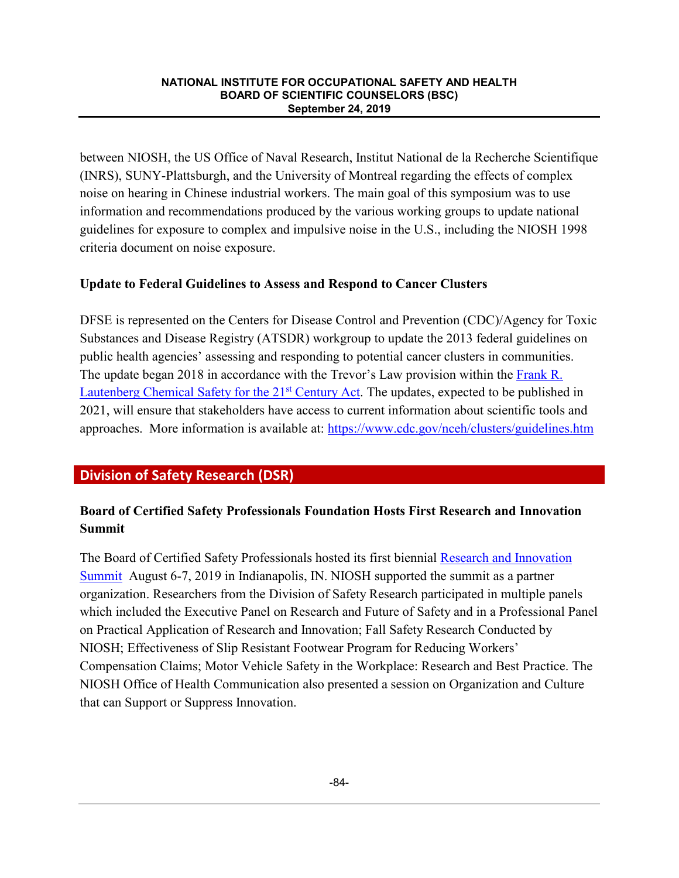between NIOSH, the US Office of Naval Research, Institut National de la Recherche Scientifique (INRS), SUNY-Plattsburgh, and the University of Montreal regarding the effects of complex noise on hearing in Chinese industrial workers. The main goal of this symposium was to use information and recommendations produced by the various working groups to update national guidelines for exposure to complex and impulsive noise in the U.S., including the NIOSH 1998 criteria document on noise exposure.

## **Update to Federal Guidelines to Assess and Respond to Cancer Clusters**

DFSE is represented on the Centers for Disease Control and Prevention (CDC)/Agency for Toxic Substances and Disease Registry (ATSDR) workgroup to update the 2013 federal guidelines on public health agencies' assessing and responding to potential cancer clusters in communities. The update began 2018 in accordance with the Trevor's Law provision within the Frank R. Lautenberg Chemical Safety for the 21<sup>st</sup> Century Act. The updates, expected to be published in 2021, will ensure that stakeholders have access to current information about scientific tools and approaches. More information is available at: https://www.cdc.gov/nceh/clusters/guidelines.htm

# **Division of Safety Research (DSR)**

# **Board of Certified Safety Professionals Foundation Hosts First Research and Innovation Summit**

The Board of Certified Safety Professionals hosted its first biennial Research and Innovation Summit August 6-7, 2019 in Indianapolis, IN. NIOSH supported the summit as a partner organization. Researchers from the Division of Safety Research participated in multiple panels which included the Executive Panel on Research and Future of Safety and in a Professional Panel on Practical Application of Research and Innovation; Fall Safety Research Conducted by NIOSH; Effectiveness of Slip Resistant Footwear Program for Reducing Workers' Compensation Claims; Motor Vehicle Safety in the Workplace: Research and Best Practice. The NIOSH Office of Health Communication also presented a session on Organization and Culture that can Support or Suppress Innovation.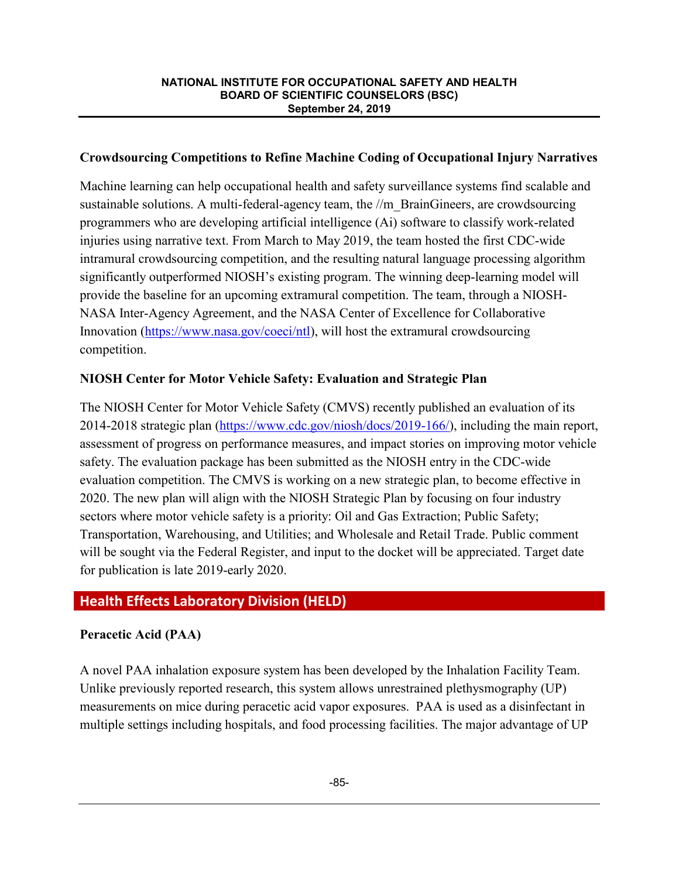## **Crowdsourcing Competitions to Refine Machine Coding of Occupational Injury Narratives**

Machine learning can help occupational health and safety surveillance systems find scalable and sustainable solutions. A multi-federal-agency team, the  $\ell/m$  BrainGineers, are crowdsourcing programmers who are developing artificial intelligence (Ai) software to classify work-related injuries using narrative text. From March to May 2019, the team hosted the first CDC-wide intramural crowdsourcing competition, and the resulting natural language processing algorithm significantly outperformed NIOSH's existing program. The winning deep-learning model will provide the baseline for an upcoming extramural competition. The team, through a NIOSH-NASA Inter-Agency Agreement, and the NASA Center of Excellence for Collaborative Innovation (https://www.nasa.gov/coeci/ntl), will host the extramural crowdsourcing competition.

## **NIOSH Center for Motor Vehicle Safety: Evaluation and Strategic Plan**

The NIOSH Center for Motor Vehicle Safety (CMVS) recently published an evaluation of its 2014-2018 strategic plan (https://www.cdc.gov/niosh/docs/2019-166/), including the main report, assessment of progress on performance measures, and impact stories on improving motor vehicle safety. The evaluation package has been submitted as the NIOSH entry in the CDC-wide evaluation competition. The CMVS is working on a new strategic plan, to become effective in 2020. The new plan will align with the NIOSH Strategic Plan by focusing on four industry sectors where motor vehicle safety is a priority: Oil and Gas Extraction; Public Safety; Transportation, Warehousing, and Utilities; and Wholesale and Retail Trade. Public comment will be sought via the Federal Register, and input to the docket will be appreciated. Target date for publication is late 2019-early 2020.

# **Health Effects Laboratory Division (HELD)**

# **Peracetic Acid (PAA)**

A novel PAA inhalation exposure system has been developed by the Inhalation Facility Team. Unlike previously reported research, this system allows unrestrained plethysmography (UP) measurements on mice during peracetic acid vapor exposures. PAA is used as a disinfectant in multiple settings including hospitals, and food processing facilities. The major advantage of UP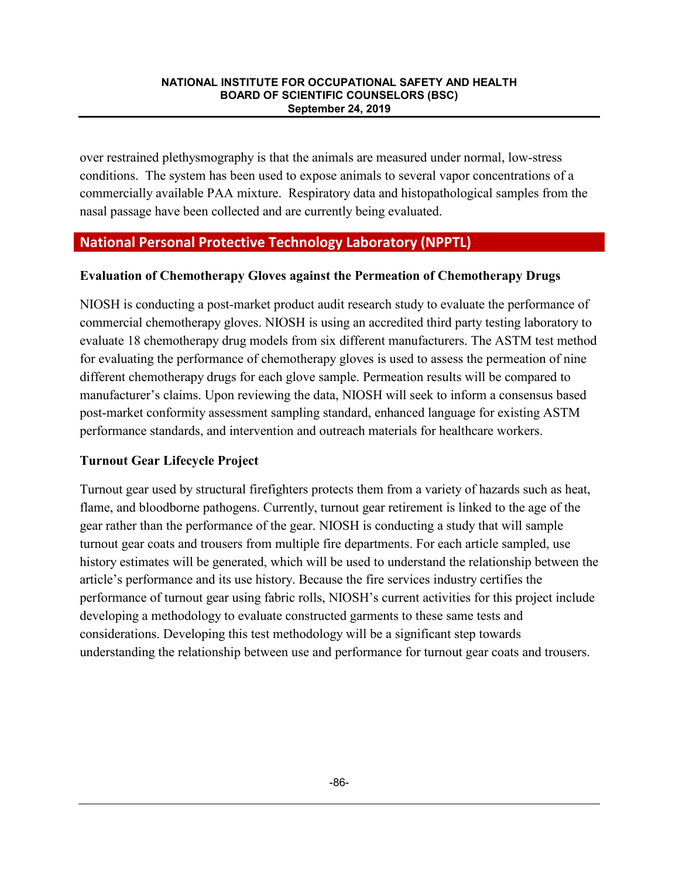over restrained plethysmography is that the animals are measured under normal, low-stress conditions. The system has been used to expose animals to several vapor concentrations of a commercially available PAA mixture. Respiratory data and histopathological samples from the nasal passage have been collected and are currently being evaluated.

## **National Personal Protective Technology Laboratory (NPPTL)**

### **Evaluation of Chemotherapy Gloves against the Permeation of Chemotherapy Drugs**

NIOSH is conducting a post-market product audit research study to evaluate the performance of commercial chemotherapy gloves. NIOSH is using an accredited third party testing laboratory to evaluate 18 chemotherapy drug models from six different manufacturers. The ASTM test method for evaluating the performance of chemotherapy gloves is used to assess the permeation of nine different chemotherapy drugs for each glove sample. Permeation results will be compared to manufacturer's claims. Upon reviewing the data, NIOSH will seek to inform a consensus based post-market conformity assessment sampling standard, enhanced language for existing ASTM performance standards, and intervention and outreach materials for healthcare workers.

## **Turnout Gear Lifecycle Project**

Turnout gear used by structural firefighters protects them from a variety of hazards such as heat, flame, and bloodborne pathogens. Currently, turnout gear retirement is linked to the age of the gear rather than the performance of the gear. NIOSH is conducting a study that will sample turnout gear coats and trousers from multiple fire departments. For each article sampled, use history estimates will be generated, which will be used to understand the relationship between the article's performance and its use history. Because the fire services industry certifies the performance of turnout gear using fabric rolls, NIOSH's current activities for this project include developing a methodology to evaluate constructed garments to these same tests and considerations. Developing this test methodology will be a significant step towards understanding the relationship between use and performance for turnout gear coats and trousers.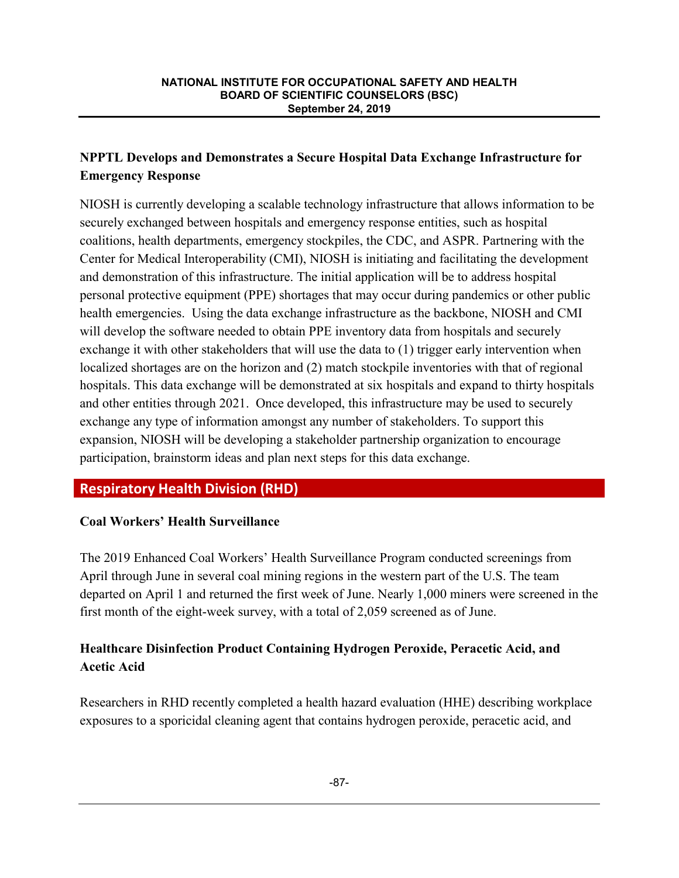# **NPPTL Develops and Demonstrates a Secure Hospital Data Exchange Infrastructure for Emergency Response**

NIOSH is currently developing a scalable technology infrastructure that allows information to be securely exchanged between hospitals and emergency response entities, such as hospital coalitions, health departments, emergency stockpiles, the CDC, and ASPR. Partnering with the Center for Medical Interoperability (CMI), NIOSH is initiating and facilitating the development and demonstration of this infrastructure. The initial application will be to address hospital personal protective equipment (PPE) shortages that may occur during pandemics or other public health emergencies. Using the data exchange infrastructure as the backbone, NIOSH and CMI will develop the software needed to obtain PPE inventory data from hospitals and securely exchange it with other stakeholders that will use the data to (1) trigger early intervention when localized shortages are on the horizon and (2) match stockpile inventories with that of regional hospitals. This data exchange will be demonstrated at six hospitals and expand to thirty hospitals and other entities through 2021. Once developed, this infrastructure may be used to securely exchange any type of information amongst any number of stakeholders. To support this expansion, NIOSH will be developing a stakeholder partnership organization to encourage participation, brainstorm ideas and plan next steps for this data exchange.

# **Respiratory Health Division (RHD)**

# **Coal Workers' Health Surveillance**

The 2019 Enhanced Coal Workers' Health Surveillance Program conducted screenings from April through June in several coal mining regions in the western part of the U.S. The team departed on April 1 and returned the first week of June. Nearly 1,000 miners were screened in the first month of the eight-week survey, with a total of 2,059 screened as of June.

# **Healthcare Disinfection Product Containing Hydrogen Peroxide, Peracetic Acid, and Acetic Acid**

Researchers in RHD recently completed a health hazard evaluation (HHE) describing workplace exposures to a sporicidal cleaning agent that contains hydrogen peroxide, peracetic acid, and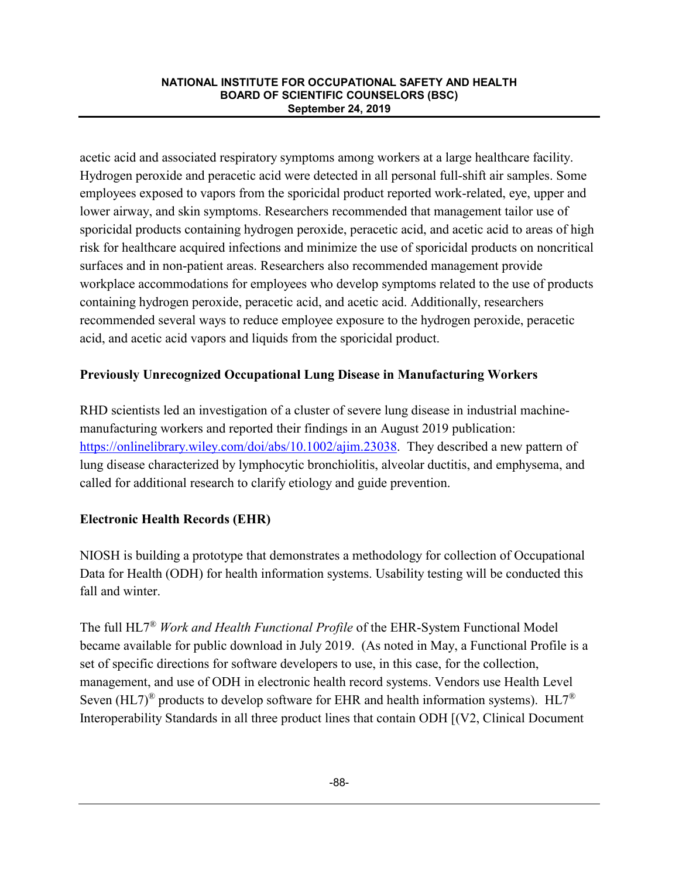acetic acid and associated respiratory symptoms among workers at a large healthcare facility. Hydrogen peroxide and peracetic acid were detected in all personal full-shift air samples. Some employees exposed to vapors from the sporicidal product reported work-related, eye, upper and lower airway, and skin symptoms. Researchers recommended that management tailor use of sporicidal products containing hydrogen peroxide, peracetic acid, and acetic acid to areas of high risk for healthcare acquired infections and minimize the use of sporicidal products on noncritical surfaces and in non-patient areas. Researchers also recommended management provide workplace accommodations for employees who develop symptoms related to the use of products containing hydrogen peroxide, peracetic acid, and acetic acid. Additionally, researchers recommended several ways to reduce employee exposure to the hydrogen peroxide, peracetic acid, and acetic acid vapors and liquids from the sporicidal product.

# **Previously Unrecognized Occupational Lung Disease in Manufacturing Workers**

RHD scientists led an investigation of a cluster of severe lung disease in industrial machinemanufacturing workers and reported their findings in an August 2019 publication: https://onlinelibrary.wiley.com/doi/abs/10.1002/ajim.23038. They described a new pattern of lung disease characterized by lymphocytic bronchiolitis, alveolar ductitis, and emphysema, and called for additional research to clarify etiology and guide prevention.

## **Electronic Health Records (EHR)**

NIOSH is building a prototype that demonstrates a methodology for collection of Occupational Data for Health (ODH) for health information systems. Usability testing will be conducted this fall and winter.

The full HL7® *Work and Health Functional Profile* of the EHR-System Functional Model became available for public download in July 2019. (As noted in May, a Functional Profile is a set of specific directions for software developers to use, in this case, for the collection, management, and use of ODH in electronic health record systems. Vendors use Health Level Seven (HL7)<sup>®</sup> products to develop software for EHR and health information systems). HL7<sup>®</sup> Interoperability Standards in all three product lines that contain ODH [(V2, Clinical Document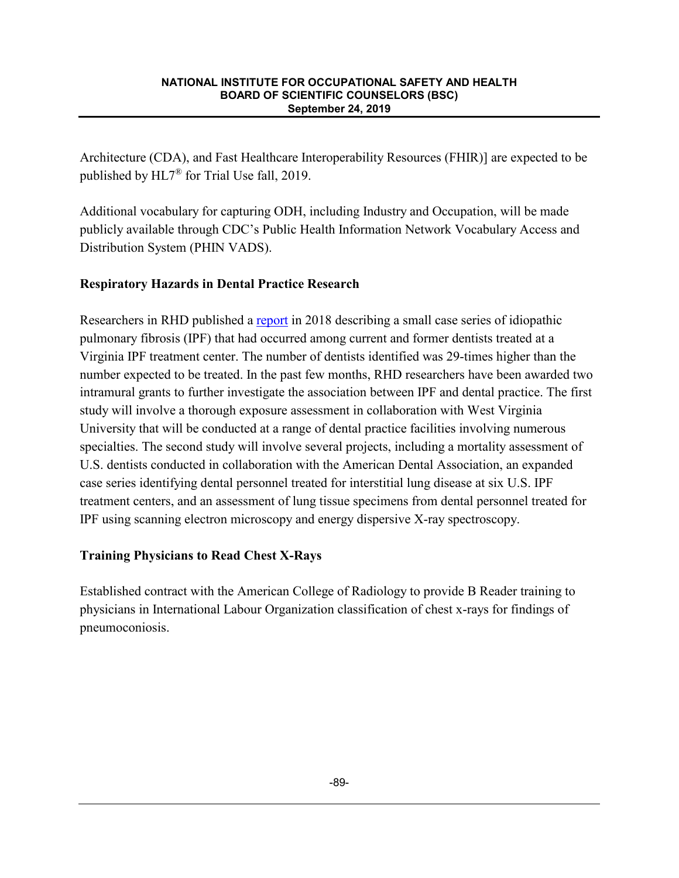Architecture (CDA), and Fast Healthcare Interoperability Resources (FHIR)] are expected to be published by HL7® for Trial Use fall, 2019.

Additional vocabulary for capturing ODH, including Industry and Occupation, will be made publicly available through CDC's Public Health Information Network Vocabulary Access and Distribution System (PHIN VADS).

# **Respiratory Hazards in Dental Practice Research**

Researchers in RHD published a report in 2018 describing a small case series of idiopathic pulmonary fibrosis (IPF) that had occurred among current and former dentists treated at a Virginia IPF treatment center. The number of dentists identified was 29-times higher than the number expected to be treated. In the past few months, RHD researchers have been awarded two intramural grants to further investigate the association between IPF and dental practice. The first study will involve a thorough exposure assessment in collaboration with West Virginia University that will be conducted at a range of dental practice facilities involving numerous specialties. The second study will involve several projects, including a mortality assessment of U.S. dentists conducted in collaboration with the American Dental Association, an expanded case series identifying dental personnel treated for interstitial lung disease at six U.S. IPF treatment centers, and an assessment of lung tissue specimens from dental personnel treated for IPF using scanning electron microscopy and energy dispersive X-ray spectroscopy.

# **Training Physicians to Read Chest X-Rays**

Established contract with the American College of Radiology to provide B Reader training to physicians in International Labour Organization classification of chest x-rays for findings of pneumoconiosis.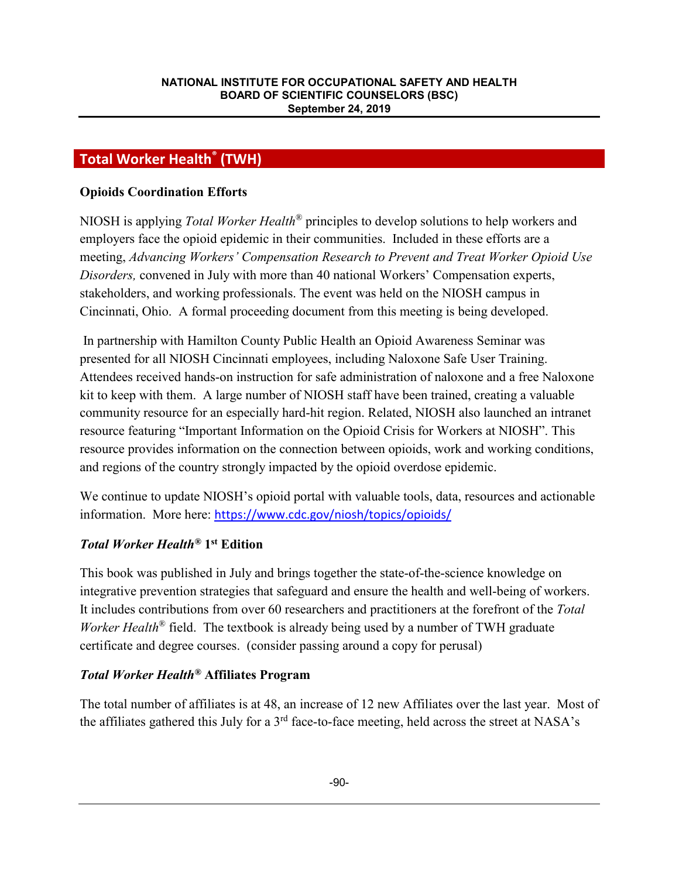# **Total Worker Health® (TWH)**

### **Opioids Coordination Efforts**

NIOSH is applying *Total Worker Health*® principles to develop solutions to help workers and employers face the opioid epidemic in their communities. Included in these efforts are a meeting, *Advancing Workers' Compensation Research to Prevent and Treat Worker Opioid Use Disorders,* convened in July with more than 40 national Workers' Compensation experts, stakeholders, and working professionals. The event was held on the NIOSH campus in Cincinnati, Ohio. A formal proceeding document from this meeting is being developed.

In partnership with Hamilton County Public Health an Opioid Awareness Seminar was presented for all NIOSH Cincinnati employees, including Naloxone Safe User Training. Attendees received hands-on instruction for safe administration of naloxone and a free Naloxone kit to keep with them. A large number of NIOSH staff have been trained, creating a valuable community resource for an especially hard-hit region. Related, NIOSH also launched an intranet resource featuring "Important Information on the Opioid Crisis for Workers at NIOSH". This resource provides information on the connection between opioids, work and working conditions, and regions of the country strongly impacted by the opioid overdose epidemic.

We continue to update NIOSH's opioid portal with valuable tools, data, resources and actionable information. More here: https://www.cdc.gov/niosh/topics/opioids/

## *Total Worker Health®* **1st Edition**

This book was published in July and brings together the state-of-the-science knowledge on integrative prevention strategies that safeguard and ensure the health and well-being of workers. It includes contributions from over 60 researchers and practitioners at the forefront of the *Total Worker Health*<sup>®</sup> field. The textbook is already being used by a number of TWH graduate certificate and degree courses. (consider passing around a copy for perusal)

## *Total Worker Health®* **Affiliates Program**

The total number of affiliates is at 48, an increase of 12 new Affiliates over the last year. Most of the affiliates gathered this July for a  $3<sup>rd</sup>$  face-to-face meeting, held across the street at NASA's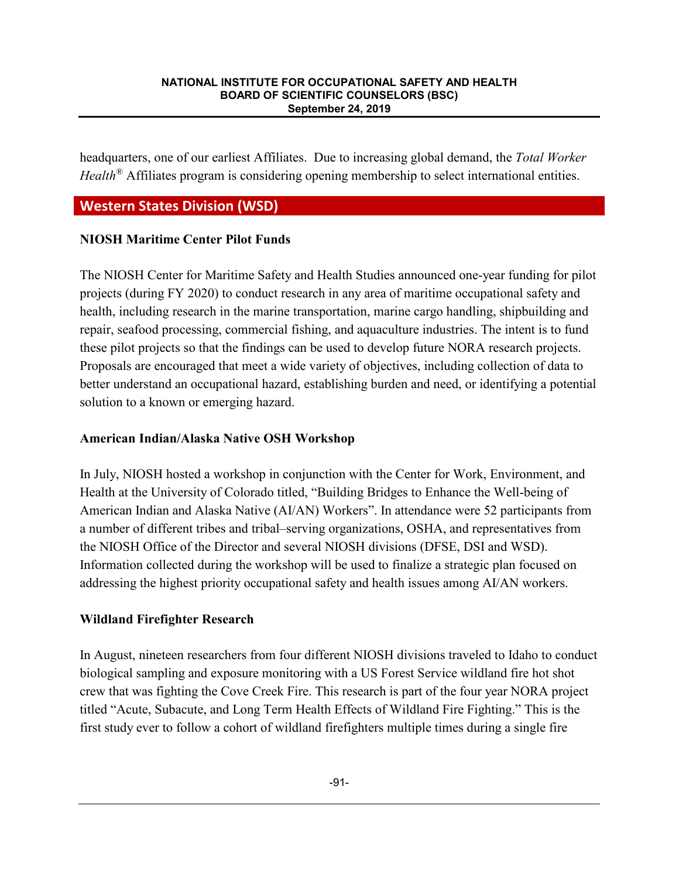headquarters, one of our earliest Affiliates. Due to increasing global demand, the *Total Worker Health*<sup>®</sup> Affiliates program is considering opening membership to select international entities.

# **Western States Division (WSD)**

## **NIOSH Maritime Center Pilot Funds**

The NIOSH Center for Maritime Safety and Health Studies announced one-year funding for pilot projects (during FY 2020) to conduct research in any area of maritime occupational safety and health, including research in the marine transportation, marine cargo handling, shipbuilding and repair, seafood processing, commercial fishing, and aquaculture industries. The intent is to fund these pilot projects so that the findings can be used to develop future NORA research projects. Proposals are encouraged that meet a wide variety of objectives, including collection of data to better understand an occupational hazard, establishing burden and need, or identifying a potential solution to a known or emerging hazard.

## **American Indian/Alaska Native OSH Workshop**

In July, NIOSH hosted a workshop in conjunction with the Center for Work, Environment, and Health at the University of Colorado titled, "Building Bridges to Enhance the Well-being of American Indian and Alaska Native (AI/AN) Workers". In attendance were 52 participants from a number of different tribes and tribal–serving organizations, OSHA, and representatives from the NIOSH Office of the Director and several NIOSH divisions (DFSE, DSI and WSD). Information collected during the workshop will be used to finalize a strategic plan focused on addressing the highest priority occupational safety and health issues among AI/AN workers.

## **Wildland Firefighter Research**

In August, nineteen researchers from four different NIOSH divisions traveled to Idaho to conduct biological sampling and exposure monitoring with a US Forest Service wildland fire hot shot crew that was fighting the Cove Creek Fire. This research is part of the four year NORA project titled "Acute, Subacute, and Long Term Health Effects of Wildland Fire Fighting." This is the first study ever to follow a cohort of wildland firefighters multiple times during a single fire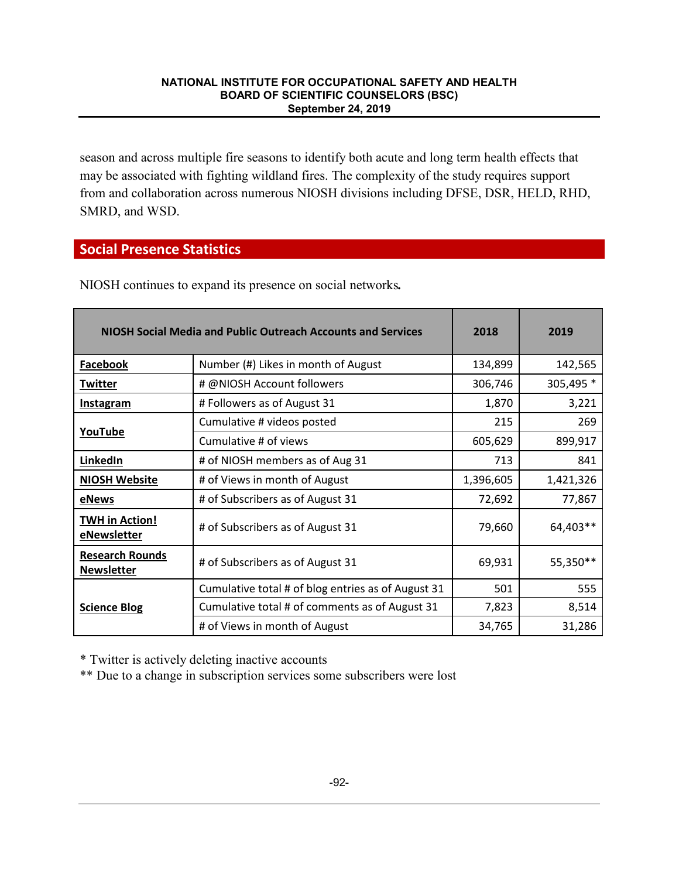season and across multiple fire seasons to identify both acute and long term health effects that may be associated with fighting wildland fires. The complexity of the study requires support from and collaboration across numerous NIOSH divisions including DFSE, DSR, HELD, RHD, SMRD, and WSD.

## **Social Presence Statistics**

| <b>NIOSH Social Media and Public Outreach Accounts and Services</b> |                                                    | 2018      | 2019      |
|---------------------------------------------------------------------|----------------------------------------------------|-----------|-----------|
| <b>Facebook</b>                                                     | Number (#) Likes in month of August                | 134,899   | 142,565   |
| <b>Twitter</b>                                                      | # @NIOSH Account followers                         | 306,746   | 305,495 * |
| <b>Instagram</b>                                                    | # Followers as of August 31                        | 1,870     | 3,221     |
|                                                                     | Cumulative # videos posted                         | 215       | 269       |
| YouTube                                                             | Cumulative # of views                              | 605,629   | 899,917   |
| LinkedIn                                                            | # of NIOSH members as of Aug 31                    | 713       | 841       |
| <b>NIOSH Website</b>                                                | # of Views in month of August                      | 1,396,605 | 1,421,326 |
| eNews                                                               | # of Subscribers as of August 31                   | 72,692    | 77,867    |
| <b>TWH in Action!</b><br>eNewsletter                                | # of Subscribers as of August 31                   | 79,660    | 64,403**  |
| <b>Research Rounds</b><br><b>Newsletter</b>                         | # of Subscribers as of August 31                   | 69,931    | 55,350**  |
|                                                                     | Cumulative total # of blog entries as of August 31 | 501       | 555       |
| <b>Science Blog</b>                                                 | Cumulative total # of comments as of August 31     | 7,823     | 8,514     |
|                                                                     | # of Views in month of August                      | 34,765    | 31,286    |

NIOSH continues to expand its presence on social networks*.*

\* Twitter is actively deleting inactive accounts

\*\* Due to a change in subscription services some subscribers were lost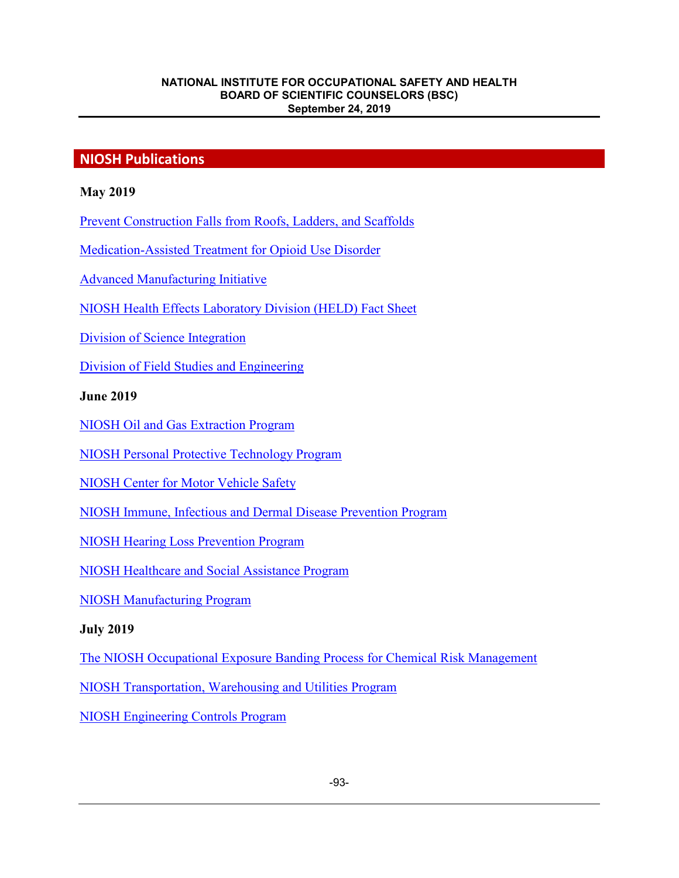# **NIOSH Publications**

### **May 2019**

Prevent Construction Falls from Roofs, Ladders, and Scaffolds

Medication-Assisted Treatment for Opioid Use Disorder

Advanced Manufacturing Initiative

NIOSH Health Effects Laboratory Division (HELD) Fact Sheet

Division of Science Integration

Division of Field Studies and Engineering

### **June 2019**

NIOSH Oil and Gas Extraction Program

NIOSH Personal Protective Technology Program

NIOSH Center for Motor Vehicle Safety

NIOSH Immune, Infectious and Dermal Disease Prevention Program

NIOSH Hearing Loss Prevention Program

NIOSH Healthcare and Social Assistance Program

NIOSH Manufacturing Program

### **July 2019**

The NIOSH Occupational Exposure Banding Process for Chemical Risk Management

NIOSH Transportation, Warehousing and Utilities Program

NIOSH Engineering Controls Program